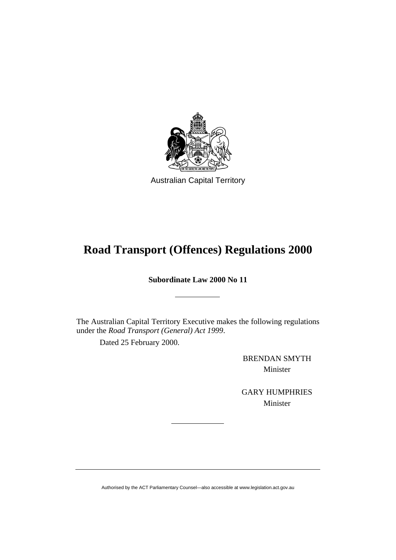

Australian Capital Territory

# **Road Transport (Offences) Regulations 2000**

**Subordinate Law 2000 No 11** 

The Australian Capital Territory Executive makes the following regulations under the *Road Transport (General) Act 1999*.

Dated 25 February 2000.

BRENDAN SMYTH Minister

GARY HUMPHRIES Minister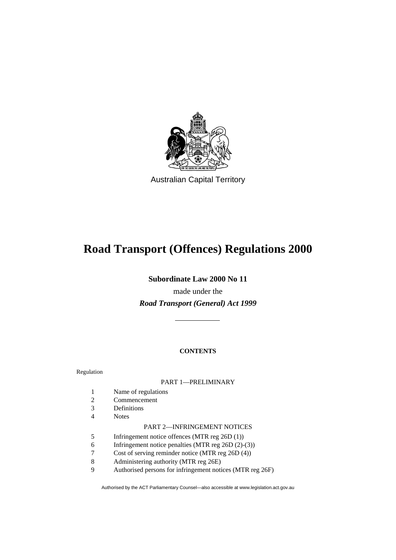

Australian Capital Territory

# **Road Transport (Offences) Regulations 2000**

**Subordinate Law 2000 No 11** 

made under the *Road Transport (General) Act 1999*

### **CONTENTS**

Regulation

#### PART 1—PRELIMINARY

- 1 Name of regulations
- 2 Commencement
- 3 Definitions
- 4 Notes

#### PART 2—INFRINGEMENT NOTICES

- 5 Infringement notice offences (MTR reg 26D (1))
- 6 Infringement notice penalties (MTR reg 26D (2)-(3))
- 7 Cost of serving reminder notice (MTR reg 26D (4))
- 8 Administering authority (MTR reg 26E)
- 9 Authorised persons for infringement notices (MTR reg 26F)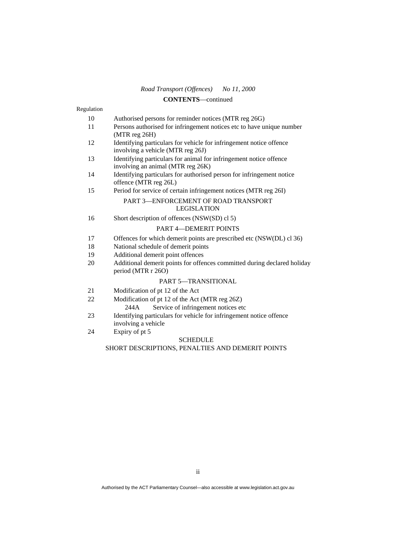## **CONTENTS**—continued

| Regulation |                                                                                                          |
|------------|----------------------------------------------------------------------------------------------------------|
| 10         | Authorised persons for reminder notices (MTR reg 26G)                                                    |
| 11         | Persons authorised for infringement notices etc to have unique number<br>$(MTR \, reg \, 26H)$           |
| 12         | Identifying particulars for vehicle for infringement notice offence<br>involving a vehicle (MTR reg 26J) |
| 13         | Identifying particulars for animal for infringement notice offence<br>involving an animal (MTR reg 26K)  |
| 14         | Identifying particulars for authorised person for infringement notice<br>offence (MTR reg 26L)           |
| 15         | Period for service of certain infringement notices (MTR reg 26I)                                         |
|            | PART 3—ENFORCEMENT OF ROAD TRANSPORT<br><b>LEGISLATION</b>                                               |
| 16         | Short description of offences (NSW(SD) cl 5)                                                             |
|            | <b>PART 4-DEMERIT POINTS</b>                                                                             |
| 17         | Offences for which demerit points are prescribed etc (NSW(DL) cl 36)                                     |
| 18         | National schedule of demerit points                                                                      |
| 19         | Additional demerit point offences                                                                        |
| 20         | Additional demerit points for offences committed during declared holiday<br>period (MTR r 26O)           |
|            | <b>PART 5-TRANSITIONAL</b>                                                                               |
| 21         | Modification of pt 12 of the Act                                                                         |
| 22         | Modification of pt 12 of the Act (MTR reg 26Z)<br>Service of infringement notices etc<br>244A            |
| 23         | Identifying particulars for vehicle for infringement notice offence<br>involving a vehicle               |
| 24         | Expiry of pt 5                                                                                           |

#### SCHEDULE

#### SHORT DESCRIPTIONS, PENALTIES AND DEMERIT POINTS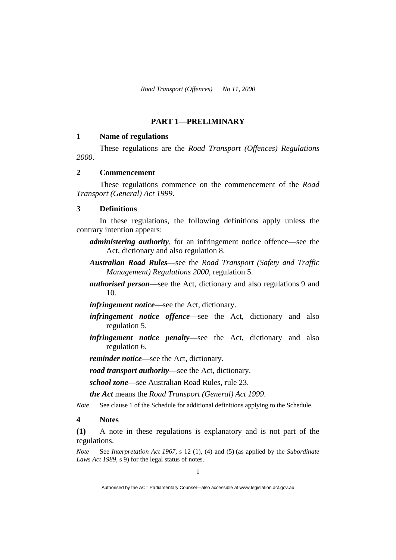### **PART 1—PRELIMINARY**

#### **1 Name of regulations**

 These regulations are the *Road Transport (Offences) Regulations 2000*.

### **2 Commencement**

 These regulations commence on the commencement of the *Road Transport (General) Act 1999*.

#### **3 Definitions**

 In these regulations, the following definitions apply unless the contrary intention appears:

- *administering authority*, for an infringement notice offence—see the Act, dictionary and also regulation 8.
- *Australian Road Rules*—see the *Road Transport (Safety and Traffic Management) Regulations 2000*, regulation 5.
- *authorised person*—see the Act, dictionary and also regulations 9 and 10.
- *infringement notice*—see the Act, dictionary.
- *infringement notice offence*—see the Act, dictionary and also regulation 5.
- *infringement notice penalty*—see the Act, dictionary and also regulation 6.

*reminder notice*—see the Act, dictionary.

*road transport authority*—see the Act, dictionary.

*school zone*—see Australian Road Rules, rule 23.

*the Act* means the *Road Transport (General) Act 1999*.

*Note* See clause 1 of the Schedule for additional definitions applying to the Schedule.

#### **4 Notes**

**(1)** A note in these regulations is explanatory and is not part of the regulations.

*Note* See *Interpretation Act 1967*, s 12 (1), (4) and (5) (as applied by the *Subordinate Laws Act 1989*, s 9) for the legal status of notes.

Authorised by the ACT Parliamentary Counsel—also accessible at www.legislation.act.gov.au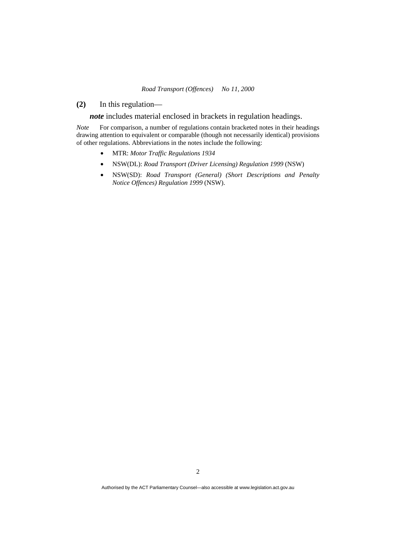**(2)** In this regulation—

*note* includes material enclosed in brackets in regulation headings.

*Note* For comparison, a number of regulations contain bracketed notes in their headings drawing attention to equivalent or comparable (though not necessarily identical) provisions of other regulations. Abbreviations in the notes include the following:

- MTR: *Motor Traffic Regulations 1934*
- NSW(DL): *Road Transport (Driver Licensing) Regulation 1999* (NSW)
- NSW(SD): *Road Transport (General) (Short Descriptions and Penalty Notice Offences) Regulation 1999* (NSW).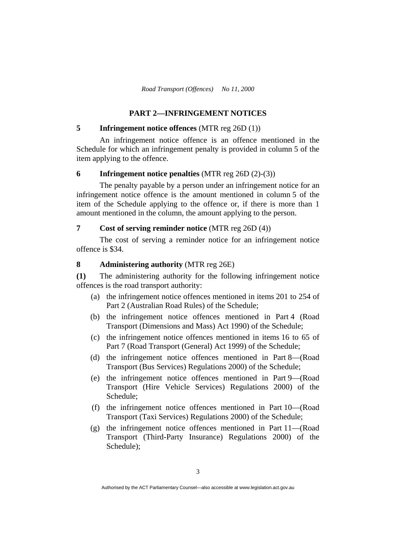### **PART 2—INFRINGEMENT NOTICES**

### **5 Infringement notice offences** (MTR reg 26D (1))

 An infringement notice offence is an offence mentioned in the Schedule for which an infringement penalty is provided in column 5 of the item applying to the offence.

#### **6 Infringement notice penalties** (MTR reg 26D (2)-(3))

 The penalty payable by a person under an infringement notice for an infringement notice offence is the amount mentioned in column 5 of the item of the Schedule applying to the offence or, if there is more than 1 amount mentioned in the column, the amount applying to the person.

#### **7 Cost of serving reminder notice** (MTR reg 26D (4))

 The cost of serving a reminder notice for an infringement notice offence is \$34.

#### **8 Administering authority** (MTR reg 26E)

**(1)** The administering authority for the following infringement notice offences is the road transport authority:

- (a) the infringement notice offences mentioned in items 201 to 254 of Part 2 (Australian Road Rules) of the Schedule;
- (b) the infringement notice offences mentioned in Part 4 (Road Transport (Dimensions and Mass) Act 1990) of the Schedule;
- (c) the infringement notice offences mentioned in items 16 to 65 of Part 7 (Road Transport (General) Act 1999) of the Schedule;
- (d) the infringement notice offences mentioned in Part 8—(Road Transport (Bus Services) Regulations 2000) of the Schedule;
- (e) the infringement notice offences mentioned in Part 9—(Road Transport (Hire Vehicle Services) Regulations 2000) of the Schedule;
- (f) the infringement notice offences mentioned in Part 10—(Road Transport (Taxi Services) Regulations 2000) of the Schedule;
- (g) the infringement notice offences mentioned in Part 11—(Road Transport (Third-Party Insurance) Regulations 2000) of the Schedule);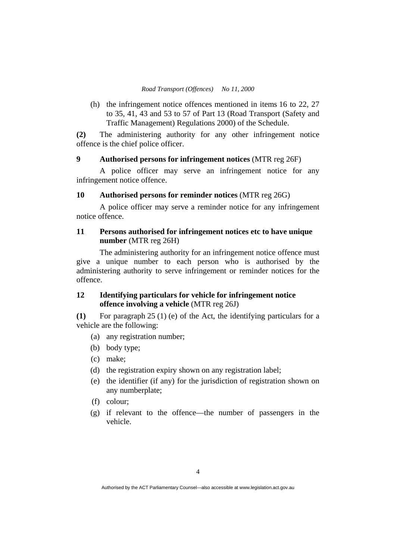(h) the infringement notice offences mentioned in items 16 to 22, 27 to 35, 41, 43 and 53 to 57 of Part 13 (Road Transport (Safety and Traffic Management) Regulations 2000) of the Schedule.

**(2)** The administering authority for any other infringement notice offence is the chief police officer.

#### **9 Authorised persons for infringement notices** (MTR reg 26F)

 A police officer may serve an infringement notice for any infringement notice offence.

#### **10 Authorised persons for reminder notices** (MTR reg 26G)

 A police officer may serve a reminder notice for any infringement notice offence.

### **11 Persons authorised for infringement notices etc to have unique number** (MTR reg 26H)

 The administering authority for an infringement notice offence must give a unique number to each person who is authorised by the administering authority to serve infringement or reminder notices for the offence.

### **12 Identifying particulars for vehicle for infringement notice offence involving a vehicle** (MTR reg 26J)

**(1)** For paragraph 25 (1) (e) of the Act, the identifying particulars for a vehicle are the following:

- (a) any registration number;
- (b) body type;
- (c) make;
- (d) the registration expiry shown on any registration label;
- (e) the identifier (if any) for the jurisdiction of registration shown on any numberplate;
- (f) colour;
- (g) if relevant to the offence—the number of passengers in the vehicle.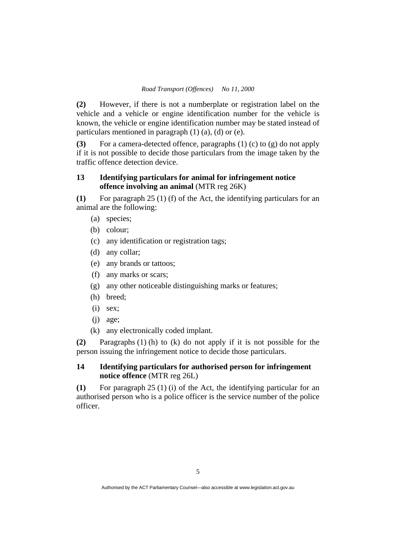**(2)** However, if there is not a numberplate or registration label on the vehicle and a vehicle or engine identification number for the vehicle is known, the vehicle or engine identification number may be stated instead of particulars mentioned in paragraph (1) (a), (d) or (e).

**(3)** For a camera-detected offence, paragraphs (1) (c) to (g) do not apply if it is not possible to decide those particulars from the image taken by the traffic offence detection device.

### **13 Identifying particulars for animal for infringement notice offence involving an animal** (MTR reg 26K)

**(1)** For paragraph 25 (1) (f) of the Act, the identifying particulars for an animal are the following:

- (a) species;
- (b) colour;
- (c) any identification or registration tags;
- (d) any collar;
- (e) any brands or tattoos;
- (f) any marks or scars;
- (g) any other noticeable distinguishing marks or features;
- (h) breed;
- (i) sex;
- (j) age;
- (k) any electronically coded implant.

**(2)** Paragraphs (1) (h) to (k) do not apply if it is not possible for the person issuing the infringement notice to decide those particulars.

### **14 Identifying particulars for authorised person for infringement notice offence** (MTR reg 26L)

**(1)** For paragraph 25 (1) (i) of the Act, the identifying particular for an authorised person who is a police officer is the service number of the police officer.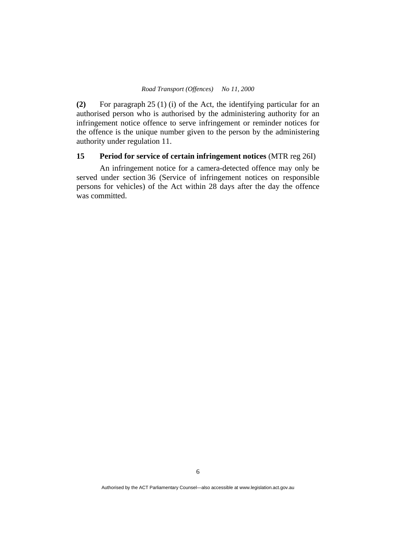**(2)** For paragraph 25 (1) (i) of the Act, the identifying particular for an authorised person who is authorised by the administering authority for an infringement notice offence to serve infringement or reminder notices for the offence is the unique number given to the person by the administering authority under regulation 11.

### **15 Period for service of certain infringement notices** (MTR reg 26I)

 An infringement notice for a camera-detected offence may only be served under section 36 (Service of infringement notices on responsible persons for vehicles) of the Act within 28 days after the day the offence was committed.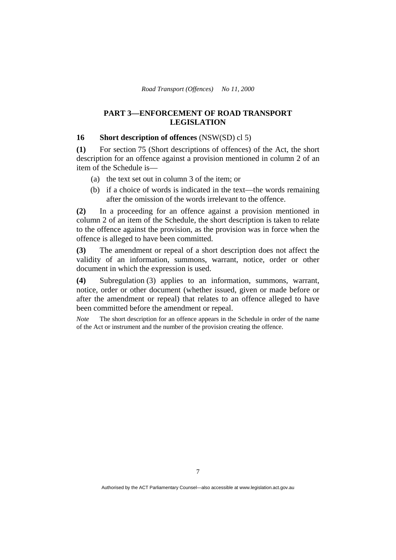### **PART 3—ENFORCEMENT OF ROAD TRANSPORT LEGISLATION**

#### **16 Short description of offences** (NSW(SD) cl 5)

**(1)** For section 75 (Short descriptions of offences) of the Act, the short description for an offence against a provision mentioned in column 2 of an item of the Schedule is—

- (a) the text set out in column 3 of the item; or
- (b) if a choice of words is indicated in the text—the words remaining after the omission of the words irrelevant to the offence.

**(2)** In a proceeding for an offence against a provision mentioned in column 2 of an item of the Schedule, the short description is taken to relate to the offence against the provision, as the provision was in force when the offence is alleged to have been committed.

**(3)** The amendment or repeal of a short description does not affect the validity of an information, summons, warrant, notice, order or other document in which the expression is used.

**(4)** Subregulation (3) applies to an information, summons, warrant, notice, order or other document (whether issued, given or made before or after the amendment or repeal) that relates to an offence alleged to have been committed before the amendment or repeal.

*Note* The short description for an offence appears in the Schedule in order of the name of the Act or instrument and the number of the provision creating the offence.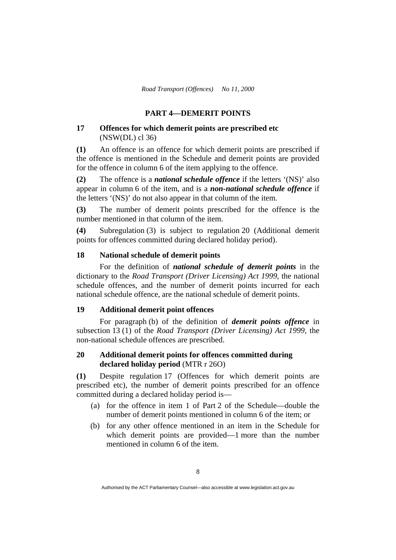### **PART 4—DEMERIT POINTS**

#### **17 Offences for which demerit points are prescribed etc**  (NSW(DL) cl 36)

**(1)** An offence is an offence for which demerit points are prescribed if the offence is mentioned in the Schedule and demerit points are provided for the offence in column 6 of the item applying to the offence.

**(2)** The offence is a *national schedule offence* if the letters '(NS)' also appear in column 6 of the item, and is a *non-national schedule offence* if the letters '(NS)' do not also appear in that column of the item.

**(3)** The number of demerit points prescribed for the offence is the number mentioned in that column of the item.

**(4)** Subregulation (3) is subject to regulation 20 (Additional demerit points for offences committed during declared holiday period).

#### **18 National schedule of demerit points**

 For the definition of *national schedule of demerit points* in the dictionary to the *Road Transport (Driver Licensing) Act 1999*, the national schedule offences, and the number of demerit points incurred for each national schedule offence, are the national schedule of demerit points.

### **19 Additional demerit point offences**

For paragraph (b) of the definition of *demerit points offence* in subsection 13 (1) of the *Road Transport (Driver Licensing) Act 1999*, the non-national schedule offences are prescribed.

### **20 Additional demerit points for offences committed during declared holiday period** (MTR r 26O)

**(1)** Despite regulation 17 (Offences for which demerit points are prescribed etc), the number of demerit points prescribed for an offence committed during a declared holiday period is—

- (a) for the offence in item 1 of Part 2 of the Schedule—double the number of demerit points mentioned in column 6 of the item; or
- (b) for any other offence mentioned in an item in the Schedule for which demerit points are provided—1 more than the number mentioned in column 6 of the item.

Authorised by the ACT Parliamentary Counsel—also accessible at www.legislation.act.gov.au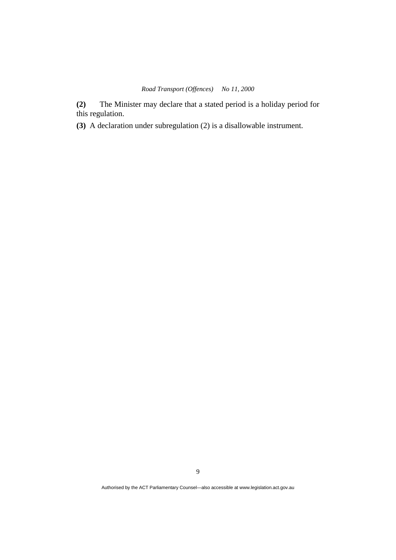**(2)** The Minister may declare that a stated period is a holiday period for this regulation.

**(3)** A declaration under subregulation (2) is a disallowable instrument.

9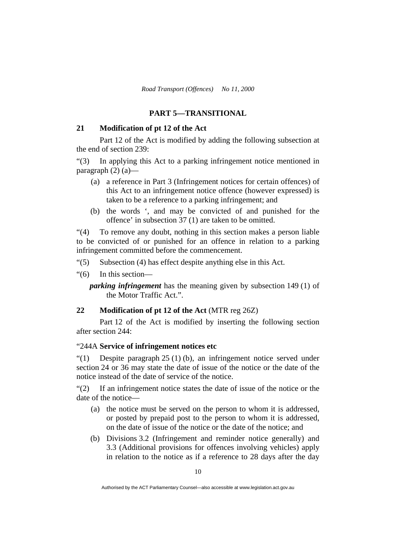### **PART 5—TRANSITIONAL**

### **21 Modification of pt 12 of the Act**

Part 12 of the Act is modified by adding the following subsection at the end of section 239:

"(3) In applying this Act to a parking infringement notice mentioned in paragraph  $(2)$   $(a)$ —

- (a) a reference in Part 3 (Infringement notices for certain offences) of this Act to an infringement notice offence (however expressed) is taken to be a reference to a parking infringement; and
- (b) the words ', and may be convicted of and punished for the offence' in subsection 37 (1) are taken to be omitted.

"(4) To remove any doubt, nothing in this section makes a person liable to be convicted of or punished for an offence in relation to a parking infringement committed before the commencement.

- "(5) Subsection (4) has effect despite anything else in this Act.
- "(6) In this section—

*parking infringement* has the meaning given by subsection 149 (1) of the Motor Traffic Act.".

#### **22 Modification of pt 12 of the Act** (MTR reg 26Z)

 Part 12 of the Act is modified by inserting the following section after section 244:

#### "244A **Service of infringement notices etc**

"(1) Despite paragraph 25 (1) (b), an infringement notice served under section 24 or 36 may state the date of issue of the notice or the date of the notice instead of the date of service of the notice.

"(2) If an infringement notice states the date of issue of the notice or the date of the notice—

- (a) the notice must be served on the person to whom it is addressed, or posted by prepaid post to the person to whom it is addressed, on the date of issue of the notice or the date of the notice; and
- (b) Divisions 3.2 (Infringement and reminder notice generally) and 3.3 (Additional provisions for offences involving vehicles) apply in relation to the notice as if a reference to 28 days after the day

Authorised by the ACT Parliamentary Counsel—also accessible at www.legislation.act.gov.au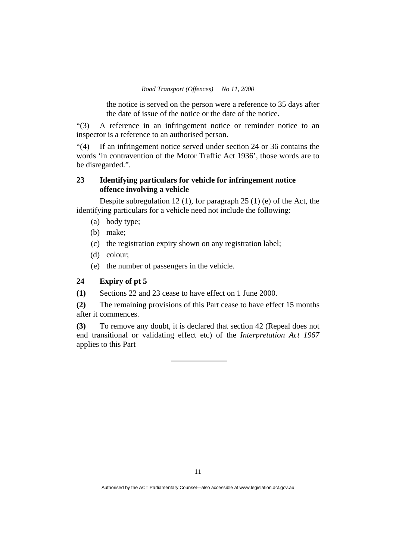the notice is served on the person were a reference to 35 days after the date of issue of the notice or the date of the notice.

"(3) A reference in an infringement notice or reminder notice to an inspector is a reference to an authorised person.

"(4) If an infringement notice served under section 24 or 36 contains the words 'in contravention of the Motor Traffic Act 1936', those words are to be disregarded.".

### **23 Identifying particulars for vehicle for infringement notice offence involving a vehicle**

Despite subregulation 12 (1), for paragraph 25 (1) (e) of the Act, the identifying particulars for a vehicle need not include the following:

- (a) body type;
- (b) make;
- (c) the registration expiry shown on any registration label;
- (d) colour;
- (e) the number of passengers in the vehicle.

### **24 Expiry of pt 5**

**(1)** Sections 22 and 23 cease to have effect on 1 June 2000.

**(2)** The remaining provisions of this Part cease to have effect 15 months after it commences.

**(3)** To remove any doubt, it is declared that section 42 (Repeal does not end transitional or validating effect etc) of the *Interpretation Act 1967* applies to this Part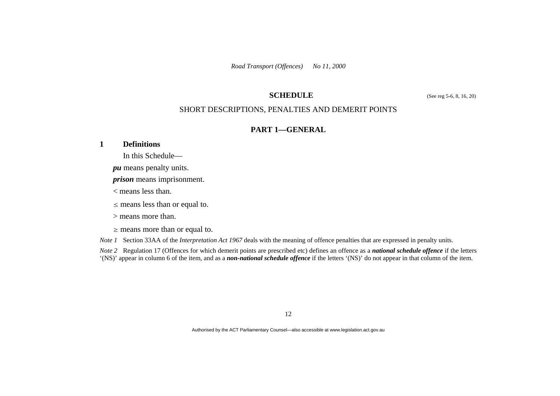### **SCHEDULE** (See reg 5-6, 8, 16, 20)

### SHORT DESCRIPTIONS, PENALTIES AND DEMERIT POINTS

### **PART 1—GENERAL**

### **1 Definitions**

- In this Schedule
	- *pu* means penalty units.
	- *prison* means imprisonment.
	- < means less than.
	- $\leq$  means less than or equal to.
	- > means more than.
	- $\geq$  means more than or equal to.
- *Note 1* Section 33AA of the *Interpretation Act 1967* deals with the meaning of offence penalties that are expressed in penalty units.

*Note 2* Regulation 17 (Offences for which demerit points are prescribed etc) defines an offence as a *national schedule offence* if the letters '(NS)' appear in column 6 of the item, and as a *non-national schedule offence* if the letters '(NS)' do not appear in that column of the item.

12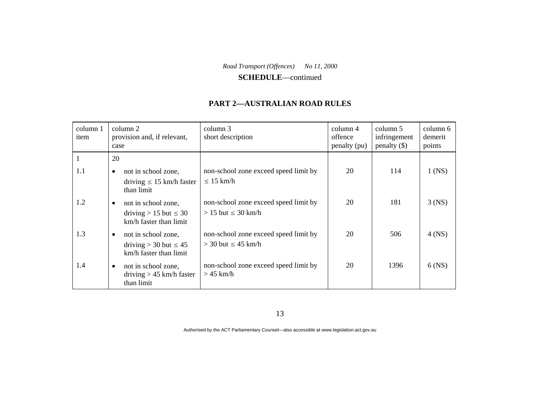**SCHEDULE**—continued

### **PART 2—AUSTRALIAN ROAD RULES**

| column 1<br>item | column 2<br>provision and, if relevant,<br>case                                            | column 3<br>short description                                      | column 4<br>offence<br>penalty (pu) | column 5<br>infringement<br>$penalty$ (\$) | column 6<br>demerit<br>points |
|------------------|--------------------------------------------------------------------------------------------|--------------------------------------------------------------------|-------------------------------------|--------------------------------------------|-------------------------------|
|                  | 20                                                                                         |                                                                    |                                     |                                            |                               |
| 1.1              | not in school zone,<br>$\bullet$<br>driving $\leq 15$ km/h faster<br>than limit            | non-school zone exceed speed limit by<br>$\leq 15$ km/h            | 20                                  | 114                                        | $1$ (NS)                      |
| 1.2              | not in school zone,<br>$\bullet$<br>driving $> 15$ but $\leq 30$<br>km/h faster than limit | non-school zone exceed speed limit by<br>$> 15$ but $\leq 30$ km/h | 20                                  | 181                                        | $3$ (NS)                      |
| 1.3              | not in school zone,<br>$\bullet$<br>driving > 30 but $\leq 45$<br>km/h faster than limit   | non-school zone exceed speed limit by<br>$>$ 30 but $\leq$ 45 km/h | 20                                  | 506                                        | $4$ (NS)                      |
| 1.4              | not in school zone,<br>$\bullet$<br>driving $> 45$ km/h faster<br>than limit               | non-school zone exceed speed limit by<br>$>45$ km/h                | 20                                  | 1396                                       | $6$ (NS)                      |

13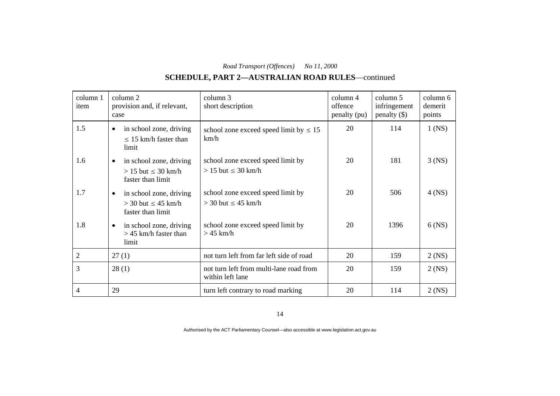# **SCHEDULE, PART 2—AUSTRALIAN ROAD RULES**—continued

| column 1<br>item | column 2<br>provision and, if relevant,<br>case                                        | column 3<br>short description                                  | column 4<br>offence<br>penalty (pu) | column 5<br>infringement<br>$penalty$ (\$) | column 6<br>demerit<br>points |
|------------------|----------------------------------------------------------------------------------------|----------------------------------------------------------------|-------------------------------------|--------------------------------------------|-------------------------------|
| 1.5              | in school zone, driving<br>$\bullet$<br>$\leq$ 15 km/h faster than<br>limit            | school zone exceed speed limit by $\leq 15$<br>km/h            | 20                                  | 114                                        | $1$ (NS)                      |
| 1.6              | in school zone, driving<br>$\bullet$<br>$> 15$ but $\leq 30$ km/h<br>faster than limit | school zone exceed speed limit by<br>$> 15$ but $\leq 30$ km/h | 20                                  | 181                                        | $3$ (NS)                      |
| 1.7              | in school zone, driving<br>$\bullet$<br>$>$ 30 but $\leq$ 45 km/h<br>faster than limit | school zone exceed speed limit by<br>$>$ 30 but $\leq$ 45 km/h | 20                                  | 506                                        | $4$ (NS)                      |
| 1.8              | in school zone, driving<br>$\bullet$<br>$>$ 45 km/h faster than<br>limit               | school zone exceed speed limit by<br>$>45$ km/h                | 20                                  | 1396                                       | $6$ (NS)                      |
| $\overline{2}$   | 27(1)                                                                                  | not turn left from far left side of road                       | 20                                  | 159                                        | $2$ (NS)                      |
| 3                | 28(1)                                                                                  | not turn left from multi-lane road from<br>within left lane    | 20                                  | 159                                        | $2$ (NS)                      |
| 4                | 29                                                                                     | turn left contrary to road marking                             | 20                                  | 114                                        | $2$ (NS)                      |

14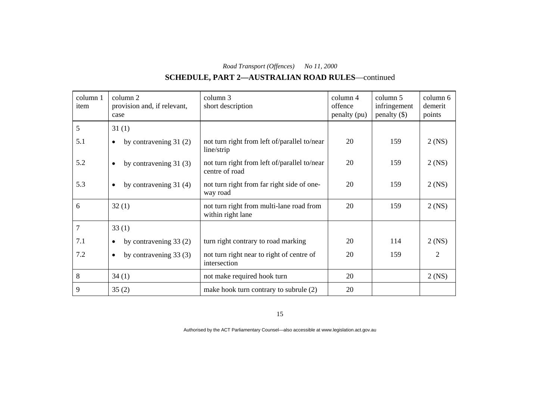# **SCHEDULE, PART 2—AUSTRALIAN ROAD RULES**—continued

| column 1<br>item | column 2<br>provision and, if relevant,<br>case | column 3<br>short description                                  | column 4<br>offence<br>penalty (pu) | column 5<br>infringement<br>$penalty$ (\$) | column 6<br>demerit<br>points |
|------------------|-------------------------------------------------|----------------------------------------------------------------|-------------------------------------|--------------------------------------------|-------------------------------|
| 5                | 31(1)                                           |                                                                |                                     |                                            |                               |
| 5.1              | by contravening $31(2)$<br>$\bullet$            | not turn right from left of/parallel to/near<br>line/strip     | 20                                  | 159                                        | $2$ (NS)                      |
| 5.2              | by contravening $31(3)$<br>$\bullet$            | not turn right from left of/parallel to/near<br>centre of road | 20                                  | 159                                        | $2$ (NS)                      |
| 5.3              | by contravening $31(4)$<br>$\bullet$            | not turn right from far right side of one-<br>way road         | 20                                  | 159                                        | $2$ (NS)                      |
| 6                | 32(1)                                           | not turn right from multi-lane road from<br>within right lane  | 20                                  | 159                                        | $2$ (NS)                      |
| 7                | 33(1)                                           |                                                                |                                     |                                            |                               |
| 7.1              | by contravening $33(2)$<br>$\bullet$            | turn right contrary to road marking                            | 20                                  | 114                                        | $2$ (NS)                      |
| 7.2              | by contravening 33 (3)<br>$\bullet$             | not turn right near to right of centre of<br>intersection      | 20                                  | 159                                        | 2                             |
| 8                | 34(1)                                           | not make required hook turn                                    | 20                                  |                                            | $2$ (NS)                      |
| 9                | 35(2)                                           | make hook turn contrary to subrule (2)                         | 20                                  |                                            |                               |

15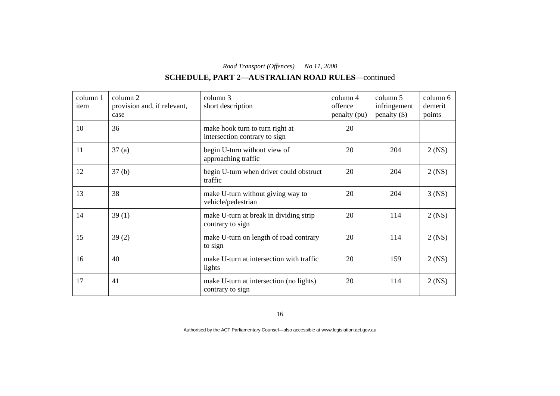# **SCHEDULE, PART 2—AUSTRALIAN ROAD RULES**—continued

| column 1<br>item | column 2<br>provision and, if relevant,<br>case | column 3<br>short description                                    | column 4<br>offence<br>penalty (pu) | column 5<br>infringement<br>$penalty$ (\$) | column 6<br>demerit<br>points |
|------------------|-------------------------------------------------|------------------------------------------------------------------|-------------------------------------|--------------------------------------------|-------------------------------|
| 10               | 36                                              | make hook turn to turn right at<br>intersection contrary to sign | 20                                  |                                            |                               |
| 11               | 37(a)                                           | begin U-turn without view of<br>approaching traffic              | 20                                  | 204                                        | $2$ (NS)                      |
| 12               | 37 <sub>(b)</sub>                               | begin U-turn when driver could obstruct<br>traffic               | 20                                  | 204                                        | $2$ (NS)                      |
| 13               | 38                                              | make U-turn without giving way to<br>vehicle/pedestrian          | 20                                  | 204                                        | $3$ (NS)                      |
| 14               | 39(1)                                           | make U-turn at break in dividing strip<br>contrary to sign       | 20                                  | 114                                        | $2$ (NS)                      |
| 15               | 39(2)                                           | make U-turn on length of road contrary<br>to sign                | 20                                  | 114                                        | $2$ (NS)                      |
| 16               | 40                                              | make U-turn at intersection with traffic<br>lights               | 20                                  | 159                                        | $2$ (NS)                      |
| 17               | 41                                              | make U-turn at intersection (no lights)<br>contrary to sign      | 20                                  | 114                                        | $2$ (NS)                      |

16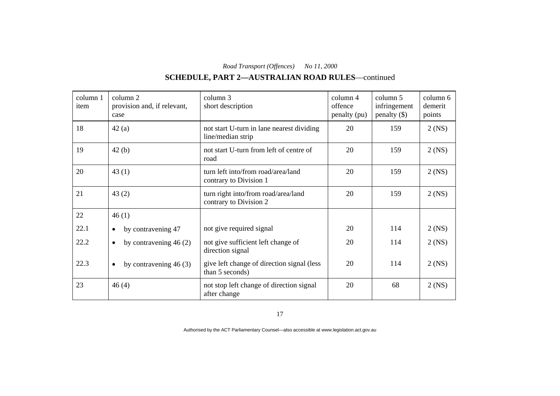# **SCHEDULE, PART 2—AUSTRALIAN ROAD RULES**—continued

| column 1<br>item | column 2<br>provision and, if relevant,<br>case | column 3<br>short description                                  | column 4<br>offence<br>penalty (pu) | column 5<br>infringement<br>penalty $(\$)$ | column 6<br>demerit<br>points |
|------------------|-------------------------------------------------|----------------------------------------------------------------|-------------------------------------|--------------------------------------------|-------------------------------|
| 18               | 42(a)                                           | not start U-turn in lane nearest dividing<br>line/median strip | 20                                  | 159                                        | $2$ (NS)                      |
| 19               | 42(b)                                           | not start U-turn from left of centre of<br>road                | 20                                  | 159                                        | $2$ (NS)                      |
| 20               | 43(1)                                           | turn left into/from road/area/land<br>contrary to Division 1   | 20                                  | 159                                        | $2$ (NS)                      |
| 21               | 43(2)                                           | turn right into/from road/area/land<br>contrary to Division 2  | 20                                  | 159                                        | $2$ (NS)                      |
| 22               | 46(1)                                           |                                                                |                                     |                                            |                               |
| 22.1             | by contravening 47<br>$\bullet$                 | not give required signal                                       | 20                                  | 114                                        | $2$ (NS)                      |
| 22.2             | by contravening $46(2)$<br>$\bullet$            | not give sufficient left change of<br>direction signal         | 20                                  | 114                                        | $2$ (NS)                      |
| 22.3             | by contravening $46(3)$<br>$\bullet$            | give left change of direction signal (less<br>than 5 seconds)  | 20                                  | 114                                        | $2$ (NS)                      |
| 23               | 46(4)                                           | not stop left change of direction signal<br>after change       | 20                                  | 68                                         | $2$ (NS)                      |

17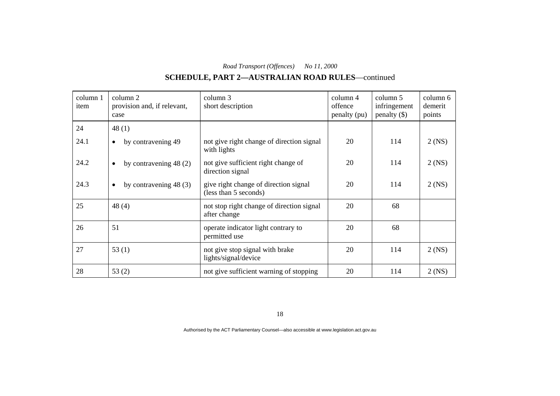# **SCHEDULE, PART 2—AUSTRALIAN ROAD RULES**—continued

| column 1<br>item | column 2<br>provision and, if relevant,<br>case | column 3<br>short description                                  | column 4<br>offence<br>penalty (pu) | column 5<br>infringement<br>$penalty$ (\$) | column 6<br>demerit<br>points |
|------------------|-------------------------------------------------|----------------------------------------------------------------|-------------------------------------|--------------------------------------------|-------------------------------|
| 24               | 48 $(1)$                                        |                                                                |                                     |                                            |                               |
| 24.1             | by contravening 49<br>$\bullet$                 | not give right change of direction signal<br>with lights       | 20                                  | 114                                        | $2$ (NS)                      |
| 24.2             | by contravening $48(2)$<br>$\bullet$            | not give sufficient right change of<br>direction signal        | 20                                  | 114                                        | $2$ (NS)                      |
| 24.3             | by contravening $48(3)$<br>$\bullet$            | give right change of direction signal<br>(less than 5 seconds) | 20                                  | 114                                        | $2$ (NS)                      |
| 25               | 48(4)                                           | not stop right change of direction signal<br>after change      | 20                                  | 68                                         |                               |
| 26               | 51                                              | operate indicator light contrary to<br>permitted use           | 20                                  | 68                                         |                               |
| 27               | 53(1)                                           | not give stop signal with brake<br>lights/signal/device        | 20                                  | 114                                        | $2$ (NS)                      |
| 28               | 53(2)                                           | not give sufficient warning of stopping                        | 20                                  | 114                                        | $2$ (NS)                      |

18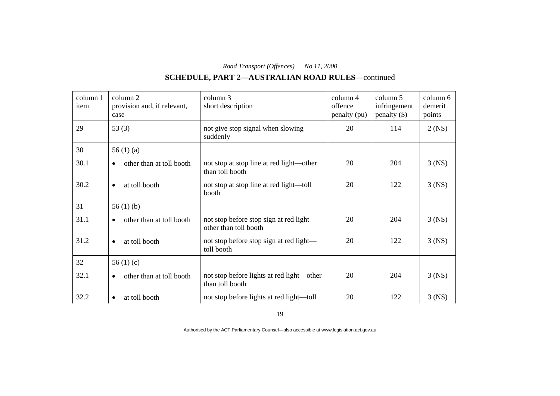# **SCHEDULE, PART 2—AUSTRALIAN ROAD RULES**—continued

| column 1<br>item | column 2<br>provision and, if relevant,<br>case | column 3<br>short description                                    | column 4<br>offence<br>penalty (pu) | column 5<br>infringement<br>$penalty$ (\$) | column 6<br>demerit<br>points |
|------------------|-------------------------------------------------|------------------------------------------------------------------|-------------------------------------|--------------------------------------------|-------------------------------|
| 29               | 53 $(3)$                                        | not give stop signal when slowing<br>suddenly                    | 20                                  | 114                                        | $2$ (NS)                      |
| 30               | 56 $(1)(a)$                                     |                                                                  |                                     |                                            |                               |
| 30.1             | other than at toll booth<br>$\bullet$           | not stop at stop line at red light—other<br>than toll booth      | 20                                  | 204                                        | $3$ (NS)                      |
| 30.2             | at toll booth<br>$\bullet$                      | not stop at stop line at red light—toll<br>booth                 | 20                                  | 122                                        | $3$ (NS)                      |
| 31               | 56 $(1)$ $(b)$                                  |                                                                  |                                     |                                            |                               |
| 31.1             | other than at toll booth<br>$\bullet$           | not stop before stop sign at red light—<br>other than toll booth | 20                                  | 204                                        | $3$ (NS)                      |
| 31.2             | at toll booth<br>$\bullet$                      | not stop before stop sign at red light—<br>toll booth            | 20                                  | 122                                        | $3$ (NS)                      |
| 32               | 56 $(1)(c)$                                     |                                                                  |                                     |                                            |                               |
| 32.1             | other than at toll booth<br>$\bullet$           | not stop before lights at red light—other<br>than toll booth     | 20                                  | 204                                        | $3$ (NS)                      |
| 32.2             | at toll booth<br>$\bullet$                      | not stop before lights at red light—toll                         | 20                                  | 122                                        | $3$ (NS)                      |

19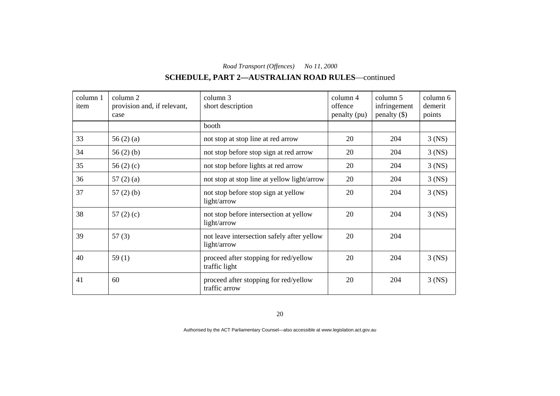# **SCHEDULE, PART 2—AUSTRALIAN ROAD RULES**—continued

| column 1<br>item | column 2<br>provision and, if relevant,<br>case | column 3<br>short description                             | column 4<br>offence<br>penalty (pu) | column 5<br>infringement<br>$penalty$ (\$) | column 6<br>demerit<br>points |
|------------------|-------------------------------------------------|-----------------------------------------------------------|-------------------------------------|--------------------------------------------|-------------------------------|
|                  |                                                 | booth                                                     |                                     |                                            |                               |
| 33               | 56 $(2)$ $(a)$                                  | not stop at stop line at red arrow                        | 20                                  | 204                                        | $3$ (NS)                      |
| 34               | 56 $(2)$ $(b)$                                  | not stop before stop sign at red arrow                    | 20                                  | 204                                        | $3$ (NS)                      |
| 35               | 56 $(2)$ $(c)$                                  | not stop before lights at red arrow                       | 20                                  | 204                                        | $3$ (NS)                      |
| 36               | 57(2)(a)                                        | not stop at stop line at yellow light/arrow               | 20                                  | 204                                        | $3$ (NS)                      |
| 37               | $57(2)$ (b)                                     | not stop before stop sign at yellow<br>light/arrow        | 20                                  | 204                                        | $3$ (NS)                      |
| 38               | 57 $(2)(c)$                                     | not stop before intersection at yellow<br>light/arrow     | 20                                  | 204                                        | $3$ (NS)                      |
| 39               | 57(3)                                           | not leave intersection safely after yellow<br>light/arrow | 20                                  | 204                                        |                               |
| 40               | 59(1)                                           | proceed after stopping for red/yellow<br>traffic light    | 20                                  | 204                                        | $3$ (NS)                      |
| 41               | 60                                              | proceed after stopping for red/yellow<br>traffic arrow    | 20                                  | 204                                        | $3$ (NS)                      |

20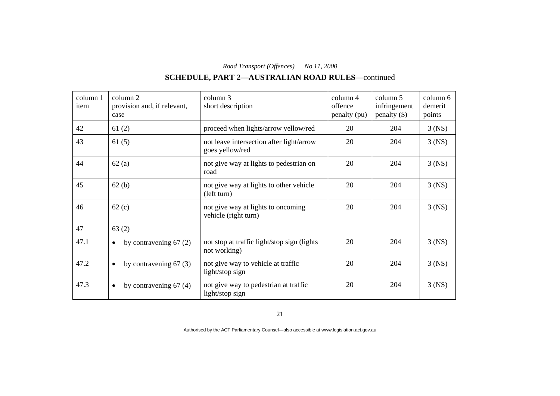# **SCHEDULE, PART 2—AUSTRALIAN ROAD RULES**—continued

| column 1<br>item | column 2<br>provision and, if relevant,<br>case | column 3<br>short description                               | column 4<br>offence<br>penalty (pu) | column 5<br>infringement<br>$penalty$ (\$) | column 6<br>demerit<br>points |
|------------------|-------------------------------------------------|-------------------------------------------------------------|-------------------------------------|--------------------------------------------|-------------------------------|
| 42               | 61(2)                                           | proceed when lights/arrow yellow/red                        | 20                                  | 204                                        | $3$ (NS)                      |
| 43               | 61(5)                                           | not leave intersection after light/arrow<br>goes yellow/red | 20                                  | 204                                        | $3$ (NS)                      |
| 44               | 62(a)                                           | not give way at lights to pedestrian on<br>road             | 20                                  | 204                                        | $3$ (NS)                      |
| 45               | 62(b)                                           | not give way at lights to other vehicle<br>(left turn)      | 20                                  | 204                                        | $3$ (NS)                      |
| 46               | 62(c)                                           | not give way at lights to oncoming<br>vehicle (right turn)  | 20                                  | 204                                        | $3$ (NS)                      |
| 47               | 63(2)                                           |                                                             |                                     |                                            |                               |
| 47.1             | by contravening $67(2)$<br>$\bullet$            | not stop at traffic light/stop sign (lights<br>not working) | 20                                  | 204                                        | $3$ (NS)                      |
| 47.2             | by contravening $67(3)$<br>$\bullet$            | not give way to vehicle at traffic<br>light/stop sign       | 20                                  | 204                                        | $3$ (NS)                      |
| 47.3             | by contravening $67(4)$<br>$\bullet$            | not give way to pedestrian at traffic<br>light/stop sign    | 20                                  | 204                                        | $3$ (NS)                      |

21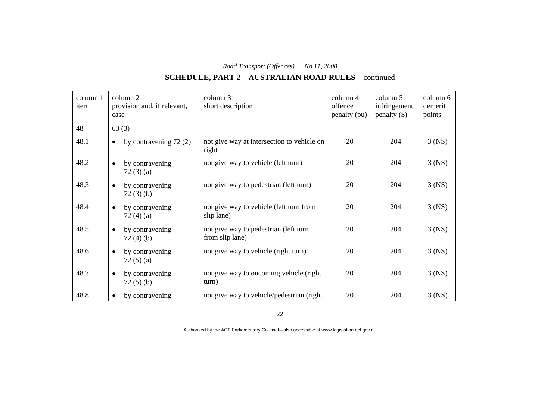# **SCHEDULE, PART 2—AUSTRALIAN ROAD RULES**—continued

| column 1<br>item | column 2<br>provision and, if relevant,<br>case | column 3<br>short description                            | column 4<br>offence<br>penalty (pu) | column 5<br>infringement<br>$penalty$ (\$) | column 6<br>demerit<br>points |
|------------------|-------------------------------------------------|----------------------------------------------------------|-------------------------------------|--------------------------------------------|-------------------------------|
| 48               | 63(3)                                           |                                                          |                                     |                                            |                               |
| 48.1             | by contravening $72(2)$<br>$\bullet$            | not give way at intersection to vehicle on<br>right      | 20                                  | 204                                        | $3$ (NS)                      |
| 48.2             | by contravening<br>$\bullet$<br>72(3)(a)        | not give way to vehicle (left turn)                      | 20                                  | 204                                        | $3$ (NS)                      |
| 48.3             | by contravening<br>$\bullet$<br>72(3)(b)        | not give way to pedestrian (left turn)                   | 20                                  | 204                                        | $3$ (NS)                      |
| 48.4             | by contravening<br>$\bullet$<br>72(4)(a)        | not give way to vehicle (left turn from<br>slip lane)    | 20                                  | 204                                        | $3$ (NS)                      |
| 48.5             | by contravening<br>$\bullet$<br>72(4)(b)        | not give way to pedestrian (left turn<br>from slip lane) | 20                                  | 204                                        | $3$ (NS)                      |
| 48.6             | by contravening<br>$\bullet$<br>72(5)(a)        | not give way to vehicle (right turn)                     | 20                                  | 204                                        | $3$ (NS)                      |
| 48.7             | by contravening<br>$\bullet$<br>72(5)(b)        | not give way to oncoming vehicle (right<br>turn)         | 20                                  | 204                                        | $3$ (NS)                      |
| 48.8             | by contravening<br>$\bullet$                    | not give way to vehicle/pedestrian (right)               | 20                                  | 204                                        | $3$ (NS)                      |

22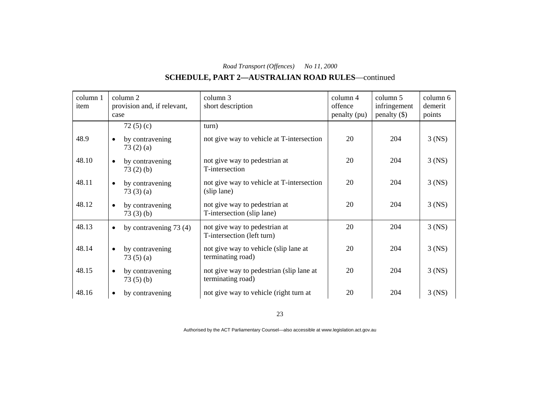# **SCHEDULE, PART 2—AUSTRALIAN ROAD RULES**—continued

| column 1<br>item | column 2<br>provision and, if relevant,<br>case | column 3<br>short description                                 | column 4<br>offence<br>penalty (pu) | column 5<br>infringement<br>$penalty$ (\$) | column 6<br>demerit<br>points |
|------------------|-------------------------------------------------|---------------------------------------------------------------|-------------------------------------|--------------------------------------------|-------------------------------|
|                  | 72 $(5)(c)$                                     | turn)                                                         |                                     |                                            |                               |
| 48.9             | by contravening<br>$\bullet$<br>73(2)(a)        | not give way to vehicle at T-intersection                     | 20                                  | 204                                        | $3$ (NS)                      |
| 48.10            | by contravening<br>$\bullet$<br>73(2)(b)        | not give way to pedestrian at<br>T-intersection               | 20                                  | 204                                        | $3$ (NS)                      |
| 48.11            | by contravening<br>$\bullet$<br>73(3)(a)        | not give way to vehicle at T-intersection<br>(slip lane)      | 20                                  | 204                                        | $3$ (NS)                      |
| 48.12            | by contravening<br>$\bullet$<br>73(3)(b)        | not give way to pedestrian at<br>T-intersection (slip lane)   | 20                                  | 204                                        | $3$ (NS)                      |
| 48.13            | by contravening $73(4)$<br>$\bullet$            | not give way to pedestrian at<br>T-intersection (left turn)   | 20                                  | 204                                        | $3$ (NS)                      |
| 48.14            | by contravening<br>$\bullet$<br>73(5)(a)        | not give way to vehicle (slip lane at<br>terminating road)    | 20                                  | 204                                        | $3$ (NS)                      |
| 48.15            | by contravening<br>$\bullet$<br>73(5)(b)        | not give way to pedestrian (slip lane at<br>terminating road) | 20                                  | 204                                        | $3$ (NS)                      |
| 48.16            | by contravening<br>$\bullet$                    | not give way to vehicle (right turn at                        | 20                                  | 204                                        | $3$ (NS)                      |

23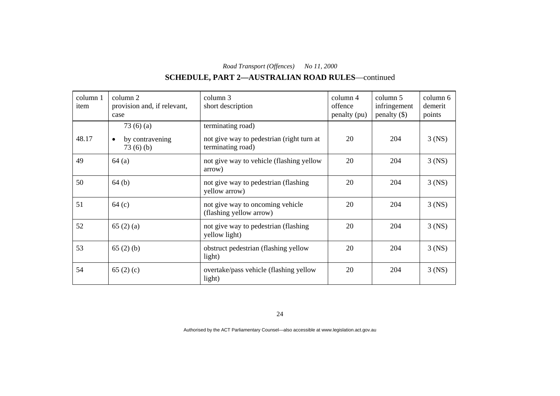# **SCHEDULE, PART 2—AUSTRALIAN ROAD RULES**—continued

| column 1<br>item | column 2<br>provision and, if relevant,<br>case      | column 3<br>short description                                                       | column 4<br>offence<br>penalty (pu) | column 5<br>infringement<br>penalty $(\$)$ | column 6<br>demerit<br>points |
|------------------|------------------------------------------------------|-------------------------------------------------------------------------------------|-------------------------------------|--------------------------------------------|-------------------------------|
| 48.17            | 73(6)(a)<br>by contravening<br>$\bullet$<br>73(6)(b) | terminating road)<br>not give way to pedestrian (right turn at<br>terminating road) | 20                                  | 204                                        | $3$ (NS)                      |
| 49               | 64(a)                                                | not give way to vehicle (flashing yellow<br>arrow)                                  | 20                                  | 204                                        | $3$ (NS)                      |
| 50               | 64(b)                                                | not give way to pedestrian (flashing)<br>yellow arrow)                              | 20                                  | 204                                        | $3$ (NS)                      |
| 51               | 64(c)                                                | not give way to oncoming vehicle<br>(flashing yellow arrow)                         | 20                                  | 204                                        | $3$ (NS)                      |
| 52               | 65(2)(a)                                             | not give way to pedestrian (flashing<br>yellow light)                               | 20                                  | 204                                        | $3$ (NS)                      |
| 53               | 65(2)(b)                                             | obstruct pedestrian (flashing yellow<br>light)                                      | 20                                  | 204                                        | $3$ (NS)                      |
| 54               | 65 $(2)$ (c)                                         | overtake/pass vehicle (flashing yellow<br>light)                                    | 20                                  | 204                                        | $3$ (NS)                      |

24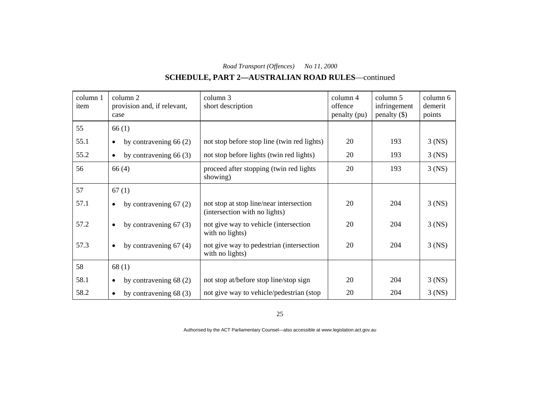# **SCHEDULE, PART 2—AUSTRALIAN ROAD RULES**—continued

| column 1<br>item | column 2<br>provision and, if relevant,<br>case | column 3<br>short description                                            | column 4<br>offence<br>penalty (pu) | column 5<br>infringement<br>$penalty$ (\$) | column 6<br>demerit<br>points |
|------------------|-------------------------------------------------|--------------------------------------------------------------------------|-------------------------------------|--------------------------------------------|-------------------------------|
| 55               | 66(1)                                           |                                                                          |                                     |                                            |                               |
| 55.1             | by contravening $66(2)$<br>$\bullet$            | not stop before stop line (twin red lights)                              | 20                                  | 193                                        | $3$ (NS)                      |
| 55.2             | by contravening $66(3)$<br>$\bullet$            | not stop before lights (twin red lights)                                 | 20                                  | 193                                        | $3$ (NS)                      |
| 56               | 66(4)                                           | proceed after stopping (twin red lights<br>showing)                      | 20                                  | 193                                        | $3$ (NS)                      |
| 57               | 67(1)                                           |                                                                          |                                     |                                            |                               |
| 57.1             | by contravening $67(2)$<br>$\bullet$            | not stop at stop line/near intersection<br>(intersection with no lights) | 20                                  | 204                                        | $3$ (NS)                      |
| 57.2             | by contravening $67(3)$<br>$\bullet$            | not give way to vehicle (intersection<br>with no lights)                 | 20                                  | 204                                        | $3$ (NS)                      |
| 57.3             | by contravening $67(4)$<br>$\bullet$            | not give way to pedestrian (intersection<br>with no lights)              | 20                                  | 204                                        | $3$ (NS)                      |
| 58               | 68(1)                                           |                                                                          |                                     |                                            |                               |
| 58.1             | by contravening $68(2)$<br>$\bullet$            | not stop at/before stop line/stop sign                                   | 20                                  | 204                                        | $3$ (NS)                      |
| 58.2             | by contravening $68(3)$<br>$\bullet$            | not give way to vehicle/pedestrian (stop)                                | 20                                  | 204                                        | $3$ (NS)                      |

25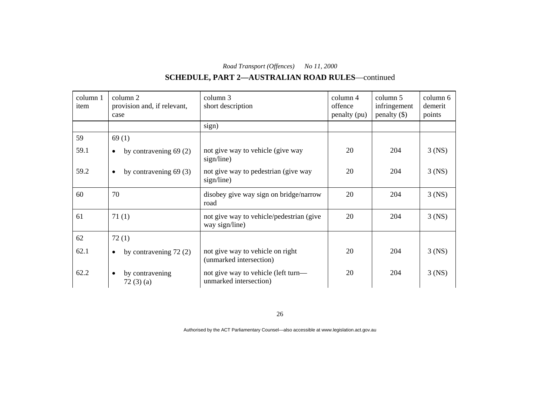# **SCHEDULE, PART 2—AUSTRALIAN ROAD RULES**—continued

| column 1<br>item | column 2<br>provision and, if relevant,<br>case | column 3<br>short description                                 | $\text{column } 4$<br>offence<br>penalty (pu) | column 5<br>infringement<br>penalty $(\$)$ | column 6<br>demerit<br>points |
|------------------|-------------------------------------------------|---------------------------------------------------------------|-----------------------------------------------|--------------------------------------------|-------------------------------|
|                  |                                                 | sign)                                                         |                                               |                                            |                               |
| 59               | 69(1)                                           |                                                               |                                               |                                            |                               |
| 59.1             | by contravening $69(2)$<br>$\bullet$            | not give way to vehicle (give way<br>sign/line)               | 20                                            | 204                                        | $3$ (NS)                      |
| 59.2             | by contravening $69(3)$<br>$\bullet$            | not give way to pedestrian (give way<br>sign/line)            | 20                                            | 204                                        | $3$ (NS)                      |
| 60               | 70                                              | disobey give way sign on bridge/narrow<br>road                | 20                                            | 204                                        | $3$ (NS)                      |
| 61               | 71(1)                                           | not give way to vehicle/pedestrian (give<br>way sign/line)    | 20                                            | 204                                        | $3$ (NS)                      |
| 62               | 72(1)                                           |                                                               |                                               |                                            |                               |
| 62.1             | by contravening $72(2)$<br>$\bullet$            | not give way to vehicle on right<br>(unmarked intersection)   | 20                                            | 204                                        | $3$ (NS)                      |
| 62.2             | by contravening<br>$\bullet$<br>72(3)(a)        | not give way to vehicle (left turn—<br>unmarked intersection) | 20                                            | 204                                        | $3$ (NS)                      |

26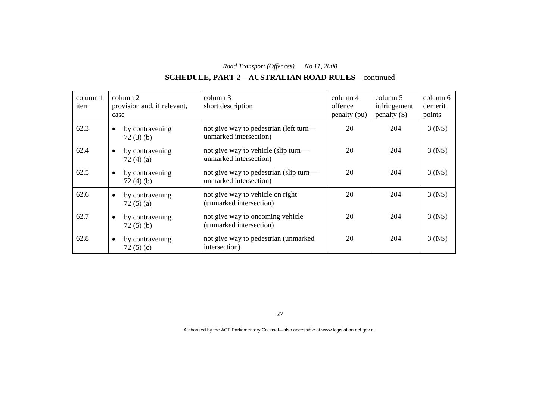# **SCHEDULE, PART 2—AUSTRALIAN ROAD RULES**—continued

| column 1<br>item | column 2<br>provision and, if relevant,<br>case | column 3<br>short description                                    | column 4<br>offence<br>penalty (pu) | column 5<br>infringement<br>penalty $(\$)$ | column 6<br>demerit<br>points |
|------------------|-------------------------------------------------|------------------------------------------------------------------|-------------------------------------|--------------------------------------------|-------------------------------|
| 62.3             | by contravening<br>$\bullet$<br>72(3)(b)        | not give way to pedestrian (left turn—<br>unmarked intersection) | 20                                  | 204                                        | $3$ (NS)                      |
| 62.4             | by contravening<br>$\bullet$<br>72(4)(a)        | not give way to vehicle (slip turn—<br>unmarked intersection)    | 20                                  | 204                                        | $3$ (NS)                      |
| 62.5             | by contravening<br>$\bullet$<br>72(4)(b)        | not give way to pedestrian (slip turn—<br>unmarked intersection) | 20                                  | 204                                        | $3$ (NS)                      |
| 62.6             | by contravening<br>$\bullet$<br>72(5)(a)        | not give way to vehicle on right<br>(unmarked intersection)      | 20                                  | 204                                        | $3$ (NS)                      |
| 62.7             | by contravening<br>$\bullet$<br>72(5)(b)        | not give way to oncoming vehicle<br>(unmarked intersection)      | 20                                  | 204                                        | $3$ (NS)                      |
| 62.8             | by contravening<br>$\bullet$<br>72 $(5)(c)$     | not give way to pedestrian (unmarked<br>intersection)            | 20                                  | 204                                        | $3$ (NS)                      |

27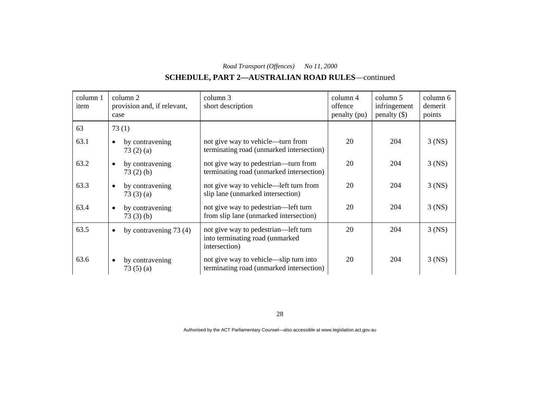# **SCHEDULE, PART 2—AUSTRALIAN ROAD RULES**—continued

| column 1<br>item | column 2<br>provision and, if relevant,<br>case | column 3<br>short description                                                            | column 4<br>offence<br>penalty (pu) | column 5<br>infringement<br>$penalty$ (\$) | column 6<br>demerit<br>points |
|------------------|-------------------------------------------------|------------------------------------------------------------------------------------------|-------------------------------------|--------------------------------------------|-------------------------------|
| 63               | 73(1)                                           |                                                                                          |                                     |                                            |                               |
| 63.1             | by contravening<br>$\bullet$<br>73(2)(a)        | not give way to vehicle—turn from<br>terminating road (unmarked intersection)            | 20                                  | 204                                        | $3$ (NS)                      |
| 63.2             | by contravening<br>$\bullet$<br>73(2)(b)        | not give way to pedestrian—turn from<br>terminating road (unmarked intersection)         | 20                                  | 204                                        | $3$ (NS)                      |
| 63.3             | by contravening<br>$\bullet$<br>73(3)(a)        | not give way to vehicle—left turn from<br>slip lane (unmarked intersection)              | 20                                  | 204                                        | $3$ (NS)                      |
| 63.4             | by contravening<br>$\bullet$<br>73(3)(b)        | not give way to pedestrian—left turn<br>from slip lane (unmarked intersection)           | 20                                  | 204                                        | $3$ (NS)                      |
| 63.5             | by contravening $73(4)$<br>$\bullet$            | not give way to pedestrian—left turn<br>into terminating road (unmarked<br>intersection) | 20                                  | 204                                        | $3$ (NS)                      |
| 63.6             | by contravening<br>$\bullet$<br>73(5)(a)        | not give way to vehicle—slip turn into<br>terminating road (unmarked intersection)       | 20                                  | 204                                        | $3$ (NS)                      |

28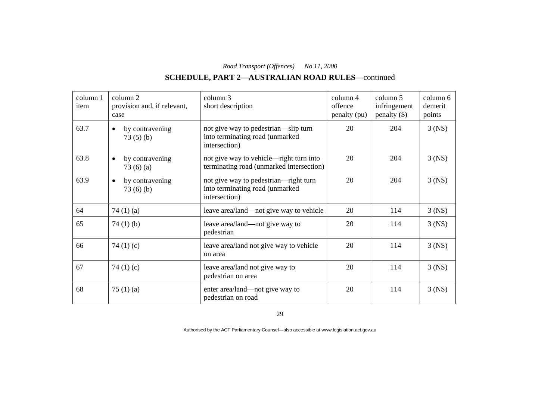# **SCHEDULE, PART 2—AUSTRALIAN ROAD RULES**—continued

| column 1<br>item | column 2<br>provision and, if relevant,<br>case | column 3<br>short description                                                             | column 4<br>offence<br>penalty (pu) | column 5<br>infringement<br>$penalty$ (\$) | column 6<br>demerit<br>points |
|------------------|-------------------------------------------------|-------------------------------------------------------------------------------------------|-------------------------------------|--------------------------------------------|-------------------------------|
| 63.7             | by contravening<br>$\bullet$<br>73(5)(b)        | not give way to pedestrian—slip turn<br>into terminating road (unmarked<br>intersection)  | 20                                  | 204                                        | $3$ (NS)                      |
| 63.8             | by contravening<br>$\bullet$<br>73(6)(a)        | not give way to vehicle—right turn into<br>terminating road (unmarked intersection)       | 20                                  | 204                                        | $3$ (NS)                      |
| 63.9             | by contravening<br>$\bullet$<br>73(6)(b)        | not give way to pedestrian—right turn<br>into terminating road (unmarked<br>intersection) | 20                                  | 204                                        | $3$ (NS)                      |
| 64               | 74 $(1)(a)$                                     | leave area/land—not give way to vehicle                                                   | 20                                  | 114                                        | $3$ (NS)                      |
| 65               | 74 $(1)$ $(b)$                                  | leave area/land—not give way to<br>pedestrian                                             | 20                                  | 114                                        | $3$ (NS)                      |
| 66               | 74 $(1)(c)$                                     | leave area/land not give way to vehicle<br>on area                                        | 20                                  | 114                                        | $3$ (NS)                      |
| 67               | 74 $(1)(c)$                                     | leave area/land not give way to<br>pedestrian on area                                     | 20                                  | 114                                        | $3$ (NS)                      |
| 68               | 75 $(1)$ $(a)$                                  | enter area/land—not give way to<br>pedestrian on road                                     | 20                                  | 114                                        | $3$ (NS)                      |

29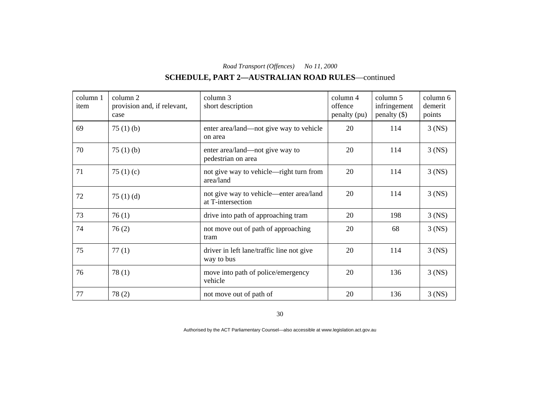# **SCHEDULE, PART 2—AUSTRALIAN ROAD RULES**—continued

| column 1<br>item | column 2<br>provision and, if relevant,<br>case | column 3<br>short description                                | column 4<br>offence<br>penalty (pu) | column 5<br>infringement<br>$penalty$ (\$) | column 6<br>demerit<br>points |
|------------------|-------------------------------------------------|--------------------------------------------------------------|-------------------------------------|--------------------------------------------|-------------------------------|
| 69               | 75(1)(b)                                        | enter area/land—not give way to vehicle<br>on area           | 20                                  | 114                                        | $3$ (NS)                      |
| 70               | 75(1)(b)                                        | enter area/land—not give way to<br>pedestrian on area        | 20                                  | 114                                        | $3$ (NS)                      |
| 71               | 75 $(1)(c)$                                     | not give way to vehicle—right turn from<br>area/land         | 20                                  | 114                                        | $3$ (NS)                      |
| 72               | 75 $(1)$ $(d)$                                  | not give way to vehicle—enter area/land<br>at T-intersection | 20                                  | 114                                        | $3$ (NS)                      |
| 73               | 76(1)                                           | drive into path of approaching tram                          | 20                                  | 198                                        | $3$ (NS)                      |
| 74               | 76(2)                                           | not move out of path of approaching<br>tram                  | 20                                  | 68                                         | $3$ (NS)                      |
| 75               | 77(1)                                           | driver in left lane/traffic line not give<br>way to bus      | 20                                  | 114                                        | $3$ (NS)                      |
| 76               | 78(1)                                           | move into path of police/emergency<br>vehicle                | 20                                  | 136                                        | $3$ (NS)                      |
| 77               | 78(2)                                           | not move out of path of                                      | 20                                  | 136                                        | $3$ (NS)                      |

30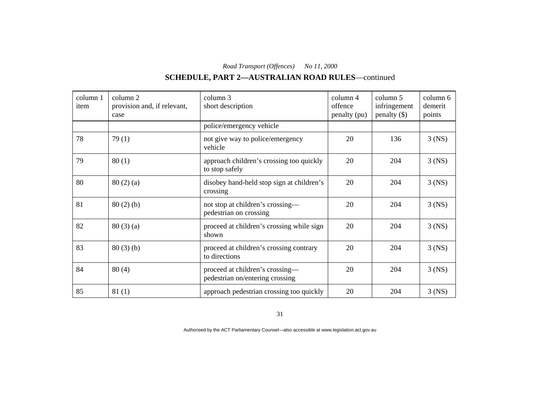# **SCHEDULE, PART 2—AUSTRALIAN ROAD RULES**—continued

| column 1<br>item | column 2<br>provision and, if relevant,<br>case | column 3<br>short description                                      | column 4<br>offence<br>penalty (pu) | column 5<br>infringement<br>$penalty$ (\$) | column 6<br>demerit<br>points |
|------------------|-------------------------------------------------|--------------------------------------------------------------------|-------------------------------------|--------------------------------------------|-------------------------------|
|                  |                                                 | police/emergency vehicle                                           |                                     |                                            |                               |
| 78               | 79(1)                                           | not give way to police/emergency<br>vehicle                        | 20                                  | 136                                        | $3$ (NS)                      |
| 79               | 80(1)                                           | approach children's crossing too quickly<br>to stop safely         | 20                                  | 204                                        | $3$ (NS)                      |
| 80               | 80(2)(a)                                        | disobey hand-held stop sign at children's<br>crossing              | 20                                  | 204                                        | $3$ (NS)                      |
| 81               | 80(2)(b)                                        | not stop at children's crossing—<br>pedestrian on crossing         | 20                                  | 204                                        | $3$ (NS)                      |
| 82               | 80(3)(a)                                        | proceed at children's crossing while sign<br>shown                 | 20                                  | 204                                        | $3$ (NS)                      |
| 83               | 80(3)(b)                                        | proceed at children's crossing contrary<br>to directions           | 20                                  | 204                                        | $3$ (NS)                      |
| 84               | 80(4)                                           | proceed at children's crossing-<br>pedestrian on/entering crossing | 20                                  | 204                                        | $3$ (NS)                      |
| 85               | 81(1)                                           | approach pedestrian crossing too quickly                           | 20                                  | 204                                        | $3$ (NS)                      |

31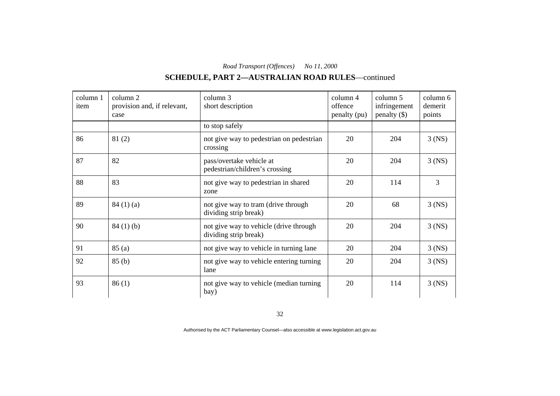# **SCHEDULE, PART 2—AUSTRALIAN ROAD RULES**—continued

| column 1<br>item | column 2<br>provision and, if relevant,<br>case | column 3<br>short description                                   | $\text{column } 4$<br>offence<br>penalty (pu) | column 5<br>infringement<br>$penalty$ (\$) | column 6<br>demerit<br>points |
|------------------|-------------------------------------------------|-----------------------------------------------------------------|-----------------------------------------------|--------------------------------------------|-------------------------------|
|                  |                                                 | to stop safely                                                  |                                               |                                            |                               |
| 86               | 81(2)                                           | not give way to pedestrian on pedestrian<br>crossing            | 20                                            | 204                                        | $3$ (NS)                      |
| 87               | 82                                              | pass/overtake vehicle at<br>pedestrian/children's crossing      | 20                                            | 204                                        | $3$ (NS)                      |
| 88               | 83                                              | not give way to pedestrian in shared<br>zone                    | 20                                            | 114                                        | 3                             |
| 89               | 84(1)(a)                                        | not give way to tram (drive through<br>dividing strip break)    | 20                                            | 68                                         | $3$ (NS)                      |
| 90               | 84(1)(b)                                        | not give way to vehicle (drive through<br>dividing strip break) | 20                                            | 204                                        | $3$ (NS)                      |
| 91               | 85(a)                                           | not give way to vehicle in turning lane                         | 20                                            | 204                                        | $3$ (NS)                      |
| 92               | 85(b)                                           | not give way to vehicle entering turning<br>lane                | 20                                            | 204                                        | $3$ (NS)                      |
| 93               | 86(1)                                           | not give way to vehicle (median turning<br>bay)                 | 20                                            | 114                                        | $3$ (NS)                      |

32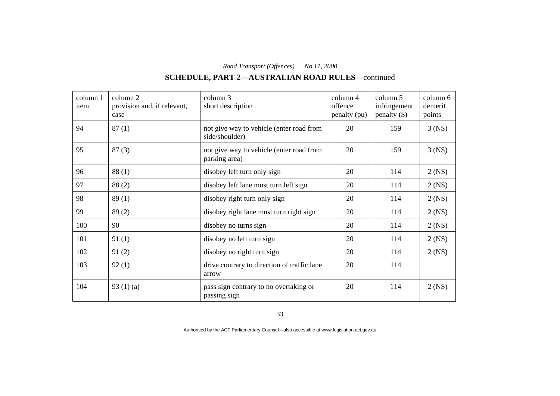# **SCHEDULE, PART 2—AUSTRALIAN ROAD RULES**—continued

| column 1<br>item | column 2<br>provision and, if relevant,<br>case | column 3<br>short description                              | column 4<br>offence<br>penalty (pu) | column 5<br>infringement<br>$penalty$ (\$) | column 6<br>demerit<br>points |
|------------------|-------------------------------------------------|------------------------------------------------------------|-------------------------------------|--------------------------------------------|-------------------------------|
| 94               | 87(1)                                           | not give way to vehicle (enter road from<br>side/shoulder) | 20                                  | 159                                        | $3$ (NS)                      |
| 95               | 87(3)                                           | not give way to vehicle (enter road from<br>parking area)  | 20                                  | 159                                        | $3$ (NS)                      |
| 96               | 88(1)                                           | disobey left turn only sign                                | 20                                  | 114                                        | $2$ (NS)                      |
| 97               | 88(2)                                           | disobey left lane must turn left sign                      | 20                                  | 114                                        | $2$ (NS)                      |
| 98               | 89(1)                                           | disobey right turn only sign                               | 20                                  | 114                                        | $2$ (NS)                      |
| 99               | 89(2)                                           | disobey right lane must turn right sign                    | 20                                  | 114                                        | $2$ (NS)                      |
| 100              | 90                                              | disobey no turns sign                                      | 20                                  | 114                                        | $2$ (NS)                      |
| 101              | 91(1)                                           | disobey no left turn sign                                  | 20                                  | 114                                        | $2$ (NS)                      |
| 102              | 91(2)                                           | disobey no right turn sign                                 | 20                                  | 114                                        | $2$ (NS)                      |
| 103              | 92(1)                                           | drive contrary to direction of traffic lane<br>arrow       | 20                                  | 114                                        |                               |
| 104              | 93 $(1)(a)$                                     | pass sign contrary to no overtaking or<br>passing sign     | 20                                  | 114                                        | $2$ (NS)                      |

33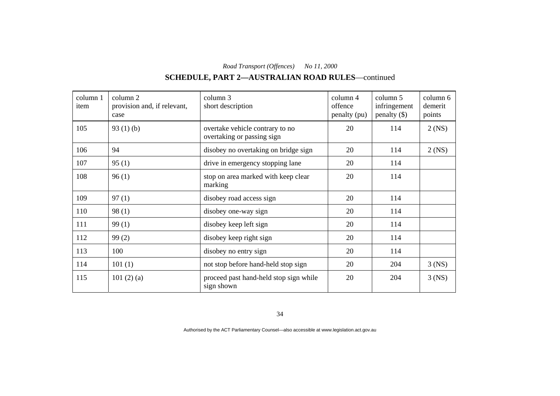# **SCHEDULE, PART 2—AUSTRALIAN ROAD RULES**—continued

| column 1<br>item | column 2<br>provision and, if relevant,<br>case | column 3<br>short description                                 | column 4<br>offence<br>penalty (pu) | column 5<br>infringement<br>$penalty$ (\$) | column 6<br>demerit<br>points |
|------------------|-------------------------------------------------|---------------------------------------------------------------|-------------------------------------|--------------------------------------------|-------------------------------|
| 105              | 93 $(1)(b)$                                     | overtake vehicle contrary to no<br>overtaking or passing sign | 20                                  | 114                                        | $2$ (NS)                      |
| 106              | 94                                              | disobey no overtaking on bridge sign                          | 20                                  | 114                                        | $2$ (NS)                      |
| 107              | 95(1)                                           | drive in emergency stopping lane                              | 20                                  | 114                                        |                               |
| 108              | 96(1)                                           | stop on area marked with keep clear<br>marking                | 20                                  | 114                                        |                               |
| 109              | 97(1)                                           | disobey road access sign                                      | 20                                  | 114                                        |                               |
| 110              | 98(1)                                           | disobey one-way sign                                          | 20                                  | 114                                        |                               |
| 111              | 99(1)                                           | disobey keep left sign                                        | 20                                  | 114                                        |                               |
| 112              | 99(2)                                           | disobey keep right sign                                       | 20                                  | 114                                        |                               |
| 113              | 100                                             | disobey no entry sign                                         | 20                                  | 114                                        |                               |
| 114              | 101(1)                                          | not stop before hand-held stop sign                           | 20                                  | 204                                        | $3$ (NS)                      |
| 115              | 101(2)(a)                                       | proceed past hand-held stop sign while<br>sign shown          | 20                                  | 204                                        | $3$ (NS)                      |

34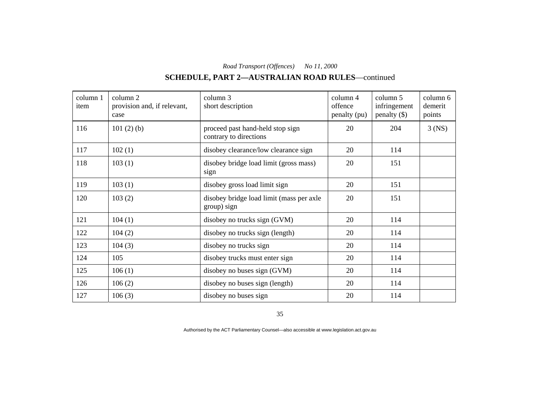# **SCHEDULE, PART 2—AUSTRALIAN ROAD RULES**—continued

| column 1<br>item | column 2<br>provision and, if relevant,<br>case | column 3<br>short description                              | column 4<br>offence<br>penalty (pu) | column 5<br>infringement<br>$penalty$ (\$) | column 6<br>demerit<br>points |
|------------------|-------------------------------------------------|------------------------------------------------------------|-------------------------------------|--------------------------------------------|-------------------------------|
| 116              | 101 $(2)$ $(b)$                                 | proceed past hand-held stop sign<br>contrary to directions | 20                                  | 204                                        | $3$ (NS)                      |
| 117              | 102(1)                                          | disobey clearance/low clearance sign                       | 20                                  | 114                                        |                               |
| 118              | 103(1)                                          | disobey bridge load limit (gross mass)<br>sign             | 20                                  | 151                                        |                               |
| 119              | 103(1)                                          | disobey gross load limit sign                              | 20                                  | 151                                        |                               |
| 120              | 103(2)                                          | disobey bridge load limit (mass per axle<br>group) sign    | 20                                  | 151                                        |                               |
| 121              | 104(1)                                          | disobey no trucks sign (GVM)                               | 20                                  | 114                                        |                               |
| 122              | 104(2)                                          | disobey no trucks sign (length)                            | 20                                  | 114                                        |                               |
| 123              | 104(3)                                          | disobey no trucks sign                                     | 20                                  | 114                                        |                               |
| 124              | 105                                             | disobey trucks must enter sign                             | 20                                  | 114                                        |                               |
| 125              | 106(1)                                          | disobey no buses sign (GVM)                                | 20                                  | 114                                        |                               |
| 126              | 106(2)                                          | disobey no buses sign (length)                             | 20                                  | 114                                        |                               |
| 127              | 106(3)                                          | disobey no buses sign                                      | 20                                  | 114                                        |                               |

35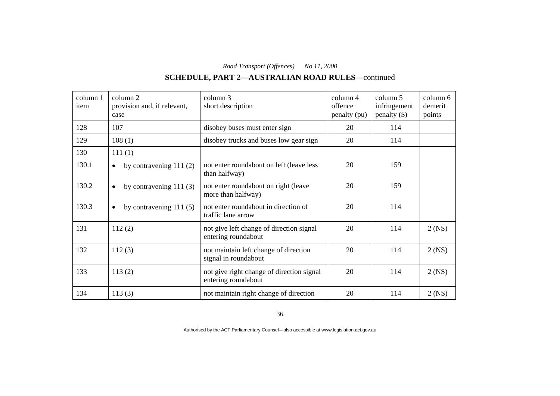# **SCHEDULE, PART 2—AUSTRALIAN ROAD RULES**—continued

| column 1<br>item | column 2<br>provision and, if relevant,<br>case | column 3<br>short description                                    | column 4<br>offence<br>penalty (pu) | column 5<br>infringement<br>$penalty$ (\$) | column 6<br>demerit<br>points |
|------------------|-------------------------------------------------|------------------------------------------------------------------|-------------------------------------|--------------------------------------------|-------------------------------|
| 128              | 107                                             | disobey buses must enter sign                                    | 20                                  | 114                                        |                               |
| 129              | 108(1)                                          | disobey trucks and buses low gear sign                           | 20                                  | 114                                        |                               |
| 130              | 111(1)                                          |                                                                  |                                     |                                            |                               |
| 130.1            | by contravening $111(2)$<br>$\bullet$           | not enter roundabout on left (leave less<br>than halfway)        | 20                                  | 159                                        |                               |
| 130.2            | by contravening $111(3)$<br>$\bullet$           | not enter roundabout on right (leave<br>more than halfway)       | 20                                  | 159                                        |                               |
| 130.3            | by contravening $111(5)$<br>$\bullet$           | not enter roundabout in direction of<br>traffic lane arrow       | 20                                  | 114                                        |                               |
| 131              | 112(2)                                          | not give left change of direction signal<br>entering roundabout  | 20                                  | 114                                        | $2$ (NS)                      |
| 132              | 112(3)                                          | not maintain left change of direction<br>signal in roundabout    | 20                                  | 114                                        | $2$ (NS)                      |
| 133              | 113(2)                                          | not give right change of direction signal<br>entering roundabout | 20                                  | 114                                        | $2$ (NS)                      |
| 134              | 113(3)                                          | not maintain right change of direction                           | 20                                  | 114                                        | $2$ (NS)                      |

36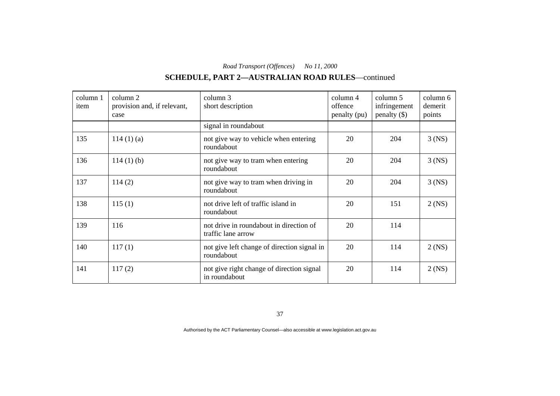# **SCHEDULE, PART 2—AUSTRALIAN ROAD RULES**—continued

| column 1<br>item | column 2<br>provision and, if relevant,<br>case | column 3<br>short description                                 | column 4<br>offence<br>penalty (pu) | column 5<br>infringement<br>$penalty$ (\$) | column 6<br>demerit<br>points |
|------------------|-------------------------------------------------|---------------------------------------------------------------|-------------------------------------|--------------------------------------------|-------------------------------|
|                  |                                                 | signal in roundabout                                          |                                     |                                            |                               |
| 135              | 114(1)(a)                                       | not give way to vehicle when entering<br>roundabout           | 20                                  | 204                                        | $3$ (NS)                      |
| 136              | $114(1)$ (b)                                    | not give way to tram when entering<br>roundabout              | 20                                  | 204                                        | $3$ (NS)                      |
| 137              | 114(2)                                          | not give way to tram when driving in<br>roundabout            | 20                                  | 204                                        | $3$ (NS)                      |
| 138              | 115(1)                                          | not drive left of traffic island in<br>roundabout             | 20                                  | 151                                        | $2$ (NS)                      |
| 139              | 116                                             | not drive in roundabout in direction of<br>traffic lane arrow | 20                                  | 114                                        |                               |
| 140              | 117(1)                                          | not give left change of direction signal in<br>roundabout     | 20                                  | 114                                        | $2$ (NS)                      |
| 141              | 117(2)                                          | not give right change of direction signal<br>in roundabout    | 20                                  | 114                                        | $2$ (NS)                      |

37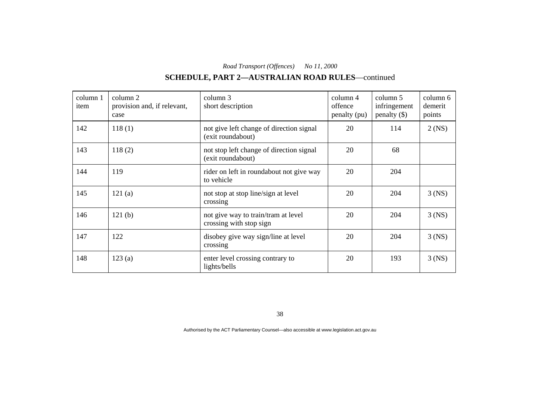# **SCHEDULE, PART 2—AUSTRALIAN ROAD RULES**—continued

| column 1<br>item | column 2<br>provision and, if relevant,<br>case | column 3<br>short description                                  | column 4<br>offence<br>penalty (pu) | column 5<br>infringement<br>$penalty$ (\$) | column 6<br>demerit<br>points |
|------------------|-------------------------------------------------|----------------------------------------------------------------|-------------------------------------|--------------------------------------------|-------------------------------|
| 142              | 118(1)                                          | not give left change of direction signal<br>(exit roundabout)  | 20                                  | 114                                        | $2$ (NS)                      |
| 143              | 118(2)                                          | not stop left change of direction signal<br>(exit roundabout)  | 20                                  | 68                                         |                               |
| 144              | 119                                             | rider on left in roundabout not give way<br>to vehicle         | 20                                  | 204                                        |                               |
| 145              | 121(a)                                          | not stop at stop line/sign at level<br>crossing                | 20                                  | 204                                        | $3$ (NS)                      |
| 146              | 121(b)                                          | not give way to train/tram at level<br>crossing with stop sign | 20                                  | 204                                        | $3$ (NS)                      |
| 147              | 122                                             | disobey give way sign/line at level<br>crossing                | 20                                  | 204                                        | $3$ (NS)                      |
| 148              | 123(a)                                          | enter level crossing contrary to<br>lights/bells               | 20                                  | 193                                        | $3$ (NS)                      |

38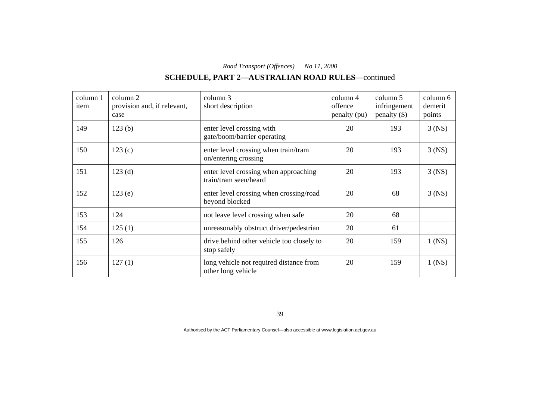# **SCHEDULE, PART 2—AUSTRALIAN ROAD RULES**—continued

| column 1<br>item | column 2<br>provision and, if relevant,<br>case | column 3<br>short description                                  | column 4<br>offence<br>penalty (pu) | column 5<br>infringement<br>$penalty$ (\$) | column 6<br>demerit<br>points |
|------------------|-------------------------------------------------|----------------------------------------------------------------|-------------------------------------|--------------------------------------------|-------------------------------|
| 149              | 123(b)                                          | enter level crossing with<br>gate/boom/barrier operating       | 20                                  | 193                                        | $3$ (NS)                      |
| 150              | 123(c)                                          | enter level crossing when train/tram<br>on/entering crossing   | 20                                  | 193                                        | $3$ (NS)                      |
| 151              | 123(d)                                          | enter level crossing when approaching<br>train/tram seen/heard | 20                                  | 193                                        | $3$ (NS)                      |
| 152              | 123(e)                                          | enter level crossing when crossing/road<br>beyond blocked      | 20                                  | 68                                         | $3$ (NS)                      |
| 153              | 124                                             | not leave level crossing when safe                             | 20                                  | 68                                         |                               |
| 154              | 125(1)                                          | unreasonably obstruct driver/pedestrian                        | 20                                  | 61                                         |                               |
| 155              | 126                                             | drive behind other vehicle too closely to<br>stop safely       | 20                                  | 159                                        | $1$ (NS)                      |
| 156              | 127(1)                                          | long vehicle not required distance from<br>other long vehicle  | 20                                  | 159                                        | $1$ (NS)                      |

39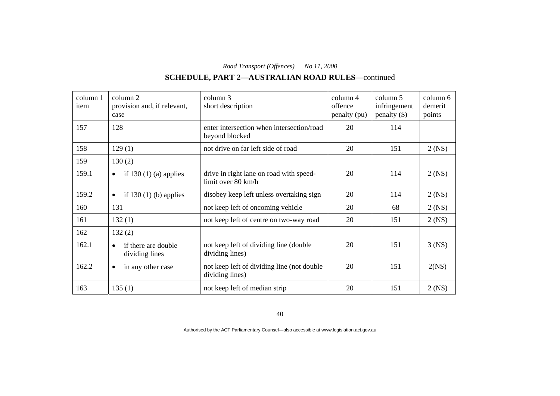# **SCHEDULE, PART 2—AUSTRALIAN ROAD RULES**—continued

| column 1<br>item | column 2<br>provision and, if relevant,<br>case    | column 3<br>short description                                  | column 4<br>offence<br>penalty (pu) | column 5<br>infringement<br>$penalty$ (\$) | column 6<br>demerit<br>points |
|------------------|----------------------------------------------------|----------------------------------------------------------------|-------------------------------------|--------------------------------------------|-------------------------------|
| 157              | 128                                                | enter intersection when intersection/road<br>beyond blocked    | 20                                  | 114                                        |                               |
| 158              | 129(1)                                             | not drive on far left side of road                             | 20                                  | 151                                        | $2$ (NS)                      |
| 159              | 130(2)                                             |                                                                |                                     |                                            |                               |
| 159.1            | if $130(1)$ (a) applies<br>$\bullet$               | drive in right lane on road with speed-<br>limit over 80 km/h  | 20                                  | 114                                        | $2$ (NS)                      |
| 159.2            | if $130(1)$ (b) applies<br>$\bullet$               | disobey keep left unless overtaking sign                       | 20                                  | 114                                        | $2$ (NS)                      |
| 160              | 131                                                | not keep left of oncoming vehicle                              | 20                                  | 68                                         | $2$ (NS)                      |
| 161              | 132(1)                                             | not keep left of centre on two-way road                        | 20                                  | 151                                        | $2$ (NS)                      |
| 162              | 132(2)                                             |                                                                |                                     |                                            |                               |
| 162.1            | if there are double<br>$\bullet$<br>dividing lines | not keep left of dividing line (double<br>dividing lines)      | 20                                  | 151                                        | $3$ (NS)                      |
| 162.2            | in any other case<br>$\bullet$                     | not keep left of dividing line (not double)<br>dividing lines) | 20                                  | 151                                        | 2(NS)                         |
| 163              | 135(1)                                             | not keep left of median strip                                  | 20                                  | 151                                        | $2$ (NS)                      |

40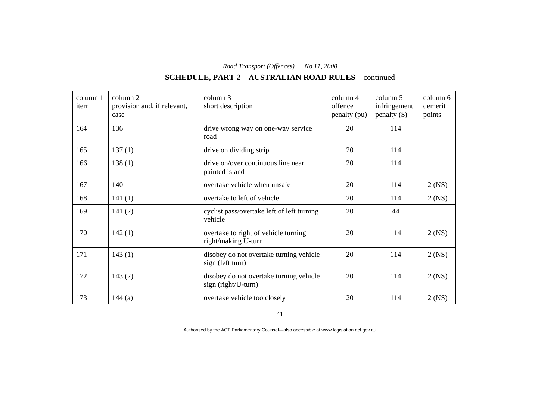# **SCHEDULE, PART 2—AUSTRALIAN ROAD RULES**—continued

| column 1<br>item | column 2<br>provision and, if relevant,<br>case | column 3<br>short description                                   | column 4<br>offence<br>penalty (pu) | column 5<br>infringement<br>$penalty$ (\$) | column 6<br>demerit<br>points |
|------------------|-------------------------------------------------|-----------------------------------------------------------------|-------------------------------------|--------------------------------------------|-------------------------------|
| 164              | 136                                             | drive wrong way on one-way service<br>road                      | 20                                  | 114                                        |                               |
| 165              | 137(1)                                          | drive on dividing strip                                         | 20                                  | 114                                        |                               |
| 166              | 138(1)                                          | drive on/over continuous line near<br>painted island            | 20                                  | 114                                        |                               |
| 167              | 140                                             | overtake vehicle when unsafe                                    | 20                                  | 114                                        | $2$ (NS)                      |
| 168              | 141(1)                                          | overtake to left of vehicle                                     | 20                                  | 114                                        | $2$ (NS)                      |
| 169              | 141(2)                                          | cyclist pass/overtake left of left turning<br>vehicle           | 20                                  | 44                                         |                               |
| 170              | 142(1)                                          | overtake to right of vehicle turning<br>right/making U-turn     | 20                                  | 114                                        | $2$ (NS)                      |
| 171              | 143(1)                                          | disobey do not overtake turning vehicle<br>sign (left turn)     | 20                                  | 114                                        | $2$ (NS)                      |
| 172              | 143(2)                                          | disobey do not overtake turning vehicle<br>$sign(right/U-turn)$ | 20                                  | 114                                        | $2$ (NS)                      |
| 173              | 144(a)                                          | overtake vehicle too closely                                    | 20                                  | 114                                        | $2$ (NS)                      |

41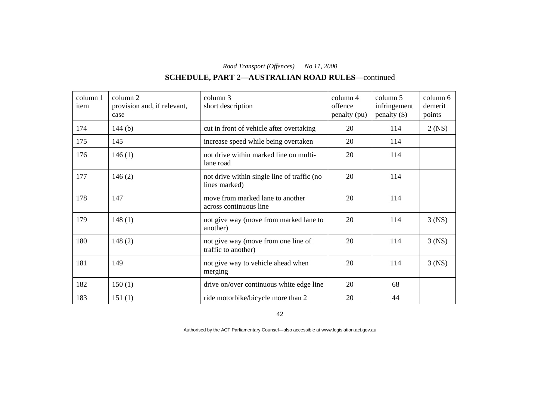# **SCHEDULE, PART 2—AUSTRALIAN ROAD RULES**—continued

| column 1<br>item | column 2<br>provision and, if relevant,<br>case | column 3<br>short description                                | column 4<br>offence<br>penalty (pu) | column 5<br>infringement<br>$penalty$ (\$) | column 6<br>demerit<br>points |
|------------------|-------------------------------------------------|--------------------------------------------------------------|-------------------------------------|--------------------------------------------|-------------------------------|
| 174              | 144 $(b)$                                       | cut in front of vehicle after overtaking                     | 20                                  | 114                                        | $2$ (NS)                      |
| 175              | 145                                             | increase speed while being overtaken                         | 20                                  | 114                                        |                               |
| 176              | 146(1)                                          | not drive within marked line on multi-<br>lane road          | 20                                  | 114                                        |                               |
| 177              | 146(2)                                          | not drive within single line of traffic (no<br>lines marked) | 20                                  | 114                                        |                               |
| 178              | 147                                             | move from marked lane to another<br>across continuous line   | 20                                  | 114                                        |                               |
| 179              | 148(1)                                          | not give way (move from marked lane to<br>another)           | 20                                  | 114                                        | $3$ (NS)                      |
| 180              | 148(2)                                          | not give way (move from one line of<br>traffic to another)   | 20                                  | 114                                        | $3$ (NS)                      |
| 181              | 149                                             | not give way to vehicle ahead when<br>merging                | 20                                  | 114                                        | $3$ (NS)                      |
| 182              | 150(1)                                          | drive on/over continuous white edge line                     | 20                                  | 68                                         |                               |
| 183              | 151(1)                                          | ride motorbike/bicycle more than 2                           | 20                                  | 44                                         |                               |

42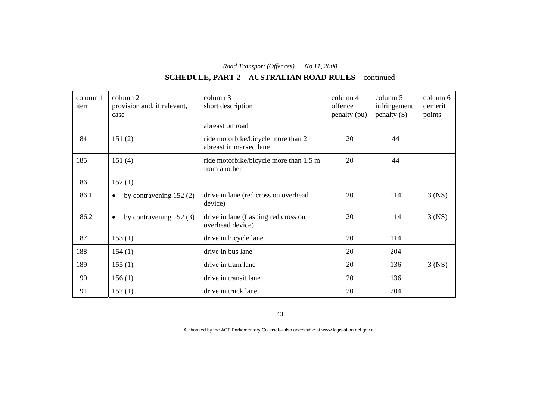# **SCHEDULE, PART 2—AUSTRALIAN ROAD RULES**—continued

| column 1<br>item | column 2<br>provision and, if relevant,<br>case | column 3<br>short description                                | column 4<br>offence<br>penalty (pu) | column 5<br>infringement<br>$penalty$ (\$) | column 6<br>demerit<br>points |
|------------------|-------------------------------------------------|--------------------------------------------------------------|-------------------------------------|--------------------------------------------|-------------------------------|
|                  |                                                 | abreast on road                                              |                                     |                                            |                               |
| 184              | 151(2)                                          | ride motorbike/bicycle more than 2<br>abreast in marked lane | 20                                  | 44                                         |                               |
| 185              | 151(4)                                          | ride motorbike/bicycle more than 1.5 m<br>from another       | 20                                  | 44                                         |                               |
| 186              | 152(1)                                          |                                                              |                                     |                                            |                               |
| 186.1            | by contravening 152 (2)<br>$\bullet$            | drive in lane (red cross on overhead<br>device)              | 20                                  | 114                                        | $3$ (NS)                      |
| 186.2            | by contravening $152(3)$<br>$\bullet$           | drive in lane (flashing red cross on<br>overhead device)     | 20                                  | 114                                        | $3$ (NS)                      |
| 187              | 153(1)                                          | drive in bicycle lane                                        | 20                                  | 114                                        |                               |
| 188              | 154(1)                                          | drive in bus lane                                            | 20                                  | 204                                        |                               |
| 189              | 155(1)                                          | drive in tram lane                                           | 20                                  | 136                                        | $3$ (NS)                      |
| 190              | 156(1)                                          | drive in transit lane                                        | 20                                  | 136                                        |                               |
| 191              | 157(1)                                          | drive in truck lane                                          | 20                                  | 204                                        |                               |

43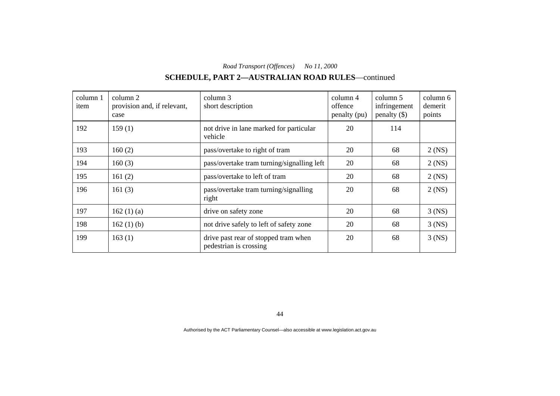# **SCHEDULE, PART 2—AUSTRALIAN ROAD RULES**—continued

| column 1<br>item | column 2<br>provision and, if relevant,<br>case | column 3<br>short description                                  | $\text{column } 4$<br>offence<br>penalty (pu) | column 5<br>infringement<br>penalty $(\$)$ | column 6<br>demerit<br>points |
|------------------|-------------------------------------------------|----------------------------------------------------------------|-----------------------------------------------|--------------------------------------------|-------------------------------|
| 192              | 159(1)                                          | not drive in lane marked for particular<br>vehicle             | 20                                            | 114                                        |                               |
| 193              | 160(2)                                          | pass/overtake to right of tram                                 | 20                                            | 68                                         | $2$ (NS)                      |
| 194              | 160(3)                                          | pass/overtake tram turning/signalling left                     | 20                                            | 68                                         | $2$ (NS)                      |
| 195              | 161(2)                                          | pass/overtake to left of tram                                  | 20                                            | 68                                         | $2$ (NS)                      |
| 196              | 161 $(3)$                                       | pass/overtake tram turning/signalling<br>right                 | 20                                            | 68                                         | $2$ (NS)                      |
| 197              | 162(1)(a)                                       | drive on safety zone                                           | 20                                            | 68                                         | $3$ (NS)                      |
| 198              | 162(1)(b)                                       | not drive safely to left of safety zone                        | 20                                            | 68                                         | $3$ (NS)                      |
| 199              | 163(1)                                          | drive past rear of stopped tram when<br>pedestrian is crossing | 20                                            | 68                                         | $3$ (NS)                      |

44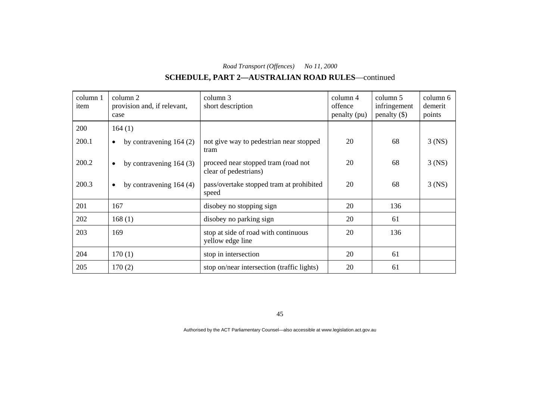# **SCHEDULE, PART 2—AUSTRALIAN ROAD RULES**—continued

| column 1<br>item | column 2<br>provision and, if relevant,<br>case | column 3<br>short description                                | column 4<br>offence<br>penalty (pu) | column 5<br>infringement<br>$penalty$ (\$) | column 6<br>demerit<br>points |
|------------------|-------------------------------------------------|--------------------------------------------------------------|-------------------------------------|--------------------------------------------|-------------------------------|
| 200              | 164(1)                                          |                                                              |                                     |                                            |                               |
| 200.1            | by contravening $164(2)$<br>$\bullet$           | not give way to pedestrian near stopped<br>tram              | 20                                  | 68                                         | $3$ (NS)                      |
| 200.2            | by contravening $164(3)$<br>$\bullet$           | proceed near stopped tram (road not<br>clear of pedestrians) | 20                                  | 68                                         | $3$ (NS)                      |
| 200.3            | by contravening $164(4)$<br>$\bullet$           | pass/overtake stopped tram at prohibited<br>speed            | 20                                  | 68                                         | $3$ (NS)                      |
| 201              | 167                                             | disobey no stopping sign                                     | 20                                  | 136                                        |                               |
| 202              | 168(1)                                          | disobey no parking sign                                      | 20                                  | 61                                         |                               |
| 203              | 169                                             | stop at side of road with continuous<br>yellow edge line     | 20                                  | 136                                        |                               |
| 204              | 170(1)                                          | stop in intersection                                         | 20                                  | 61                                         |                               |
| 205              | 170(2)                                          | stop on/near intersection (traffic lights)                   | 20                                  | 61                                         |                               |

45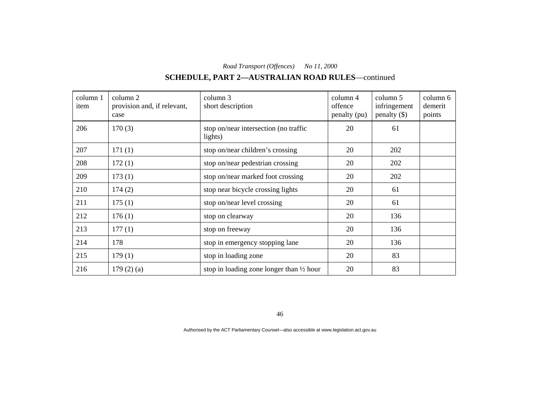# **SCHEDULE, PART 2—AUSTRALIAN ROAD RULES**—continued

| column 1<br>item | column 2<br>provision and, if relevant,<br>case | column 3<br>short description                       | column 4<br>offence<br>penalty (pu) | column 5<br>infringement<br>penalty $(\$)$ | column 6<br>demerit<br>points |
|------------------|-------------------------------------------------|-----------------------------------------------------|-------------------------------------|--------------------------------------------|-------------------------------|
| 206              | 170(3)                                          | stop on/near intersection (no traffic<br>lights)    | 20                                  | 61                                         |                               |
| 207              | 171(1)                                          | stop on/near children's crossing                    | 20                                  | 202                                        |                               |
| 208              | 172(1)                                          | stop on/near pedestrian crossing                    | 20                                  | 202                                        |                               |
| 209              | 173(1)                                          | stop on/near marked foot crossing                   | 20                                  | 202                                        |                               |
| 210              | 174(2)                                          | stop near bicycle crossing lights                   | 20                                  | 61                                         |                               |
| 211              | 175(1)                                          | stop on/near level crossing                         | 20                                  | 61                                         |                               |
| 212              | 176(1)                                          | stop on clearway                                    | 20                                  | 136                                        |                               |
| 213              | 177(1)                                          | stop on freeway                                     | 20                                  | 136                                        |                               |
| 214              | 178                                             | stop in emergency stopping lane                     | 20                                  | 136                                        |                               |
| 215              | 179(1)                                          | stop in loading zone                                | 20                                  | 83                                         |                               |
| 216              | 179(2)(a)                                       | stop in loading zone longer than $\frac{1}{2}$ hour | 20                                  | 83                                         |                               |

46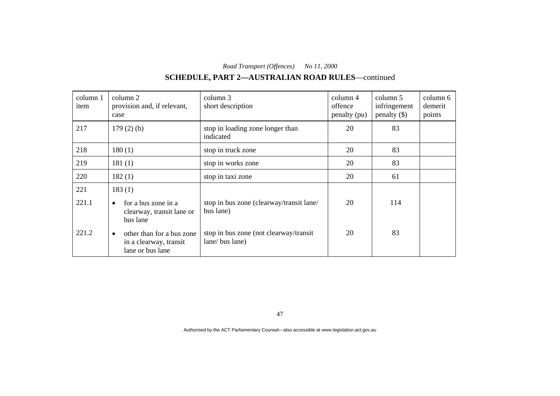# **SCHEDULE, PART 2—AUSTRALIAN ROAD RULES**—continued

| column 1<br>item | column 2<br>provision and, if relevant,<br>case                                      | column 3<br>short description                            | column 4<br>offence<br>penalty (pu) | column 5<br>infringement<br>penalty $(\$)$ | column 6<br>demerit<br>points |
|------------------|--------------------------------------------------------------------------------------|----------------------------------------------------------|-------------------------------------|--------------------------------------------|-------------------------------|
| 217              | $179(2)$ (b)                                                                         | stop in loading zone longer than<br>indicated            | 20                                  | 83                                         |                               |
| 218              | 180(1)                                                                               | stop in truck zone                                       | 20                                  | 83                                         |                               |
| 219              | 181(1)                                                                               | stop in works zone                                       | 20                                  | 83                                         |                               |
| 220              | 182(1)                                                                               | stop in taxi zone                                        | 20                                  | 61                                         |                               |
| 221<br>221.1     | 183(1)<br>for a bus zone in a<br>$\bullet$<br>clearway, transit lane or<br>bus lane  | stop in bus zone (clearway/transit lane/<br>bus lane)    | 20                                  | 114                                        |                               |
| 221.2            | other than for a bus zone<br>$\bullet$<br>in a clearway, transit<br>lane or bus lane | stop in bus zone (not clearway/transit<br>lane/bus lane) | 20                                  | 83                                         |                               |

47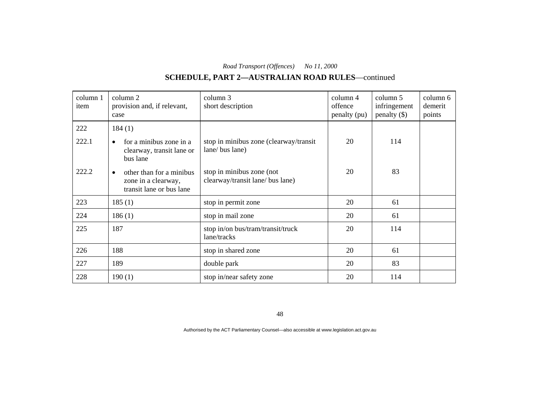# **SCHEDULE, PART 2—AUSTRALIAN ROAD RULES**—continued

| column 1<br>item | column 2<br>provision and, if relevant,<br>case                                          | column 3<br>short description                                 | column 4<br>offence<br>penalty (pu) | column 5<br>infringement<br>$penalty$ (\$) | column 6<br>demerit<br>points |
|------------------|------------------------------------------------------------------------------------------|---------------------------------------------------------------|-------------------------------------|--------------------------------------------|-------------------------------|
| 222              | 184(1)                                                                                   |                                                               |                                     |                                            |                               |
| 222.1            | for a minibus zone in a<br>$\bullet$<br>clearway, transit lane or<br>bus lane            | stop in minibus zone (clearway/transit<br>lane/ bus lane)     | 20                                  | 114                                        |                               |
| 222.2            | other than for a minibus<br>$\bullet$<br>zone in a clearway,<br>transit lane or bus lane | stop in minibus zone (not<br>clearway/transit lane/ bus lane) | 20                                  | 83                                         |                               |
| 223              | 185(1)                                                                                   | stop in permit zone                                           | 20                                  | 61                                         |                               |
| 224              | 186(1)                                                                                   | stop in mail zone                                             | 20                                  | 61                                         |                               |
| 225              | 187                                                                                      | stop in/on bus/tram/transit/truck<br>lane/tracks              | 20                                  | 114                                        |                               |
| 226              | 188                                                                                      | stop in shared zone                                           | 20                                  | 61                                         |                               |
| 227              | 189                                                                                      | double park                                                   | 20                                  | 83                                         |                               |
| 228              | 190(1)                                                                                   | stop in/near safety zone                                      | 20                                  | 114                                        |                               |

48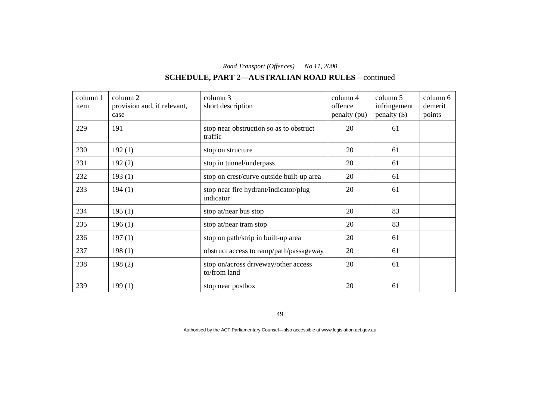# **SCHEDULE, PART 2—AUSTRALIAN ROAD RULES**—continued

| column 1<br>item | column 2<br>provision and, if relevant,<br>case | column 3<br>short description                        | column 4<br>offence<br>penalty (pu) | column 5<br>infringement<br>$penalty$ (\$) | column 6<br>demerit<br>points |
|------------------|-------------------------------------------------|------------------------------------------------------|-------------------------------------|--------------------------------------------|-------------------------------|
| 229              | 191                                             | stop near obstruction so as to obstruct<br>traffic   | 20                                  | 61                                         |                               |
| 230              | 192(1)                                          | stop on structure                                    | 20                                  | 61                                         |                               |
| 231              | 192(2)                                          | stop in tunnel/underpass                             | 20                                  | 61                                         |                               |
| 232              | 193(1)                                          | stop on crest/curve outside built-up area            | 20                                  | 61                                         |                               |
| 233              | 194(1)                                          | stop near fire hydrant/indicator/plug<br>indicator   | 20                                  | 61                                         |                               |
| 234              | 195(1)                                          | stop at/near bus stop                                | 20                                  | 83                                         |                               |
| 235              | 196(1)                                          | stop at/near tram stop                               | 20                                  | 83                                         |                               |
| 236              | 197(1)                                          | stop on path/strip in built-up area                  | 20                                  | 61                                         |                               |
| 237              | 198(1)                                          | obstruct access to ramp/path/passageway              | 20                                  | 61                                         |                               |
| 238              | 198(2)                                          | stop on/across driveway/other access<br>to/from land | 20                                  | 61                                         |                               |
| 239              | 199(1)                                          | stop near postbox                                    | 20                                  | 61                                         |                               |

49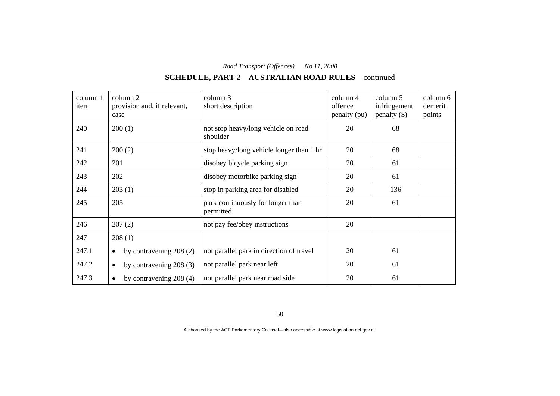# **SCHEDULE, PART 2—AUSTRALIAN ROAD RULES**—continued

| column 1<br>item | column 2<br>provision and, if relevant,<br>case | column 3<br>short description                   | column 4<br>offence<br>penalty (pu) | column 5<br>infringement<br>$penalty$ (\$) | column 6<br>demerit<br>points |
|------------------|-------------------------------------------------|-------------------------------------------------|-------------------------------------|--------------------------------------------|-------------------------------|
| 240              | 200(1)                                          | not stop heavy/long vehicle on road<br>shoulder | 20                                  | 68                                         |                               |
| 241              | 200(2)                                          | stop heavy/long vehicle longer than 1 hr        | 20                                  | 68                                         |                               |
| 242              | 201                                             | disobey bicycle parking sign                    | 20                                  | 61                                         |                               |
| 243              | 202                                             | disobey motorbike parking sign                  | 20                                  | 61                                         |                               |
| 244              | 203(1)                                          | stop in parking area for disabled               | 20                                  | 136                                        |                               |
| 245              | 205                                             | park continuously for longer than<br>permitted  | 20                                  | 61                                         |                               |
| 246              | 207(2)                                          | not pay fee/obey instructions                   | 20                                  |                                            |                               |
| 247              | 208(1)                                          |                                                 |                                     |                                            |                               |
| 247.1            | by contravening 208 (2)<br>$\bullet$            | not parallel park in direction of travel        | 20                                  | 61                                         |                               |
| 247.2            | by contravening 208 (3)<br>$\bullet$            | not parallel park near left                     | 20                                  | 61                                         |                               |
| 247.3            | by contravening $208(4)$<br>$\bullet$           | not parallel park near road side                | 20                                  | 61                                         |                               |

50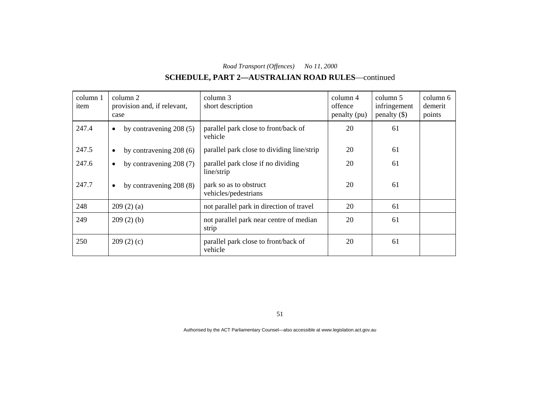# **SCHEDULE, PART 2—AUSTRALIAN ROAD RULES**—continued

| column 1<br>item | column 2<br>provision and, if relevant,<br>case | column 3<br>short description                    | column 4<br>offence<br>penalty (pu) | column 5<br>infringement<br>penalty $(\$)$ | column 6<br>demerit<br>points |
|------------------|-------------------------------------------------|--------------------------------------------------|-------------------------------------|--------------------------------------------|-------------------------------|
| 247.4            | by contravening $208(5)$<br>$\bullet$           | parallel park close to front/back of<br>vehicle  | 20                                  | 61                                         |                               |
| 247.5            | by contravening $208(6)$<br>$\bullet$           | parallel park close to dividing line/strip       | 20                                  | 61                                         |                               |
| 247.6            | by contravening $208(7)$<br>$\bullet$           | parallel park close if no dividing<br>line/strip | 20                                  | 61                                         |                               |
| 247.7            | by contravening $208(8)$<br>$\bullet$           | park so as to obstruct<br>vehicles/pedestrians   | 20                                  | 61                                         |                               |
| 248              | 209(2)(a)                                       | not parallel park in direction of travel         | 20                                  | 61                                         |                               |
| 249              | 209(2)(b)                                       | not parallel park near centre of median<br>strip | 20                                  | 61                                         |                               |
| 250              | 209(2)(c)                                       | parallel park close to front/back of<br>vehicle  | 20                                  | 61                                         |                               |

51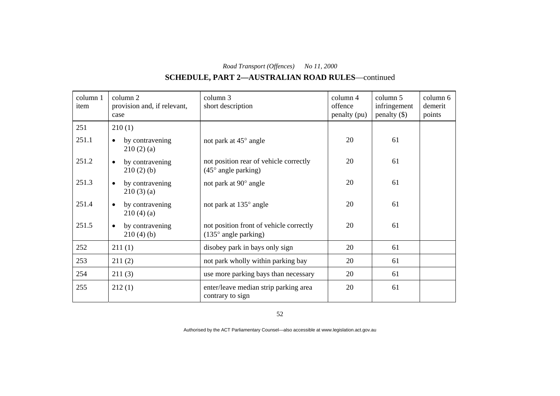# **SCHEDULE, PART 2—AUSTRALIAN ROAD RULES**—continued

| column 1<br>item | column 2<br>provision and, if relevant,<br>case | column 3<br>short description                                            | column 4<br>offence<br>penalty (pu) | column 5<br>infringement<br>$penalty$ (\$) | column 6<br>demerit<br>points |
|------------------|-------------------------------------------------|--------------------------------------------------------------------------|-------------------------------------|--------------------------------------------|-------------------------------|
| 251              | 210(1)                                          |                                                                          |                                     |                                            |                               |
| 251.1            | by contravening<br>$\bullet$<br>210(2)(a)       | not park at 45° angle                                                    | 20                                  | 61                                         |                               |
| 251.2            | by contravening<br>$\bullet$<br>210(2)(b)       | not position rear of vehicle correctly<br>$(45^{\circ}$ angle parking)   | 20                                  | 61                                         |                               |
| 251.3            | by contravening<br>$\bullet$<br>210(3)(a)       | not park at 90° angle                                                    | 20                                  | 61                                         |                               |
| 251.4            | by contravening<br>$\bullet$<br>210(4)(a)       | not park at 135° angle                                                   | 20                                  | 61                                         |                               |
| 251.5            | by contravening<br>$\bullet$<br>210(4)(b)       | not position front of vehicle correctly<br>$(135^{\circ}$ angle parking) | 20                                  | 61                                         |                               |
| 252              | 211(1)                                          | disobey park in bays only sign                                           | 20                                  | 61                                         |                               |
| 253              | 211(2)                                          | not park wholly within parking bay                                       | 20                                  | 61                                         |                               |
| 254              | 211(3)                                          | use more parking bays than necessary                                     | 20                                  | 61                                         |                               |
| 255              | 212(1)                                          | enter/leave median strip parking area<br>contrary to sign                | 20                                  | 61                                         |                               |

52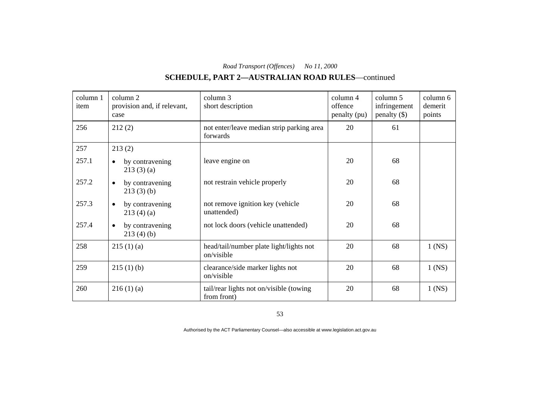# **SCHEDULE, PART 2—AUSTRALIAN ROAD RULES**—continued

| column 1<br>item | column 2<br>provision and, if relevant,<br>case | column 3<br>short description                          | column 4<br>offence<br>penalty (pu) | column 5<br>infringement<br>$penalty$ (\$) | column 6<br>demerit<br>points |
|------------------|-------------------------------------------------|--------------------------------------------------------|-------------------------------------|--------------------------------------------|-------------------------------|
| 256              | 212(2)                                          | not enter/leave median strip parking area<br>forwards  | 20                                  | 61                                         |                               |
| 257              | 213(2)                                          |                                                        |                                     |                                            |                               |
| 257.1            | by contravening<br>$\bullet$<br>213(3)(a)       | leave engine on                                        | 20                                  | 68                                         |                               |
| 257.2            | by contravening<br>$\bullet$<br>213(3)(b)       | not restrain vehicle properly                          | 20                                  | 68                                         |                               |
| 257.3            | by contravening<br>$\bullet$<br>213(4)(a)       | not remove ignition key (vehicle<br>unattended)        | 20                                  | 68                                         |                               |
| 257.4            | by contravening<br>$\bullet$<br>213(4)(b)       | not lock doors (vehicle unattended)                    | 20                                  | 68                                         |                               |
| 258              | 215(1)(a)                                       | head/tail/number plate light/lights not<br>on/visible  | 20                                  | 68                                         | $1$ (NS)                      |
| 259              | 215(1)(b)                                       | clearance/side marker lights not<br>on/visible         | 20                                  | 68                                         | $1$ (NS)                      |
| 260              | 216(1)(a)                                       | tail/rear lights not on/visible (towing<br>from front) | 20                                  | 68                                         | $1$ (NS)                      |

53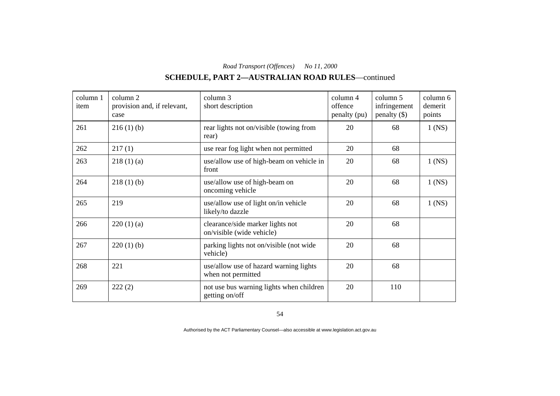# **SCHEDULE, PART 2—AUSTRALIAN ROAD RULES**—continued

| column 1<br>item | column 2<br>provision and, if relevant,<br>case | column 3<br>short description                                 | column 4<br>offence<br>penalty (pu) | column 5<br>infringement<br>$penalty$ (\$) | column 6<br>demerit<br>points |
|------------------|-------------------------------------------------|---------------------------------------------------------------|-------------------------------------|--------------------------------------------|-------------------------------|
| 261              | 216(1)(b)                                       | rear lights not on/visible (towing from<br>rear)              | 20                                  | 68                                         | $1$ (NS)                      |
| 262              | 217(1)                                          | use rear fog light when not permitted                         | 20                                  | 68                                         |                               |
| 263              | 218(1)(a)                                       | use/allow use of high-beam on vehicle in<br>front             | 20                                  | 68                                         | $1$ (NS)                      |
| 264              | 218(1)(b)                                       | use/allow use of high-beam on<br>oncoming vehicle             | 20                                  | 68                                         | $1$ (NS)                      |
| 265              | 219                                             | use/allow use of light on/in vehicle<br>likely/to dazzle      | 20                                  | 68                                         | $1$ (NS)                      |
| 266              | 220(1)(a)                                       | clearance/side marker lights not<br>on/visible (wide vehicle) | 20                                  | 68                                         |                               |
| 267              | 220(1)(b)                                       | parking lights not on/visible (not wide<br>vehicle)           | 20                                  | 68                                         |                               |
| 268              | 221                                             | use/allow use of hazard warning lights<br>when not permitted  | 20                                  | 68                                         |                               |
| 269              | 222(2)                                          | not use bus warning lights when children<br>getting on/off    | 20                                  | 110                                        |                               |

54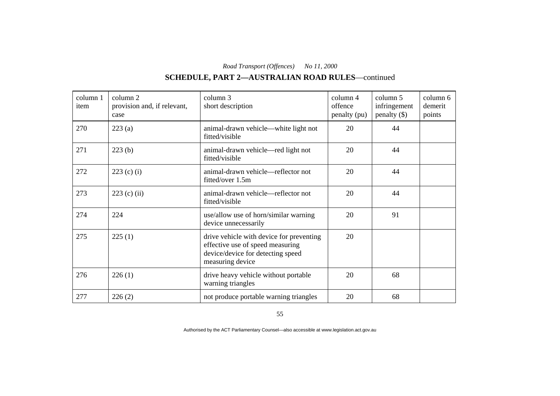# **SCHEDULE, PART 2—AUSTRALIAN ROAD RULES**—continued

| column 1<br>item | column 2<br>provision and, if relevant,<br>case | column 3<br>short description                                                                                                         | column 4<br>offence<br>penalty (pu) | column 5<br>infringement<br>$penalty$ (\$) | column 6<br>demerit<br>points |
|------------------|-------------------------------------------------|---------------------------------------------------------------------------------------------------------------------------------------|-------------------------------------|--------------------------------------------|-------------------------------|
| 270              | 223(a)                                          | animal-drawn vehicle—white light not<br>fitted/visible                                                                                | 20                                  | 44                                         |                               |
| 271              | 223(b)                                          | animal-drawn vehicle—red light not<br>fitted/visible                                                                                  | 20                                  | 44                                         |                               |
| 272              | $223$ (c) (i)                                   | animal-drawn vehicle—reflector not<br>fitted/over 1.5m                                                                                | 20                                  | 44                                         |                               |
| 273              | $223$ (c) (ii)                                  | animal-drawn vehicle—reflector not<br>fitted/visible                                                                                  | 20                                  | 44                                         |                               |
| 274              | 224                                             | use/allow use of horn/similar warning<br>device unnecessarily                                                                         | 20                                  | 91                                         |                               |
| 275              | 225(1)                                          | drive vehicle with device for preventing<br>effective use of speed measuring<br>device/device for detecting speed<br>measuring device | 20                                  |                                            |                               |
| 276              | 226(1)                                          | drive heavy vehicle without portable<br>warning triangles                                                                             | 20                                  | 68                                         |                               |
| 277              | 226(2)                                          | not produce portable warning triangles                                                                                                | 20                                  | 68                                         |                               |

55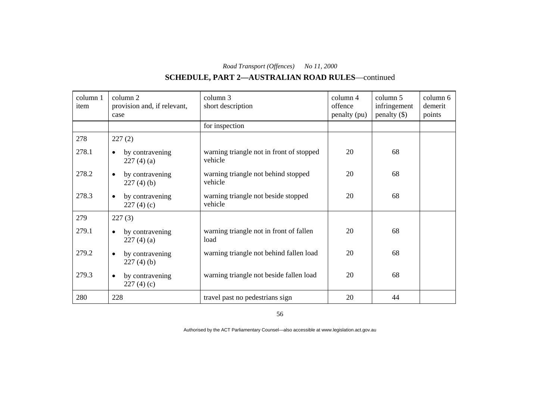# **SCHEDULE, PART 2—AUSTRALIAN ROAD RULES**—continued

| column 1<br>item | column 2<br>provision and, if relevant,<br>case | column 3<br>short description                       | column 4<br>offence<br>penalty (pu) | column 5<br>infringement<br>$penalty$ (\$) | column 6<br>demerit<br>points |
|------------------|-------------------------------------------------|-----------------------------------------------------|-------------------------------------|--------------------------------------------|-------------------------------|
|                  |                                                 | for inspection                                      |                                     |                                            |                               |
| 278              | 227(2)                                          |                                                     |                                     |                                            |                               |
| 278.1            | by contravening<br>$\bullet$<br>227(4)(a)       | warning triangle not in front of stopped<br>vehicle | 20                                  | 68                                         |                               |
| 278.2            | by contravening<br>$\bullet$<br>227(4)(b)       | warning triangle not behind stopped<br>vehicle      | 20                                  | 68                                         |                               |
| 278.3            | by contravening<br>$\bullet$<br>227(4)(c)       | warning triangle not beside stopped<br>vehicle      | 20                                  | 68                                         |                               |
| 279              | 227(3)                                          |                                                     |                                     |                                            |                               |
| 279.1            | by contravening<br>$\bullet$<br>227(4)(a)       | warning triangle not in front of fallen<br>load     | 20                                  | 68                                         |                               |
| 279.2            | by contravening<br>$\bullet$<br>227(4)(b)       | warning triangle not behind fallen load             | 20                                  | 68                                         |                               |
| 279.3            | by contravening<br>$\bullet$<br>227(4)(c)       | warning triangle not beside fallen load             | 20                                  | 68                                         |                               |
| 280              | 228                                             | travel past no pedestrians sign                     | 20                                  | 44                                         |                               |

56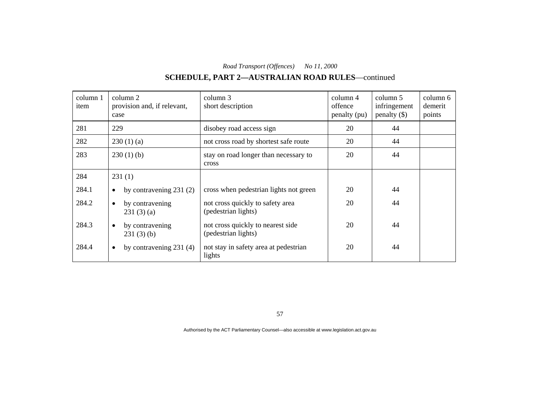# **SCHEDULE, PART 2—AUSTRALIAN ROAD RULES**—continued

| column 1<br>item | column 2<br>provision and, if relevant,<br>case | column 3<br>short description                            | column 4<br>offence<br>penalty (pu) | column 5<br>infringement<br>$penalty$ (\$) | column 6<br>demerit<br>points |
|------------------|-------------------------------------------------|----------------------------------------------------------|-------------------------------------|--------------------------------------------|-------------------------------|
| 281              | 229                                             | disobey road access sign                                 | 20                                  | 44                                         |                               |
| 282              | 230(1)(a)                                       | not cross road by shortest safe route                    | 20                                  | 44                                         |                               |
| 283              | 230(1)(b)                                       | stay on road longer than necessary to<br>cross           | 20                                  | 44                                         |                               |
| 284              | 231(1)                                          |                                                          |                                     |                                            |                               |
| 284.1            | by contravening $231(2)$<br>$\bullet$           | cross when pedestrian lights not green                   | 20                                  | 44                                         |                               |
| 284.2            | by contravening<br>$\bullet$<br>231(3)(a)       | not cross quickly to safety area<br>(pedestrian lights)  | 20                                  | 44                                         |                               |
| 284.3            | by contravening<br>$\bullet$<br>231(3)(b)       | not cross quickly to nearest side<br>(pedestrian lights) | 20                                  | 44                                         |                               |
| 284.4            | by contravening $231(4)$<br>$\bullet$           | not stay in safety area at pedestrian<br>lights          | 20                                  | 44                                         |                               |

57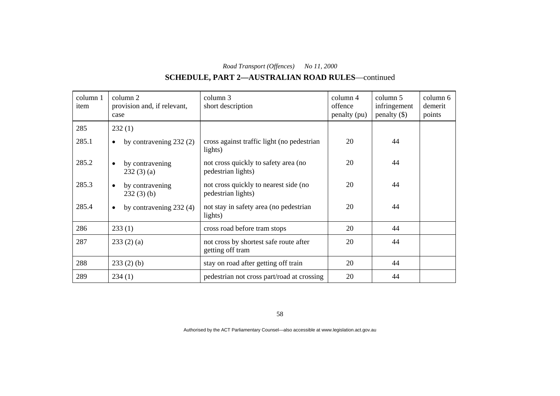# **SCHEDULE, PART 2—AUSTRALIAN ROAD RULES**—continued

| column 1<br>item | column 2<br>provision and, if relevant,<br>case | column 3<br>short description                               | column 4<br>offence<br>penalty (pu) | column 5<br>infringement<br>$penalty$ (\$) | column 6<br>demerit<br>points |
|------------------|-------------------------------------------------|-------------------------------------------------------------|-------------------------------------|--------------------------------------------|-------------------------------|
| 285              | 232(1)                                          |                                                             |                                     |                                            |                               |
| 285.1            | by contravening $232(2)$<br>$\bullet$           | cross against traffic light (no pedestrian<br>lights)       | 20                                  | 44                                         |                               |
| 285.2            | by contravening<br>$\bullet$<br>232(3)(a)       | not cross quickly to safety area (no<br>pedestrian lights)  | 20                                  | 44                                         |                               |
| 285.3            | by contravening<br>$\bullet$<br>$232(3)$ (b)    | not cross quickly to nearest side (no<br>pedestrian lights) | 20                                  | 44                                         |                               |
| 285.4            | by contravening 232 (4)<br>$\bullet$            | not stay in safety area (no pedestrian<br>lights)           | 20                                  | 44                                         |                               |
| 286              | 233(1)                                          | cross road before tram stops                                | 20                                  | 44                                         |                               |
| 287              | 233(2)(a)                                       | not cross by shortest safe route after<br>getting off tram  | 20                                  | 44                                         |                               |
| 288              | $233(2)$ (b)                                    | stay on road after getting off train                        | 20                                  | 44                                         |                               |
| 289              | 234(1)                                          | pedestrian not cross part/road at crossing                  | 20                                  | 44                                         |                               |

58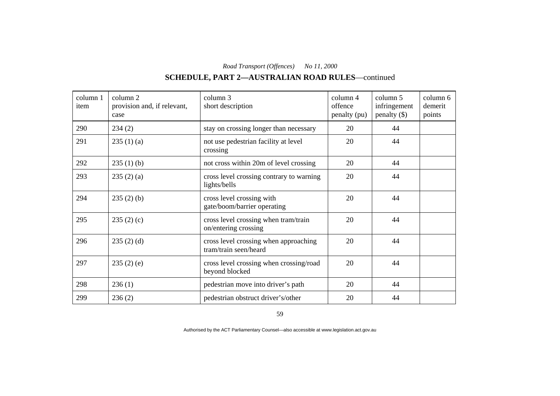# **SCHEDULE, PART 2—AUSTRALIAN ROAD RULES**—continued

| column 1<br>item | column 2<br>provision and, if relevant,<br>case | column 3<br>short description                                  | column 4<br>offence<br>penalty (pu) | column 5<br>infringement<br>$penalty$ (\$) | column 6<br>demerit<br>points |
|------------------|-------------------------------------------------|----------------------------------------------------------------|-------------------------------------|--------------------------------------------|-------------------------------|
| 290              | 234(2)                                          | stay on crossing longer than necessary                         | 20                                  | 44                                         |                               |
| 291              | 235(1)(a)                                       | not use pedestrian facility at level<br>crossing               | 20                                  | 44                                         |                               |
| 292              | 235(1)(b)                                       | not cross within 20m of level crossing                         | 20                                  | 44                                         |                               |
| 293              | 235(2)(a)                                       | cross level crossing contrary to warning<br>lights/bells       | 20                                  | 44                                         |                               |
| 294              | $235(2)$ (b)                                    | cross level crossing with<br>gate/boom/barrier operating       | 20                                  | 44                                         |                               |
| 295              | 235(2)(c)                                       | cross level crossing when tram/train<br>on/entering crossing   | 20                                  | 44                                         |                               |
| 296              | 235(2)(d)                                       | cross level crossing when approaching<br>tram/train seen/heard | 20                                  | 44                                         |                               |
| 297              | 235(2)(e)                                       | cross level crossing when crossing/road<br>beyond blocked      | 20                                  | 44                                         |                               |
| 298              | 236(1)                                          | pedestrian move into driver's path                             | 20                                  | 44                                         |                               |
| 299              | 236(2)                                          | pedestrian obstruct driver's/other                             | 20                                  | 44                                         |                               |

59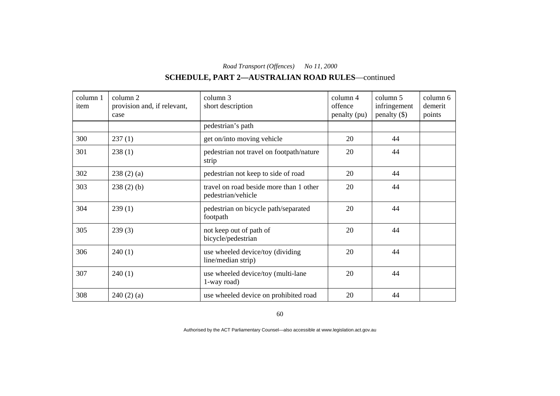# **SCHEDULE, PART 2—AUSTRALIAN ROAD RULES**—continued

| column 1<br>item | column 2<br>provision and, if relevant,<br>case | column 3<br>short description                                 | column 4<br>offence<br>penalty (pu) | column 5<br>infringement<br>$penalty$ (\$) | column 6<br>demerit<br>points |
|------------------|-------------------------------------------------|---------------------------------------------------------------|-------------------------------------|--------------------------------------------|-------------------------------|
|                  |                                                 | pedestrian's path                                             |                                     |                                            |                               |
| 300              | 237(1)                                          | get on/into moving vehicle                                    | 20                                  | 44                                         |                               |
| 301              | 238(1)                                          | pedestrian not travel on footpath/nature<br>strip             | 20                                  | 44                                         |                               |
| 302              | 238(2)(a)                                       | pedestrian not keep to side of road                           | 20                                  | 44                                         |                               |
| 303              | $238(2)$ (b)                                    | travel on road beside more than 1 other<br>pedestrian/vehicle | 20                                  | 44                                         |                               |
| 304              | 239(1)                                          | pedestrian on bicycle path/separated<br>footpath              | 20                                  | 44                                         |                               |
| 305              | 239(3)                                          | not keep out of path of<br>bicycle/pedestrian                 | 20                                  | 44                                         |                               |
| 306              | 240(1)                                          | use wheeled device/toy (dividing<br>line/median strip)        | 20                                  | 44                                         |                               |
| 307              | 240(1)                                          | use wheeled device/toy (multi-lane<br>1-way road)             | 20                                  | 44                                         |                               |
| 308              | 240(2)(a)                                       | use wheeled device on prohibited road                         | 20                                  | 44                                         |                               |

60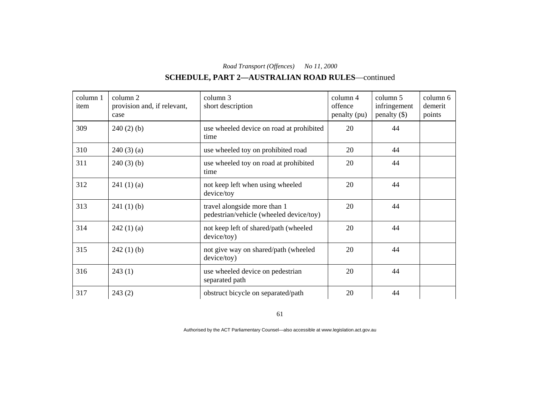## **SCHEDULE, PART 2—AUSTRALIAN ROAD RULES**—continued

| column 1<br>item | column 2<br>provision and, if relevant,<br>case | column 3<br>short description                                           | $\text{column } 4$<br>offence<br>penalty (pu) | column 5<br>infringement<br>$penalty$ (\$) | column 6<br>demerit<br>points |
|------------------|-------------------------------------------------|-------------------------------------------------------------------------|-----------------------------------------------|--------------------------------------------|-------------------------------|
| 309              | $240(2)$ (b)                                    | use wheeled device on road at prohibited<br>time                        | 20                                            | 44                                         |                               |
| 310              | 240(3)(a)                                       | use wheeled toy on prohibited road                                      | 20                                            | 44                                         |                               |
| 311              | $240(3)$ (b)                                    | use wheeled toy on road at prohibited<br>time                           | 20                                            | 44                                         |                               |
| 312              | 241(1)(a)                                       | not keep left when using wheeled<br>device/toy                          | 20                                            | 44                                         |                               |
| 313              | 241(1)(b)                                       | travel alongside more than 1<br>pedestrian/vehicle (wheeled device/toy) | 20                                            | 44                                         |                               |
| 314              | 242(1)(a)                                       | not keep left of shared/path (wheeled<br>device/toy)                    | 20                                            | 44                                         |                               |
| 315              | 242(1)(b)                                       | not give way on shared/path (wheeled<br>device/toy)                     | 20                                            | 44                                         |                               |
| 316              | 243(1)                                          | use wheeled device on pedestrian<br>separated path                      | 20                                            | 44                                         |                               |
| 317              | 243(2)                                          | obstruct bicycle on separated/path                                      | 20                                            | 44                                         |                               |

61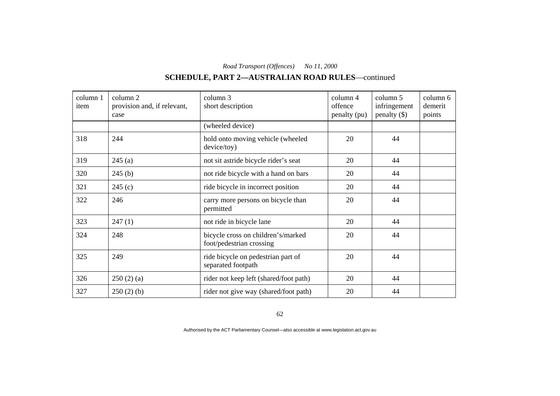# **SCHEDULE, PART 2—AUSTRALIAN ROAD RULES**—continued

| column 1<br>item | column 2<br>provision and, if relevant,<br>case | column 3<br>short description                                  | column 4<br>offence<br>penalty (pu) | column 5<br>infringement<br>$penalty$ (\$) | column 6<br>demerit<br>points |
|------------------|-------------------------------------------------|----------------------------------------------------------------|-------------------------------------|--------------------------------------------|-------------------------------|
|                  |                                                 | (wheeled device)                                               |                                     |                                            |                               |
| 318              | 244                                             | hold onto moving vehicle (wheeled<br>device/toy)               | 20                                  | 44                                         |                               |
| 319              | 245(a)                                          | not sit astride bicycle rider's seat                           | 20                                  | 44                                         |                               |
| 320              | 245(b)                                          | not ride bicycle with a hand on bars                           | 20                                  | 44                                         |                               |
| 321              | 245(c)                                          | ride bicycle in incorrect position                             | 20                                  | 44                                         |                               |
| 322              | 246                                             | carry more persons on bicycle than<br>permitted                | 20                                  | 44                                         |                               |
| 323              | 247(1)                                          | not ride in bicycle lane                                       | 20                                  | 44                                         |                               |
| 324              | 248                                             | bicycle cross on children's/marked<br>foot/pedestrian crossing | 20                                  | 44                                         |                               |
| 325              | 249                                             | ride bicycle on pedestrian part of<br>separated footpath       | 20                                  | 44                                         |                               |
| 326              | 250(2)(a)                                       | rider not keep left (shared/foot path)                         | 20                                  | 44                                         |                               |
| 327              | 250(2)(b)                                       | rider not give way (shared/foot path)                          | 20                                  | 44                                         |                               |

62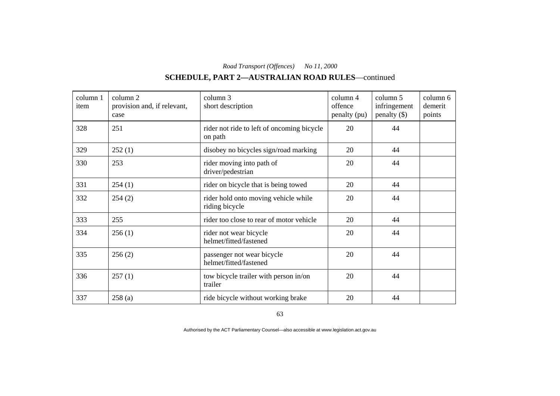# **SCHEDULE, PART 2—AUSTRALIAN ROAD RULES**—continued

| column 1<br>item | column 2<br>provision and, if relevant,<br>case | column 3<br>short description                          | column 4<br>offence<br>penalty (pu) | column 5<br>infringement<br>$penalty$ (\$) | column 6<br>demerit<br>points |
|------------------|-------------------------------------------------|--------------------------------------------------------|-------------------------------------|--------------------------------------------|-------------------------------|
| 328              | 251                                             | rider not ride to left of oncoming bicycle<br>on path  | 20                                  | 44                                         |                               |
| 329              | 252(1)                                          | disobey no bicycles sign/road marking                  | 20                                  | 44                                         |                               |
| 330              | 253                                             | rider moving into path of<br>driver/pedestrian         | 20                                  | 44                                         |                               |
| 331              | 254(1)                                          | rider on bicycle that is being towed                   | 20                                  | 44                                         |                               |
| 332              | 254(2)                                          | rider hold onto moving vehicle while<br>riding bicycle | 20                                  | 44                                         |                               |
| 333              | 255                                             | rider too close to rear of motor vehicle               | 20                                  | 44                                         |                               |
| 334              | 256(1)                                          | rider not wear bicycle<br>helmet/fitted/fastened       | 20                                  | 44                                         |                               |
| 335              | 256(2)                                          | passenger not wear bicycle<br>helmet/fitted/fastened   | 20                                  | 44                                         |                               |
| 336              | 257(1)                                          | tow bicycle trailer with person in/on<br>trailer       | 20                                  | 44                                         |                               |
| 337              | 258(a)                                          | ride bicycle without working brake                     | 20                                  | 44                                         |                               |

63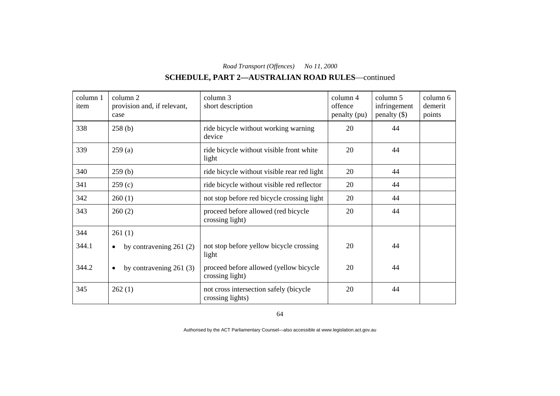# **SCHEDULE, PART 2—AUSTRALIAN ROAD RULES**—continued

| column 1<br>item | column 2<br>provision and, if relevant,<br>case | column 3<br>short description                              | column 4<br>offence<br>penalty (pu) | column 5<br>infringement<br>$penalty$ (\$) | column 6<br>demerit<br>points |
|------------------|-------------------------------------------------|------------------------------------------------------------|-------------------------------------|--------------------------------------------|-------------------------------|
| 338              | 258(b)                                          | ride bicycle without working warning<br>device             | 20                                  | 44                                         |                               |
| 339              | 259(a)                                          | ride bicycle without visible front white<br>light          | 20                                  | 44                                         |                               |
| 340              | 259(b)                                          | ride bicycle without visible rear red light                | 20                                  | 44                                         |                               |
| 341              | 259(c)                                          | ride bicycle without visible red reflector                 | 20                                  | 44                                         |                               |
| 342              | 260(1)                                          | not stop before red bicycle crossing light                 | 20                                  | 44                                         |                               |
| 343              | 260(2)                                          | proceed before allowed (red bicycle<br>crossing light)     | 20                                  | 44                                         |                               |
| 344              | 261(1)                                          |                                                            |                                     |                                            |                               |
| 344.1            | by contravening $261(2)$<br>$\bullet$           | not stop before yellow bicycle crossing<br>light           | 20                                  | 44                                         |                               |
| 344.2            | by contravening $261(3)$<br>$\bullet$           | proceed before allowed (yellow bicycle<br>crossing light)  | 20                                  | 44                                         |                               |
| 345              | 262(1)                                          | not cross intersection safely (bicycle<br>crossing lights) | 20                                  | 44                                         |                               |

64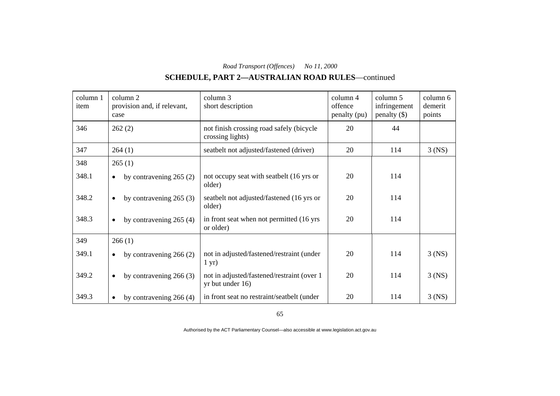# **SCHEDULE, PART 2—AUSTRALIAN ROAD RULES**—continued

| column 1<br>item | column 2<br>provision and, if relevant,<br>case | column 3<br>short description                                  | column 4<br>offence<br>penalty (pu) | column 5<br>infringement<br>$penalty$ (\$) | column 6<br>demerit<br>points |
|------------------|-------------------------------------------------|----------------------------------------------------------------|-------------------------------------|--------------------------------------------|-------------------------------|
| 346              | 262(2)                                          | not finish crossing road safely (bicycle<br>crossing lights)   | 20                                  | 44                                         |                               |
| 347              | 264(1)                                          | seatbelt not adjusted/fastened (driver)                        | 20                                  | 114                                        | $3$ (NS)                      |
| 348              | 265(1)                                          |                                                                |                                     |                                            |                               |
| 348.1            | by contravening $265(2)$<br>$\bullet$           | not occupy seat with seatbelt (16 yrs or<br>older)             | 20                                  | 114                                        |                               |
| 348.2            | by contravening $265(3)$<br>$\bullet$           | seatbelt not adjusted/fastened (16 yrs or<br>older)            | 20                                  | 114                                        |                               |
| 348.3            | by contravening $265(4)$<br>$\bullet$           | in front seat when not permitted (16 yrs)<br>or older)         | 20                                  | 114                                        |                               |
| 349              | 266(1)                                          |                                                                |                                     |                                            |                               |
| 349.1            | by contravening $266(2)$<br>$\bullet$           | not in adjusted/fastened/restraint (under<br>$1 \text{ yr}$    | 20                                  | 114                                        | $3$ (NS)                      |
| 349.2            | by contravening $266(3)$<br>$\bullet$           | not in adjusted/fastened/restraint (over 1<br>yr but under 16) | 20                                  | 114                                        | $3$ (NS)                      |
| 349.3            | by contravening $266(4)$<br>$\bullet$           | in front seat no restraint/seatbelt (under                     | 20                                  | 114                                        | $3$ (NS)                      |

65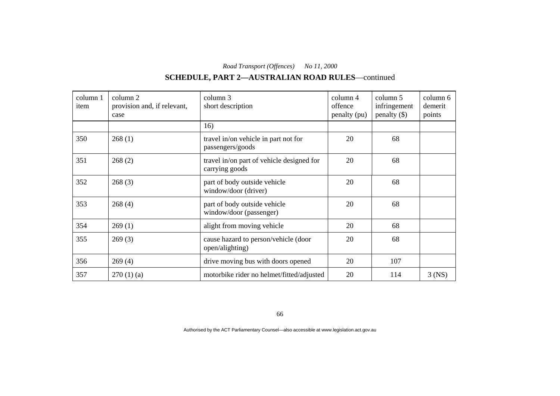# **SCHEDULE, PART 2—AUSTRALIAN ROAD RULES**—continued

| column 1<br>item | column 2<br>provision and, if relevant,<br>case | column 3<br>short description                               | column 4<br>offence<br>penalty (pu) | column 5<br>infringement<br>$penalty$ (\$) | column 6<br>demerit<br>points |
|------------------|-------------------------------------------------|-------------------------------------------------------------|-------------------------------------|--------------------------------------------|-------------------------------|
|                  |                                                 | 16)                                                         |                                     |                                            |                               |
| 350              | 268(1)                                          | travel in/on vehicle in part not for<br>passengers/goods    | 20                                  | 68                                         |                               |
| 351              | 268(2)                                          | travel in/on part of vehicle designed for<br>carrying goods | 20                                  | 68                                         |                               |
| 352              | 268(3)                                          | part of body outside vehicle<br>window/door (driver)        | 20                                  | 68                                         |                               |
| 353              | 268(4)                                          | part of body outside vehicle<br>window/door (passenger)     | 20                                  | 68                                         |                               |
| 354              | 269(1)                                          | alight from moving vehicle                                  | 20                                  | 68                                         |                               |
| 355              | 269(3)                                          | cause hazard to person/vehicle (door<br>open/alighting)     | 20                                  | 68                                         |                               |
| 356              | 269(4)                                          | drive moving bus with doors opened                          | 20                                  | 107                                        |                               |
| 357              | 270(1)(a)                                       | motorbike rider no helmet/fitted/adjusted                   | 20                                  | 114                                        | $3$ (NS)                      |

66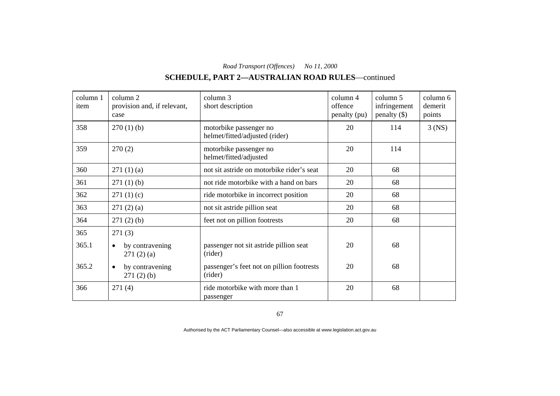# **SCHEDULE, PART 2—AUSTRALIAN ROAD RULES**—continued

| column 1<br>item | column 2<br>provision and, if relevant,<br>case | column 3<br>short description                            | column 4<br>offence<br>penalty (pu) | column 5<br>infringement<br>$penalty$ (\$) | column 6<br>demerit<br>points |
|------------------|-------------------------------------------------|----------------------------------------------------------|-------------------------------------|--------------------------------------------|-------------------------------|
| 358              | $270(1)$ (b)                                    | motorbike passenger no<br>helmet/fitted/adjusted (rider) | 20                                  | 114                                        | $3$ (NS)                      |
| 359              | 270(2)                                          | motorbike passenger no<br>helmet/fitted/adjusted         | 20                                  | 114                                        |                               |
| 360              | 271(1)(a)                                       | not sit astride on motorbike rider's seat                | 20                                  | 68                                         |                               |
| 361              | $271(1)$ (b)                                    | not ride motorbike with a hand on bars                   | 20                                  | 68                                         |                               |
| 362              | 271(1)(c)                                       | ride motorbike in incorrect position                     | 20                                  | 68                                         |                               |
| 363              | 271(2)(a)                                       | not sit astride pillion seat                             | 20                                  | 68                                         |                               |
| 364              | $271(2)$ (b)                                    | feet not on pillion footrests                            | 20                                  | 68                                         |                               |
| 365              | 271(3)                                          |                                                          |                                     |                                            |                               |
| 365.1            | by contravening<br>$\bullet$<br>271(2)(a)       | passenger not sit astride pillion seat<br>(rider)        | 20                                  | 68                                         |                               |
| 365.2            | by contravening<br>$\bullet$<br>271(2)(b)       | passenger's feet not on pillion footrests<br>(rider)     | 20                                  | 68                                         |                               |
| 366              | 271(4)                                          | ride motorbike with more than 1<br>passenger             | 20                                  | 68                                         |                               |

67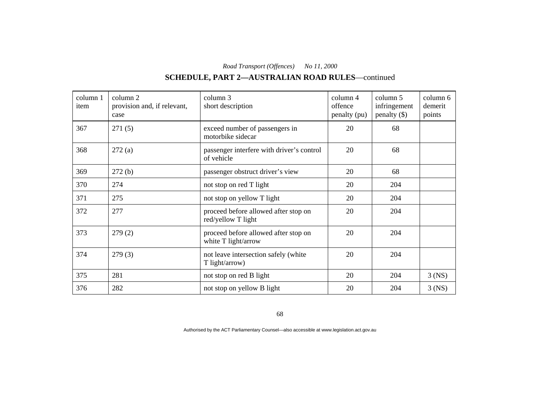# **SCHEDULE, PART 2—AUSTRALIAN ROAD RULES**—continued

| column 1<br>item | column 2<br>provision and, if relevant,<br>case | column 3<br>short description                               | column 4<br>offence<br>penalty (pu) | column 5<br>infringement<br>$penalty$ (\$) | column 6<br>demerit<br>points |
|------------------|-------------------------------------------------|-------------------------------------------------------------|-------------------------------------|--------------------------------------------|-------------------------------|
| 367              | 271(5)                                          | exceed number of passengers in<br>motorbike sidecar         | 20                                  | 68                                         |                               |
| 368              | 272(a)                                          | passenger interfere with driver's control<br>of vehicle     | 20                                  | 68                                         |                               |
| 369              | 272(b)                                          | passenger obstruct driver's view                            | 20                                  | 68                                         |                               |
| 370              | 274                                             | not stop on red T light                                     | 20                                  | 204                                        |                               |
| 371              | 275                                             | not stop on yellow T light                                  | 20                                  | 204                                        |                               |
| 372              | 277                                             | proceed before allowed after stop on<br>red/yellow T light  | 20                                  | 204                                        |                               |
| 373              | 279(2)                                          | proceed before allowed after stop on<br>white T light/arrow | 20                                  | 204                                        |                               |
| 374              | 279(3)                                          | not leave intersection safely (white<br>T light/arrow)      | 20                                  | 204                                        |                               |
| 375              | 281                                             | not stop on red B light                                     | 20                                  | 204                                        | $3$ (NS)                      |
| 376              | 282                                             | not stop on yellow B light                                  | 20                                  | 204                                        | $3$ (NS)                      |

68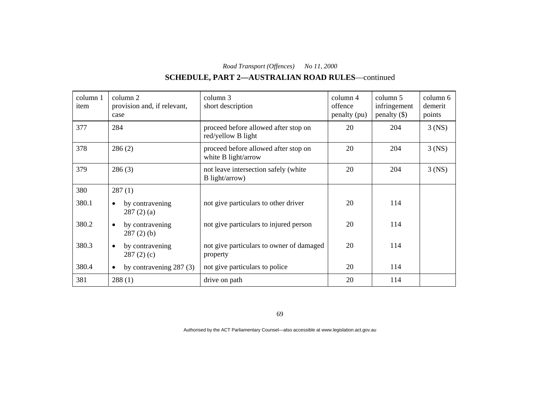# **SCHEDULE, PART 2—AUSTRALIAN ROAD RULES**—continued

| column 1<br>item | column 2<br>provision and, if relevant,<br>case | column 3<br>short description                               | $\text{column } 4$<br>offence<br>penalty (pu) | column 5<br>infringement<br>penalty $(\$)$ | column 6<br>demerit<br>points |
|------------------|-------------------------------------------------|-------------------------------------------------------------|-----------------------------------------------|--------------------------------------------|-------------------------------|
| 377              | 284                                             | proceed before allowed after stop on<br>red/yellow B light  | 20                                            | 204                                        | $3$ (NS)                      |
| 378              | 286(2)                                          | proceed before allowed after stop on<br>white B light/arrow | 20                                            | 204                                        | $3$ (NS)                      |
| 379              | 286(3)                                          | not leave intersection safely (white<br>B light/arrow)      | 20                                            | 204                                        | $3$ (NS)                      |
| 380              | 287(1)                                          |                                                             |                                               |                                            |                               |
| 380.1            | by contravening<br>287(2)(a)                    | not give particulars to other driver                        | 20                                            | 114                                        |                               |
| 380.2            | by contravening<br>$\bullet$<br>$287(2)$ (b)    | not give particulars to injured person                      | 20                                            | 114                                        |                               |
| 380.3            | by contravening<br>$\bullet$<br>287(2)(c)       | not give particulars to owner of damaged<br>property        | 20                                            | 114                                        |                               |
| 380.4            | by contravening $287(3)$<br>$\bullet$           | not give particulars to police                              | 20                                            | 114                                        |                               |
| 381              | 288(1)                                          | drive on path                                               | 20                                            | 114                                        |                               |

69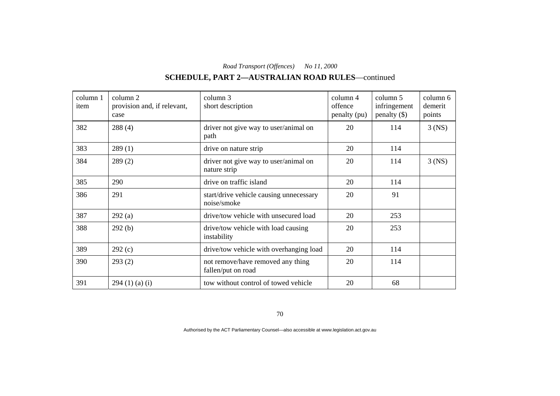# **SCHEDULE, PART 2—AUSTRALIAN ROAD RULES**—continued

| column 1<br>item | column 2<br>provision and, if relevant,<br>case | column 3<br>short description                           | column 4<br>offence<br>penalty (pu) | column 5<br>infringement<br>$penalty$ (\$) | column 6<br>demerit<br>points |
|------------------|-------------------------------------------------|---------------------------------------------------------|-------------------------------------|--------------------------------------------|-------------------------------|
| 382              | 288(4)                                          | driver not give way to user/animal on<br>path           | 20                                  | 114                                        | $3$ (NS)                      |
| 383              | 289(1)                                          | drive on nature strip                                   | 20                                  | 114                                        |                               |
| 384              | 289(2)                                          | driver not give way to user/animal on<br>nature strip   | 20                                  | 114                                        | $3$ (NS)                      |
| 385              | 290                                             | drive on traffic island                                 | 20                                  | 114                                        |                               |
| 386              | 291                                             | start/drive vehicle causing unnecessary<br>noise/smoke  | 20                                  | 91                                         |                               |
| 387              | 292(a)                                          | drive/tow vehicle with unsecured load                   | 20                                  | 253                                        |                               |
| 388              | 292(b)                                          | drive/tow vehicle with load causing<br>instability      | 20                                  | 253                                        |                               |
| 389              | 292(c)                                          | drive/tow vehicle with overhanging load                 | 20                                  | 114                                        |                               |
| 390              | 293(2)                                          | not remove/have removed any thing<br>fallen/put on road | 20                                  | 114                                        |                               |
| 391              | 294(1)(a)(i)                                    | tow without control of towed vehicle                    | 20                                  | 68                                         |                               |

70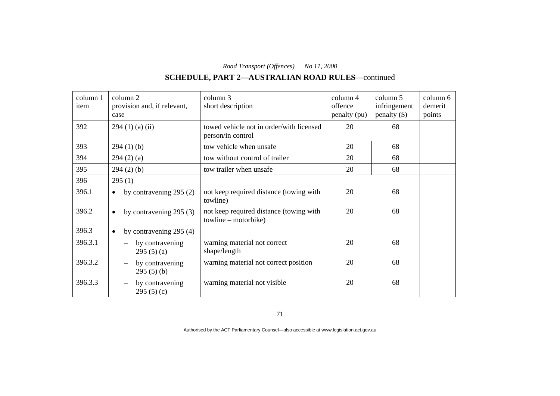# **SCHEDULE, PART 2—AUSTRALIAN ROAD RULES**—continued

| column 1<br>item | column 2<br>provision and, if relevant,<br>case | column 3<br>short description                                   | column 4<br>offence<br>penalty (pu) | column 5<br>infringement<br>penalty $(\$)$ | column 6<br>demerit<br>points |
|------------------|-------------------------------------------------|-----------------------------------------------------------------|-------------------------------------|--------------------------------------------|-------------------------------|
| 392              | $294(1)$ (a) (ii)                               | towed vehicle not in order/with licensed<br>person/in control   | 20                                  | 68                                         |                               |
| 393              | 294(1)(b)                                       | tow vehicle when unsafe                                         | 20                                  | 68                                         |                               |
| 394              | 294(2)(a)                                       | tow without control of trailer                                  | 20                                  | 68                                         |                               |
| 395              | $294(2)$ (b)                                    | tow trailer when unsafe                                         | 20                                  | 68                                         |                               |
| 396              | 295(1)                                          |                                                                 |                                     |                                            |                               |
| 396.1            | by contravening $295(2)$<br>$\bullet$           | not keep required distance (towing with<br>towline)             | 20                                  | 68                                         |                               |
| 396.2            | by contravening 295 (3)<br>$\bullet$            | not keep required distance (towing with<br>towline – motorbike) | 20                                  | 68                                         |                               |
| 396.3            | by contravening 295 (4)<br>$\bullet$            |                                                                 |                                     |                                            |                               |
| 396.3.1          | by contravening<br>295(5)(a)                    | warning material not correct<br>shape/length                    | 20                                  | 68                                         |                               |
| 396.3.2          | by contravening<br>295(5)(b)                    | warning material not correct position                           | 20                                  | 68                                         |                               |
| 396.3.3          | by contravening<br>295(5)(c)                    | warning material not visible                                    | 20                                  | 68                                         |                               |

71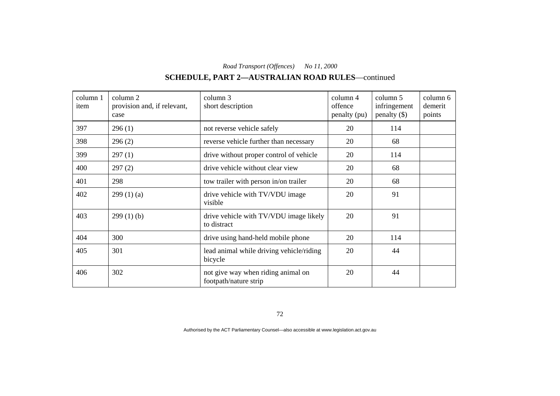# **SCHEDULE, PART 2—AUSTRALIAN ROAD RULES**—continued

| column 1<br>item | column 2<br>provision and, if relevant,<br>case | column 3<br>short description                               | column 4<br>offence<br>penalty (pu) | column 5<br>infringement<br>$penalty$ (\$) | column 6<br>demerit<br>points |
|------------------|-------------------------------------------------|-------------------------------------------------------------|-------------------------------------|--------------------------------------------|-------------------------------|
| 397              | 296(1)                                          | not reverse vehicle safely                                  | 20                                  | 114                                        |                               |
| 398              | 296(2)                                          | reverse vehicle further than necessary                      | 20                                  | 68                                         |                               |
| 399              | 297(1)                                          | drive without proper control of vehicle                     | 20                                  | 114                                        |                               |
| 400              | 297(2)                                          | drive vehicle without clear view                            | 20                                  | 68                                         |                               |
| 401              | 298                                             | tow trailer with person in/on trailer                       | 20                                  | 68                                         |                               |
| 402              | 299(1)(a)                                       | drive vehicle with TV/VDU image<br>visible                  | 20                                  | 91                                         |                               |
| 403              | 299(1)(b)                                       | drive vehicle with TV/VDU image likely<br>to distract       | 20                                  | 91                                         |                               |
| 404              | 300                                             | drive using hand-held mobile phone                          | 20                                  | 114                                        |                               |
| 405              | 301                                             | lead animal while driving vehicle/riding<br>bicycle         | 20                                  | 44                                         |                               |
| 406              | 302                                             | not give way when riding animal on<br>footpath/nature strip | 20                                  | 44                                         |                               |

72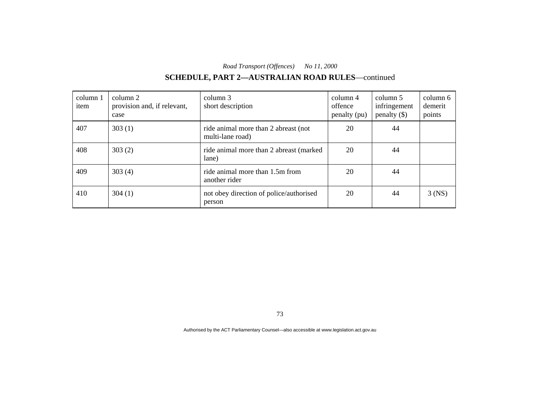# **SCHEDULE, PART 2—AUSTRALIAN ROAD RULES**—continued

| column 1<br>item | column 2<br>provision and, if relevant,<br>case | column 3<br>short description                            | column 4<br>offence<br>penalty (pu) | column 5<br>infringement<br>$penalty$ (\$) | column 6<br>demerit<br>points |
|------------------|-------------------------------------------------|----------------------------------------------------------|-------------------------------------|--------------------------------------------|-------------------------------|
| 407              | 303(1)                                          | ride animal more than 2 abreast (not<br>multi-lane road) | 20                                  | 44                                         |                               |
| 408              | 303(2)                                          | ride animal more than 2 abreast (marked)<br>lane)        | 20                                  | 44                                         |                               |
| 409              | 303(4)                                          | ride animal more than 1.5m from<br>another rider         | 20                                  | 44                                         |                               |
| 410              | 304(1)                                          | not obey direction of police/authorised<br>person        | 20                                  | 44                                         | $3$ (NS)                      |

73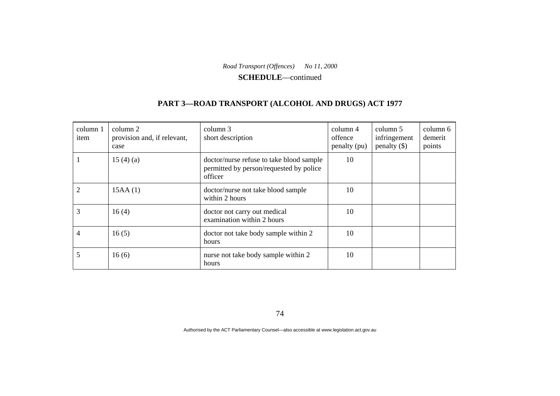**SCHEDULE**—continued

### **PART 3—ROAD TRANSPORT (ALCOHOL AND DRUGS) ACT 1977**

| column 1<br>item | column 2<br>provision and, if relevant,<br>case | column 3<br>short description                                                                  | $\text{column } 4$<br>offence<br>penalty (pu) | column 5<br>infringement<br>penalty $(\$)$ | column 6<br>demerit<br>points |
|------------------|-------------------------------------------------|------------------------------------------------------------------------------------------------|-----------------------------------------------|--------------------------------------------|-------------------------------|
|                  | 15 $(4)$ $(a)$                                  | doctor/nurse refuse to take blood sample<br>permitted by person/requested by police<br>officer | 10                                            |                                            |                               |
| $\overline{2}$   | 15AA(1)                                         | doctor/nurse not take blood sample<br>within 2 hours                                           | 10                                            |                                            |                               |
| 3                | 16(4)                                           | doctor not carry out medical<br>examination within 2 hours                                     | 10                                            |                                            |                               |
| 4                | 16(5)                                           | doctor not take body sample within 2<br>hours                                                  | 10                                            |                                            |                               |
| 5                | 16(6)                                           | nurse not take body sample within 2<br>hours                                                   | 10                                            |                                            |                               |

74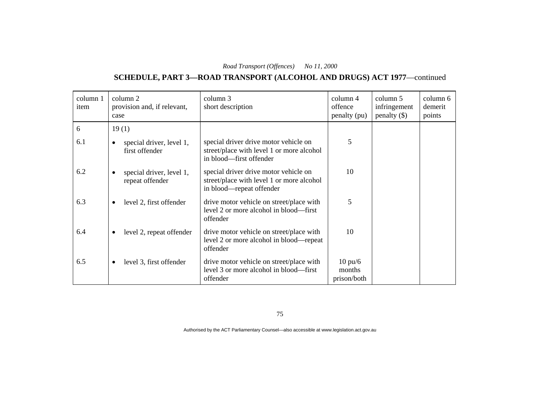### **SCHEDULE, PART 3—ROAD TRANSPORT (ALCOHOL AND DRUGS) ACT 1977**—continued

| column 1<br>item | column 2<br>provision and, if relevant,<br>case          | column 3<br>short description                                                                                  | column 4<br>offence<br>penalty (pu)        | column 5<br>infringement<br>penalty $(\$)$ | column 6<br>demerit<br>points |
|------------------|----------------------------------------------------------|----------------------------------------------------------------------------------------------------------------|--------------------------------------------|--------------------------------------------|-------------------------------|
| 6                | 19(1)                                                    |                                                                                                                |                                            |                                            |                               |
| 6.1              | special driver, level 1,<br>first offender               | special driver drive motor vehicle on<br>street/place with level 1 or more alcohol<br>in blood—first offender  | 5                                          |                                            |                               |
| 6.2              | special driver, level 1,<br>$\bullet$<br>repeat offender | special driver drive motor vehicle on<br>street/place with level 1 or more alcohol<br>in blood—repeat offender | 10                                         |                                            |                               |
| 6.3              | level 2, first offender<br>$\bullet$                     | drive motor vehicle on street/place with<br>level 2 or more alcohol in blood—first<br>offender                 | 5                                          |                                            |                               |
| 6.4              | level 2, repeat offender<br>$\bullet$                    | drive motor vehicle on street/place with<br>level 2 or more alcohol in blood—repeat<br>offender                | 10                                         |                                            |                               |
| 6.5              | level 3, first offender<br>$\bullet$                     | drive motor vehicle on street/place with<br>level 3 or more alcohol in blood—first<br>offender                 | $10 \text{ pu/}6$<br>months<br>prison/both |                                            |                               |

75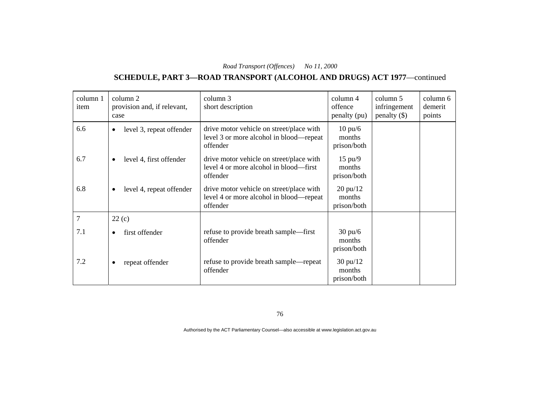### **SCHEDULE, PART 3—ROAD TRANSPORT (ALCOHOL AND DRUGS) ACT 1977**—continued

| column 1<br>item | column 2<br>provision and, if relevant,<br>case | column 3<br>short description                                                                   | column 4<br>offence<br>penalty (pu)         | column 5<br>infringement<br>penalty $(\$)$ | column 6<br>demerit<br>points |
|------------------|-------------------------------------------------|-------------------------------------------------------------------------------------------------|---------------------------------------------|--------------------------------------------|-------------------------------|
| 6.6              | level 3, repeat offender<br>$\bullet$           | drive motor vehicle on street/place with<br>level 3 or more alcohol in blood—repeat<br>offender | $10 \text{ pu/}6$<br>months<br>prison/both  |                                            |                               |
| 6.7              | level 4, first offender<br>$\bullet$            | drive motor vehicle on street/place with<br>level 4 or more alcohol in blood—first<br>offender  | $15 \text{ pu}/9$<br>months<br>prison/both  |                                            |                               |
| 6.8              | level 4, repeat offender<br>$\bullet$           | drive motor vehicle on street/place with<br>level 4 or more alcohol in blood—repeat<br>offender | $20 \text{ pu}/12$<br>months<br>prison/both |                                            |                               |
| 7                | 22(c)                                           |                                                                                                 |                                             |                                            |                               |
| 7.1              | first offender<br>$\bullet$                     | refuse to provide breath sample—first<br>offender                                               | $30 \text{ pu/6}$<br>months<br>prison/both  |                                            |                               |
| 7.2              | repeat offender                                 | refuse to provide breath sample—repeat<br>offender                                              | $30 \text{ pu}/12$<br>months<br>prison/both |                                            |                               |

76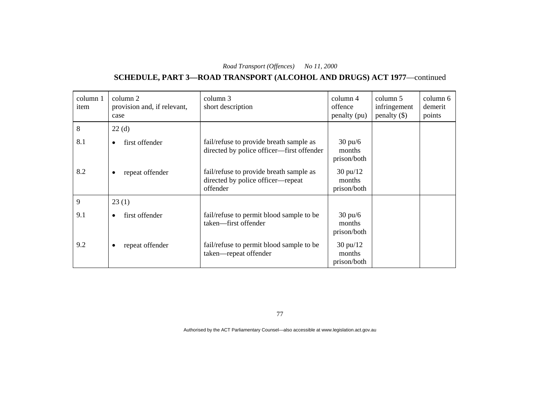### **SCHEDULE, PART 3—ROAD TRANSPORT (ALCOHOL AND DRUGS) ACT 1977**—continued

| column 1<br>item | column 2<br>provision and, if relevant,<br>case | column 3<br>short description                                                            | column 4<br>offence<br>penalty (pu)         | column 5<br>infringement<br>penalty $(\$)$ | column 6<br>demerit<br>points |
|------------------|-------------------------------------------------|------------------------------------------------------------------------------------------|---------------------------------------------|--------------------------------------------|-------------------------------|
| 8                | 22(d)                                           |                                                                                          |                                             |                                            |                               |
| 8.1              | first offender<br>٠                             | fail/refuse to provide breath sample as<br>directed by police officer—first offender     | $30 \text{ pu/6}$<br>months<br>prison/both  |                                            |                               |
| 8.2              | repeat offender<br>٠                            | fail/refuse to provide breath sample as<br>directed by police officer-repeat<br>offender | $30 \text{ pu}/12$<br>months<br>prison/both |                                            |                               |
| 9                | 23(1)                                           |                                                                                          |                                             |                                            |                               |
| 9.1              | first offender<br>$\bullet$                     | fail/refuse to permit blood sample to be<br>taken-first offender                         | $30 \text{ pu/6}$<br>months<br>prison/both  |                                            |                               |
| 9.2              | repeat offender                                 | fail/refuse to permit blood sample to be<br>taken—repeat offender                        | $30 \text{ pu}/12$<br>months<br>prison/both |                                            |                               |

77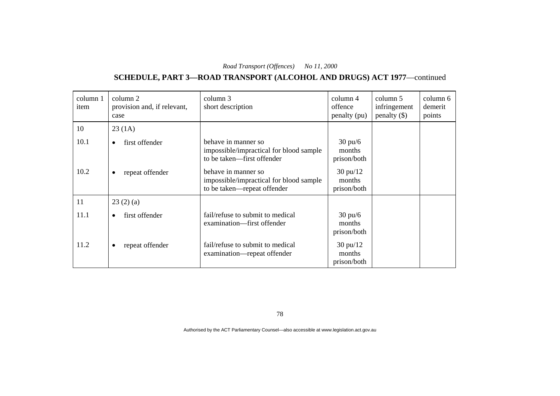### **SCHEDULE, PART 3—ROAD TRANSPORT (ALCOHOL AND DRUGS) ACT 1977**—continued

| column 1<br>item | column 2<br>provision and, if relevant,<br>case | column 3<br>short description                                                                 | column 4<br>offence<br>penalty (pu)         | column 5<br>infringement<br>penalty $(\$)$ | column 6<br>demerit<br>points |
|------------------|-------------------------------------------------|-----------------------------------------------------------------------------------------------|---------------------------------------------|--------------------------------------------|-------------------------------|
| 10               | 23(1A)                                          |                                                                                               |                                             |                                            |                               |
| 10.1             | first offender<br>$\bullet$                     | behave in manner so<br>impossible/impractical for blood sample<br>to be taken—first offender  | $30 \text{ pu/6}$<br>months<br>prison/both  |                                            |                               |
| 10.2             | repeat offender<br>$\bullet$                    | behave in manner so<br>impossible/impractical for blood sample<br>to be taken—repeat offender | $30 \text{ pu}/12$<br>months<br>prison/both |                                            |                               |
| 11               | 23(2)(a)                                        |                                                                                               |                                             |                                            |                               |
| 11.1             | first offender<br>$\bullet$                     | fail/refuse to submit to medical<br>examination—first offender                                | $30 \text{ pu/6}$<br>months<br>prison/both  |                                            |                               |
| 11.2             | repeat offender<br>٠                            | fail/refuse to submit to medical<br>examination—repeat offender                               | $30 \text{ pu}/12$<br>months<br>prison/both |                                            |                               |

78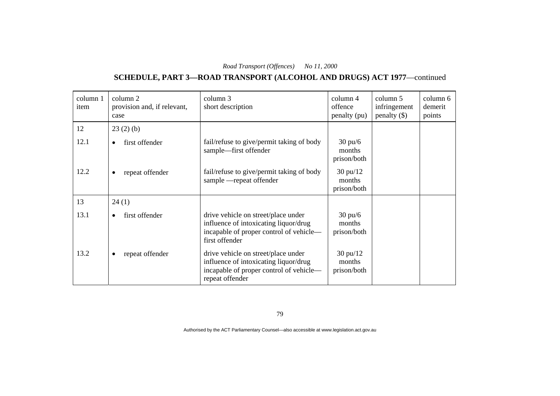### **SCHEDULE, PART 3—ROAD TRANSPORT (ALCOHOL AND DRUGS) ACT 1977**—continued

| column 1<br>item | column 2<br>provision and, if relevant,<br>case | column 3<br>short description                                                                                                              | column 4<br>offence<br>penalty (pu)         | column 5<br>infringement<br>penalty $(\$)$ | column 6<br>demerit<br>points |
|------------------|-------------------------------------------------|--------------------------------------------------------------------------------------------------------------------------------------------|---------------------------------------------|--------------------------------------------|-------------------------------|
| 12               | 23(2)(b)                                        |                                                                                                                                            |                                             |                                            |                               |
| 12.1             | first offender<br>$\bullet$                     | fail/refuse to give/permit taking of body<br>sample—first offender                                                                         | $30 \text{ pu/6}$<br>months<br>prison/both  |                                            |                               |
| 12.2             | repeat offender<br>$\bullet$                    | fail/refuse to give/permit taking of body<br>sample - repeat offender                                                                      | $30 \text{ pu}/12$<br>months<br>prison/both |                                            |                               |
| 13               | 24(1)                                           |                                                                                                                                            |                                             |                                            |                               |
| 13.1             | first offender<br>$\bullet$                     | drive vehicle on street/place under<br>influence of intoxicating liquor/drug<br>incapable of proper control of vehicle-<br>first offender  | $30 \text{ pu/6}$<br>months<br>prison/both  |                                            |                               |
| 13.2             | repeat offender<br>٠                            | drive vehicle on street/place under<br>influence of intoxicating liquor/drug<br>incapable of proper control of vehicle-<br>repeat offender | $30 \text{ pu}/12$<br>months<br>prison/both |                                            |                               |

79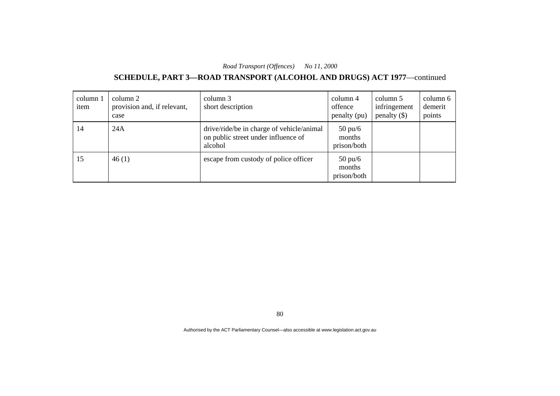### **SCHEDULE, PART 3—ROAD TRANSPORT (ALCOHOL AND DRUGS) ACT 1977**—continued

| column 1<br>item | column 2<br>provision and, if relevant,<br>case | column 3<br>short description                                                               | column 4<br>offence<br>penalty (pu)        | column 5<br>infringement<br>penalty $(\$)$ | column 6<br>demerit<br>points |
|------------------|-------------------------------------------------|---------------------------------------------------------------------------------------------|--------------------------------------------|--------------------------------------------|-------------------------------|
| 14               | 24A                                             | drive/ride/be in charge of vehicle/animal<br>on public street under influence of<br>alcohol | $50 \text{ pu/6}$<br>months<br>prison/both |                                            |                               |
| 15               | 46(1)                                           | escape from custody of police officer                                                       | $50 \text{ pu/6}$<br>months<br>prison/both |                                            |                               |

80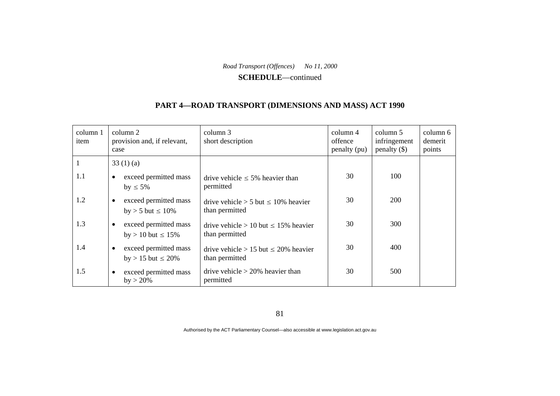#### **SCHEDULE**—continued

#### **PART 4—ROAD TRANSPORT (DIMENSIONS AND MASS) ACT 1990**

| column 1<br>item | column 2<br>provision and, if relevant,<br>case               | column 3<br>short description                                  | column 4<br>offence<br>penalty (pu) | column 5<br>infringement<br>$penalty$ (\$) | column 6<br>demerit<br>points |
|------------------|---------------------------------------------------------------|----------------------------------------------------------------|-------------------------------------|--------------------------------------------|-------------------------------|
|                  | 33(1)(a)                                                      |                                                                |                                     |                                            |                               |
| 1.1              | exceed permitted mass<br>$\bullet$<br>by $\leq 5\%$           | drive vehicle $\leq 5\%$ heavier than<br>permitted             | 30                                  | 100                                        |                               |
| 1.2              | exceed permitted mass<br>$\bullet$<br>by > 5 but $\leq 10\%$  | drive vehicle $> 5$ but $\leq 10\%$ heavier<br>than permitted  | 30                                  | 200                                        |                               |
| 1.3              | exceed permitted mass<br>$\bullet$<br>by > 10 but $\leq 15\%$ | drive vehicle > 10 but $\leq$ 15% heavier<br>than permitted    | 30                                  | 300                                        |                               |
| 1.4              | exceed permitted mass<br>$\bullet$<br>by > 15 but $\leq$ 20%  | drive vehicle $> 15$ but $\leq 20\%$ heavier<br>than permitted | 30                                  | 400                                        |                               |
| 1.5              | exceed permitted mass<br>$\bullet$<br>$by > 20\%$             | drive vehicle $>$ 20% heavier than<br>permitted                | 30                                  | 500                                        |                               |

81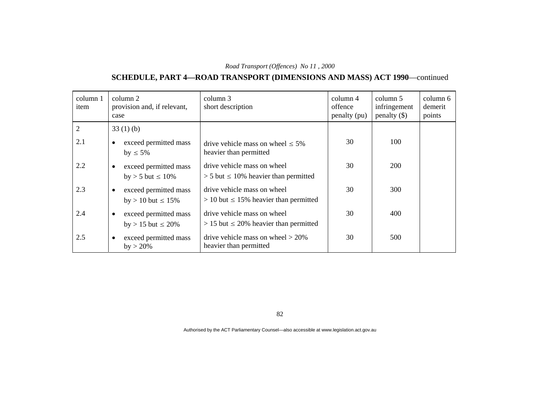# **SCHEDULE, PART 4—ROAD TRANSPORT (DIMENSIONS AND MASS) ACT 1990**—continued

| column 1<br>item | column 2<br>provision and, if relevant,<br>case                 | column 3<br>short description                                                | $\text{column } 4$<br>offence<br>penalty (pu) | column 5<br>infringement<br>penalty $(\$)$ | column 6<br>demerit<br>points |
|------------------|-----------------------------------------------------------------|------------------------------------------------------------------------------|-----------------------------------------------|--------------------------------------------|-------------------------------|
| $\overline{2}$   | 33(1)(b)                                                        |                                                                              |                                               |                                            |                               |
| 2.1              | exceed permitted mass<br>$\bullet$<br>$by \leq 5\%$             | drive vehicle mass on wheel $\leq 5\%$<br>heavier than permitted             | 30                                            | 100                                        |                               |
| 2.2              | exceed permitted mass<br>by $>$ 5 but $\leq$ 10%                | drive vehicle mass on wheel<br>$> 5$ but $\leq 10\%$ heavier than permitted  | 30                                            | <b>200</b>                                 |                               |
| 2.3              | exceed permitted mass<br>$\bullet$<br>$by > 10$ but $\leq 15\%$ | drive vehicle mass on wheel<br>$> 10$ but $\leq 15\%$ heavier than permitted | 30                                            | 300                                        |                               |
| 2.4              | exceed permitted mass<br>$\bullet$<br>by > 15 but $\leq$ 20%    | drive vehicle mass on wheel<br>$> 15$ but $\leq 20\%$ heavier than permitted | 30                                            | 400                                        |                               |
| 2.5              | exceed permitted mass<br>٠<br>$by > 20\%$                       | drive vehicle mass on wheel $> 20\%$<br>heavier than permitted               | 30                                            | 500                                        |                               |

82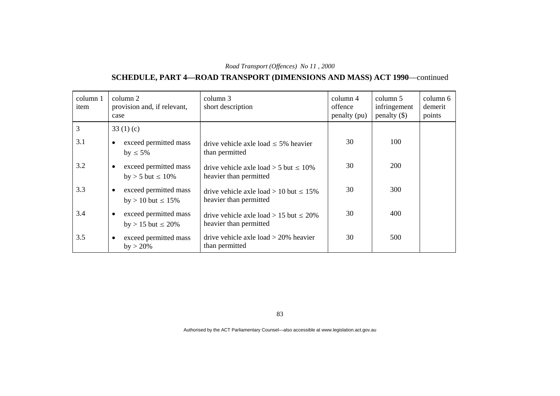# **SCHEDULE, PART 4—ROAD TRANSPORT (DIMENSIONS AND MASS) ACT 1990**—continued

| column 1<br>item | column 2<br>provision and, if relevant,<br>case               | column 3<br>short description                                           | $\text{column } 4$<br>offence<br>penalty (pu) | column 5<br>infringement<br>$penalty$ (\$) | column 6<br>demerit<br>points |
|------------------|---------------------------------------------------------------|-------------------------------------------------------------------------|-----------------------------------------------|--------------------------------------------|-------------------------------|
| 3                | 33 $(1)(c)$                                                   |                                                                         |                                               |                                            |                               |
| 3.1              | exceed permitted mass<br>$by \leq 5\%$                        | drive vehicle axle load $\leq$ 5% heavier<br>than permitted             | 30                                            | 100                                        |                               |
| 3.2              | exceed permitted mass<br>$\bullet$<br>by > 5 but $\leq 10\%$  | drive vehicle axle load $> 5$ but $\leq 10\%$<br>heavier than permitted | 30                                            | <b>200</b>                                 |                               |
| 3.3              | exceed permitted mass<br>$\bullet$<br>by > 10 but $\leq 15\%$ | drive vehicle axle load > 10 but $\leq 15\%$<br>heavier than permitted  | 30                                            | 300                                        |                               |
| 3.4              | exceed permitted mass<br>$\bullet$<br>by > 15 but $\leq$ 20%  | drive vehicle axle load > 15 but $\leq$ 20%<br>heavier than permitted   | 30                                            | 400                                        |                               |
| 3.5              | exceed permitted mass<br>$\bullet$<br>$by > 20\%$             | drive vehicle axle load $>$ 20% heavier<br>than permitted               | 30                                            | 500                                        |                               |

83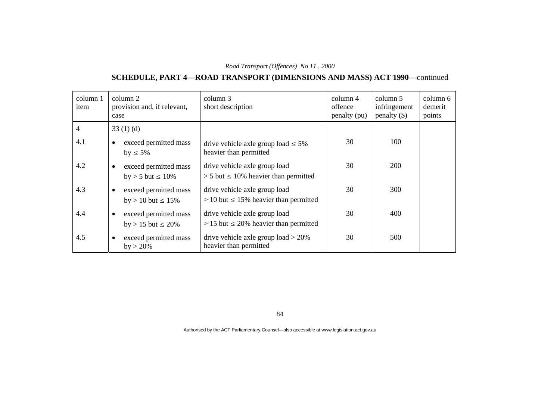# **SCHEDULE, PART 4—ROAD TRANSPORT (DIMENSIONS AND MASS) ACT 1990**—continued

| column 1<br>item | column 2<br>provision and, if relevant,<br>case                 | column 3<br>short description                                                  | $\text{column } 4$<br>offence<br>penalty (pu) | column 5<br>infringement<br>$penalty$ (\$) | column 6<br>demerit<br>points |
|------------------|-----------------------------------------------------------------|--------------------------------------------------------------------------------|-----------------------------------------------|--------------------------------------------|-------------------------------|
| $\overline{4}$   | 33(1)(d)                                                        |                                                                                |                                               |                                            |                               |
| 4.1              | exceed permitted mass<br>$\bullet$<br>by $\leq 5\%$             | drive vehicle axle group load $\leq 5\%$<br>heavier than permitted             | 30                                            | 100                                        |                               |
| 4.2              | exceed permitted mass<br>by > 5 but $\leq 10\%$                 | drive vehicle axle group load<br>$> 5$ but $\leq 10\%$ heavier than permitted  | 30                                            | <b>200</b>                                 |                               |
| 4.3              | exceed permitted mass<br>$\bullet$<br>by > 10 but $\leq 15\%$   | drive vehicle axle group load<br>$> 10$ but $\leq 15\%$ heavier than permitted | 30                                            | 300                                        |                               |
| 4.4              | exceed permitted mass<br>$\bullet$<br>$by > 15$ but $\leq 20\%$ | drive vehicle axle group load<br>$> 15$ but $\leq 20\%$ heavier than permitted | 30                                            | 400                                        |                               |
| 4.5              | exceed permitted mass<br>٠<br>$by > 20\%$                       | drive vehicle axle group load $> 20\%$<br>heavier than permitted               | 30                                            | 500                                        |                               |

84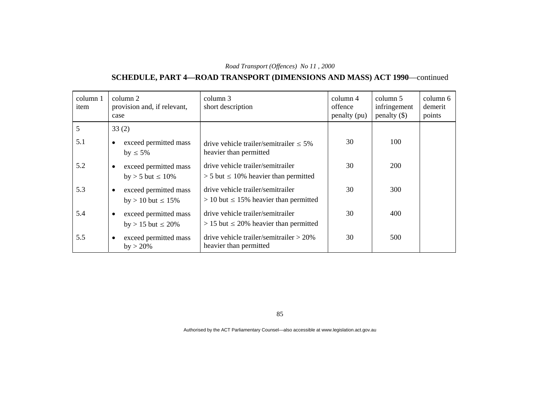# **SCHEDULE, PART 4—ROAD TRANSPORT (DIMENSIONS AND MASS) ACT 1990**—continued

| column 1<br>item | column 2<br>provision and, if relevant,<br>case                 | column 3<br>short description                                                      | $\text{column } 4$<br>offence<br>penalty (pu) | column 5<br>infringement<br>penalty $(\$)$ | column 6<br>demerit<br>points |
|------------------|-----------------------------------------------------------------|------------------------------------------------------------------------------------|-----------------------------------------------|--------------------------------------------|-------------------------------|
| 5                | 33(2)                                                           |                                                                                    |                                               |                                            |                               |
| 5.1              | exceed permitted mass<br>٠<br>$by \leq 5\%$                     | drive vehicle trailer/semitrailer $\leq 5\%$<br>heavier than permitted             | 30                                            | 100                                        |                               |
| 5.2              | exceed permitted mass<br>$\bullet$<br>by $>$ 5 but $\leq$ 10%   | drive vehicle trailer/semitrailer<br>$> 5$ but $\leq 10\%$ heavier than permitted  | 30                                            | 200                                        |                               |
| 5.3              | exceed permitted mass<br>$\bullet$<br>$by > 10$ but $\leq 15\%$ | drive vehicle trailer/semitrailer<br>$> 10$ but $\leq 15\%$ heavier than permitted | 30                                            | 300                                        |                               |
| 5.4              | exceed permitted mass<br>$\bullet$<br>by > 15 but $\leq$ 20%    | drive vehicle trailer/semitrailer<br>$> 15$ but $\leq 20\%$ heavier than permitted | 30                                            | 400                                        |                               |
| 5.5              | exceed permitted mass<br>$\bullet$<br>$by > 20\%$               | drive vehicle trailer/semitrailer $> 20\%$<br>heavier than permitted               | 30                                            | 500                                        |                               |

85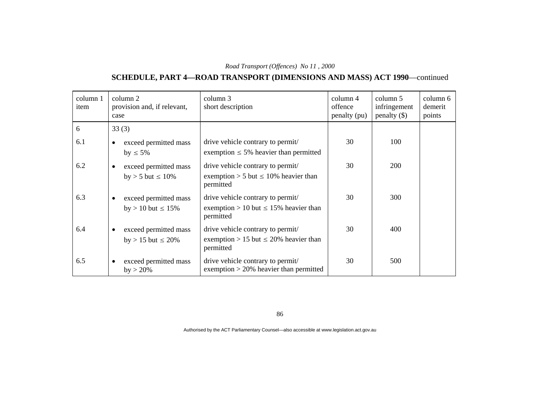# **SCHEDULE, PART 4—ROAD TRANSPORT (DIMENSIONS AND MASS) ACT 1990**—continued

| column 1<br>item | column 2<br>provision and, if relevant,<br>case                | column 3<br>short description                                                                | column 4<br>offence<br>penalty (pu) | column 5<br>infringement<br>$penalty$ (\$) | column 6<br>demerit<br>points |
|------------------|----------------------------------------------------------------|----------------------------------------------------------------------------------------------|-------------------------------------|--------------------------------------------|-------------------------------|
| 6                | 33(3)                                                          |                                                                                              |                                     |                                            |                               |
| 6.1              | exceed permitted mass<br>by $\leq 5\%$                         | drive vehicle contrary to permit/<br>exemption $\leq$ 5% heavier than permitted              | 30                                  | 100                                        |                               |
| 6.2              | exceed permitted mass<br>$\bullet$<br>by $> 5$ but $\leq 10\%$ | drive vehicle contrary to permit/<br>exemption > 5 but $\leq$ 10% heavier than<br>permitted  | 30                                  | <b>200</b>                                 |                               |
| 6.3              | exceed permitted mass<br>$by > 10$ but $\leq 15\%$             | drive vehicle contrary to permit/<br>exemption > 10 but $\leq$ 15% heavier than<br>permitted | 30                                  | 300                                        |                               |
| 6.4              | exceed permitted mass<br>٠<br>by > 15 but $\leq$ 20%           | drive vehicle contrary to permit/<br>exemption > 15 but $\leq$ 20% heavier than<br>permitted | 30                                  | 400                                        |                               |
| 6.5              | exceed permitted mass<br>$by > 20\%$                           | drive vehicle contrary to permit/<br>exemption $>$ 20% heavier than permitted                | 30                                  | 500                                        |                               |

86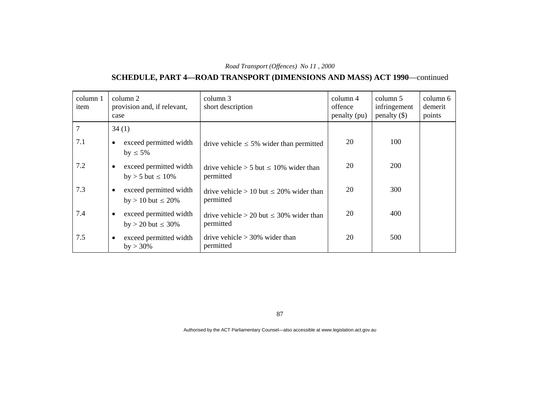# **SCHEDULE, PART 4—ROAD TRANSPORT (DIMENSIONS AND MASS) ACT 1990**—continued

| column 1<br>item | column 2<br>provision and, if relevant,<br>case                  | column 3<br>short description                                | column 4<br>offence<br>penalty (pu) | column 5<br>infringement<br>penalty $(\$)$ | column 6<br>demerit<br>points |
|------------------|------------------------------------------------------------------|--------------------------------------------------------------|-------------------------------------|--------------------------------------------|-------------------------------|
| $\overline{7}$   | 34(1)                                                            |                                                              |                                     |                                            |                               |
| 7.1              | exceed permitted width<br>by $\leq 5\%$                          | drive vehicle $\leq 5\%$ wider than permitted                | 20                                  | 100                                        |                               |
| 7.2              | exceed permitted width<br>٠<br>by $>$ 5 but $\leq$ 10%           | drive vehicle $> 5$ but $\leq 10\%$ wider than<br>permitted  | 20                                  | <b>200</b>                                 |                               |
| 7.3              | exceed permitted width<br>$\bullet$<br>by > 10 but $\leq$ 20%    | drive vehicle $> 10$ but $\leq 20\%$ wider than<br>permitted | 20                                  | 300                                        |                               |
| 7.4              | exceed permitted width<br>$\bullet$<br>$by > 20$ but $\leq 30\%$ | drive vehicle $> 20$ but $\leq 30\%$ wider than<br>permitted | 20                                  | 400                                        |                               |
| 7.5              | exceed permitted width<br>$\bullet$<br>$by > 30\%$               | drive vehicle $> 30\%$ wider than<br>permitted               | 20                                  | 500                                        |                               |

87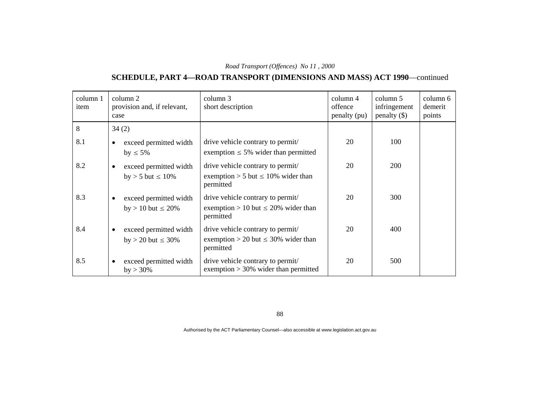# **SCHEDULE, PART 4—ROAD TRANSPORT (DIMENSIONS AND MASS) ACT 1990**—continued

| column 1<br>item | column 2<br>provision and, if relevant,<br>case                | column 3<br>short description                                                              | column 4<br>offence<br>penalty (pu) | column 5<br>infringement<br>$penalty$ (\$) | column 6<br>demerit<br>points |
|------------------|----------------------------------------------------------------|--------------------------------------------------------------------------------------------|-------------------------------------|--------------------------------------------|-------------------------------|
| 8                | 34(2)                                                          |                                                                                            |                                     |                                            |                               |
| 8.1              | exceed permitted width<br>by $\leq 5\%$                        | drive vehicle contrary to permit/<br>exemption $\leq 5\%$ wider than permitted             | 20                                  | 100                                        |                               |
| 8.2              | exceed permitted width<br>$\bullet$<br>by $>$ 5 but $\leq$ 10% | drive vehicle contrary to permit/<br>exemption > 5 but $\leq$ 10% wider than<br>permitted  | 20                                  | <b>200</b>                                 |                               |
| 8.3              | exceed permitted width<br>by > 10 but $\leq$ 20%               | drive vehicle contrary to permit/<br>exemption > 10 but $\leq$ 20% wider than<br>permitted | 20                                  | 300                                        |                               |
| 8.4              | exceed permitted width<br>٠<br>by > 20 but $\leq 30\%$         | drive vehicle contrary to permit/<br>exemption > 20 but $\leq$ 30% wider than<br>permitted | 20                                  | 400                                        |                               |
| 8.5              | exceed permitted width<br>$\bullet$<br>$by > 30\%$             | drive vehicle contrary to permit/<br>exemption $>$ 30% wider than permitted                | 20                                  | 500                                        |                               |

88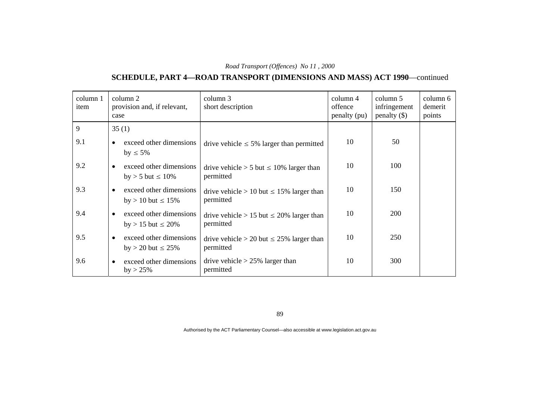# **SCHEDULE, PART 4—ROAD TRANSPORT (DIMENSIONS AND MASS) ACT 1990**—continued

| column 1<br>item | column 2<br>provision and, if relevant,<br>case                 | column 3<br>short description                                | column 4<br>offence<br>penalty (pu) | column 5<br>infringement<br>penalty $(\$)$ | column 6<br>demerit<br>points |
|------------------|-----------------------------------------------------------------|--------------------------------------------------------------|-------------------------------------|--------------------------------------------|-------------------------------|
| 9                | 35(1)                                                           |                                                              |                                     |                                            |                               |
| 9.1              | exceed other dimensions<br>by $\leq 5\%$                        | drive vehicle $\leq 5\%$ larger than permitted               | 10                                  | 50                                         |                               |
| 9.2              | exceed other dimensions<br>$\bullet$<br>by $>$ 5 but $\leq$ 10% | drive vehicle $> 5$ but $\leq 10\%$ larger than<br>permitted | 10                                  | 100                                        |                               |
| 9.3              | exceed other dimensions<br>by > 10 but $\leq 15\%$              | drive vehicle > 10 but $\leq$ 15% larger than<br>permitted   | 10                                  | 150                                        |                               |
| 9.4              | exceed other dimensions<br>$\bullet$<br>by > 15 but $\leq$ 20%  | drive vehicle > 15 but $\leq$ 20% larger than<br>permitted   | 10                                  | 200                                        |                               |
| 9.5              | exceed other dimensions<br>by > 20 but $\leq$ 25%               | drive vehicle > 20 but $\leq$ 25% larger than<br>permitted   | 10                                  | 250                                        |                               |
| 9.6              | exceed other dimensions<br>$\bullet$<br>$by > 25\%$             | drive vehicle $> 25\%$ larger than<br>permitted              | 10                                  | 300                                        |                               |

89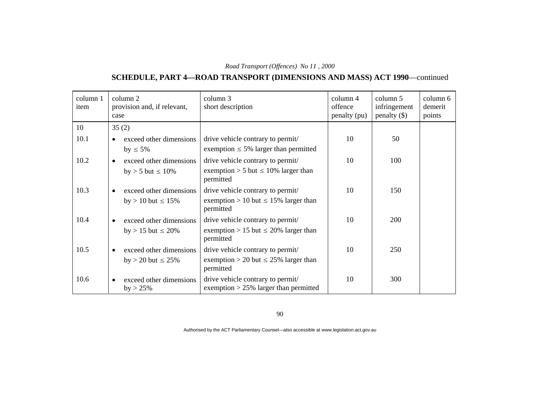# **SCHEDULE, PART 4—ROAD TRANSPORT (DIMENSIONS AND MASS) ACT 1990**—continued

| column 1<br>item | column 2<br>provision and, if relevant,<br>case     | column 3<br>short description                                                | column 4<br>offence<br>penalty (pu) | column 5<br>infringement<br>$penalty$ (\$) | column 6<br>demerit<br>points |
|------------------|-----------------------------------------------------|------------------------------------------------------------------------------|-------------------------------------|--------------------------------------------|-------------------------------|
| 10               | 35(2)                                               |                                                                              |                                     |                                            |                               |
| 10.1             | exceed other dimensions                             | drive vehicle contrary to permit/                                            | 10                                  | 50                                         |                               |
|                  | by $\leq 5\%$                                       | exemption $\leq$ 5% larger than permitted                                    |                                     |                                            |                               |
| 10.2             | exceed other dimensions<br>$\bullet$                | drive vehicle contrary to permit/                                            | 10                                  | 100                                        |                               |
|                  | by > 5 but $\leq 10\%$                              | exemption > 5 but $\leq$ 10% larger than<br>permitted                        |                                     |                                            |                               |
| 10.3             | exceed other dimensions                             | drive vehicle contrary to permit/                                            | 10                                  | 150                                        |                               |
|                  | by > 10 but $\leq 15\%$                             | exemption > 10 but $\leq$ 15% larger than<br>permitted                       |                                     |                                            |                               |
| 10.4             | exceed other dimensions                             | drive vehicle contrary to permit/                                            | 10                                  | <b>200</b>                                 |                               |
|                  | by > 15 but $\leq$ 20%                              | exemption > 15 but $\leq$ 20% larger than<br>permitted                       |                                     |                                            |                               |
| 10.5             | exceed other dimensions<br>$\bullet$                | drive vehicle contrary to permit/                                            | 10                                  | 250                                        |                               |
|                  | by > 20 but $\leq$ 25%                              | exemption > 20 but $\leq$ 25% larger than<br>permitted                       |                                     |                                            |                               |
| 10.6             | exceed other dimensions<br>$\bullet$<br>$by > 25\%$ | drive vehicle contrary to permit/<br>exemption $>$ 25% larger than permitted | 10                                  | 300                                        |                               |

90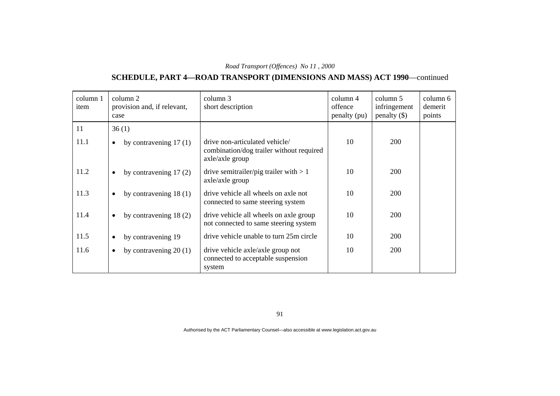# **SCHEDULE, PART 4—ROAD TRANSPORT (DIMENSIONS AND MASS) ACT 1990**—continued

| column 1<br>item | column 2<br>provision and, if relevant,<br>case | column 3<br>short description                                                                 | column 4<br>offence<br>penalty (pu) | column 5<br>infringement<br>penalty $(\$)$ | column 6<br>demerit<br>points |
|------------------|-------------------------------------------------|-----------------------------------------------------------------------------------------------|-------------------------------------|--------------------------------------------|-------------------------------|
| 11               | 36(1)                                           |                                                                                               |                                     |                                            |                               |
| 11.1             | by contravening $17(1)$<br>$\bullet$            | drive non-articulated vehicle/<br>combination/dog trailer without required<br>axle/axle group | 10                                  | 200                                        |                               |
| 11.2             | by contravening $17(2)$<br>$\bullet$            | drive semitrailer/pig trailer with $> 1$<br>axle/axle group                                   | 10                                  | <b>200</b>                                 |                               |
| 11.3             | by contravening $18(1)$<br>$\bullet$            | drive vehicle all wheels on axle not<br>connected to same steering system                     | 10                                  | <b>200</b>                                 |                               |
| 11.4             | by contravening $18(2)$<br>$\bullet$            | drive vehicle all wheels on axle group<br>not connected to same steering system               | 10                                  | <b>200</b>                                 |                               |
| 11.5             | by contravening 19<br>$\bullet$                 | drive vehicle unable to turn 25m circle                                                       | 10                                  | 200                                        |                               |
| 11.6             | by contravening $20(1)$<br>$\bullet$            | drive vehicle axle/axle group not<br>connected to acceptable suspension<br>system             | 10                                  | 200                                        |                               |

91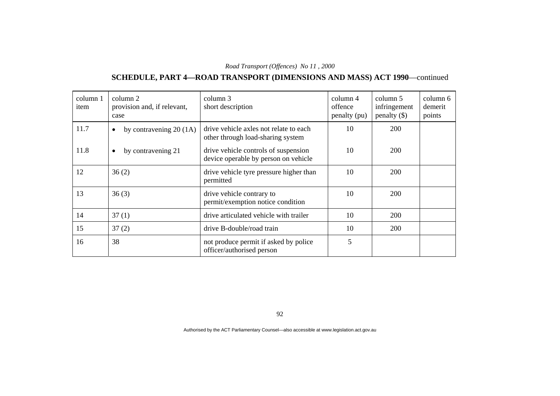# **SCHEDULE, PART 4—ROAD TRANSPORT (DIMENSIONS AND MASS) ACT 1990**—continued

| column 1<br>item | column 2<br>provision and, if relevant,<br>case | column 3<br>short description                                                | $\text{column } 4$<br>offence<br>penalty (pu) | column 5<br>infringement<br>penalty $(\$)$ | column 6<br>demerit<br>points |
|------------------|-------------------------------------------------|------------------------------------------------------------------------------|-----------------------------------------------|--------------------------------------------|-------------------------------|
| 11.7             | by contravening $20(1A)$<br>$\bullet$           | drive vehicle axles not relate to each<br>other through load-sharing system  | 10                                            | 200                                        |                               |
| 11.8             | by contravening 21<br>$\bullet$                 | drive vehicle controls of suspension<br>device operable by person on vehicle | 10                                            | 200                                        |                               |
| 12               | 36(2)                                           | drive vehicle tyre pressure higher than<br>permitted                         | 10                                            | 200                                        |                               |
| 13               | 36(3)                                           | drive vehicle contrary to<br>permit/exemption notice condition               | 10                                            | <b>200</b>                                 |                               |
| 14               | 37(1)                                           | drive articulated vehicle with trailer                                       | 10                                            | <b>200</b>                                 |                               |
| 15               | 37(2)                                           | drive B-double/road train                                                    | 10                                            | 200                                        |                               |
| 16               | 38                                              | not produce permit if asked by police<br>officer/authorised person           | 5                                             |                                            |                               |

92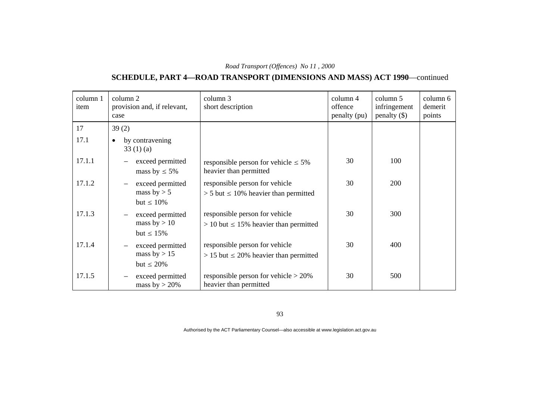# **SCHEDULE, PART 4—ROAD TRANSPORT (DIMENSIONS AND MASS) ACT 1990**—continued

| column 1<br>item | column 2<br>provision and, if relevant,<br>case                                   | column 3<br>short description                                                   | column 4<br>offence<br>penalty (pu) | column 5<br>infringement<br>penalty $(\$)$ | column 6<br>demerit<br>points |
|------------------|-----------------------------------------------------------------------------------|---------------------------------------------------------------------------------|-------------------------------------|--------------------------------------------|-------------------------------|
| 17               | 39(2)                                                                             |                                                                                 |                                     |                                            |                               |
| 17.1             | by contravening<br>$\bullet$<br>33(1)(a)                                          |                                                                                 |                                     |                                            |                               |
| 17.1.1           | exceed permitted<br>mass by $\leq 5\%$                                            | responsible person for vehicle $\leq 5\%$<br>heavier than permitted             | 30                                  | 100                                        |                               |
| 17.1.2           | exceed permitted<br>$\overline{\phantom{m}}$<br>mass by $> 5$<br>but $\leq 10\%$  | responsible person for vehicle<br>$> 5$ but $\leq 10\%$ heavier than permitted  | 30                                  | 200                                        |                               |
| 17.1.3           | exceed permitted<br>$\overline{\phantom{m}}$<br>mass by $> 10$<br>but $\leq 15\%$ | responsible person for vehicle<br>$> 10$ but $\leq 15\%$ heavier than permitted | 30                                  | 300                                        |                               |
| 17.1.4           | exceed permitted<br>mass by $> 15$<br>but $\leq 20\%$                             | responsible person for vehicle<br>$> 15$ but $\leq 20\%$ heavier than permitted | 30                                  | 400                                        |                               |
| 17.1.5           | exceed permitted<br>$\overline{\phantom{m}}$<br>mass by $>$ 20%                   | responsible person for vehicle $> 20\%$<br>heavier than permitted               | 30                                  | 500                                        |                               |

93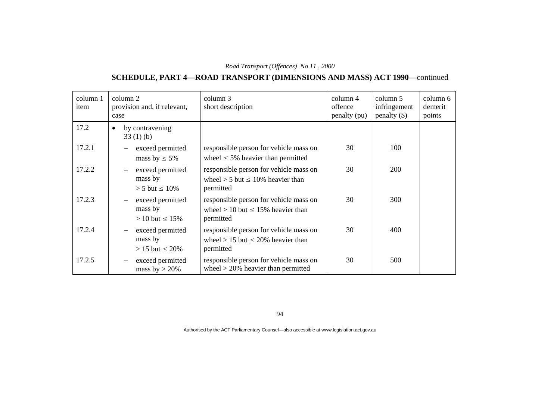### **SCHEDULE, PART 4—ROAD TRANSPORT (DIMENSIONS AND MASS) ACT 1990**—continued

| column 1<br>item | column 2<br>provision and, if relevant,<br>case                                   | column 3<br>short description                                                                    | column 4<br>offence<br>penalty (pu) | column 5<br>infringement<br>$penalty$ (\$) | column 6<br>demerit<br>points |
|------------------|-----------------------------------------------------------------------------------|--------------------------------------------------------------------------------------------------|-------------------------------------|--------------------------------------------|-------------------------------|
| 17.2             | by contravening<br>$\bullet$<br>33(1)(b)                                          |                                                                                                  |                                     |                                            |                               |
| 17.2.1           | exceed permitted<br>mass by $\leq 5\%$                                            | responsible person for vehicle mass on<br>wheel $\leq$ 5% heavier than permitted                 | 30                                  | 100                                        |                               |
| 17.2.2           | exceed permitted<br>$\overline{\phantom{m}}$<br>mass by<br>$> 5$ but $\leq 10\%$  | responsible person for vehicle mass on<br>wheel $> 5$ but $\leq 10\%$ heavier than<br>permitted  | 30                                  | 200                                        |                               |
| 17.2.3           | exceed permitted<br>$\overline{\phantom{m}}$<br>mass by<br>$> 10$ but $\leq 15\%$ | responsible person for vehicle mass on<br>wheel $> 10$ but $\leq 15\%$ heavier than<br>permitted | 30                                  | 300                                        |                               |
| 17.2.4           | exceed permitted<br>$\overline{\phantom{m}}$<br>mass by<br>$> 15$ but $\leq 20\%$ | responsible person for vehicle mass on<br>wheel > 15 but $\leq$ 20% heavier than<br>permitted    | 30                                  | 400                                        |                               |
| 17.2.5           | exceed permitted<br>$\overline{\phantom{m}}$<br>mass by $>$ 20%                   | responsible person for vehicle mass on<br>wheel $>$ 20% heavier than permitted                   | 30                                  | 500                                        |                               |

94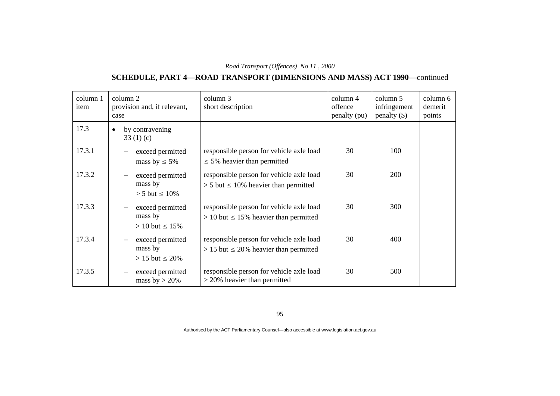# **SCHEDULE, PART 4—ROAD TRANSPORT (DIMENSIONS AND MASS) ACT 1990**—continued

| column 1<br>item | column 2<br>provision and, if relevant,<br>case                                   | column 3<br>short description                                                             | $\text{column } 4$<br>offence<br>penalty (pu) | column 5<br>infringement<br>penalty $(\$)$ | column 6<br>demerit<br>points |
|------------------|-----------------------------------------------------------------------------------|-------------------------------------------------------------------------------------------|-----------------------------------------------|--------------------------------------------|-------------------------------|
| 17.3             | by contravening<br>$\bullet$<br>33(1)(c)                                          |                                                                                           |                                               |                                            |                               |
| 17.3.1           | exceed permitted<br>mass by $\leq 5\%$                                            | responsible person for vehicle axle load<br>$\leq$ 5% heavier than permitted              | 30                                            | 100                                        |                               |
| 17.3.2           | exceed permitted<br>$\overline{\phantom{m}}$<br>mass by<br>$> 5$ but $\leq 10\%$  | responsible person for vehicle axle load<br>$> 5$ but $\leq 10\%$ heavier than permitted  | 30                                            | 200                                        |                               |
| 17.3.3           | exceed permitted<br>$\overline{\phantom{m}}$<br>mass by<br>$> 10$ but $\leq 15\%$ | responsible person for vehicle axle load<br>$> 10$ but $\leq 15\%$ heavier than permitted | 30                                            | 300                                        |                               |
| 17.3.4           | exceed permitted<br>$\overline{\phantom{m}}$<br>mass by<br>$> 15$ but $\leq 20\%$ | responsible person for vehicle axle load<br>$> 15$ but $\leq 20\%$ heavier than permitted | 30                                            | 400                                        |                               |
| 17.3.5           | exceed permitted<br>$\overline{\phantom{m}}$<br>mass by $>$ 20%                   | responsible person for vehicle axle load<br>$>$ 20% heavier than permitted                | 30                                            | 500                                        |                               |

95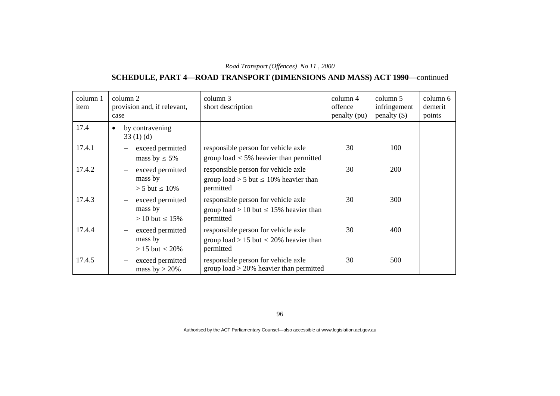# **SCHEDULE, PART 4—ROAD TRANSPORT (DIMENSIONS AND MASS) ACT 1990**—continued

| column 1<br>item | column 2<br>provision and, if relevant,<br>case                                   | column 3<br>short description                                                                   | column 4<br>offence<br>penalty (pu) | column 5<br>infringement<br>$penalty$ (\$) | column 6<br>demerit<br>points |
|------------------|-----------------------------------------------------------------------------------|-------------------------------------------------------------------------------------------------|-------------------------------------|--------------------------------------------|-------------------------------|
| 17.4             | by contravening<br>$\bullet$<br>33(1)(d)                                          |                                                                                                 |                                     |                                            |                               |
| 17.4.1           | exceed permitted<br>mass by $\leq 5\%$                                            | responsible person for vehicle axle<br>group load $\leq$ 5% heavier than permitted              | 30                                  | 100                                        |                               |
| 17.4.2           | exceed permitted<br>$\overline{\phantom{m}}$<br>mass by<br>$> 5$ but $\leq 10\%$  | responsible person for vehicle axle<br>group load > 5 but $\leq$ 10% heavier than<br>permitted  | 30                                  | 200                                        |                               |
| 17.4.3           | exceed permitted<br>$\overline{\phantom{m}}$<br>mass by<br>$> 10$ but $\leq 15\%$ | responsible person for vehicle axle<br>group load > 10 but $\leq$ 15% heavier than<br>permitted | 30                                  | 300                                        |                               |
| 17.4.4           | exceed permitted<br>$\overline{\phantom{m}}$<br>mass by<br>$> 15$ but $\leq 20\%$ | responsible person for vehicle axle<br>group load > 15 but $\leq$ 20% heavier than<br>permitted | 30                                  | 400                                        |                               |
| 17.4.5           | exceed permitted<br>$\overline{\phantom{m}}$<br>mass by $>$ 20%                   | responsible person for vehicle axle<br>group load $>$ 20% heavier than permitted                | 30                                  | 500                                        |                               |

96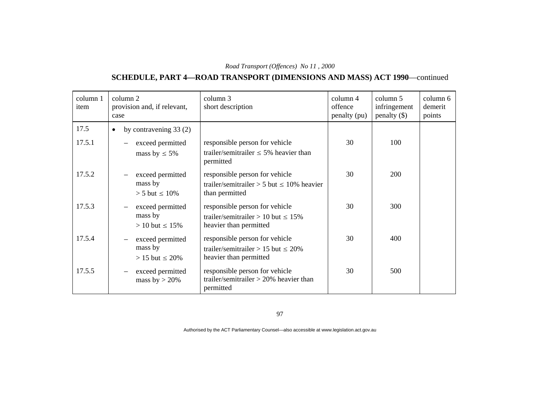# **SCHEDULE, PART 4—ROAD TRANSPORT (DIMENSIONS AND MASS) ACT 1990**—continued

| column 1<br>item | column 2<br>provision and, if relevant,<br>case                                   | column 3<br>short description                                                                        | column 4<br>offence<br>penalty (pu) | column 5<br>infringement<br>$penalty$ (\$) | column 6<br>demerit<br>points |
|------------------|-----------------------------------------------------------------------------------|------------------------------------------------------------------------------------------------------|-------------------------------------|--------------------------------------------|-------------------------------|
| 17.5             | by contravening $33(2)$<br>٠                                                      |                                                                                                      |                                     |                                            |                               |
| 17.5.1           | exceed permitted<br>mass by $\leq 5\%$                                            | responsible person for vehicle<br>trailer/semitrailer $\leq$ 5% heavier than<br>permitted            | 30                                  | 100                                        |                               |
| 17.5.2           | exceed permitted<br>mass by<br>$> 5$ but $\leq 10\%$                              | responsible person for vehicle<br>trailer/semitrailer > 5 but $\leq 10\%$ heavier<br>than permitted  | 30                                  | 200                                        |                               |
| 17.5.3           | exceed permitted<br>mass by<br>$> 10$ but $\leq 15\%$                             | responsible person for vehicle<br>trailer/semitrailer > 10 but $\leq 15\%$<br>heavier than permitted | 30                                  | 300                                        |                               |
| 17.5.4           | exceed permitted<br>$\overline{\phantom{m}}$<br>mass by<br>$> 15$ but $\leq 20\%$ | responsible person for vehicle<br>trailer/semitrailer > 15 but $\leq$ 20%<br>heavier than permitted  | 30                                  | 400                                        |                               |
| 17.5.5           | exceed permitted<br>mass by $>$ 20%                                               | responsible person for vehicle<br>trailer/semitrailer $> 20\%$ heavier than<br>permitted             | 30                                  | 500                                        |                               |

97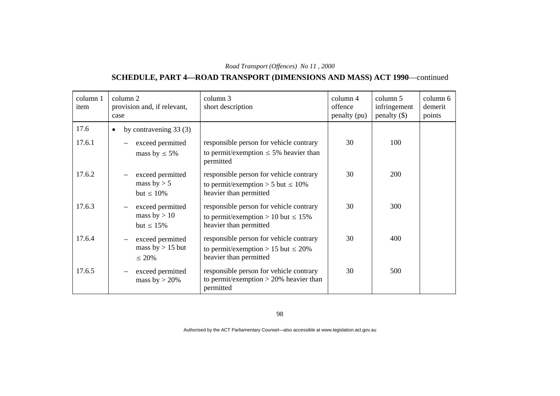# **SCHEDULE, PART 4—ROAD TRANSPORT (DIMENSIONS AND MASS) ACT 1990**—continued

| column 1<br>item | column 2<br>provision and, if relevant,<br>case                                   | column 3<br>short description                                                                                 | $\text{column } 4$<br>offence<br>penalty (pu) | column 5<br>infringement<br>$penalty$ (\$) | column 6<br>demerit<br>points |
|------------------|-----------------------------------------------------------------------------------|---------------------------------------------------------------------------------------------------------------|-----------------------------------------------|--------------------------------------------|-------------------------------|
| 17.6             | by contravening $33(3)$<br>٠                                                      |                                                                                                               |                                               |                                            |                               |
| 17.6.1           | exceed permitted<br>mass by $\leq 5\%$                                            | responsible person for vehicle contrary<br>to permit/exemption $\leq$ 5% heavier than<br>permitted            | 30                                            | 100                                        |                               |
| 17.6.2           | exceed permitted<br>mass by $> 5$<br>but $\leq 10\%$                              | responsible person for vehicle contrary<br>to permit/exemption > 5 but $\leq 10\%$<br>heavier than permitted  | 30                                            | 200                                        |                               |
| 17.6.3           | exceed permitted<br>mass by $> 10$<br>but $\leq 15\%$                             | responsible person for vehicle contrary<br>to permit/exemption > 10 but $\leq 15\%$<br>heavier than permitted | 30                                            | 300                                        |                               |
| 17.6.4           | exceed permitted<br>$\overline{\phantom{m}}$<br>mass $by > 15$ but<br>$\leq 20\%$ | responsible person for vehicle contrary<br>to permit/exemption > 15 but $\leq$ 20%<br>heavier than permitted  | 30                                            | 400                                        |                               |
| 17.6.5           | exceed permitted<br>mass by $>$ 20%                                               | responsible person for vehicle contrary<br>to permit/exemption $> 20\%$ heavier than<br>permitted             | 30                                            | 500                                        |                               |

98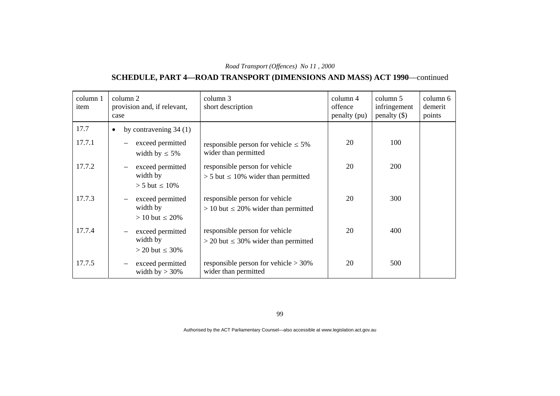# **SCHEDULE, PART 4—ROAD TRANSPORT (DIMENSIONS AND MASS) ACT 1990**—continued

| column 1<br>item | column 2<br>provision and, if relevant,<br>case                                   | column 3<br>short description                                                 | column 4<br>offence<br>penalty (pu) | column 5<br>infringement<br>$penalty$ (\$) | column 6<br>demerit<br>points |
|------------------|-----------------------------------------------------------------------------------|-------------------------------------------------------------------------------|-------------------------------------|--------------------------------------------|-------------------------------|
| 17.7             | by contravening $34(1)$<br>$\bullet$                                              |                                                                               |                                     |                                            |                               |
| 17.7.1           | exceed permitted<br>width by $\leq 5\%$                                           | responsible person for vehicle $\leq 5\%$<br>wider than permitted             | 20                                  | 100                                        |                               |
| 17.7.2           | exceed permitted<br>$\overline{\phantom{m}}$<br>width by<br>$> 5$ but $\leq 10\%$ | responsible person for vehicle<br>$> 5$ but $\leq 10\%$ wider than permitted  | 20                                  | <b>200</b>                                 |                               |
| 17.7.3           | exceed permitted<br>width by<br>$> 10$ but $\leq 20\%$                            | responsible person for vehicle<br>$> 10$ but $\leq 20\%$ wider than permitted | 20                                  | 300                                        |                               |
| 17.7.4           | exceed permitted<br>width by<br>$>$ 20 but $\leq$ 30%                             | responsible person for vehicle<br>$>$ 20 but $\leq$ 30% wider than permitted  | 20                                  | 400                                        |                               |
| 17.7.5           | exceed permitted<br>width by $>$ 30%                                              | responsible person for vehicle $> 30\%$<br>wider than permitted               | 20                                  | 500                                        |                               |

99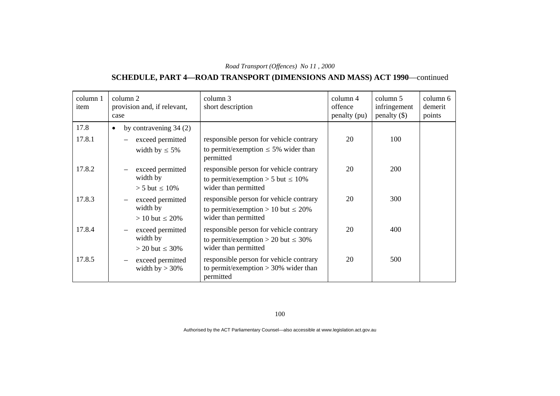# **SCHEDULE, PART 4—ROAD TRANSPORT (DIMENSIONS AND MASS) ACT 1990**—continued

| column 1<br>item | column 2<br>provision and, if relevant,<br>case | column 3<br>short description                                                     | column 4<br>offence<br>penalty (pu) | column 5<br>infringement<br>penalty $(\$)$ | column 6<br>demerit<br>points |
|------------------|-------------------------------------------------|-----------------------------------------------------------------------------------|-------------------------------------|--------------------------------------------|-------------------------------|
| 17.8             | by contravening $34(2)$<br>$\bullet$            |                                                                                   |                                     |                                            |                               |
| 17.8.1           | exceed permitted                                | responsible person for vehicle contrary                                           | 20                                  | 100                                        |                               |
|                  | width by $\leq 5\%$                             | to permit/exemption $\leq$ 5% wider than<br>permitted                             |                                     |                                            |                               |
| 17.8.2           | exceed permitted                                | responsible person for vehicle contrary                                           | 20                                  | <b>200</b>                                 |                               |
|                  | width by<br>$> 5$ but $\leq 10\%$               | to permit/exemption > 5 but $\leq 10\%$<br>wider than permitted                   |                                     |                                            |                               |
| 17.8.3           | exceed permitted<br>$\overline{\phantom{m}}$    | responsible person for vehicle contrary                                           | 20                                  | 300                                        |                               |
|                  | width by                                        | to permit/exemption > 10 but $\leq 20\%$                                          |                                     |                                            |                               |
|                  | $> 10$ but $\leq 20\%$                          | wider than permitted                                                              |                                     |                                            |                               |
| 17.8.4           | exceed permitted                                | responsible person for vehicle contrary                                           | 20                                  | 400                                        |                               |
|                  | width by                                        | to permit/exemption > 20 but $\leq$ 30%                                           |                                     |                                            |                               |
|                  | $>$ 20 but $\leq$ 30%                           | wider than permitted                                                              |                                     |                                            |                               |
| 17.8.5           | exceed permitted<br>width by $>$ 30%            | responsible person for vehicle contrary<br>to permit/exemption $>$ 30% wider than | 20                                  | 500                                        |                               |
|                  |                                                 | permitted                                                                         |                                     |                                            |                               |

100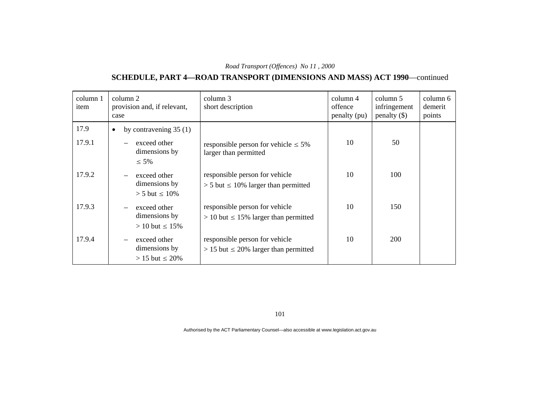# **SCHEDULE, PART 4—ROAD TRANSPORT (DIMENSIONS AND MASS) ACT 1990**—continued

| column 1<br>item | column 2<br>provision and, if relevant,<br>case         | column 3<br>short description                                                  | column 4<br>offence<br>penalty (pu) | column 5<br>infringement<br>penalty $(\$)$ | column 6<br>demerit<br>points |
|------------------|---------------------------------------------------------|--------------------------------------------------------------------------------|-------------------------------------|--------------------------------------------|-------------------------------|
| 17.9             | by contravening $35(1)$<br>$\bullet$                    |                                                                                |                                     |                                            |                               |
| 17.9.1           | exceed other<br>dimensions by<br>$\leq 5\%$             | responsible person for vehicle $\leq 5\%$<br>larger than permitted             | 10                                  | 50                                         |                               |
| 17.9.2           | exceed other<br>dimensions by<br>$> 5$ but $\leq 10\%$  | responsible person for vehicle<br>$> 5$ but $\leq 10\%$ larger than permitted  | 10                                  | 100                                        |                               |
| 17.9.3           | exceed other<br>dimensions by<br>$> 10$ but $\leq 15\%$ | responsible person for vehicle<br>$> 10$ but $\leq 15\%$ larger than permitted | 10                                  | 150                                        |                               |
| 17.9.4           | exceed other<br>dimensions by<br>$> 15$ but $\leq 20\%$ | responsible person for vehicle<br>$> 15$ but $\leq 20\%$ larger than permitted | 10                                  | <b>200</b>                                 |                               |

101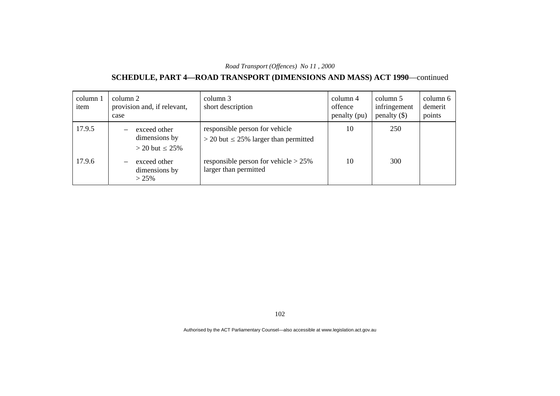# **SCHEDULE, PART 4—ROAD TRANSPORT (DIMENSIONS AND MASS) ACT 1990**—continued

| column 1<br>item | column 2<br>case | provision and, if relevant,                            | column 3<br>short description                                                 | column 4<br>offence<br>penalty (pu) | column 5<br>infringement<br>penalty $(\$)$ | column 6<br>demerit<br>points |
|------------------|------------------|--------------------------------------------------------|-------------------------------------------------------------------------------|-------------------------------------|--------------------------------------------|-------------------------------|
| 17.9.5           |                  | exceed other<br>dimensions by<br>$>$ 20 but $\leq$ 25% | responsible person for vehicle<br>$>$ 20 but $\leq$ 25% larger than permitted | 10                                  | 250                                        |                               |
| 17.9.6           |                  | exceed other<br>dimensions by<br>>25%                  | responsible person for vehicle $> 25\%$<br>larger than permitted              | 10                                  | 300                                        |                               |

102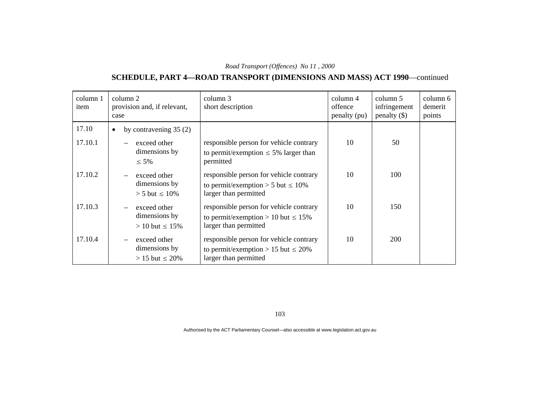# **SCHEDULE, PART 4—ROAD TRANSPORT (DIMENSIONS AND MASS) ACT 1990**—continued

| column 1<br>item | column 2<br>provision and, if relevant,<br>case         | column 3<br>short description                                                                                | $\text{column } 4$<br>offence<br>penalty (pu) | column 5<br>infringement<br>penalty $(\$)$ | column 6<br>demerit<br>points |
|------------------|---------------------------------------------------------|--------------------------------------------------------------------------------------------------------------|-----------------------------------------------|--------------------------------------------|-------------------------------|
| 17.10            | by contravening $35(2)$<br>$\bullet$                    |                                                                                                              |                                               |                                            |                               |
| 17.10.1          | exceed other<br>dimensions by<br>$\leq 5\%$             | responsible person for vehicle contrary<br>to permit/exemption $\leq$ 5% larger than<br>permitted            | 10                                            | 50                                         |                               |
| 17.10.2          | exceed other<br>dimensions by<br>$> 5$ but $\leq 10\%$  | responsible person for vehicle contrary<br>to permit/exemption > 5 but $\leq 10\%$<br>larger than permitted  | 10                                            | 100                                        |                               |
| 17.10.3          | exceed other<br>dimensions by<br>$> 10$ but $\leq 15\%$ | responsible person for vehicle contrary<br>to permit/exemption > 10 but $\leq 15\%$<br>larger than permitted | 10                                            | 150                                        |                               |
| 17.10.4          | exceed other<br>dimensions by<br>$> 15$ but $\leq 20\%$ | responsible person for vehicle contrary<br>to permit/exemption > 15 but $\leq 20\%$<br>larger than permitted | 10                                            | 200                                        |                               |

103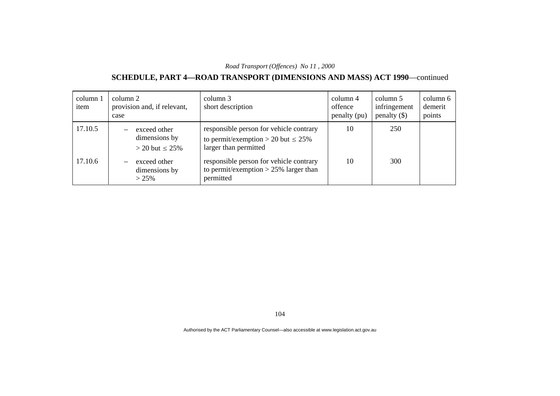# **SCHEDULE, PART 4—ROAD TRANSPORT (DIMENSIONS AND MASS) ACT 1990**—continued

| column 1<br>item | column 2<br>provision and, if relevant,<br>case        | column 3<br>short description                                                                               | column 4<br>offence<br>penalty (pu) | column 5<br>infringement<br>penalty $(\$)$ | column 6<br>demerit<br>points |
|------------------|--------------------------------------------------------|-------------------------------------------------------------------------------------------------------------|-------------------------------------|--------------------------------------------|-------------------------------|
| 17.10.5          | exceed other<br>dimensions by<br>$>$ 20 but $\leq$ 25% | responsible person for vehicle contrary<br>to permit/exemption > 20 but $\leq$ 25%<br>larger than permitted | 10                                  | 250                                        |                               |
| 17.10.6          | exceed other<br>dimensions by<br>>25%                  | responsible person for vehicle contrary<br>to permit/exemption $>$ 25% larger than<br>permitted             | 10                                  | 300                                        |                               |

104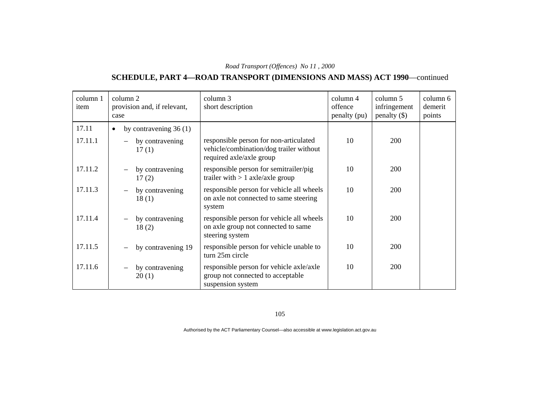# **SCHEDULE, PART 4—ROAD TRANSPORT (DIMENSIONS AND MASS) ACT 1990**—continued

| column 1<br>item | column 2<br>provision and, if relevant,<br>case | column 3<br>short description                                                                                 | column 4<br>offence<br>penalty (pu) | column 5<br>infringement<br>$penalty$ (\$) | column 6<br>demerit<br>points |
|------------------|-------------------------------------------------|---------------------------------------------------------------------------------------------------------------|-------------------------------------|--------------------------------------------|-------------------------------|
| 17.11            | by contravening 36 (1)<br>$\bullet$             |                                                                                                               |                                     |                                            |                               |
| 17.11.1          | by contravening<br>17(1)                        | responsible person for non-articulated<br>vehicle/combination/dog trailer without<br>required axle/axle group | 10                                  | 200                                        |                               |
| 17.11.2          | by contravening<br>17(2)                        | responsible person for semitrailer/pig<br>trailer with $> 1$ axle/axle group                                  | 10                                  | 200                                        |                               |
| 17.11.3          | by contravening<br>18(1)                        | responsible person for vehicle all wheels<br>on axle not connected to same steering<br>system                 | 10                                  | 200                                        |                               |
| 17.11.4          | by contravening<br>18(2)                        | responsible person for vehicle all wheels<br>on axle group not connected to same<br>steering system           | 10                                  | <b>200</b>                                 |                               |
| 17.11.5          | by contravening 19                              | responsible person for vehicle unable to<br>turn 25m circle                                                   | 10                                  | 200                                        |                               |
| 17.11.6          | by contravening<br>20(1)                        | responsible person for vehicle axle/axle<br>group not connected to acceptable<br>suspension system            | 10                                  | 200                                        |                               |

105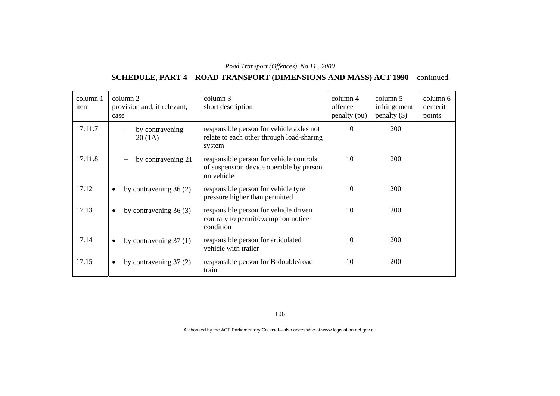# **SCHEDULE, PART 4—ROAD TRANSPORT (DIMENSIONS AND MASS) ACT 1990**—continued

| column 1<br>item | column 2<br>provision and, if relevant,<br>case | column 3<br>short description                                                                    | column 4<br>offence<br>penalty (pu) | column 5<br>infringement<br>penalty $(\$)$ | column 6<br>demerit<br>points |
|------------------|-------------------------------------------------|--------------------------------------------------------------------------------------------------|-------------------------------------|--------------------------------------------|-------------------------------|
| 17.11.7          | by contravening<br>20(1A)                       | responsible person for vehicle axles not<br>relate to each other through load-sharing<br>system  | 10                                  | <b>200</b>                                 |                               |
| 17.11.8          | by contravening 21                              | responsible person for vehicle controls<br>of suspension device operable by person<br>on vehicle | 10                                  | <b>200</b>                                 |                               |
| 17.12            | by contravening $36(2)$<br>$\bullet$            | responsible person for vehicle tyre<br>pressure higher than permitted                            | 10                                  | <b>200</b>                                 |                               |
| 17.13            | by contravening $36(3)$<br>$\bullet$            | responsible person for vehicle driven<br>contrary to permit/exemption notice<br>condition        | 10                                  | <b>200</b>                                 |                               |
| 17.14            | by contravening $37(1)$<br>$\bullet$            | responsible person for articulated<br>vehicle with trailer                                       | 10                                  | <b>200</b>                                 |                               |
| 17.15            | by contravening $37(2)$<br>$\bullet$            | responsible person for B-double/road<br>train                                                    | 10                                  | 200                                        |                               |

106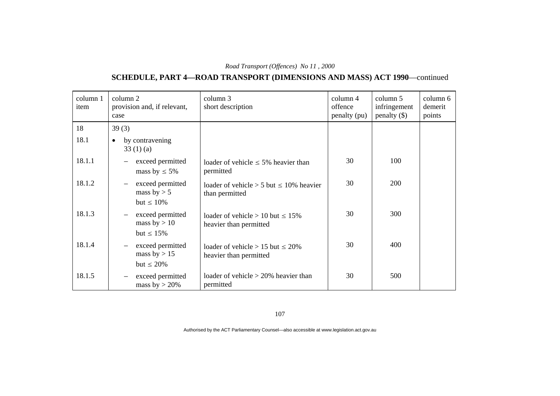# **SCHEDULE, PART 4—ROAD TRANSPORT (DIMENSIONS AND MASS) ACT 1990**—continued

| column 1<br>item | column 2<br>provision and, if relevant,<br>case                                   | column 3<br>short description                                      | column 4<br>offence<br>penalty (pu) | column 5<br>infringement<br>$penalty$ (\$) | column 6<br>demerit<br>points |
|------------------|-----------------------------------------------------------------------------------|--------------------------------------------------------------------|-------------------------------------|--------------------------------------------|-------------------------------|
| 18               | 39(3)                                                                             |                                                                    |                                     |                                            |                               |
| 18.1             | by contravening<br>$\bullet$<br>33(1)(a)                                          |                                                                    |                                     |                                            |                               |
| 18.1.1           | exceed permitted<br>mass by $\leq 5\%$                                            | loader of vehicle $\leq 5\%$ heavier than<br>permitted             | 30                                  | 100                                        |                               |
| 18.1.2           | exceed permitted<br>$\overline{\phantom{m}}$<br>mass by $> 5$<br>but $\leq 10\%$  | loader of vehicle > 5 but $\leq 10\%$ heavier<br>than permitted    | 30                                  | 200                                        |                               |
| 18.1.3           | exceed permitted<br>$\overline{\phantom{m}}$<br>mass by $> 10$<br>but $\leq 15\%$ | loader of vehicle $> 10$ but $\leq 15\%$<br>heavier than permitted | 30                                  | 300                                        |                               |
| 18.1.4           | exceed permitted<br>$\overline{\phantom{m}}$<br>mass by $> 15$<br>but $\leq 20\%$ | loader of vehicle $> 15$ but $\leq 20\%$<br>heavier than permitted | 30                                  | 400                                        |                               |
| 18.1.5           | exceed permitted<br>$\overline{\phantom{m}}$<br>mass by $>$ 20%                   | loader of vehicle $>$ 20% heavier than<br>permitted                | 30                                  | 500                                        |                               |

107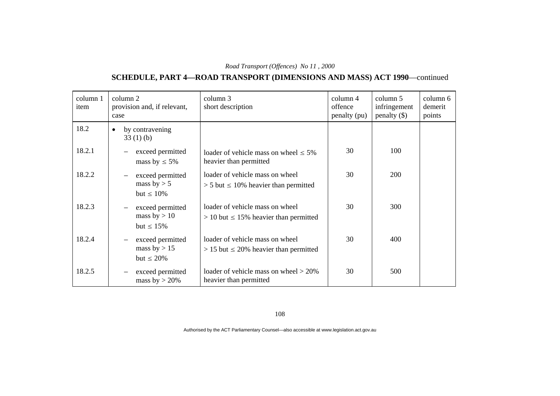# **SCHEDULE, PART 4—ROAD TRANSPORT (DIMENSIONS AND MASS) ACT 1990**—continued

| column 1<br>item | column 2<br>provision and, if relevant,<br>case                                   | column 3<br>short description                                                    | $\text{column } 4$<br>offence<br>penalty (pu) | column 5<br>infringement<br>$penalty$ (\$) | column 6<br>demerit<br>points |
|------------------|-----------------------------------------------------------------------------------|----------------------------------------------------------------------------------|-----------------------------------------------|--------------------------------------------|-------------------------------|
| 18.2             | by contravening<br>$\bullet$<br>33(1)(b)                                          |                                                                                  |                                               |                                            |                               |
| 18.2.1           | exceed permitted<br>mass by $\leq 5\%$                                            | loader of vehicle mass on wheel $\leq 5\%$<br>heavier than permitted             | 30                                            | 100                                        |                               |
| 18.2.2           | exceed permitted<br>$\overline{\phantom{m}}$<br>mass by $> 5$<br>but $\leq 10\%$  | loader of vehicle mass on wheel<br>$> 5$ but $\leq 10\%$ heavier than permitted  | 30                                            | <b>200</b>                                 |                               |
| 18.2.3           | exceed permitted<br>$\overline{\phantom{m}}$<br>mass by $> 10$<br>but $\leq 15\%$ | loader of vehicle mass on wheel<br>$> 10$ but $\leq 15\%$ heavier than permitted | 30                                            | 300                                        |                               |
| 18.2.4           | exceed permitted<br>$\overline{\phantom{m}}$<br>mass by $> 15$<br>but $\leq 20\%$ | loader of vehicle mass on wheel<br>$> 15$ but $\leq 20\%$ heavier than permitted | 30                                            | 400                                        |                               |
| 18.2.5           | exceed permitted<br>$\overline{\phantom{m}}$<br>mass by $>$ 20%                   | loader of vehicle mass on wheel $> 20\%$<br>heavier than permitted               | 30                                            | 500                                        |                               |

108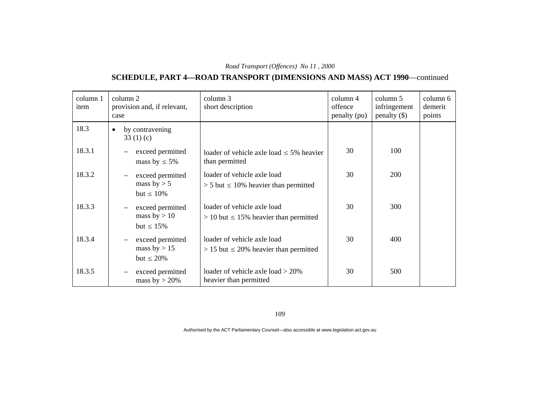# **SCHEDULE, PART 4—ROAD TRANSPORT (DIMENSIONS AND MASS) ACT 1990**—continued

| column 1<br>item | column 2<br>provision and, if relevant,<br>case                                   | column 3<br>short description                                                | $\text{column } 4$<br>offence<br>penalty (pu) | column 5<br>infringement<br>penalty $(\$)$ | column 6<br>demerit<br>points |
|------------------|-----------------------------------------------------------------------------------|------------------------------------------------------------------------------|-----------------------------------------------|--------------------------------------------|-------------------------------|
| 18.3             | by contravening<br>$\bullet$<br>33 $(1)(c)$                                       |                                                                              |                                               |                                            |                               |
| 18.3.1           | exceed permitted<br>mass by $\leq 5\%$                                            | loader of vehicle axle load $\leq$ 5% heavier<br>than permitted              | 30                                            | 100                                        |                               |
| 18.3.2           | exceed permitted<br>$\overline{\phantom{m}}$<br>mass by $> 5$<br>but $\leq 10\%$  | loader of vehicle axle load<br>$> 5$ but $\leq 10\%$ heavier than permitted  | 30                                            | 200                                        |                               |
| 18.3.3           | exceed permitted<br>$\qquad \qquad -$<br>mass by $> 10$<br>but $\leq 15\%$        | loader of vehicle axle load<br>$> 10$ but $\leq 15\%$ heavier than permitted | 30                                            | 300                                        |                               |
| 18.3.4           | exceed permitted<br>$\overline{\phantom{m}}$<br>mass by $> 15$<br>but $\leq 20\%$ | loader of vehicle axle load<br>$> 15$ but $\leq 20\%$ heavier than permitted | 30                                            | 400                                        |                               |
| 18.3.5           | exceed permitted<br>mass by $>$ 20%                                               | loader of vehicle axle load $>$ 20%<br>heavier than permitted                | 30                                            | 500                                        |                               |

109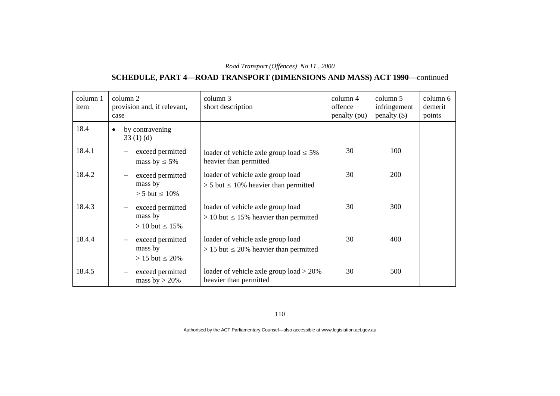# **SCHEDULE, PART 4—ROAD TRANSPORT (DIMENSIONS AND MASS) ACT 1990**—continued

| column 1<br>item | column 2<br>provision and, if relevant,<br>case                                   | column 3<br>short description                                                      | column 4<br>offence<br>penalty (pu) | column 5<br>infringement<br>$penalty$ (\$) | column 6<br>demerit<br>points |
|------------------|-----------------------------------------------------------------------------------|------------------------------------------------------------------------------------|-------------------------------------|--------------------------------------------|-------------------------------|
| 18.4             | by contravening<br>33(1)(d)                                                       |                                                                                    |                                     |                                            |                               |
| 18.4.1           | exceed permitted<br>mass by $\leq 5\%$                                            | loader of vehicle axle group load $\leq 5\%$<br>heavier than permitted             | 30                                  | 100                                        |                               |
| 18.4.2           | exceed permitted<br>$\overline{\phantom{m}}$<br>mass by<br>$> 5$ but $\leq 10\%$  | loader of vehicle axle group load<br>$> 5$ but $\leq 10\%$ heavier than permitted  | 30                                  | <b>200</b>                                 |                               |
| 18.4.3           | exceed permitted<br>$\overline{\phantom{m}}$<br>mass by<br>$> 10$ but $\leq 15\%$ | loader of vehicle axle group load<br>$> 10$ but $\leq 15\%$ heavier than permitted | 30                                  | 300                                        |                               |
| 18.4.4           | exceed permitted<br>mass by<br>$> 15$ but $\leq 20\%$                             | loader of vehicle axle group load<br>$> 15$ but $\leq 20\%$ heavier than permitted | 30                                  | 400                                        |                               |
| 18.4.5           | exceed permitted<br>mass by $>$ 20%                                               | loader of vehicle axle group $load > 20\%$<br>heavier than permitted               | 30                                  | 500                                        |                               |

110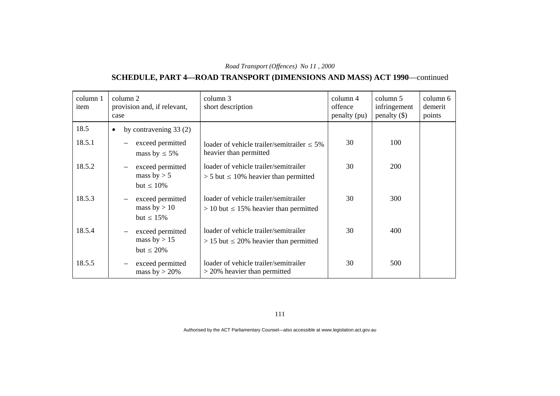# **SCHEDULE, PART 4—ROAD TRANSPORT (DIMENSIONS AND MASS) ACT 1990**—continued

| column 1<br>item | column 2<br>provision and, if relevant,<br>case                                   | column 3<br>short description                                                          | column 4<br>offence<br>penalty (pu) | column 5<br>infringement<br>penalty $(\$)$ | column 6<br>demerit<br>points |
|------------------|-----------------------------------------------------------------------------------|----------------------------------------------------------------------------------------|-------------------------------------|--------------------------------------------|-------------------------------|
| 18.5             | by contravening $33(2)$<br>$\bullet$                                              |                                                                                        |                                     |                                            |                               |
| 18.5.1           | exceed permitted<br>mass by $\leq 5\%$                                            | loader of vehicle trailer/semitrailer $\leq 5\%$<br>heavier than permitted             | 30                                  | 100                                        |                               |
| 18.5.2           | exceed permitted<br>$\overline{\phantom{m}}$<br>mass by $> 5$<br>but $\leq 10\%$  | loader of vehicle trailer/semitrailer<br>$> 5$ but $\leq 10\%$ heavier than permitted  | 30                                  | 200                                        |                               |
| 18.5.3           | exceed permitted<br>$\overline{\phantom{m}}$<br>mass by $> 10$<br>but $\leq 15\%$ | loader of vehicle trailer/semitrailer<br>$> 10$ but $\leq 15\%$ heavier than permitted | 30                                  | 300                                        |                               |
| 18.5.4           | exceed permitted<br>mass by $> 15$<br>but $\leq 20\%$                             | loader of vehicle trailer/semitrailer<br>$> 15$ but $\leq 20\%$ heavier than permitted | 30                                  | 400                                        |                               |
| 18.5.5           | exceed permitted<br>$\overline{\phantom{m}}$<br>mass by $>$ 20%                   | loader of vehicle trailer/semitrailer<br>$>$ 20% heavier than permitted                | 30                                  | 500                                        |                               |

111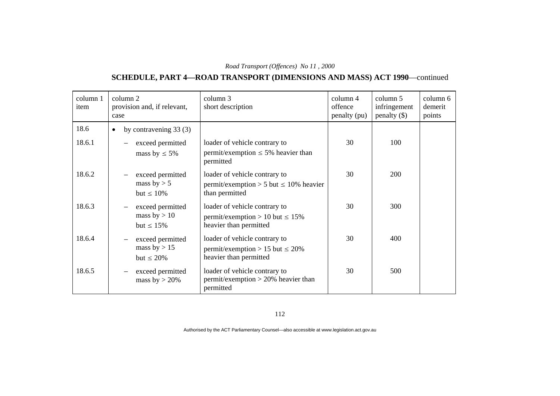# **SCHEDULE, PART 4—ROAD TRANSPORT (DIMENSIONS AND MASS) ACT 1990**—continued

| column 1<br>item | column 2<br>provision and, if relevant,<br>case                                   | column 3<br>short description                                                                    | $\text{column } 4$<br>offence<br>penalty (pu) | column 5<br>infringement<br>$penalty$ (\$) | column 6<br>demerit<br>points |
|------------------|-----------------------------------------------------------------------------------|--------------------------------------------------------------------------------------------------|-----------------------------------------------|--------------------------------------------|-------------------------------|
| 18.6             | by contravening $33(3)$<br>$\bullet$                                              |                                                                                                  |                                               |                                            |                               |
| 18.6.1           | exceed permitted<br>mass by $\leq 5\%$                                            | loader of vehicle contrary to<br>permit/exemption $\leq$ 5% heavier than<br>permitted            | 30                                            | 100                                        |                               |
| 18.6.2           | exceed permitted<br>mass by $> 5$<br>but $\leq 10\%$                              | loader of vehicle contrary to<br>permit/exemption > 5 but $\leq$ 10% heavier<br>than permitted   | 30                                            | 200                                        |                               |
| 18.6.3           | exceed permitted<br>mass by $> 10$<br>but $\leq 15\%$                             | loader of vehicle contrary to<br>permit/exemption > 10 but $\leq 15\%$<br>heavier than permitted | 30                                            | 300                                        |                               |
| 18.6.4           | exceed permitted<br>$\overline{\phantom{m}}$<br>mass by $> 15$<br>but $\leq 20\%$ | loader of vehicle contrary to<br>permit/exemption > 15 but $\leq$ 20%<br>heavier than permitted  | 30                                            | 400                                        |                               |
| 18.6.5           | exceed permitted<br>mass by $>$ 20%                                               | loader of vehicle contrary to<br>$permit/exemption > 20%$ heavier than<br>permitted              | 30                                            | 500                                        |                               |

112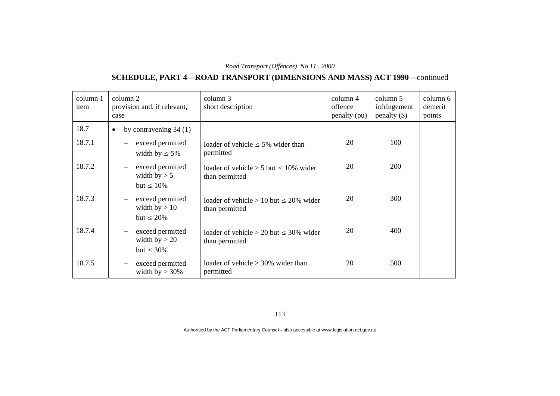# **SCHEDULE, PART 4—ROAD TRANSPORT (DIMENSIONS AND MASS) ACT 1990**—continued

| column 1<br>item | column 2<br>provision and, if relevant,<br>case                                    | column 3<br>short description                                    | column 4<br>offence<br>penalty (pu) | column 5<br>infringement<br>$penalty$ (\$) | column 6<br>demerit<br>points |
|------------------|------------------------------------------------------------------------------------|------------------------------------------------------------------|-------------------------------------|--------------------------------------------|-------------------------------|
| 18.7             | by contravening $34(1)$<br>$\bullet$                                               |                                                                  |                                     |                                            |                               |
| 18.7.1           | exceed permitted<br>width by $\leq 5\%$                                            | loader of vehicle $\leq 5\%$ wider than<br>permitted             | 20                                  | 100                                        |                               |
| 18.7.2           | exceed permitted<br>$\overline{\phantom{m}}$<br>width by $> 5$<br>but $\leq 10\%$  | loader of vehicle $> 5$ but $\leq 10\%$ wider<br>than permitted  | 20                                  | <b>200</b>                                 |                               |
| 18.7.3           | exceed permitted<br>$\overline{\phantom{m}}$<br>width by $> 10$<br>but $\leq 20\%$ | loader of vehicle $> 10$ but $\leq 20\%$ wider<br>than permitted | 20                                  | 300                                        |                               |
| 18.7.4           | exceed permitted<br>$\overline{\phantom{m}}$<br>width by $> 20$<br>but $\leq 30\%$ | loader of vehicle $> 20$ but $\leq 30\%$ wider<br>than permitted | 20                                  | 400                                        |                               |
| 18.7.5           | exceed permitted<br>$\overline{\phantom{m}}$<br>width by $>$ 30%                   | loader of vehicle $>$ 30% wider than<br>permitted                | 20                                  | 500                                        |                               |

113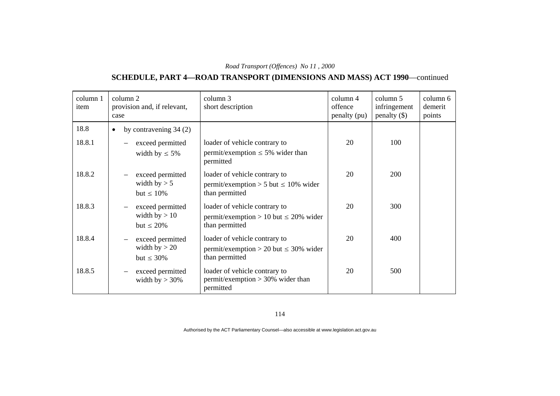#### **SCHEDULE, PART 4—ROAD TRANSPORT (DIMENSIONS AND MASS) ACT 1990**—continued

| column 1<br>item | column 2<br>provision and, if relevant,<br>case                                    | column 3<br>short description                                                                 | $\text{column } 4$<br>offence<br>penalty (pu) | column 5<br>infringement<br>penalty $(\$)$ | column 6<br>demerit<br>points |
|------------------|------------------------------------------------------------------------------------|-----------------------------------------------------------------------------------------------|-----------------------------------------------|--------------------------------------------|-------------------------------|
| 18.8             | by contravening $34(2)$<br>$\bullet$                                               |                                                                                               |                                               |                                            |                               |
| 18.8.1           | exceed permitted<br>width by $\leq 5\%$                                            | loader of vehicle contrary to<br>permit/exemption $\leq$ 5% wider than<br>permitted           | 20                                            | 100                                        |                               |
| 18.8.2           | exceed permitted<br>width by $> 5$<br>but $\leq 10\%$                              | loader of vehicle contrary to<br>permit/exemption > 5 but $\leq$ 10% wider<br>than permitted  | 20                                            | 200                                        |                               |
| 18.8.3           | exceed permitted<br>width by $> 10$<br>but $\leq 20\%$                             | loader of vehicle contrary to<br>permit/exemption > 10 but $\leq$ 20% wider<br>than permitted | 20                                            | 300                                        |                               |
| 18.8.4           | exceed permitted<br>$\overline{\phantom{m}}$<br>width by $> 20$<br>but $\leq 30\%$ | loader of vehicle contrary to<br>permit/exemption > 20 but $\leq$ 30% wider<br>than permitted | 20                                            | 400                                        |                               |
| 18.8.5           | exceed permitted<br>width by $>$ 30%                                               | loader of vehicle contrary to<br>$permit/exemption > 30\%$ wider than<br>permitted            | 20                                            | 500                                        |                               |

114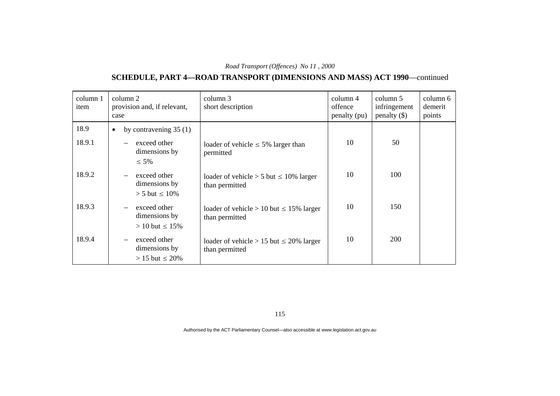# **SCHEDULE, PART 4—ROAD TRANSPORT (DIMENSIONS AND MASS) ACT 1990**—continued

| column 1<br>item | column 2<br>provision and, if relevant,<br>case                                     | column 3<br>short description                                    | column 4<br>offence<br>penalty (pu) | column 5<br>infringement<br>penalty $(\$)$ | column 6<br>demerit<br>points |
|------------------|-------------------------------------------------------------------------------------|------------------------------------------------------------------|-------------------------------------|--------------------------------------------|-------------------------------|
| 18.9             | by contravening $35(1)$<br>$\bullet$                                                |                                                                  |                                     |                                            |                               |
| 18.9.1           | exceed other<br>dimensions by<br>$\leq 5\%$                                         | loader of vehicle $\leq 5\%$ larger than<br>permitted            | 10                                  | 50                                         |                               |
| 18.9.2           | exceed other<br>dimensions by<br>$> 5$ but $\leq 10\%$                              | loader of vehicle $> 5$ but $\leq 10\%$ larger<br>than permitted | 10                                  | 100                                        |                               |
| 18.9.3           | exceed other<br>dimensions by<br>$> 10$ but $\leq 15\%$                             | loader of vehicle > 10 but $\leq$ 15% larger<br>than permitted   | 10                                  | 150                                        |                               |
| 18.9.4           | exceed other<br>$\overline{\phantom{m}}$<br>dimensions by<br>$> 15$ but $\leq 20\%$ | loader of vehicle > 15 but $\leq$ 20% larger<br>than permitted   | 10                                  | <b>200</b>                                 |                               |

115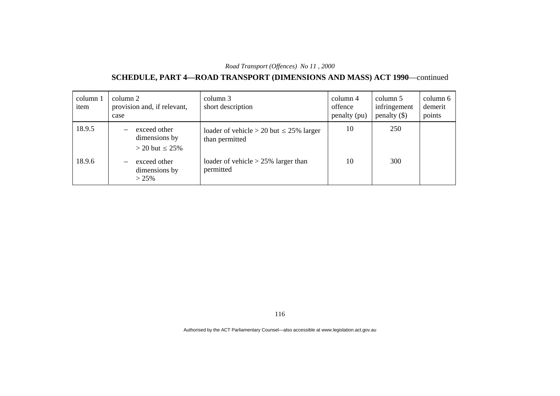#### **SCHEDULE, PART 4—ROAD TRANSPORT (DIMENSIONS AND MASS) ACT 1990**—continued

| column 1<br>item | column 2<br>case         | provision and, if relevant,                            | column 3<br>short description                                     | $\text{column } 4$<br>offence<br>penalty (pu) | column 5<br>infringement<br>penalty $(\$)$ | column 6<br>demerit<br>points |
|------------------|--------------------------|--------------------------------------------------------|-------------------------------------------------------------------|-----------------------------------------------|--------------------------------------------|-------------------------------|
| 18.9.5           |                          | exceed other<br>dimensions by<br>$>$ 20 but $\leq$ 25% | loader of vehicle $> 20$ but $\leq 25\%$ larger<br>than permitted | 10                                            | 250                                        |                               |
| 18.9.6           | $\overline{\phantom{0}}$ | exceed other<br>dimensions by<br>>25%                  | loader of vehicle $> 25\%$ larger than<br>permitted               | 10                                            | 300                                        |                               |

116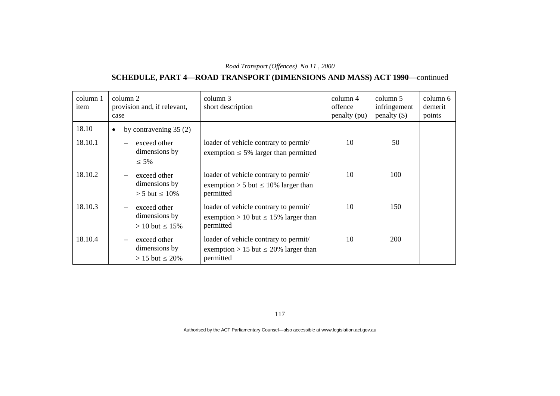# **SCHEDULE, PART 4—ROAD TRANSPORT (DIMENSIONS AND MASS) ACT 1990**—continued

| column 1<br>item | column 2<br>provision and, if relevant,<br>case         | column 3<br>short description                                                                   | column 4<br>offence<br>penalty (pu) | column 5<br>infringement<br>$penalty$ (\$) | column 6<br>demerit<br>points |
|------------------|---------------------------------------------------------|-------------------------------------------------------------------------------------------------|-------------------------------------|--------------------------------------------|-------------------------------|
| 18.10            | by contravening $35(2)$<br>$\bullet$                    |                                                                                                 |                                     |                                            |                               |
| 18.10.1          | exceed other<br>dimensions by<br>$\leq 5\%$             | loader of vehicle contrary to permit/<br>exemption $\leq$ 5% larger than permitted              | 10                                  | 50                                         |                               |
| 18.10.2          | exceed other<br>dimensions by<br>$> 5$ but $\leq 10\%$  | loader of vehicle contrary to permit/<br>exemption > 5 but $\leq$ 10% larger than<br>permitted  | 10                                  | 100                                        |                               |
| 18.10.3          | exceed other<br>dimensions by<br>$> 10$ but $\leq 15\%$ | loader of vehicle contrary to permit/<br>exemption > 10 but $\leq$ 15% larger than<br>permitted | 10                                  | 150                                        |                               |
| 18.10.4          | exceed other<br>dimensions by<br>$> 15$ but $\leq 20\%$ | loader of vehicle contrary to permit/<br>exemption > 15 but $\leq$ 20% larger than<br>permitted | 10                                  | 200                                        |                               |

117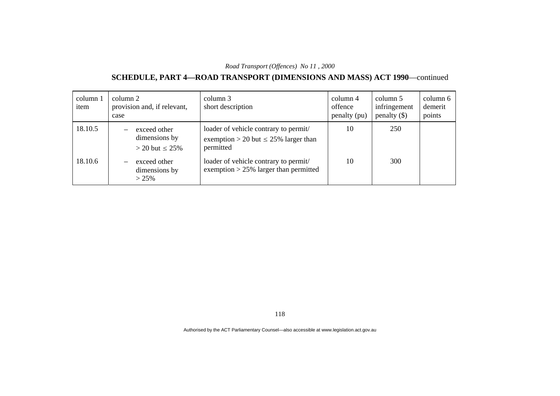# **SCHEDULE, PART 4—ROAD TRANSPORT (DIMENSIONS AND MASS) ACT 1990**—continued

| column 1<br>item | column 2<br>case | provision and, if relevant,                            | column 3<br>short description                                                                   | column 4<br>offence<br>penalty (pu) | column 5<br>infringement<br>penalty $(\$)$ | column 6<br>demerit<br>points |
|------------------|------------------|--------------------------------------------------------|-------------------------------------------------------------------------------------------------|-------------------------------------|--------------------------------------------|-------------------------------|
| 18.10.5          |                  | exceed other<br>dimensions by<br>$>$ 20 but $\leq$ 25% | loader of vehicle contrary to permit/<br>exemption > 20 but $\leq$ 25% larger than<br>permitted | 10                                  | 250                                        |                               |
| 18.10.6          |                  | exceed other<br>dimensions by<br>>25%                  | loader of vehicle contrary to permit/<br>exemption $> 25\%$ larger than permitted               | 10                                  | 300                                        |                               |

118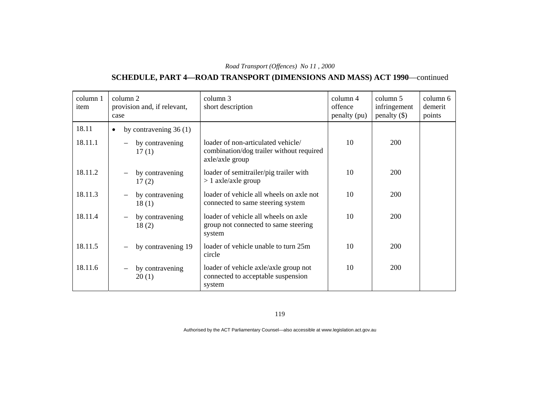# **SCHEDULE, PART 4—ROAD TRANSPORT (DIMENSIONS AND MASS) ACT 1990**—continued

| column 1<br>item | column 2<br>provision and, if relevant,<br>case | column 3<br>short description                                                                     | column 4<br>offence<br>penalty (pu) | column 5<br>infringement<br>$penalty$ (\$) | column 6<br>demerit<br>points |
|------------------|-------------------------------------------------|---------------------------------------------------------------------------------------------------|-------------------------------------|--------------------------------------------|-------------------------------|
| 18.11            | by contravening $36(1)$<br>$\bullet$            |                                                                                                   |                                     |                                            |                               |
| 18.11.1          | by contravening<br>17(1)                        | loader of non-articulated vehicle/<br>combination/dog trailer without required<br>axle/axle group | 10                                  | 200                                        |                               |
| 18.11.2          | by contravening<br>17(2)                        | loader of semitrailer/pig trailer with<br>$> 1$ axle/axle group                                   | 10                                  | 200                                        |                               |
| 18.11.3          | by contravening<br>18(1)                        | loader of vehicle all wheels on axle not<br>connected to same steering system                     | 10                                  | 200                                        |                               |
| 18.11.4          | by contravening<br>18(2)                        | loader of vehicle all wheels on axle<br>group not connected to same steering<br>system            | 10                                  | 200                                        |                               |
| 18.11.5          | by contravening 19                              | loader of vehicle unable to turn 25m<br>circle                                                    | 10                                  | 200                                        |                               |
| 18.11.6          | by contravening<br>20(1)                        | loader of vehicle axle/axle group not<br>connected to acceptable suspension<br>system             | 10                                  | 200                                        |                               |

119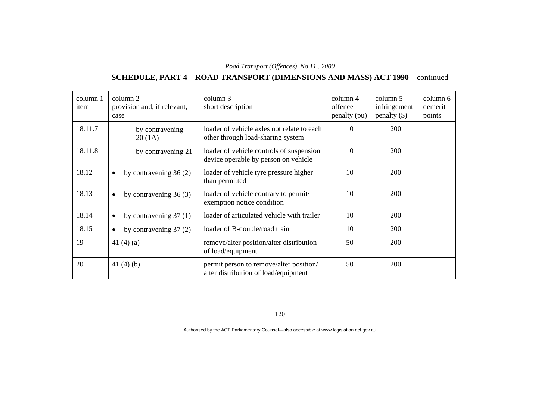# **SCHEDULE, PART 4—ROAD TRANSPORT (DIMENSIONS AND MASS) ACT 1990**—continued

| column 1<br>item | column 2<br>provision and, if relevant,<br>case | column 3<br>short description                                                    | column 4<br>offence<br>penalty (pu) | column 5<br>infringement<br>$penalty$ (\$) | column 6<br>demerit<br>points |
|------------------|-------------------------------------------------|----------------------------------------------------------------------------------|-------------------------------------|--------------------------------------------|-------------------------------|
| 18.11.7          | by contravening<br>20(1A)                       | loader of vehicle axles not relate to each<br>other through load-sharing system  | 10                                  | 200                                        |                               |
| 18.11.8          | by contravening 21                              | loader of vehicle controls of suspension<br>device operable by person on vehicle | 10                                  | 200                                        |                               |
| 18.12            | by contravening $36(2)$<br>$\bullet$            | loader of vehicle tyre pressure higher<br>than permitted                         | 10                                  | 200                                        |                               |
| 18.13            | by contravening $36(3)$<br>$\bullet$            | loader of vehicle contrary to permit/<br>exemption notice condition              | 10                                  | 200                                        |                               |
| 18.14            | by contravening $37(1)$<br>$\bullet$            | loader of articulated vehicle with trailer                                       | 10                                  | 200                                        |                               |
| 18.15            | by contravening $37(2)$<br>$\bullet$            | loader of B-double/road train                                                    | 10                                  | 200                                        |                               |
| 19               | 41 $(4)(a)$                                     | remove/alter position/alter distribution<br>of load/equipment                    | 50                                  | 200                                        |                               |
| 20               | 41 $(4)$ $(b)$                                  | permit person to remove/alter position/<br>alter distribution of load/equipment  | 50                                  | 200                                        |                               |

120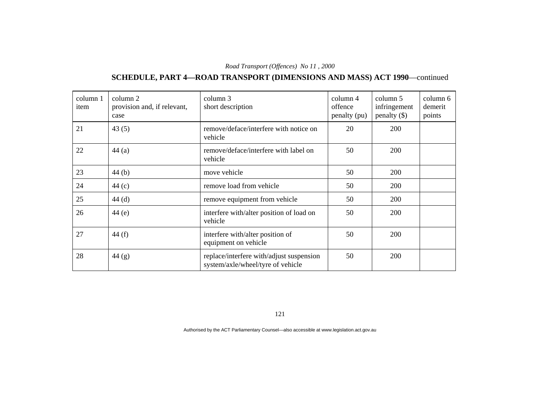# **SCHEDULE, PART 4—ROAD TRANSPORT (DIMENSIONS AND MASS) ACT 1990**—continued

| column 1<br>item | column 2<br>provision and, if relevant,<br>case | column 3<br>short description                                                 | column 4<br>offence<br>penalty (pu) | column 5<br>infringement<br>penalty $(\$)$ | column 6<br>demerit<br>points |
|------------------|-------------------------------------------------|-------------------------------------------------------------------------------|-------------------------------------|--------------------------------------------|-------------------------------|
| 21               | 43(5)                                           | remove/deface/interfere with notice on<br>vehicle                             | 20                                  | 200                                        |                               |
| 22               | 44(a)                                           | remove/deface/interfere with label on<br>vehicle                              | 50                                  | 200                                        |                               |
| 23               | 44(b)                                           | move vehicle                                                                  | 50                                  | 200                                        |                               |
| 24               | 44 $(c)$                                        | remove load from vehicle                                                      | 50                                  | 200                                        |                               |
| 25               | 44(d)                                           | remove equipment from vehicle                                                 | 50                                  | 200                                        |                               |
| 26               | 44(e)                                           | interfere with/alter position of load on<br>vehicle                           | 50                                  | 200                                        |                               |
| 27               | 44 $(f)$                                        | interfere with/alter position of<br>equipment on vehicle                      | 50                                  | 200                                        |                               |
| 28               | 44 $(g)$                                        | replace/interfere with/adjust suspension<br>system/axle/wheel/tyre of vehicle | 50                                  | 200                                        |                               |

121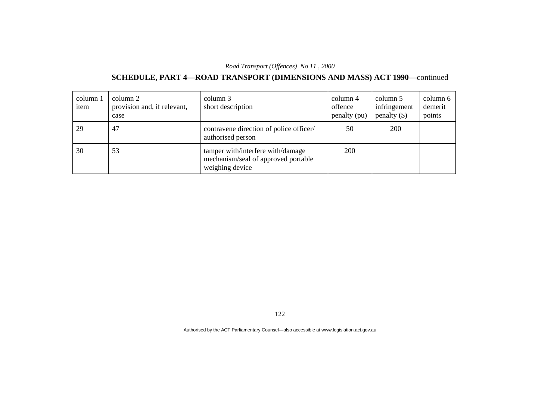# **SCHEDULE, PART 4—ROAD TRANSPORT (DIMENSIONS AND MASS) ACT 1990**—continued

| column 1<br>item | column 2<br>provision and, if relevant,<br>case | column 3<br>short description                                                               | column 4<br>offence<br>penalty (pu) | column 5<br>infringement<br>penalty $(\$)$ | column 6<br>demerit<br>points |
|------------------|-------------------------------------------------|---------------------------------------------------------------------------------------------|-------------------------------------|--------------------------------------------|-------------------------------|
| 29               | 47                                              | contravene direction of police officer/<br>authorised person                                | 50                                  | 200                                        |                               |
| 30               | 53                                              | tamper with/interfere with/damage<br>mechanism/seal of approved portable<br>weighing device | 200                                 |                                            |                               |

122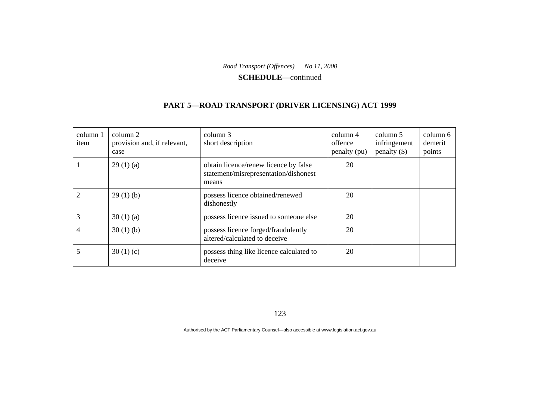**SCHEDULE**—continued

#### **PART 5—ROAD TRANSPORT (DRIVER LICENSING) ACT 1999**

| column 1<br>item            | column 2<br>provision and, if relevant,<br>case | column 3<br>short description                                                           | column 4<br>offence<br>penalty (pu) | column 5<br>infringement<br>penalty $(\$)$ | column 6<br>demerit<br>points |
|-----------------------------|-------------------------------------------------|-----------------------------------------------------------------------------------------|-------------------------------------|--------------------------------------------|-------------------------------|
|                             | 29(1)(a)                                        | obtain licence/renew licence by false<br>statement/misrepresentation/dishonest<br>means | 20                                  |                                            |                               |
| $\mathcal{D}_{\mathcal{A}}$ | 29(1)(b)                                        | possess licence obtained/renewed<br>dishonestly                                         | 20                                  |                                            |                               |
| 3                           | 30(1)(a)                                        | possess licence issued to someone else                                                  | 20                                  |                                            |                               |
| 4                           | 30(1)(b)                                        | possess licence forged/fraudulently<br>altered/calculated to deceive                    | 20                                  |                                            |                               |
|                             | 30(1)(c)                                        | possess thing like licence calculated to<br>deceive                                     | 20                                  |                                            |                               |

123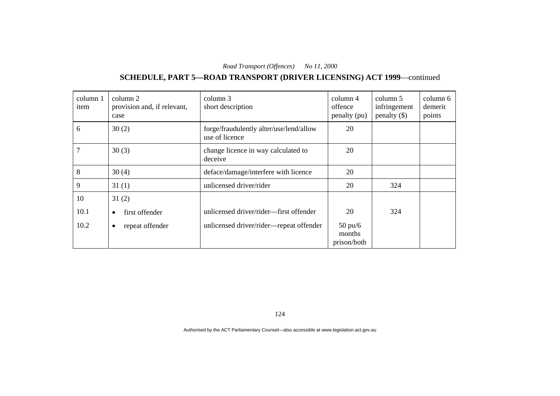# **SCHEDULE, PART 5—ROAD TRANSPORT (DRIVER LICENSING) ACT 1999**—continued

| column 1<br>item | column 2<br>provision and, if relevant,<br>case | column 3<br>short description                             | column 4<br>offence<br>penalty (pu)        | column 5<br>infringement<br>penalty $(\$)$ | column 6<br>demerit<br>points |
|------------------|-------------------------------------------------|-----------------------------------------------------------|--------------------------------------------|--------------------------------------------|-------------------------------|
| 6                | 30(2)                                           | forge/fraudulently alter/use/lend/allow<br>use of licence | 20                                         |                                            |                               |
| 7                | 30(3)                                           | change licence in way calculated to<br>deceive            | 20                                         |                                            |                               |
| 8                | 30(4)                                           | deface/damage/interfere with licence                      | 20                                         |                                            |                               |
| 9                | 31(1)                                           | unlicensed driver/rider                                   | 20                                         | 324                                        |                               |
| 10               | 31(2)                                           |                                                           |                                            |                                            |                               |
| 10.1             | first offender<br>$\bullet$                     | unlicensed driver/rider—first offender                    | 20                                         | 324                                        |                               |
| 10.2             | repeat offender<br>$\bullet$                    | unlicensed driver/rider-repeat offender                   | $50 \text{ pu/}6$<br>months<br>prison/both |                                            |                               |

124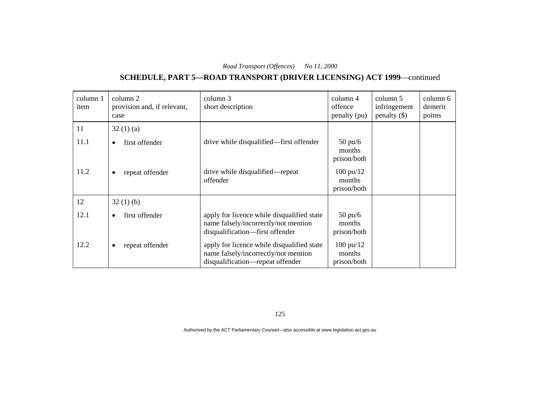# **SCHEDULE, PART 5—ROAD TRANSPORT (DRIVER LICENSING) ACT 1999**—continued

| column 1<br>item | column 2<br>provision and, if relevant,<br>case | column 3<br>short description                                                                                          | column 4<br>offence<br>penalty (pu)          | column 5<br>infringement<br>penalty $(\$)$ | column 6<br>demerit<br>points |
|------------------|-------------------------------------------------|------------------------------------------------------------------------------------------------------------------------|----------------------------------------------|--------------------------------------------|-------------------------------|
| 11               | 32(1)(a)                                        |                                                                                                                        |                                              |                                            |                               |
| 11.1             | first offender<br>٠                             | drive while disqualified—first offender                                                                                | $50 \text{ pu/6}$<br>months<br>prison/both   |                                            |                               |
| 11.2             | repeat offender<br>٠                            | drive while disqualified—repeat<br>offender                                                                            | $100 \text{ pu}/12$<br>months<br>prison/both |                                            |                               |
| 12               | 32(1)(b)                                        |                                                                                                                        |                                              |                                            |                               |
| 12.1             | first offender<br>$\bullet$                     | apply for licence while disqualified state<br>name falsely/incorrectly/not mention<br>disqualification-first offender  | $50 \text{ pu/}6$<br>months<br>prison/both   |                                            |                               |
| 12.2             | repeat offender<br>٠                            | apply for licence while disqualified state<br>name falsely/incorrectly/not mention<br>disqualification-repeat offender | $100 \text{ pu}/12$<br>months<br>prison/both |                                            |                               |

125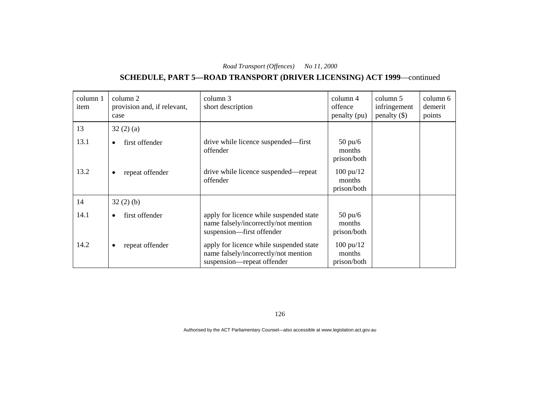# **SCHEDULE, PART 5—ROAD TRANSPORT (DRIVER LICENSING) ACT 1999**—continued

| column 1<br>item | column 2<br>provision and, if relevant,<br>case | column 3<br>short description                                                                                 | column 4<br>offence<br>penalty (pu)          | column 5<br>infringement<br>penalty $(\$)$ | column 6<br>demerit<br>points |
|------------------|-------------------------------------------------|---------------------------------------------------------------------------------------------------------------|----------------------------------------------|--------------------------------------------|-------------------------------|
| 13               | 32(2)(a)                                        |                                                                                                               |                                              |                                            |                               |
| 13.1             | first offender<br>$\bullet$                     | drive while licence suspended—first<br>offender                                                               | $50 \text{ pu/6}$<br>months<br>prison/both   |                                            |                               |
| 13.2             | repeat offender<br>$\bullet$                    | drive while licence suspended—repeat<br>offender                                                              | $100 \text{ pu}/12$<br>months<br>prison/both |                                            |                               |
| 14               | 32(2)(b)                                        |                                                                                                               |                                              |                                            |                               |
| 14.1             | first offender<br>$\bullet$                     | apply for licence while suspended state<br>name falsely/incorrectly/not mention<br>suspension-first offender  | $50 \text{ pu/6}$<br>months<br>prison/both   |                                            |                               |
| 14.2             | repeat offender                                 | apply for licence while suspended state<br>name falsely/incorrectly/not mention<br>suspension—repeat offender | $100 \text{ pu}/12$<br>months<br>prison/both |                                            |                               |

126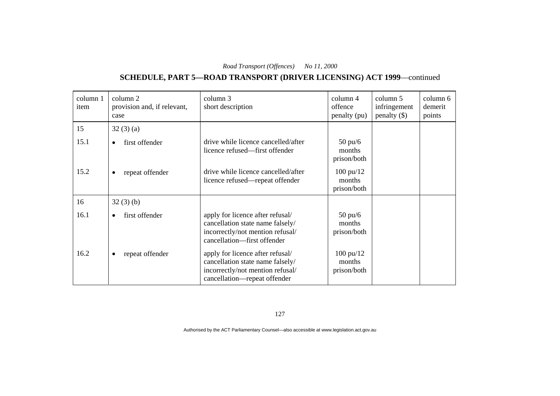# **SCHEDULE, PART 5—ROAD TRANSPORT (DRIVER LICENSING) ACT 1999**—continued

| column 1<br>item | column 2<br>provision and, if relevant,<br>case | column 3<br>short description                                                                                                            | column 4<br>offence<br>penalty (pu)          | column 5<br>infringement<br>$penalty$ (\$) | column 6<br>demerit<br>points |
|------------------|-------------------------------------------------|------------------------------------------------------------------------------------------------------------------------------------------|----------------------------------------------|--------------------------------------------|-------------------------------|
| 15               | 32(3)(a)                                        |                                                                                                                                          |                                              |                                            |                               |
| 15.1             | first offender<br>$\bullet$                     | drive while licence cancelled/after<br>licence refused—first offender                                                                    | $50 \text{ pu/6}$<br>months<br>prison/both   |                                            |                               |
| 15.2             | repeat offender<br>$\bullet$                    | drive while licence cancelled/after<br>licence refused—repeat offender                                                                   | $100 \text{ pu}/12$<br>months<br>prison/both |                                            |                               |
| 16               | 32(3)(b)                                        |                                                                                                                                          |                                              |                                            |                               |
| 16.1             | first offender                                  | apply for licence after refusal/<br>cancellation state name falsely/<br>incorrectly/not mention refusal/<br>cancellation-first offender  | $50 \text{ pu/6}$<br>months<br>prison/both   |                                            |                               |
| 16.2             | repeat offender<br>$\bullet$                    | apply for licence after refusal/<br>cancellation state name falsely/<br>incorrectly/not mention refusal/<br>cancellation—repeat offender | $100 \text{ pu}/12$<br>months<br>prison/both |                                            |                               |

127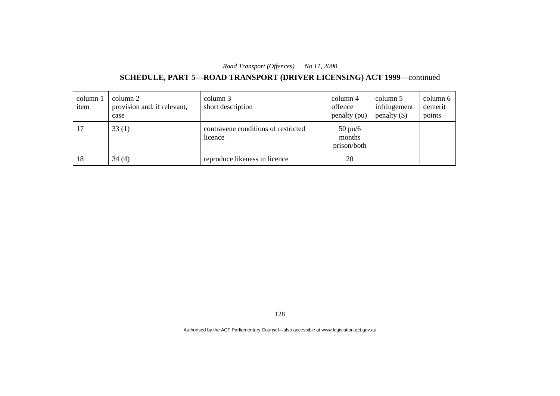# **SCHEDULE, PART 5—ROAD TRANSPORT (DRIVER LICENSING) ACT 1999**—continued

| column 1<br>item | column 2<br>provision and, if relevant,<br>case | column 3<br>short description                  | column 4<br>offence<br>penalty (pu)        | column 5<br>infringement<br>penalty $(\$)$ | column 6<br>demerit<br>points |
|------------------|-------------------------------------------------|------------------------------------------------|--------------------------------------------|--------------------------------------------|-------------------------------|
| 17               | 33(1)                                           | contravene conditions of restricted<br>licence | $50 \text{ pu/}6$<br>months<br>prison/both |                                            |                               |
| 18               | 34(4)                                           | reproduce likeness in licence                  | 20                                         |                                            |                               |

128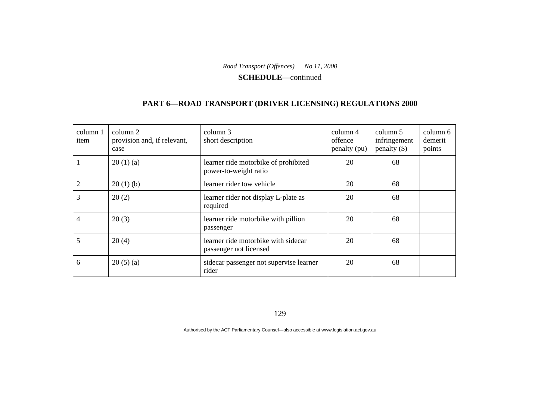**SCHEDULE**—continued

#### **PART 6—ROAD TRANSPORT (DRIVER LICENSING) REGULATIONS 2000**

| column 1<br>item | column 2<br>provision and, if relevant,<br>case | column 3<br>short description                                 | column 4<br>offence<br>penalty (pu) | column 5<br>infringement<br>penalty $(\$)$ | column 6<br>demerit<br>points |
|------------------|-------------------------------------------------|---------------------------------------------------------------|-------------------------------------|--------------------------------------------|-------------------------------|
|                  | 20(1)(a)                                        | learner ride motorbike of prohibited<br>power-to-weight ratio | 20                                  | 68                                         |                               |
|                  | 20(1)(b)                                        | learner rider tow vehicle                                     | 20                                  | 68                                         |                               |
| 3                | 20(2)                                           | learner rider not display L-plate as<br>required              | 20                                  | 68                                         |                               |
| 4                | 20(3)                                           | learner ride motorbike with pillion<br>passenger              | 20                                  | 68                                         |                               |
| 5                | 20(4)                                           | learner ride motorbike with sidecar<br>passenger not licensed | 20                                  | 68                                         |                               |
| 6                | 20(5)(a)                                        | sidecar passenger not supervise learner<br>rider              | 20                                  | 68                                         |                               |

129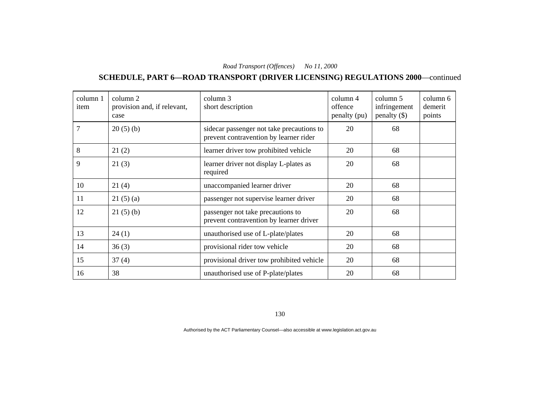#### **SCHEDULE, PART 6—ROAD TRANSPORT (DRIVER LICENSING) REGULATIONS 2000**—continued

| column 1<br>item | column 2<br>provision and, if relevant,<br>case | column 3<br>short description                                                       | column 4<br>offence<br>penalty (pu) | column 5<br>infringement<br>penalty $(\$)$ | column 6<br>demerit<br>points |
|------------------|-------------------------------------------------|-------------------------------------------------------------------------------------|-------------------------------------|--------------------------------------------|-------------------------------|
| 7                | 20(5)(b)                                        | sidecar passenger not take precautions to<br>prevent contravention by learner rider | 20                                  | 68                                         |                               |
| 8                | 21(2)                                           | learner driver tow prohibited vehicle                                               | 20                                  | 68                                         |                               |
| 9                | 21(3)                                           | learner driver not display L-plates as<br>required                                  | 20                                  | 68                                         |                               |
| 10               | 21(4)                                           | unaccompanied learner driver                                                        | 20                                  | 68                                         |                               |
| 11               | 21(5)(a)                                        | passenger not supervise learner driver                                              | 20                                  | 68                                         |                               |
| 12               | 21(5)(b)                                        | passenger not take precautions to<br>prevent contravention by learner driver        | 20                                  | 68                                         |                               |
| 13               | 24(1)                                           | unauthorised use of L-plate/plates                                                  | 20                                  | 68                                         |                               |
| 14               | 36(3)                                           | provisional rider tow vehicle                                                       | 20                                  | 68                                         |                               |
| 15               | 37(4)                                           | provisional driver tow prohibited vehicle                                           | 20                                  | 68                                         |                               |
| 16               | 38                                              | unauthorised use of P-plate/plates                                                  | 20                                  | 68                                         |                               |

130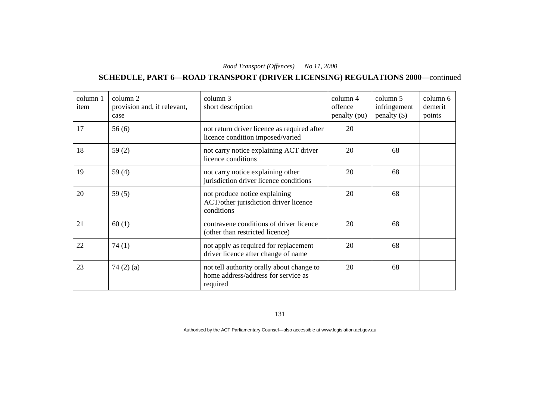#### **SCHEDULE, PART 6—ROAD TRANSPORT (DRIVER LICENSING) REGULATIONS 2000**—continued

| column 1<br>item | column 2<br>provision and, if relevant,<br>case | column 3<br>short description                                                                | column 4<br>offence<br>penalty (pu) | column 5<br>infringement<br>penalty $(\$)$ | column 6<br>demerit<br>points |
|------------------|-------------------------------------------------|----------------------------------------------------------------------------------------------|-------------------------------------|--------------------------------------------|-------------------------------|
| 17               | 56(6)                                           | not return driver licence as required after<br>licence condition imposed/varied              | 20                                  |                                            |                               |
| 18               | 59 $(2)$                                        | not carry notice explaining ACT driver<br>licence conditions                                 | 20                                  | 68                                         |                               |
| 19               | 59 $(4)$                                        | not carry notice explaining other<br>jurisdiction driver licence conditions                  | 20                                  | 68                                         |                               |
| 20               | 59(5)                                           | not produce notice explaining<br>ACT/other jurisdiction driver licence<br>conditions         | 20                                  | 68                                         |                               |
| 21               | 60(1)                                           | contravene conditions of driver licence<br>(other than restricted licence)                   | 20                                  | 68                                         |                               |
| 22               | 74(1)                                           | not apply as required for replacement<br>driver licence after change of name                 | 20                                  | 68                                         |                               |
| 23               | 74 $(2)$ $(a)$                                  | not tell authority orally about change to<br>home address/address for service as<br>required | 20                                  | 68                                         |                               |

131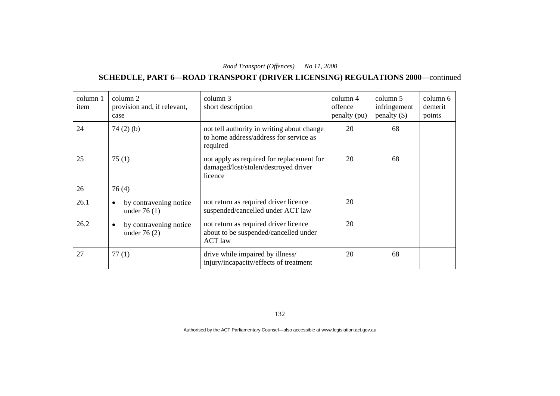#### **SCHEDULE, PART 6—ROAD TRANSPORT (DRIVER LICENSING) REGULATIONS 2000**—continued

| column 1<br>item | column 2<br>provision and, if relevant,<br>case | column 3<br>short description                                                                    | column 4<br>offence<br>penalty (pu) | column 5<br>infringement<br>penalty $(\$)$ | column 6<br>demerit<br>points |
|------------------|-------------------------------------------------|--------------------------------------------------------------------------------------------------|-------------------------------------|--------------------------------------------|-------------------------------|
| 24               | 74(2)(b)                                        | not tell authority in writing about change<br>to home address/address for service as<br>required | 20                                  | 68                                         |                               |
| 25               | 75(1)                                           | not apply as required for replacement for<br>damaged/lost/stolen/destroyed driver<br>licence     | 20                                  | 68                                         |                               |
| 26               | 76(4)                                           |                                                                                                  |                                     |                                            |                               |
| 26.1             | by contravening notice<br>٠<br>under $76(1)$    | not return as required driver licence<br>suspended/cancelled under ACT law                       | 20                                  |                                            |                               |
| 26.2             | by contravening notice<br>٠<br>under $76(2)$    | not return as required driver licence<br>about to be suspended/cancelled under<br><b>ACT</b> law | 20                                  |                                            |                               |
| 27               | 77(1)                                           | drive while impaired by illness/<br>injury/incapacity/effects of treatment                       | 20                                  | 68                                         |                               |

132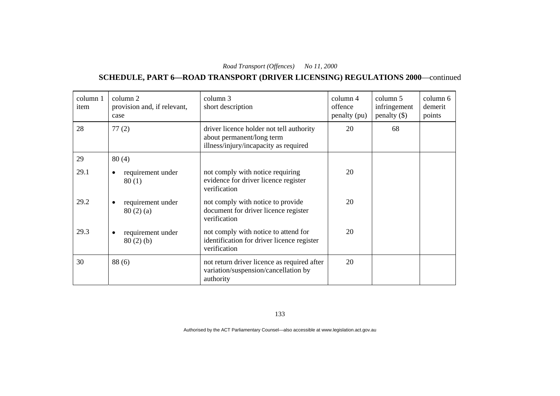#### **SCHEDULE, PART 6—ROAD TRANSPORT (DRIVER LICENSING) REGULATIONS 2000**—continued

| column 1<br>item | column 2<br>provision and, if relevant,<br>case | column 3<br>short description                                                                                  | column 4<br>offence<br>penalty (pu) | column 5<br>infringement<br>penalty $(\$)$ | column 6<br>demerit<br>points |
|------------------|-------------------------------------------------|----------------------------------------------------------------------------------------------------------------|-------------------------------------|--------------------------------------------|-------------------------------|
| 28               | 77(2)                                           | driver licence holder not tell authority<br>about permanent/long term<br>illness/injury/incapacity as required | 20                                  | 68                                         |                               |
| 29               | 80(4)                                           |                                                                                                                |                                     |                                            |                               |
| 29.1             | requirement under<br>٠<br>80(1)                 | not comply with notice requiring<br>evidence for driver licence register<br>verification                       | 20                                  |                                            |                               |
| 29.2             | requirement under<br>80(2)(a)                   | not comply with notice to provide<br>document for driver licence register<br>verification                      | 20                                  |                                            |                               |
| 29.3             | requirement under<br>$80(2)$ (b)                | not comply with notice to attend for<br>identification for driver licence register<br>verification             | 20                                  |                                            |                               |
| 30               | 88(6)                                           | not return driver licence as required after<br>variation/suspension/cancellation by<br>authority               | 20                                  |                                            |                               |

133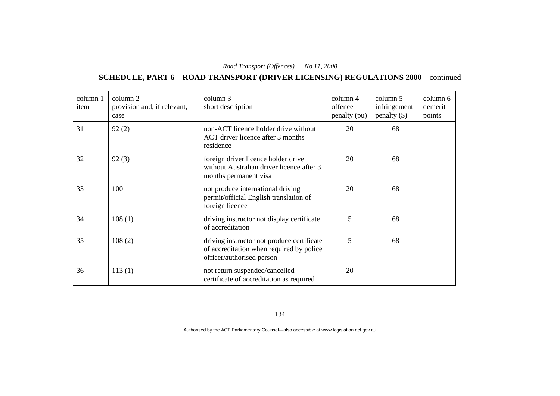#### **SCHEDULE, PART 6—ROAD TRANSPORT (DRIVER LICENSING) REGULATIONS 2000**—continued

| column 1<br>item | column 2<br>provision and, if relevant,<br>case | column 3<br>short description                                                                                       | column 4<br>offence<br>penalty (pu) | column 5<br>infringement<br>penalty $(\$)$ | column 6<br>demerit<br>points |
|------------------|-------------------------------------------------|---------------------------------------------------------------------------------------------------------------------|-------------------------------------|--------------------------------------------|-------------------------------|
| 31               | 92(2)                                           | non-ACT licence holder drive without<br>ACT driver licence after 3 months<br>residence                              | 20                                  | 68                                         |                               |
| 32               | 92(3)                                           | foreign driver licence holder drive<br>without Australian driver licence after 3<br>months permanent visa           | 20                                  | 68                                         |                               |
| 33               | 100                                             | not produce international driving<br>permit/official English translation of<br>foreign licence                      | 20                                  | 68                                         |                               |
| 34               | 108(1)                                          | driving instructor not display certificate<br>of accreditation                                                      | 5                                   | 68                                         |                               |
| 35               | 108(2)                                          | driving instructor not produce certificate<br>of accreditation when required by police<br>officer/authorised person | 5                                   | 68                                         |                               |
| 36               | 113(1)                                          | not return suspended/cancelled<br>certificate of accreditation as required                                          | 20                                  |                                            |                               |

134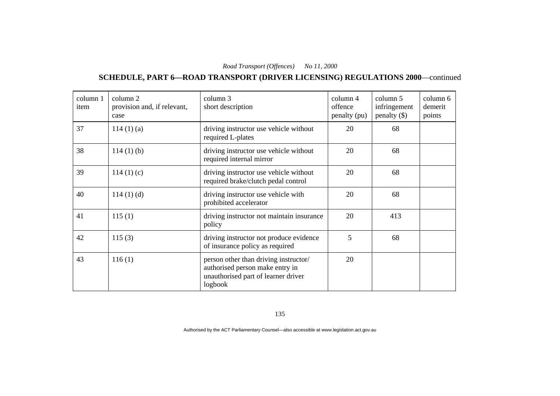#### **SCHEDULE, PART 6—ROAD TRANSPORT (DRIVER LICENSING) REGULATIONS 2000**—continued

| column 1<br>item | column 2<br>provision and, if relevant,<br>case | column 3<br>short description                                                                                              | column 4<br>offence<br>penalty (pu) | column 5<br>infringement<br>penalty $(\$)$ | column 6<br>demerit<br>points |
|------------------|-------------------------------------------------|----------------------------------------------------------------------------------------------------------------------------|-------------------------------------|--------------------------------------------|-------------------------------|
| 37               | $114(1)$ (a)                                    | driving instructor use vehicle without<br>required L-plates                                                                | 20                                  | 68                                         |                               |
| 38               | $114(1)$ (b)                                    | driving instructor use vehicle without<br>required internal mirror                                                         | 20                                  | 68                                         |                               |
| 39               | 114(1)(c)                                       | driving instructor use vehicle without<br>required brake/clutch pedal control                                              | 20                                  | 68                                         |                               |
| 40               | $114(1)$ (d)                                    | driving instructor use vehicle with<br>prohibited accelerator                                                              | 20                                  | 68                                         |                               |
| 41               | 115(1)                                          | driving instructor not maintain insurance<br>policy                                                                        | 20                                  | 413                                        |                               |
| 42               | 115(3)                                          | driving instructor not produce evidence<br>of insurance policy as required                                                 | 5                                   | 68                                         |                               |
| 43               | 116(1)                                          | person other than driving instructor/<br>authorised person make entry in<br>unauthorised part of learner driver<br>logbook | 20                                  |                                            |                               |

135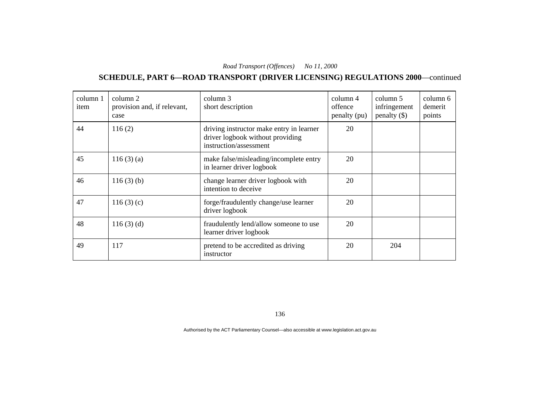#### **SCHEDULE, PART 6—ROAD TRANSPORT (DRIVER LICENSING) REGULATIONS 2000**—continued

| column 1<br>item | column 2<br>provision and, if relevant,<br>case | column 3<br>short description                                                                          | column 4<br>offence<br>penalty (pu) | column 5<br>infringement<br>penalty $(\$)$ | column 6<br>demerit<br>points |
|------------------|-------------------------------------------------|--------------------------------------------------------------------------------------------------------|-------------------------------------|--------------------------------------------|-------------------------------|
| 44               | 116(2)                                          | driving instructor make entry in learner<br>driver logbook without providing<br>instruction/assessment | 20                                  |                                            |                               |
| 45               | 116(3)(a)                                       | make false/misleading/incomplete entry<br>in learner driver logbook                                    | 20                                  |                                            |                               |
| 46               | $116(3)$ (b)                                    | change learner driver logbook with<br>intention to deceive                                             | 20                                  |                                            |                               |
| 47               | 116(3)(c)                                       | forge/fraudulently change/use learner<br>driver logbook                                                | 20                                  |                                            |                               |
| 48               | $116(3)$ (d)                                    | fraudulently lend/allow someone to use<br>learner driver logbook                                       | 20                                  |                                            |                               |
| 49               | 117                                             | pretend to be accredited as driving<br>instructor                                                      | 20                                  | 204                                        |                               |

136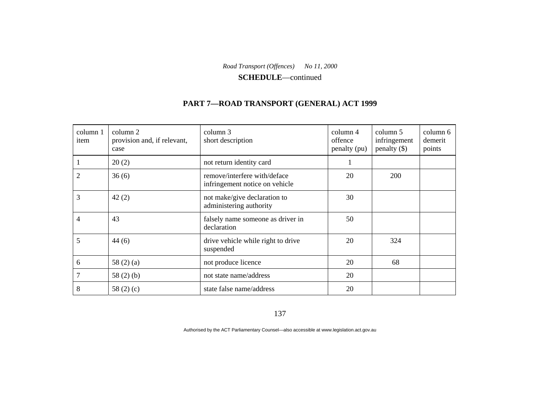**SCHEDULE**—continued

# **PART 7—ROAD TRANSPORT (GENERAL) ACT 1999**

| column 1<br>item | column 2<br>provision and, if relevant,<br>case | column 3<br>short description                                  | column 4<br>offence<br>penalty (pu) | column 5<br>infringement<br>penalty $(\$)$ | column 6<br>demerit<br>points |
|------------------|-------------------------------------------------|----------------------------------------------------------------|-------------------------------------|--------------------------------------------|-------------------------------|
|                  | 20(2)                                           | not return identity card                                       |                                     |                                            |                               |
| 2                | 36(6)                                           | remove/interfere with/deface<br>infringement notice on vehicle | 20                                  | 200                                        |                               |
| 3                | 42(2)                                           | not make/give declaration to<br>administering authority        | 30                                  |                                            |                               |
| 4                | 43                                              | falsely name someone as driver in<br>declaration               | 50                                  |                                            |                               |
| 5                | 44(6)                                           | drive vehicle while right to drive<br>suspended                | 20                                  | 324                                        |                               |
| 6                | 58 $(2)$ $(a)$                                  | not produce licence                                            | 20                                  | 68                                         |                               |
| 7                | 58 $(2)$ $(b)$                                  | not state name/address                                         | 20                                  |                                            |                               |
| 8                | 58 $(2)(c)$                                     | state false name/address                                       | 20                                  |                                            |                               |

137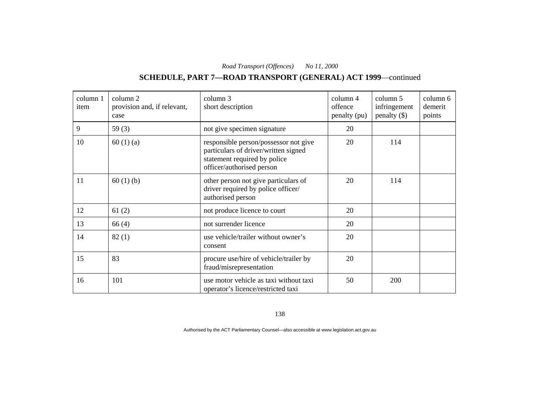# **SCHEDULE, PART 7—ROAD TRANSPORT (GENERAL) ACT 1999**—continued

| column 1<br>item | column 2<br>provision and, if relevant,<br>case | column 3<br>short description                                                                                                              | column 4<br>offence<br>penalty (pu) | column 5<br>infringement<br>penalty $(\$)$ | column 6<br>demerit<br>points |
|------------------|-------------------------------------------------|--------------------------------------------------------------------------------------------------------------------------------------------|-------------------------------------|--------------------------------------------|-------------------------------|
| 9                | 59 $(3)$                                        | not give specimen signature                                                                                                                | 20                                  |                                            |                               |
| 10               | 60(1)(a)                                        | responsible person/possessor not give<br>particulars of driver/written signed<br>statement required by police<br>officer/authorised person | 20                                  | 114                                        |                               |
| 11               | 60(1)(b)                                        | other person not give particulars of<br>driver required by police officer/<br>authorised person                                            | 20                                  | 114                                        |                               |
| 12               | 61(2)                                           | not produce licence to court                                                                                                               | 20                                  |                                            |                               |
| 13               | 66(4)                                           | not surrender licence                                                                                                                      | 20                                  |                                            |                               |
| 14               | 82(1)                                           | use vehicle/trailer without owner's<br>consent                                                                                             | 20                                  |                                            |                               |
| 15               | 83                                              | procure use/hire of vehicle/trailer by<br>fraud/misrepresentation                                                                          | 20                                  |                                            |                               |
| 16               | 101                                             | use motor vehicle as taxi without taxi<br>operator's licence/restricted taxi                                                               | 50                                  | 200                                        |                               |

138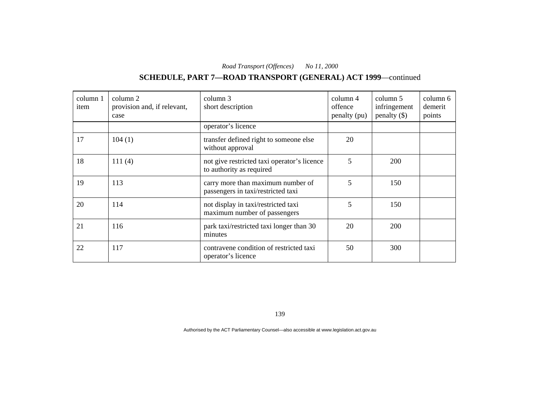# **SCHEDULE, PART 7—ROAD TRANSPORT (GENERAL) ACT 1999**—continued

| column 1<br>item | column 2<br>provision and, if relevant,<br>case | column 3<br>short description                                           | column 4<br>offence<br>penalty (pu) | column 5<br>infringement<br>penalty $(\$)$ | column 6<br>demerit<br>points |
|------------------|-------------------------------------------------|-------------------------------------------------------------------------|-------------------------------------|--------------------------------------------|-------------------------------|
|                  |                                                 | operator's licence                                                      |                                     |                                            |                               |
| 17               | 104(1)                                          | transfer defined right to someone else<br>without approval              | 20                                  |                                            |                               |
| 18               | 111(4)                                          | not give restricted taxi operator's licence<br>to authority as required | 5                                   | <b>200</b>                                 |                               |
| 19               | 113                                             | carry more than maximum number of<br>passengers in taxi/restricted taxi | 5                                   | 150                                        |                               |
| 20               | 114                                             | not display in taxi/restricted taxi<br>maximum number of passengers     | 5                                   | 150                                        |                               |
| 21               | 116                                             | park taxi/restricted taxi longer than 30<br>minutes                     | 20                                  | 200                                        |                               |
| 22               | 117                                             | contravene condition of restricted taxi<br>operator's licence           | 50                                  | 300                                        |                               |

139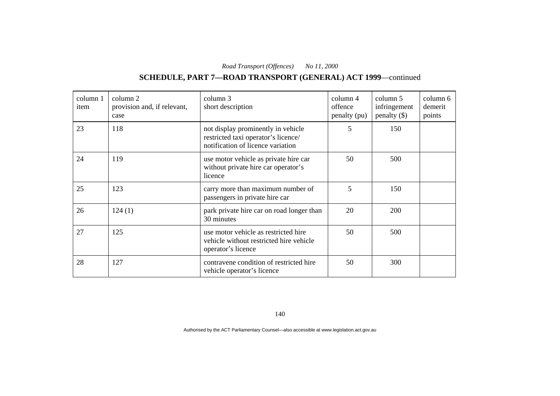# **SCHEDULE, PART 7—ROAD TRANSPORT (GENERAL) ACT 1999**—continued

| column 1<br>item | column 2<br>provision and, if relevant,<br>case | column 3<br>short description                                                                                  | column 4<br>offence<br>penalty (pu) | column 5<br>infringement<br>penalty $(\$)$ | column 6<br>demerit<br>points |
|------------------|-------------------------------------------------|----------------------------------------------------------------------------------------------------------------|-------------------------------------|--------------------------------------------|-------------------------------|
| 23               | 118                                             | not display prominently in vehicle<br>restricted taxi operator's licence/<br>notification of licence variation | 5                                   | 150                                        |                               |
| 24               | 119                                             | use motor vehicle as private hire car<br>without private hire car operator's<br>licence                        | 50                                  | 500                                        |                               |
| 25               | 123                                             | carry more than maximum number of<br>passengers in private hire car                                            | 5                                   | 150                                        |                               |
| 26               | 124(1)                                          | park private hire car on road longer than<br>30 minutes                                                        | 20                                  | 200                                        |                               |
| 27               | 125                                             | use motor vehicle as restricted hire<br>vehicle without restricted hire vehicle<br>operator's licence          | 50                                  | 500                                        |                               |
| 28               | 127                                             | contravene condition of restricted hire<br>vehicle operator's licence                                          | 50                                  | 300                                        |                               |

140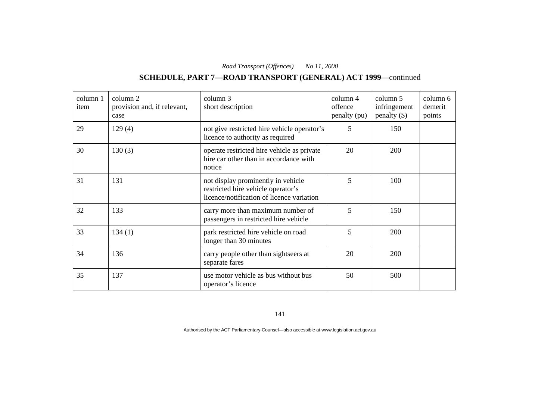# **SCHEDULE, PART 7—ROAD TRANSPORT (GENERAL) ACT 1999**—continued

| column 1<br>item | column 2<br>provision and, if relevant,<br>case | column 3<br>short description                                                                                         | column 4<br>offence<br>penalty (pu) | column 5<br>infringement<br>penalty $(\$)$ | column 6<br>demerit<br>points |
|------------------|-------------------------------------------------|-----------------------------------------------------------------------------------------------------------------------|-------------------------------------|--------------------------------------------|-------------------------------|
| 29               | 129(4)                                          | not give restricted hire vehicle operator's<br>licence to authority as required                                       | 5                                   | 150                                        |                               |
| 30               | 130(3)                                          | operate restricted hire vehicle as private<br>hire car other than in accordance with<br>notice                        | 20                                  | 200                                        |                               |
| 31               | 131                                             | not display prominently in vehicle<br>restricted hire vehicle operator's<br>licence/notification of licence variation | 5                                   | 100                                        |                               |
| 32               | 133                                             | carry more than maximum number of<br>passengers in restricted hire vehicle                                            | 5                                   | 150                                        |                               |
| 33               | 134(1)                                          | park restricted hire vehicle on road<br>longer than 30 minutes                                                        | 5                                   | 200                                        |                               |
| 34               | 136                                             | carry people other than sightseers at<br>separate fares                                                               | 20                                  | 200                                        |                               |
| 35               | 137                                             | use motor vehicle as bus without bus<br>operator's licence                                                            | 50                                  | 500                                        |                               |

141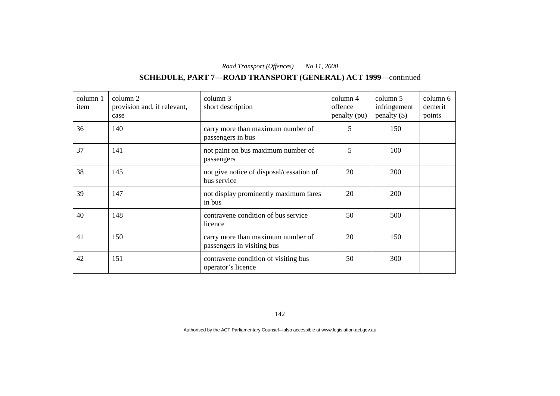# **SCHEDULE, PART 7—ROAD TRANSPORT (GENERAL) ACT 1999**—continued

| column 1<br>item | column 2<br>provision and, if relevant,<br>case | column 3<br>short description                                   | column 4<br>offence<br>penalty (pu) | column 5<br>infringement<br>penalty $(\$)$ | column 6<br>demerit<br>points |
|------------------|-------------------------------------------------|-----------------------------------------------------------------|-------------------------------------|--------------------------------------------|-------------------------------|
| 36               | 140                                             | carry more than maximum number of<br>passengers in bus          | 5                                   | 150                                        |                               |
| 37               | 141                                             | not paint on bus maximum number of<br>passengers                | 5                                   | 100                                        |                               |
| 38               | 145                                             | not give notice of disposal/cessation of<br>bus service         | 20                                  | 200                                        |                               |
| 39               | 147                                             | not display prominently maximum fares<br>in bus                 | 20                                  | 200                                        |                               |
| 40               | 148                                             | contravene condition of bus service<br>licence                  | 50                                  | 500                                        |                               |
| 41               | 150                                             | carry more than maximum number of<br>passengers in visiting bus | 20                                  | 150                                        |                               |
| 42               | 151                                             | contravene condition of visiting bus<br>operator's licence      | 50                                  | 300                                        |                               |

142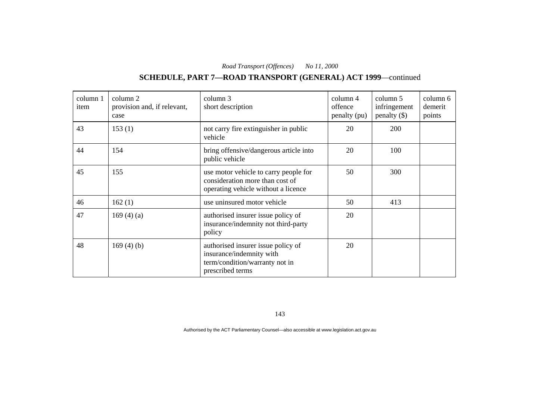# **SCHEDULE, PART 7—ROAD TRANSPORT (GENERAL) ACT 1999**—continued

| column 1<br>item | column 2<br>provision and, if relevant,<br>case | column 3<br>short description                                                                                        | $\text{column } 4$<br>offence<br>penalty (pu) | column 5<br>infringement<br>penalty $(\$)$ | column 6<br>demerit<br>points |
|------------------|-------------------------------------------------|----------------------------------------------------------------------------------------------------------------------|-----------------------------------------------|--------------------------------------------|-------------------------------|
| 43               | 153(1)                                          | not carry fire extinguisher in public<br>vehicle                                                                     | 20                                            | 200                                        |                               |
| 44               | 154                                             | bring offensive/dangerous article into<br>public vehicle                                                             | 20                                            | 100                                        |                               |
| 45               | 155                                             | use motor vehicle to carry people for<br>consideration more than cost of<br>operating vehicle without a licence      | 50                                            | 300                                        |                               |
| 46               | 162(1)                                          | use uninsured motor vehicle                                                                                          | 50                                            | 413                                        |                               |
| 47               | 169 $(4)$ $(a)$                                 | authorised insurer issue policy of<br>insurance/indemnity not third-party<br>policy                                  | 20                                            |                                            |                               |
| 48               | 169 $(4)$ $(b)$                                 | authorised insurer issue policy of<br>insurance/indemnity with<br>term/condition/warranty not in<br>prescribed terms | 20                                            |                                            |                               |

143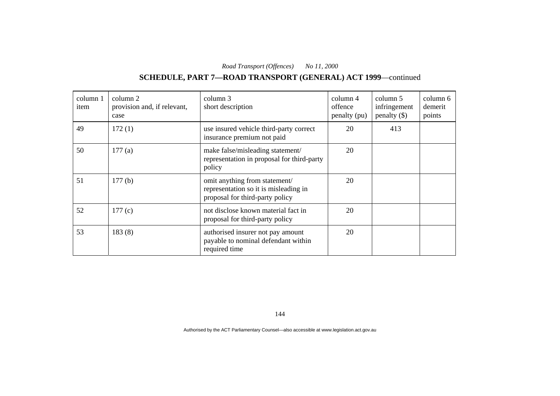# **SCHEDULE, PART 7—ROAD TRANSPORT (GENERAL) ACT 1999**—continued

| column 1<br>item | column 2<br>provision and, if relevant,<br>case | column 3<br>short description                                                                             | column 4<br>offence<br>penalty (pu) | column 5<br>infringement<br>penalty $(\$)$ | column 6<br>demerit<br>points |
|------------------|-------------------------------------------------|-----------------------------------------------------------------------------------------------------------|-------------------------------------|--------------------------------------------|-------------------------------|
| 49               | 172(1)                                          | use insured vehicle third-party correct<br>insurance premium not paid                                     | 20                                  | 413                                        |                               |
| 50               | 177(a)                                          | make false/misleading statement/<br>representation in proposal for third-party<br>policy                  | 20                                  |                                            |                               |
| 51               | 177(b)                                          | omit anything from statement/<br>representation so it is misleading in<br>proposal for third-party policy | 20                                  |                                            |                               |
| 52               | 177(c)                                          | not disclose known material fact in<br>proposal for third-party policy                                    | 20                                  |                                            |                               |
| 53               | 183(8)                                          | authorised insurer not pay amount<br>payable to nominal defendant within<br>required time                 | 20                                  |                                            |                               |

144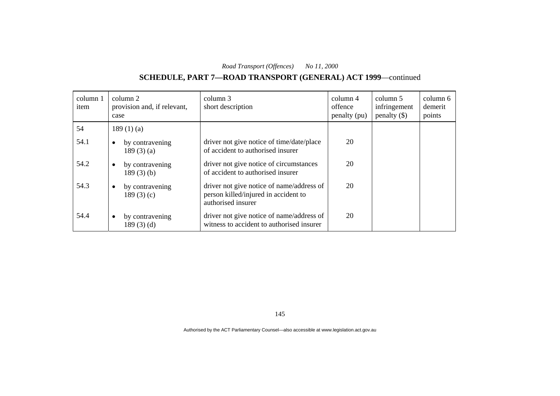# **SCHEDULE, PART 7—ROAD TRANSPORT (GENERAL) ACT 1999**—continued

| column 1<br>item | column 2<br>provision and, if relevant,<br>case | column 3<br>short description                                                                           | column 4<br>offence<br>penalty (pu) | column 5<br>infringement<br>penalty $(\$)$ | column 6<br>demerit<br>points |
|------------------|-------------------------------------------------|---------------------------------------------------------------------------------------------------------|-------------------------------------|--------------------------------------------|-------------------------------|
| 54               | 189(1)(a)                                       |                                                                                                         |                                     |                                            |                               |
| 54.1             | by contravening<br>189 $(3)$ $(a)$              | driver not give notice of time/date/place<br>of accident to authorised insurer                          | 20                                  |                                            |                               |
| 54.2             | by contravening<br>$\bullet$<br>$189(3)$ (b)    | driver not give notice of circumstances<br>of accident to authorised insurer                            | 20                                  |                                            |                               |
| 54.3             | by contravening<br>189 $(3)(c)$                 | driver not give notice of name/address of<br>person killed/injured in accident to<br>authorised insurer | 20                                  |                                            |                               |
| 54.4             | by contravening<br>$\bullet$<br>189 $(3)$ $(d)$ | driver not give notice of name/address of<br>witness to accident to authorised insurer                  | 20                                  |                                            |                               |

145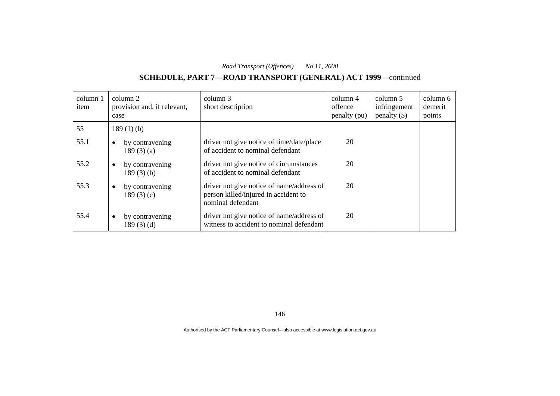# **SCHEDULE, PART 7—ROAD TRANSPORT (GENERAL) ACT 1999**—continued

| column 1<br>item | column 2<br>provision and, if relevant,<br>case | column 3<br>short description                                                                          | column 4<br>offence<br>penalty (pu) | column 5<br>infringement<br>penalty $(\$)$ | column 6<br>demerit<br>points |
|------------------|-------------------------------------------------|--------------------------------------------------------------------------------------------------------|-------------------------------------|--------------------------------------------|-------------------------------|
| 55               | 189 $(1)$ $(b)$                                 |                                                                                                        |                                     |                                            |                               |
| 55.1             | by contravening<br>$\bullet$<br>189 $(3)$ $(a)$ | driver not give notice of time/date/place<br>of accident to nominal defendant                          | 20                                  |                                            |                               |
| 55.2             | by contravening<br>$\bullet$<br>$189(3)$ (b)    | driver not give notice of circumstances<br>of accident to nominal defendant                            | 20                                  |                                            |                               |
| 55.3             | by contravening<br>$\bullet$<br>189 $(3)(c)$    | driver not give notice of name/address of<br>person killed/injured in accident to<br>nominal defendant | 20                                  |                                            |                               |
| 55.4             | by contravening<br>$\bullet$<br>189(3)(d)       | driver not give notice of name/address of<br>witness to accident to nominal defendant                  | 20                                  |                                            |                               |

146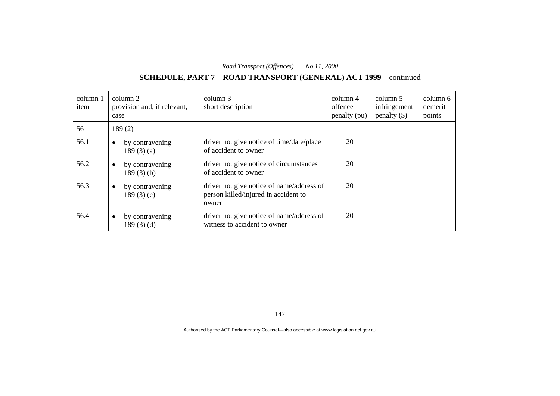# **SCHEDULE, PART 7—ROAD TRANSPORT (GENERAL) ACT 1999**—continued

| column 1<br>item | column 2<br>provision and, if relevant,<br>case | column 3<br>short description                                                              | $\text{column } 4$<br>offence<br>penalty (pu) | column 5<br>infringement<br>penalty $(\$)$ | column 6<br>demerit<br>points |
|------------------|-------------------------------------------------|--------------------------------------------------------------------------------------------|-----------------------------------------------|--------------------------------------------|-------------------------------|
| 56               | 189(2)                                          |                                                                                            |                                               |                                            |                               |
| 56.1             | by contravening<br>$\bullet$<br>189 $(3)(a)$    | driver not give notice of time/date/place<br>of accident to owner                          | 20                                            |                                            |                               |
| 56.2             | by contravening<br>$\bullet$<br>$189(3)$ (b)    | driver not give notice of circumstances<br>of accident to owner                            | 20                                            |                                            |                               |
| 56.3             | by contravening<br>$\bullet$<br>189 $(3)(c)$    | driver not give notice of name/address of<br>person killed/injured in accident to<br>owner | 20                                            |                                            |                               |
| 56.4             | by contravening<br>$\bullet$<br>189(3)(d)       | driver not give notice of name/address of<br>witness to accident to owner                  | 20                                            |                                            |                               |

147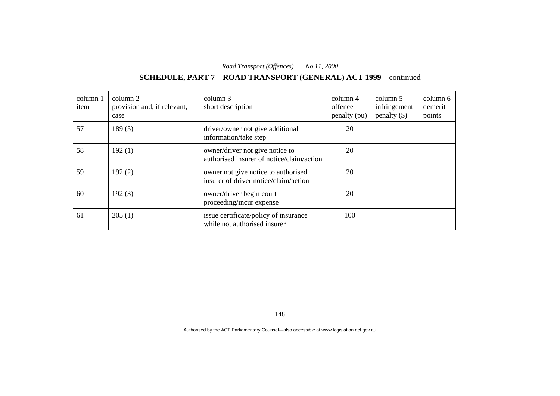# **SCHEDULE, PART 7—ROAD TRANSPORT (GENERAL) ACT 1999**—continued

| column 1<br>item | column 2<br>provision and, if relevant,<br>case | column 3<br>short description                                                | column 4<br>offence<br>penalty (pu) | column 5<br>infringement<br>penalty $(\$)$ | column 6<br>demerit<br>points |
|------------------|-------------------------------------------------|------------------------------------------------------------------------------|-------------------------------------|--------------------------------------------|-------------------------------|
| 57               | 189(5)                                          | driver/owner not give additional<br>information/take step                    | 20                                  |                                            |                               |
| 58               | 192(1)                                          | owner/driver not give notice to<br>authorised insurer of notice/claim/action | 20                                  |                                            |                               |
| 59               | 192(2)                                          | owner not give notice to authorised<br>insurer of driver notice/claim/action | 20                                  |                                            |                               |
| 60               | 192(3)                                          | owner/driver begin court<br>proceeding/incur expense                         | 20                                  |                                            |                               |
| 61               | 205(1)                                          | issue certificate/policy of insurance<br>while not authorised insurer        | 100                                 |                                            |                               |

148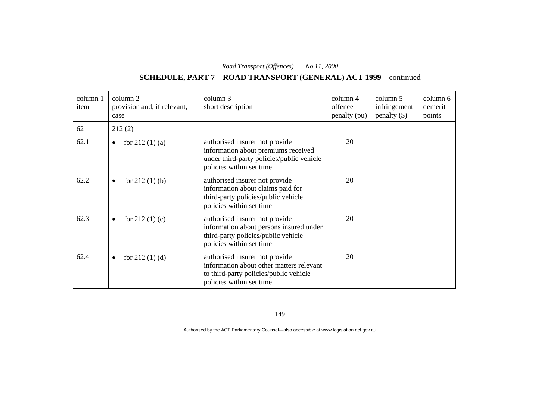# **SCHEDULE, PART 7—ROAD TRANSPORT (GENERAL) ACT 1999**—continued

| column 1<br>item | column 2<br>provision and, if relevant,<br>case | column 3<br>short description                                                                                                                    | column 4<br>offence<br>penalty (pu) | column 5<br>infringement<br>penalty $(\$)$ | column 6<br>demerit<br>points |
|------------------|-------------------------------------------------|--------------------------------------------------------------------------------------------------------------------------------------------------|-------------------------------------|--------------------------------------------|-------------------------------|
| 62               | 212(2)                                          |                                                                                                                                                  |                                     |                                            |                               |
| 62.1             | for $212(1)$ (a)<br>$\bullet$                   | authorised insurer not provide<br>information about premiums received<br>under third-party policies/public vehicle<br>policies within set time   | 20                                  |                                            |                               |
| 62.2             | for $212(1)$ (b)<br>$\bullet$                   | authorised insurer not provide<br>information about claims paid for<br>third-party policies/public vehicle<br>policies within set time           | 20                                  |                                            |                               |
| 62.3             | for $212(1)(c)$<br>$\bullet$                    | authorised insurer not provide<br>information about persons insured under<br>third-party policies/public vehicle<br>policies within set time     | 20                                  |                                            |                               |
| 62.4             | for $212(1)(d)$<br>$\bullet$                    | authorised insurer not provide<br>information about other matters relevant<br>to third-party policies/public vehicle<br>policies within set time | 20                                  |                                            |                               |

149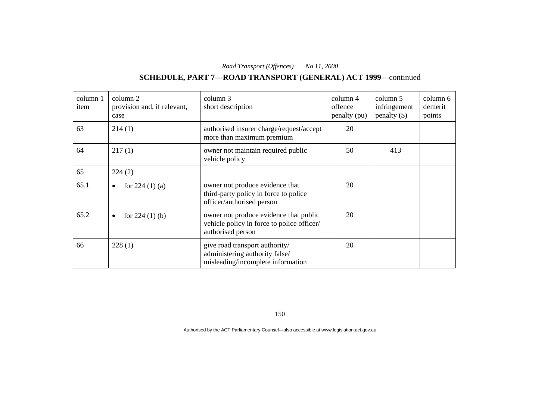# **SCHEDULE, PART 7—ROAD TRANSPORT (GENERAL) ACT 1999**—continued

| column 1<br>item | column 2<br>provision and, if relevant,<br>case | column 3<br>short description                                                                             | column 4<br>offence<br>penalty (pu) | column 5<br>infringement<br>penalty $(\$)$ | column 6<br>demerit<br>points |
|------------------|-------------------------------------------------|-----------------------------------------------------------------------------------------------------------|-------------------------------------|--------------------------------------------|-------------------------------|
| 63               | 214(1)                                          | authorised insurer charge/request/accept<br>more than maximum premium                                     | 20                                  |                                            |                               |
| 64               | 217(1)                                          | owner not maintain required public<br>vehicle policy                                                      | 50                                  | 413                                        |                               |
| 65               | 224(2)                                          |                                                                                                           |                                     |                                            |                               |
| 65.1             | for $224(1)(a)$<br>٠                            | owner not produce evidence that<br>third-party policy in force to police<br>officer/authorised person     | 20                                  |                                            |                               |
| 65.2             | for $224(1)$ (b)<br>٠                           | owner not produce evidence that public<br>vehicle policy in force to police officer/<br>authorised person | 20                                  |                                            |                               |
| 66               | 228(1)                                          | give road transport authority/<br>administering authority false/<br>misleading/incomplete information     | 20                                  |                                            |                               |

150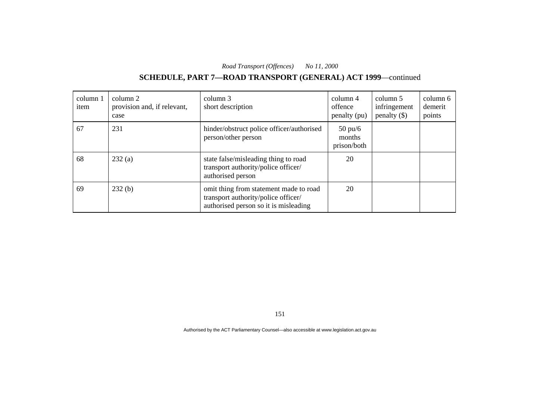# **SCHEDULE, PART 7—ROAD TRANSPORT (GENERAL) ACT 1999**—continued

| column 1<br>item | column 2<br>provision and, if relevant,<br>case | column 3<br>short description                                                                                          | column 4<br>offence<br>penalty (pu)        | column 5<br>infringement<br>penalty $(\$)$ | column 6<br>demerit<br>points |
|------------------|-------------------------------------------------|------------------------------------------------------------------------------------------------------------------------|--------------------------------------------|--------------------------------------------|-------------------------------|
| 67               | 231                                             | hinder/obstruct police officer/authorised<br>person/other person                                                       | $50 \text{ pu/6}$<br>months<br>prison/both |                                            |                               |
| 68               | 232(a)                                          | state false/misleading thing to road<br>transport authority/police officer/<br>authorised person                       | 20                                         |                                            |                               |
| 69               | 232(b)                                          | omit thing from statement made to road<br>transport authority/police officer/<br>authorised person so it is misleading | 20                                         |                                            |                               |

151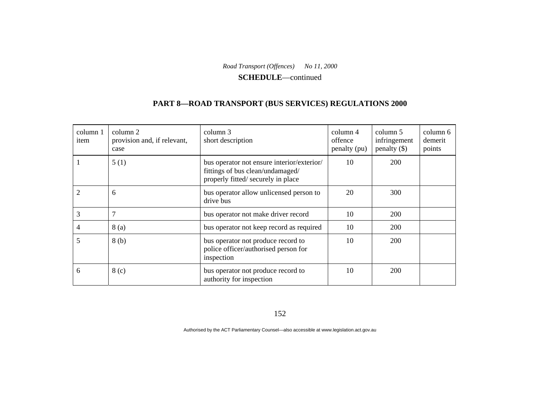**SCHEDULE**—continued

#### **PART 8—ROAD TRANSPORT (BUS SERVICES) REGULATIONS 2000**

| column 1<br>item | column 2<br>provision and, if relevant,<br>case | column 3<br>short description                                                                                        | column 4<br>offence<br>penalty (pu) | column 5<br>infringement<br>penalty $(\$)$ | column 6<br>demerit<br>points |
|------------------|-------------------------------------------------|----------------------------------------------------------------------------------------------------------------------|-------------------------------------|--------------------------------------------|-------------------------------|
|                  | 5(1)                                            | bus operator not ensure interior/exterior/<br>fittings of bus clean/undamaged/<br>properly fitted/ securely in place | 10                                  | 200                                        |                               |
|                  | 6                                               | bus operator allow unlicensed person to<br>drive bus                                                                 | 20                                  | 300                                        |                               |
| 3                | 7                                               | bus operator not make driver record                                                                                  | 10                                  | 200                                        |                               |
| 4                | 8(a)                                            | bus operator not keep record as required                                                                             | 10                                  | 200                                        |                               |
| 5                | 8(b)                                            | bus operator not produce record to<br>police officer/authorised person for<br>inspection                             | 10                                  | 200                                        |                               |
| 6                | 8 <sub>(c)</sub>                                | bus operator not produce record to<br>authority for inspection                                                       | 10                                  | 200                                        |                               |

152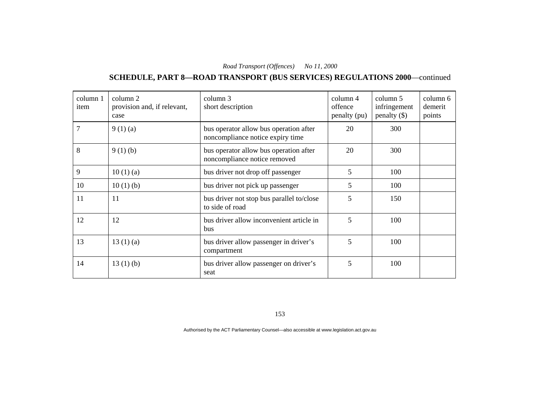# **SCHEDULE, PART 8—ROAD TRANSPORT (BUS SERVICES) REGULATIONS 2000**—continued

| column 1<br>item | column 2<br>provision and, if relevant,<br>case | column 3<br>short description                                              | column 4<br>offence<br>penalty (pu) | column 5<br>infringement<br>$penalty$ (\$) | column 6<br>demerit<br>points |
|------------------|-------------------------------------------------|----------------------------------------------------------------------------|-------------------------------------|--------------------------------------------|-------------------------------|
|                  | 9(1)(a)                                         | bus operator allow bus operation after<br>noncompliance notice expiry time | 20                                  | 300                                        |                               |
| 8                | 9(1)(b)                                         | bus operator allow bus operation after<br>noncompliance notice removed     | 20                                  | 300                                        |                               |
| 9                | 10(1)(a)                                        | bus driver not drop off passenger                                          | 5                                   | 100                                        |                               |
| 10               | 10(1)(b)                                        | bus driver not pick up passenger                                           | 5                                   | 100                                        |                               |
| 11               | 11                                              | bus driver not stop bus parallel to/close<br>to side of road               | 5                                   | 150                                        |                               |
| 12               | 12                                              | bus driver allow inconvenient article in<br>bus                            | 5                                   | 100                                        |                               |
| 13               | 13(1)(a)                                        | bus driver allow passenger in driver's<br>compartment                      | 5                                   | 100                                        |                               |
| 14               | 13(1)(b)                                        | bus driver allow passenger on driver's<br>seat                             | 5                                   | 100                                        |                               |

153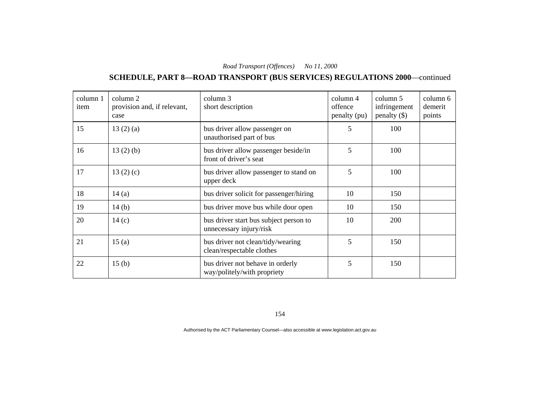# **SCHEDULE, PART 8—ROAD TRANSPORT (BUS SERVICES) REGULATIONS 2000**—continued

| column 1<br>item | column 2<br>provision and, if relevant,<br>case | column 3<br>short description                                     | column 4<br>offence<br>penalty (pu) | column 5<br>infringement<br>$penalty$ (\$) | column 6<br>demerit<br>points |
|------------------|-------------------------------------------------|-------------------------------------------------------------------|-------------------------------------|--------------------------------------------|-------------------------------|
| 15               | 13(2)(a)                                        | bus driver allow passenger on<br>unauthorised part of bus         | 5                                   | 100                                        |                               |
| 16               | 13(2)(b)                                        | bus driver allow passenger beside/in<br>front of driver's seat    | 5                                   | 100                                        |                               |
| 17               | 13(2)(c)                                        | bus driver allow passenger to stand on<br>upper deck              | 5                                   | 100                                        |                               |
| 18               | 14(a)                                           | bus driver solicit for passenger/hiring                           | 10                                  | 150                                        |                               |
| 19               | 14(b)                                           | bus driver move bus while door open                               | 10                                  | 150                                        |                               |
| 20               | 14(c)                                           | bus driver start bus subject person to<br>unnecessary injury/risk | 10                                  | 200                                        |                               |
| 21               | 15(a)                                           | bus driver not clean/tidy/wearing<br>clean/respectable clothes    | 5                                   | 150                                        |                               |
| 22               | 15 <sub>(b)</sub>                               | bus driver not behave in orderly<br>way/politely/with propriety   | 5                                   | 150                                        |                               |

154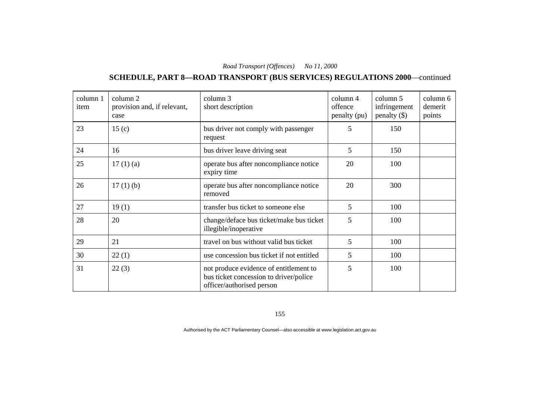# **SCHEDULE, PART 8—ROAD TRANSPORT (BUS SERVICES) REGULATIONS 2000**—continued

| column 1<br>item | column 2<br>provision and, if relevant,<br>case | column 3<br>short description                                                                                 | column 4<br>offence<br>penalty (pu) | column 5<br>infringement<br>penalty $(\$)$ | column 6<br>demerit<br>points |
|------------------|-------------------------------------------------|---------------------------------------------------------------------------------------------------------------|-------------------------------------|--------------------------------------------|-------------------------------|
| 23               | 15 <sub>(c)</sub>                               | bus driver not comply with passenger<br>request                                                               | 5                                   | 150                                        |                               |
| 24               | 16                                              | bus driver leave driving seat                                                                                 | 5                                   | 150                                        |                               |
| 25               | 17(1)(a)                                        | operate bus after noncompliance notice<br>expiry time                                                         | 20                                  | 100                                        |                               |
| 26               | $17(1)$ (b)                                     | operate bus after noncompliance notice<br>removed                                                             | 20                                  | 300                                        |                               |
| 27               | 19(1)                                           | transfer bus ticket to someone else                                                                           | 5                                   | 100                                        |                               |
| 28               | 20                                              | change/deface bus ticket/make bus ticket<br>illegible/inoperative                                             | 5                                   | 100                                        |                               |
| 29               | 21                                              | travel on bus without valid bus ticket                                                                        | 5                                   | 100                                        |                               |
| 30               | 22(1)                                           | use concession bus ticket if not entitled                                                                     | 5                                   | 100                                        |                               |
| 31               | 22(3)                                           | not produce evidence of entitlement to<br>bus ticket concession to driver/police<br>officer/authorised person | 5                                   | 100                                        |                               |

155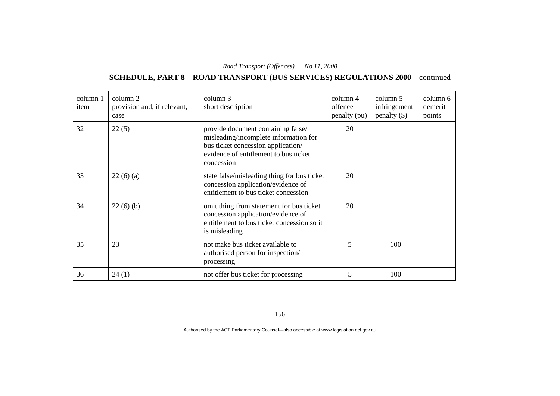# **SCHEDULE, PART 8—ROAD TRANSPORT (BUS SERVICES) REGULATIONS 2000**—continued

| column 1<br>item | column 2<br>provision and, if relevant,<br>case | column 3<br>short description                                                                                                                                            | column 4<br>offence<br>penalty (pu) | column 5<br>infringement<br>$penalty$ (\$) | column 6<br>demerit<br>points |
|------------------|-------------------------------------------------|--------------------------------------------------------------------------------------------------------------------------------------------------------------------------|-------------------------------------|--------------------------------------------|-------------------------------|
| 32               | 22(5)                                           | provide document containing false/<br>misleading/incomplete information for<br>bus ticket concession application/<br>evidence of entitlement to bus ticket<br>concession | 20                                  |                                            |                               |
| 33               | 22(6)(a)                                        | state false/misleading thing for bus ticket<br>concession application/evidence of<br>entitlement to bus ticket concession                                                | 20                                  |                                            |                               |
| 34               | 22(6)(b)                                        | omit thing from statement for bus ticket<br>concession application/evidence of<br>entitlement to bus ticket concession so it<br>is misleading                            | 20                                  |                                            |                               |
| 35               | 23                                              | not make bus ticket available to<br>authorised person for inspection/<br>processing                                                                                      | 5                                   | 100                                        |                               |
| 36               | 24(1)                                           | not offer bus ticket for processing                                                                                                                                      | 5                                   | 100                                        |                               |

156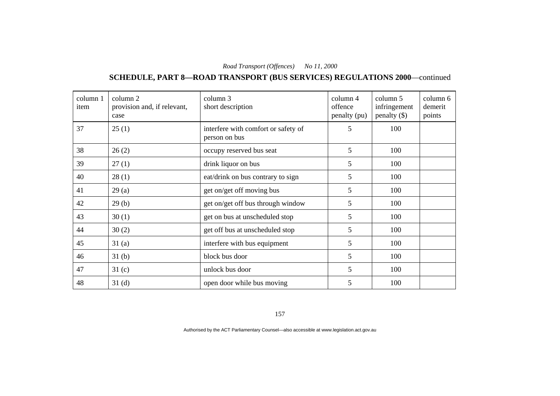# **SCHEDULE, PART 8—ROAD TRANSPORT (BUS SERVICES) REGULATIONS 2000**—continued

| column 1<br>item | column 2<br>provision and, if relevant,<br>case | column 3<br>short description                        | column 4<br>offence<br>penalty (pu) | column 5<br>infringement<br>penalty $(\$)$ | column 6<br>demerit<br>points |
|------------------|-------------------------------------------------|------------------------------------------------------|-------------------------------------|--------------------------------------------|-------------------------------|
| 37               | 25(1)                                           | interfere with comfort or safety of<br>person on bus | 5                                   | 100                                        |                               |
| 38               | 26(2)                                           | occupy reserved bus seat                             | 5                                   | 100                                        |                               |
| 39               | 27(1)                                           | drink liquor on bus                                  | 5                                   | 100                                        |                               |
| 40               | 28(1)                                           | eat/drink on bus contrary to sign                    | 5                                   | 100                                        |                               |
| 41               | 29(a)                                           | get on/get off moving bus                            | 5                                   | 100                                        |                               |
| 42               | 29(b)                                           | get on/get off bus through window                    | 5                                   | 100                                        |                               |
| 43               | 30(1)                                           | get on bus at unscheduled stop                       | 5                                   | 100                                        |                               |
| 44               | 30(2)                                           | get off bus at unscheduled stop                      | 5                                   | 100                                        |                               |
| 45               | 31(a)                                           | interfere with bus equipment                         | 5                                   | 100                                        |                               |
| 46               | 31 <sub>(b)</sub>                               | block bus door                                       | 5                                   | 100                                        |                               |
| 47               | 31 <sub>(c)</sub>                               | unlock bus door                                      | 5                                   | 100                                        |                               |
| 48               | 31 <sub>(d)</sub>                               | open door while bus moving                           | 5                                   | 100                                        |                               |

157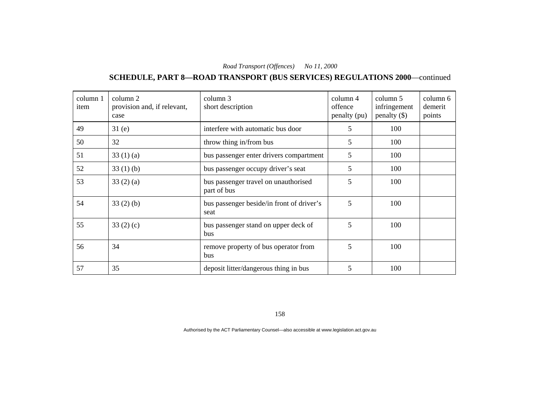# **SCHEDULE, PART 8—ROAD TRANSPORT (BUS SERVICES) REGULATIONS 2000**—continued

| column 1<br>item | column 2<br>provision and, if relevant,<br>case | column 3<br>short description                       | column 4<br>offence<br>penalty (pu) | column 5<br>infringement<br>penalty $(\$)$ | column 6<br>demerit<br>points |
|------------------|-------------------------------------------------|-----------------------------------------------------|-------------------------------------|--------------------------------------------|-------------------------------|
| 49               | 31(e)                                           | interfere with automatic bus door                   | 5                                   | 100                                        |                               |
| 50               | 32                                              | throw thing in/from bus                             | 5                                   | 100                                        |                               |
| 51               | 33(1)(a)                                        | bus passenger enter drivers compartment             | 5                                   | 100                                        |                               |
| 52               | 33(1)(b)                                        | bus passenger occupy driver's seat                  | 5                                   | 100                                        |                               |
| 53               | 33(2)(a)                                        | bus passenger travel on unauthorised<br>part of bus | 5                                   | 100                                        |                               |
| 54               | 33(2)(b)                                        | bus passenger beside/in front of driver's<br>seat   | 5                                   | 100                                        |                               |
| 55               | 33 $(2)$ $(c)$                                  | bus passenger stand on upper deck of<br>bus         | 5                                   | 100                                        |                               |
| 56               | 34                                              | remove property of bus operator from<br>bus         | 5                                   | 100                                        |                               |
| 57               | 35                                              | deposit litter/dangerous thing in bus               | 5                                   | 100                                        |                               |

158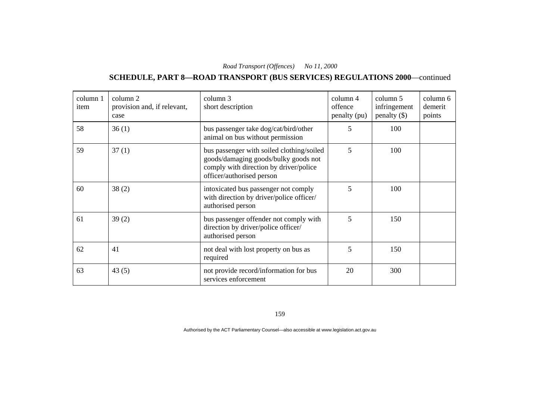# **SCHEDULE, PART 8—ROAD TRANSPORT (BUS SERVICES) REGULATIONS 2000**—continued

| column 1<br>item | column 2<br>provision and, if relevant,<br>case | column 3<br>short description                                                                                                                            | column 4<br>offence<br>penalty (pu) | column 5<br>infringement<br>penalty $(\$)$ | column 6<br>demerit<br>points |
|------------------|-------------------------------------------------|----------------------------------------------------------------------------------------------------------------------------------------------------------|-------------------------------------|--------------------------------------------|-------------------------------|
| 58               | 36(1)                                           | bus passenger take dog/cat/bird/other<br>animal on bus without permission                                                                                | 5                                   | 100                                        |                               |
| 59               | 37(1)                                           | bus passenger with soiled clothing/soiled<br>goods/damaging goods/bulky goods not<br>comply with direction by driver/police<br>officer/authorised person | 5                                   | 100                                        |                               |
| 60               | 38(2)                                           | intoxicated bus passenger not comply<br>with direction by driver/police officer/<br>authorised person                                                    | 5                                   | 100                                        |                               |
| 61               | 39(2)                                           | bus passenger offender not comply with<br>direction by driver/police officer/<br>authorised person                                                       | 5                                   | 150                                        |                               |
| 62               | 41                                              | not deal with lost property on bus as<br>required                                                                                                        | 5                                   | 150                                        |                               |
| 63               | 43(5)                                           | not provide record/information for bus<br>services enforcement                                                                                           | 20                                  | 300                                        |                               |

159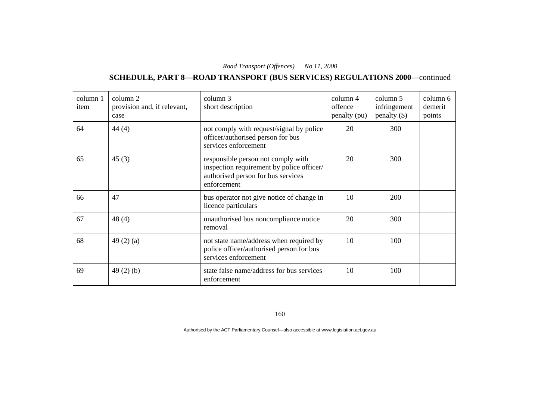# **SCHEDULE, PART 8—ROAD TRANSPORT (BUS SERVICES) REGULATIONS 2000**—continued

| column 1<br>item | column 2<br>provision and, if relevant,<br>case | column 3<br>short description                                                                                                        | column 4<br>offence<br>penalty (pu) | column 5<br>infringement<br>penalty $(\$)$ | column 6<br>demerit<br>points |
|------------------|-------------------------------------------------|--------------------------------------------------------------------------------------------------------------------------------------|-------------------------------------|--------------------------------------------|-------------------------------|
| 64               | 44(4)                                           | not comply with request/signal by police<br>officer/authorised person for bus<br>services enforcement                                | 20                                  | 300                                        |                               |
| 65               | 45(3)                                           | responsible person not comply with<br>inspection requirement by police officer/<br>authorised person for bus services<br>enforcement | 20                                  | 300                                        |                               |
| 66               | 47                                              | bus operator not give notice of change in<br>licence particulars                                                                     | 10                                  | 200                                        |                               |
| 67               | 48(4)                                           | unauthorised bus noncompliance notice<br>removal                                                                                     | 20                                  | 300                                        |                               |
| 68               | 49 $(2)$ $(a)$                                  | not state name/address when required by<br>police officer/authorised person for bus<br>services enforcement                          | 10                                  | 100                                        |                               |
| 69               | 49 $(2)$ $(b)$                                  | state false name/address for bus services<br>enforcement                                                                             | 10                                  | 100                                        |                               |

160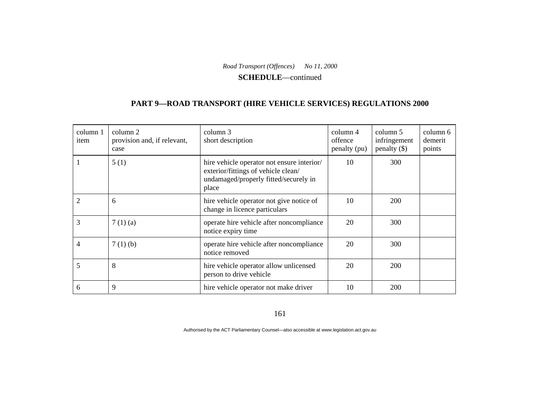**SCHEDULE**—continued

#### **PART 9—ROAD TRANSPORT (HIRE VEHICLE SERVICES) REGULATIONS 2000**

| column 1<br>item | column 2<br>provision and, if relevant,<br>case | column 3<br>short description                                                                                                       | column 4<br>offence<br>penalty (pu) | column 5<br>infringement<br>penalty $(\$)$ | column 6<br>demerit<br>points |
|------------------|-------------------------------------------------|-------------------------------------------------------------------------------------------------------------------------------------|-------------------------------------|--------------------------------------------|-------------------------------|
|                  | 5(1)                                            | hire vehicle operator not ensure interior/<br>exterior/fittings of vehicle clean/<br>undamaged/properly fitted/securely in<br>place | 10                                  | 300                                        |                               |
| $\overline{2}$   | 6                                               | hire vehicle operator not give notice of<br>change in licence particulars                                                           | 10                                  | 200                                        |                               |
| 3                | 7(1)(a)                                         | operate hire vehicle after noncompliance<br>notice expiry time                                                                      | 20                                  | 300                                        |                               |
| 4                | 7(1)(b)                                         | operate hire vehicle after noncompliance<br>notice removed                                                                          | 20                                  | 300                                        |                               |
| 5                | 8                                               | hire vehicle operator allow unlicensed<br>person to drive vehicle                                                                   | 20                                  | 200                                        |                               |
| 6                | 9                                               | hire vehicle operator not make driver                                                                                               | 10                                  | 200                                        |                               |

161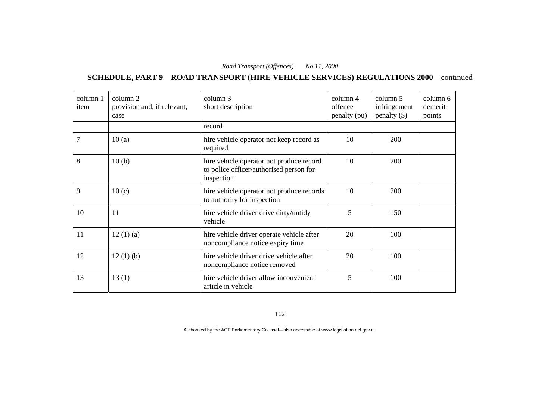**SCHEDULE, PART 9—ROAD TRANSPORT (HIRE VEHICLE SERVICES) REGULATIONS 2000**—continued

| column 1<br>item | column 2<br>provision and, if relevant,<br>case | column 3<br>short description                                                                     | column 4<br>offence<br>penalty (pu) | column 5<br>infringement<br>penalty $(\$)$ | column 6<br>demerit<br>points |
|------------------|-------------------------------------------------|---------------------------------------------------------------------------------------------------|-------------------------------------|--------------------------------------------|-------------------------------|
|                  |                                                 | record                                                                                            |                                     |                                            |                               |
| 7                | 10(a)                                           | hire vehicle operator not keep record as<br>required                                              | 10                                  | 200                                        |                               |
| 8                | 10(b)                                           | hire vehicle operator not produce record<br>to police officer/authorised person for<br>inspection | 10                                  | 200                                        |                               |
| 9                | 10(c)                                           | hire vehicle operator not produce records<br>to authority for inspection                          | 10                                  | 200                                        |                               |
| 10               | 11                                              | hire vehicle driver drive dirty/untidy<br>vehicle                                                 | 5                                   | 150                                        |                               |
| 11               | 12(1)(a)                                        | hire vehicle driver operate vehicle after<br>noncompliance notice expiry time                     | 20                                  | 100                                        |                               |
| 12               | 12(1)(b)                                        | hire vehicle driver drive vehicle after<br>noncompliance notice removed                           | 20                                  | 100                                        |                               |
| 13               | 13(1)                                           | hire vehicle driver allow inconvenient<br>article in vehicle                                      | 5                                   | 100                                        |                               |

162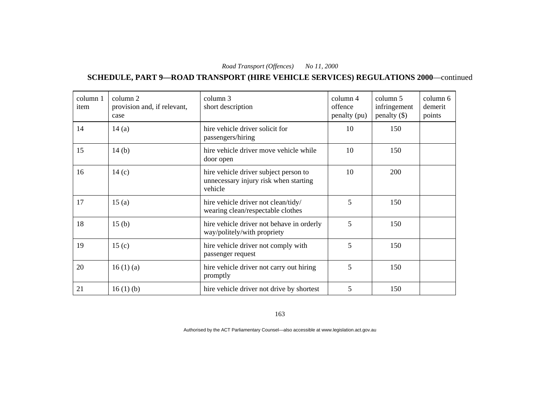**SCHEDULE, PART 9—ROAD TRANSPORT (HIRE VEHICLE SERVICES) REGULATIONS 2000**—continued

| column 1<br>item | column 2<br>provision and, if relevant,<br>case | column 3<br>short description                                                             | column 4<br>offence<br>penalty (pu) | column 5<br>infringement<br>$penalty$ (\$) | column 6<br>demerit<br>points |
|------------------|-------------------------------------------------|-------------------------------------------------------------------------------------------|-------------------------------------|--------------------------------------------|-------------------------------|
| 14               | 14(a)                                           | hire vehicle driver solicit for<br>passengers/hiring                                      | 10                                  | 150                                        |                               |
| 15               | 14(b)                                           | hire vehicle driver move vehicle while<br>door open                                       | 10                                  | 150                                        |                               |
| 16               | 14(c)                                           | hire vehicle driver subject person to<br>unnecessary injury risk when starting<br>vehicle | 10                                  | 200                                        |                               |
| 17               | 15(a)                                           | hire vehicle driver not clean/tidy/<br>wearing clean/respectable clothes                  | 5                                   | 150                                        |                               |
| 18               | 15 <sub>(b)</sub>                               | hire vehicle driver not behave in orderly<br>way/politely/with propriety                  | 5                                   | 150                                        |                               |
| 19               | 15 <sub>(c)</sub>                               | hire vehicle driver not comply with<br>passenger request                                  | 5                                   | 150                                        |                               |
| 20               | 16(1)(a)                                        | hire vehicle driver not carry out hiring<br>promptly                                      | 5                                   | 150                                        |                               |
| 21               | 16(1)(b)                                        | hire vehicle driver not drive by shortest                                                 | 5                                   | 150                                        |                               |

163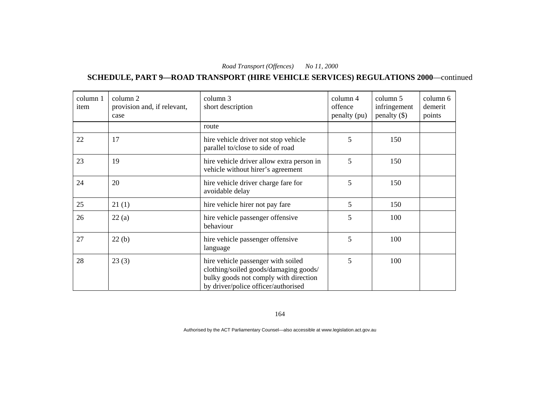**SCHEDULE, PART 9—ROAD TRANSPORT (HIRE VEHICLE SERVICES) REGULATIONS 2000**—continued

| column 1<br>item | column 2<br>provision and, if relevant,<br>case | column 3<br>short description                                                                                                                               | column 4<br>offence<br>penalty (pu) | column 5<br>infringement<br>penalty $(\$)$ | column 6<br>demerit<br>points |
|------------------|-------------------------------------------------|-------------------------------------------------------------------------------------------------------------------------------------------------------------|-------------------------------------|--------------------------------------------|-------------------------------|
|                  |                                                 | route                                                                                                                                                       |                                     |                                            |                               |
| 22               | 17                                              | hire vehicle driver not stop vehicle<br>parallel to/close to side of road                                                                                   | 5                                   | 150                                        |                               |
| 23               | 19                                              | hire vehicle driver allow extra person in<br>vehicle without hirer's agreement                                                                              | 5                                   | 150                                        |                               |
| 24               | 20                                              | hire vehicle driver charge fare for<br>avoidable delay                                                                                                      | 5                                   | 150                                        |                               |
| 25               | 21(1)                                           | hire vehicle hirer not pay fare                                                                                                                             | 5                                   | 150                                        |                               |
| 26               | 22(a)                                           | hire vehicle passenger offensive<br>behaviour                                                                                                               | 5                                   | 100                                        |                               |
| 27               | 22(b)                                           | hire vehicle passenger offensive<br>language                                                                                                                | 5                                   | 100                                        |                               |
| 28               | 23(3)                                           | hire vehicle passenger with soiled<br>clothing/soiled goods/damaging goods/<br>bulky goods not comply with direction<br>by driver/police officer/authorised | 5                                   | 100                                        |                               |

164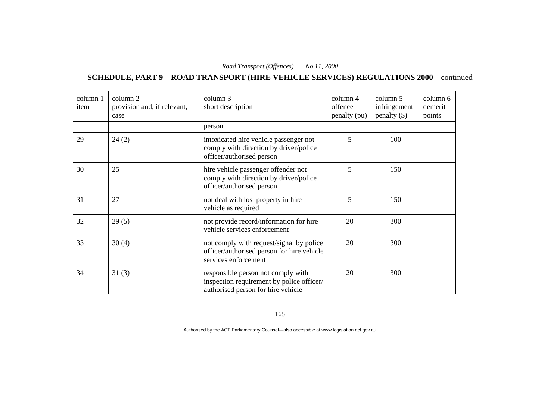**SCHEDULE, PART 9—ROAD TRANSPORT (HIRE VEHICLE SERVICES) REGULATIONS 2000**—continued

| column 1<br>item | column 2<br>provision and, if relevant,<br>case | column 3<br>short description                                                                                         | column 4<br>offence<br>penalty (pu) | column 5<br>infringement<br>penalty $(\$)$ | column 6<br>demerit<br>points |
|------------------|-------------------------------------------------|-----------------------------------------------------------------------------------------------------------------------|-------------------------------------|--------------------------------------------|-------------------------------|
|                  |                                                 | person                                                                                                                |                                     |                                            |                               |
| 29               | 24(2)                                           | intoxicated hire vehicle passenger not<br>comply with direction by driver/police<br>officer/authorised person         | 5                                   | 100                                        |                               |
| 30               | 25                                              | hire vehicle passenger offender not<br>comply with direction by driver/police<br>officer/authorised person            | 5                                   | 150                                        |                               |
| 31               | 27                                              | not deal with lost property in hire<br>vehicle as required                                                            | 5                                   | 150                                        |                               |
| 32               | 29(5)                                           | not provide record/information for hire<br>vehicle services enforcement                                               | 20                                  | 300                                        |                               |
| 33               | 30(4)                                           | not comply with request/signal by police<br>officer/authorised person for hire vehicle<br>services enforcement        | 20                                  | 300                                        |                               |
| 34               | 31(3)                                           | responsible person not comply with<br>inspection requirement by police officer/<br>authorised person for hire vehicle | 20                                  | 300                                        |                               |

165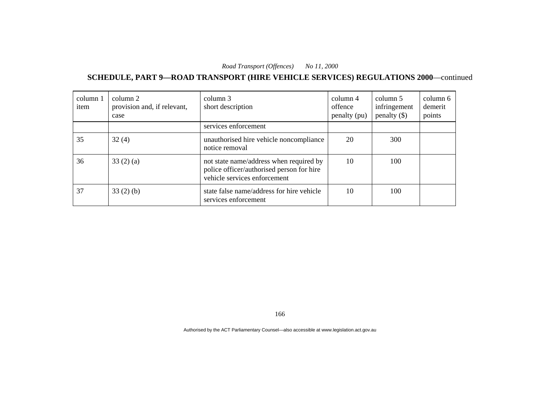**SCHEDULE, PART 9—ROAD TRANSPORT (HIRE VEHICLE SERVICES) REGULATIONS 2000**—continued

| column 1<br>item | column 2<br>provision and, if relevant,<br>case | column 3<br>short description                                                                                        | column 4<br>offence<br>penalty (pu) | column 5<br>infringement<br>penalty $(\$)$ | column 6<br>demerit<br>points |
|------------------|-------------------------------------------------|----------------------------------------------------------------------------------------------------------------------|-------------------------------------|--------------------------------------------|-------------------------------|
|                  |                                                 | services enforcement                                                                                                 |                                     |                                            |                               |
| 35               | 32(4)                                           | unauthorised hire vehicle noncompliance<br>notice removal                                                            | 20                                  | 300                                        |                               |
| 36               | 33(2)(a)                                        | not state name/address when required by<br>police officer/authorised person for hire<br>vehicle services enforcement | 10                                  | 100                                        |                               |
| 37               | $33(2)$ (b)                                     | state false name/address for hire vehicle<br>services enforcement                                                    | 10                                  | 100                                        |                               |

166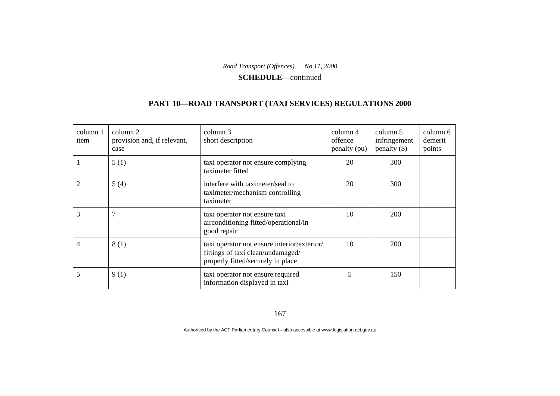**SCHEDULE**—continued

#### **PART 10—ROAD TRANSPORT (TAXI SERVICES) REGULATIONS 2000**

| column 1<br>item | column 2<br>provision and, if relevant,<br>case | column 3<br>short description                                                                                         | column 4<br>offence<br>penalty (pu) | column 5<br>infringement<br>penalty $(\$)$ | column 6<br>demerit<br>points |
|------------------|-------------------------------------------------|-----------------------------------------------------------------------------------------------------------------------|-------------------------------------|--------------------------------------------|-------------------------------|
|                  | 5(1)                                            | taxi operator not ensure complying<br>taximeter fitted                                                                | 20                                  | 300                                        |                               |
| $\overline{c}$   | 5(4)                                            | interfere with taximeter/seal to<br>taximeter/mechanism controlling<br>taximeter                                      | 20                                  | 300                                        |                               |
| 3                | 7                                               | taxi operator not ensure taxi<br>airconditioning fitted/operational/in<br>good repair                                 | 10                                  | 200                                        |                               |
| 4                | 8(1)                                            | taxi operator not ensure interior/exterior/<br>fittings of taxi clean/undamaged/<br>properly fitted/securely in place | 10                                  | <b>200</b>                                 |                               |
| 5                | 9(1)                                            | taxi operator not ensure required<br>information displayed in taxi                                                    | 5                                   | 150                                        |                               |

167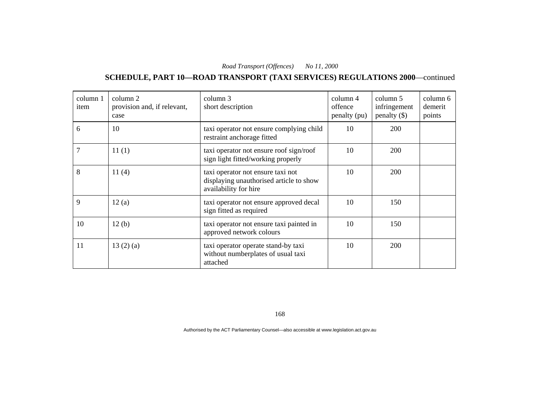#### **SCHEDULE, PART 10—ROAD TRANSPORT (TAXI SERVICES) REGULATIONS 2000**—continued

| column 1<br>item | column 2<br>provision and, if relevant,<br>case | column 3<br>short description                                                                         | column 4<br>offence<br>penalty (pu) | column 5<br>infringement<br>penalty $(\$)$ | column 6<br>demerit<br>points |
|------------------|-------------------------------------------------|-------------------------------------------------------------------------------------------------------|-------------------------------------|--------------------------------------------|-------------------------------|
| 6                | 10                                              | taxi operator not ensure complying child<br>restraint anchorage fitted                                | 10                                  | 200                                        |                               |
|                  | 11(1)                                           | taxi operator not ensure roof sign/roof<br>sign light fitted/working properly                         | 10                                  | 200                                        |                               |
| 8                | 11(4)                                           | taxi operator not ensure taxi not<br>displaying unauthorised article to show<br>availability for hire | 10                                  | <b>200</b>                                 |                               |
| 9                | 12(a)                                           | taxi operator not ensure approved decal<br>sign fitted as required                                    | 10                                  | 150                                        |                               |
| 10               | 12(b)                                           | taxi operator not ensure taxi painted in<br>approved network colours                                  | 10                                  | 150                                        |                               |
| 11               | 13(2)(a)                                        | taxi operator operate stand-by taxi<br>without numberplates of usual taxi<br>attached                 | 10                                  | <b>200</b>                                 |                               |

168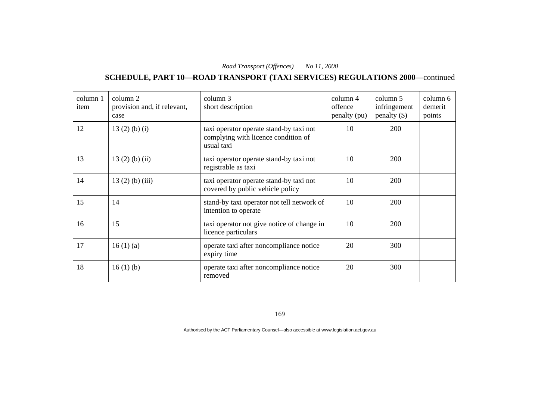#### **SCHEDULE, PART 10—ROAD TRANSPORT (TAXI SERVICES) REGULATIONS 2000**—continued

| column 1<br>item | column 2<br>provision and, if relevant,<br>case | column 3<br>short description                                                                | column 4<br>offence<br>penalty (pu) | column 5<br>infringement<br>penalty $(\$)$ | column 6<br>demerit<br>points |
|------------------|-------------------------------------------------|----------------------------------------------------------------------------------------------|-------------------------------------|--------------------------------------------|-------------------------------|
| 12               | $13(2)$ (b) (i)                                 | taxi operator operate stand-by taxi not<br>complying with licence condition of<br>usual taxi | 10                                  | <b>200</b>                                 |                               |
| 13               | $13(2)$ (b) (ii)                                | taxi operator operate stand-by taxi not<br>registrable as taxi                               | 10                                  | 200                                        |                               |
| 14               | $13(2)$ (b) (iii)                               | taxi operator operate stand-by taxi not<br>covered by public vehicle policy                  | 10                                  | 200                                        |                               |
| 15               | 14                                              | stand-by taxi operator not tell network of<br>intention to operate                           | 10                                  | 200                                        |                               |
| 16               | 15                                              | taxi operator not give notice of change in<br>licence particulars                            | 10                                  | 200                                        |                               |
| 17               | 16(1)(a)                                        | operate taxi after noncompliance notice<br>expiry time                                       | 20                                  | 300                                        |                               |
| 18               | 16(1)(b)                                        | operate taxi after noncompliance notice<br>removed                                           | 20                                  | 300                                        |                               |

169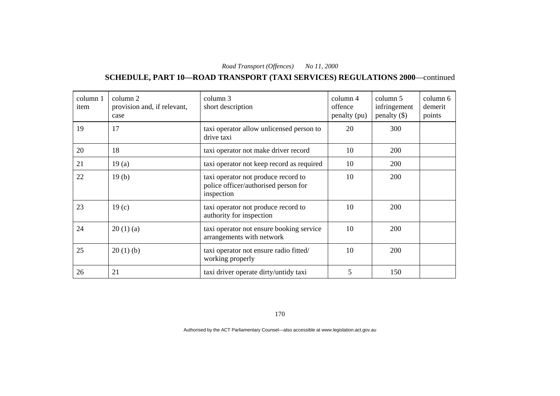# **SCHEDULE, PART 10—ROAD TRANSPORT (TAXI SERVICES) REGULATIONS 2000**—continued

| column 1<br>item | column 2<br>provision and, if relevant,<br>case | column 3<br>short description                                                             | column 4<br>offence<br>penalty (pu) | column 5<br>infringement<br>$penalty$ (\$) | column 6<br>demerit<br>points |
|------------------|-------------------------------------------------|-------------------------------------------------------------------------------------------|-------------------------------------|--------------------------------------------|-------------------------------|
| 19               | 17                                              | taxi operator allow unlicensed person to<br>drive taxi                                    | 20                                  | 300                                        |                               |
| 20               | 18                                              | taxi operator not make driver record                                                      | 10                                  | 200                                        |                               |
| 21               | 19(a)                                           | taxi operator not keep record as required                                                 | 10                                  | 200                                        |                               |
| 22               | 19(b)                                           | taxi operator not produce record to<br>police officer/authorised person for<br>inspection | 10                                  | 200                                        |                               |
| 23               | 19 <sub>(c)</sub>                               | taxi operator not produce record to<br>authority for inspection                           | 10                                  | 200                                        |                               |
| 24               | 20(1)(a)                                        | taxi operator not ensure booking service<br>arrangements with network                     | 10                                  | 200                                        |                               |
| 25               | 20(1)(b)                                        | taxi operator not ensure radio fitted/<br>working properly                                | 10                                  | 200                                        |                               |
| 26               | 21                                              | taxi driver operate dirty/untidy taxi                                                     | 5                                   | 150                                        |                               |

170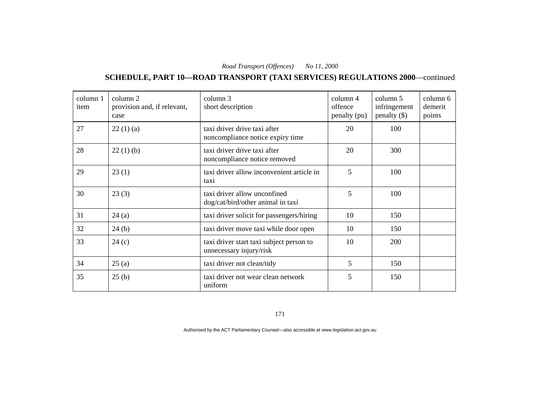# **SCHEDULE, PART 10—ROAD TRANSPORT (TAXI SERVICES) REGULATIONS 2000**—continued

| column 1<br>item | column 2<br>provision and, if relevant,<br>case | column 3<br>short description                                       | column 4<br>offence<br>penalty (pu) | column 5<br>infringement<br>$penalty$ (\$) | column 6<br>demerit<br>points |
|------------------|-------------------------------------------------|---------------------------------------------------------------------|-------------------------------------|--------------------------------------------|-------------------------------|
| 27               | 22(1)(a)                                        | taxi driver drive taxi after<br>noncompliance notice expiry time    | 20                                  | 100                                        |                               |
| 28               | 22(1)(b)                                        | taxi driver drive taxi after<br>noncompliance notice removed        | 20                                  | 300                                        |                               |
| 29               | 23(1)                                           | taxi driver allow inconvenient article in<br>taxi                   | 5                                   | 100                                        |                               |
| 30               | 23(3)                                           | taxi driver allow unconfined<br>dog/cat/bird/other animal in taxi   | 5                                   | 100                                        |                               |
| 31               | 24(a)                                           | taxi driver solicit for passengers/hiring                           | 10                                  | 150                                        |                               |
| 32               | 24(b)                                           | taxi driver move taxi while door open                               | 10                                  | 150                                        |                               |
| 33               | 24(c)                                           | taxi driver start taxi subject person to<br>unnecessary injury/risk | 10                                  | 200                                        |                               |
| 34               | 25(a)                                           | taxi driver not clean/tidy                                          | 5                                   | 150                                        |                               |
| 35               | 25(b)                                           | taxi driver not wear clean network<br>uniform                       | 5                                   | 150                                        |                               |

171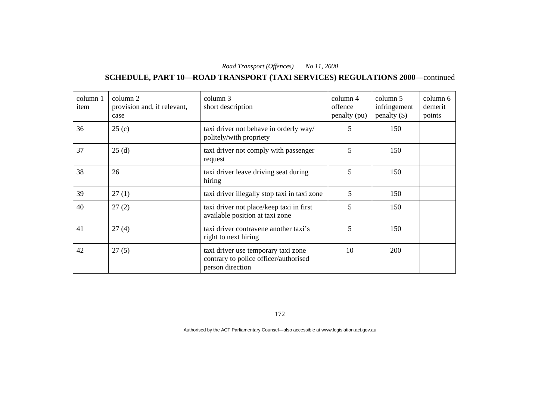#### **SCHEDULE, PART 10—ROAD TRANSPORT (TAXI SERVICES) REGULATIONS 2000**—continued

| column 1<br>item | column 2<br>provision and, if relevant,<br>case | column 3<br>short description                                                                    | $\text{column } 4$<br>offence<br>penalty (pu) | column 5<br>infringement<br>penalty $(\$)$ | column 6<br>demerit<br>points |
|------------------|-------------------------------------------------|--------------------------------------------------------------------------------------------------|-----------------------------------------------|--------------------------------------------|-------------------------------|
| 36               | 25(c)                                           | taxi driver not behave in orderly way/<br>politely/with propriety                                | 5                                             | 150                                        |                               |
| 37               | 25(d)                                           | taxi driver not comply with passenger<br>request                                                 | 5                                             | 150                                        |                               |
| 38               | 26                                              | taxi driver leave driving seat during<br>hiring                                                  | 5                                             | 150                                        |                               |
| 39               | 27(1)                                           | taxi driver illegally stop taxi in taxi zone                                                     | 5                                             | 150                                        |                               |
| 40               | 27(2)                                           | taxi driver not place/keep taxi in first<br>available position at taxi zone                      | 5                                             | 150                                        |                               |
| 41               | 27(4)                                           | taxi driver contravene another taxi's<br>right to next hiring                                    | 5                                             | 150                                        |                               |
| 42               | 27(5)                                           | taxi driver use temporary taxi zone<br>contrary to police officer/authorised<br>person direction | 10                                            | 200                                        |                               |

172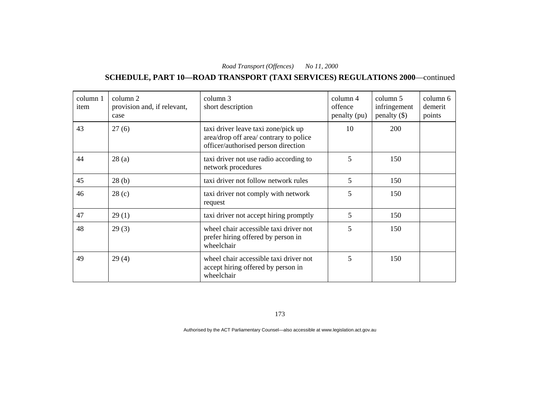# **SCHEDULE, PART 10—ROAD TRANSPORT (TAXI SERVICES) REGULATIONS 2000**—continued

| column 1<br>item | column 2<br>provision and, if relevant,<br>case | column 3<br>short description                                                                                        | column 4<br>offence<br>penalty (pu) | column 5<br>infringement<br>penalty $(\$)$ | column 6<br>demerit<br>points |
|------------------|-------------------------------------------------|----------------------------------------------------------------------------------------------------------------------|-------------------------------------|--------------------------------------------|-------------------------------|
| 43               | 27(6)                                           | taxi driver leave taxi zone/pick up<br>area/drop off area/ contrary to police<br>officer/authorised person direction | 10                                  | 200                                        |                               |
| 44               | 28(a)                                           | taxi driver not use radio according to<br>network procedures                                                         | 5                                   | 150                                        |                               |
| 45               | 28(b)                                           | taxi driver not follow network rules                                                                                 | 5                                   | 150                                        |                               |
| 46               | 28(c)                                           | taxi driver not comply with network<br>request                                                                       | 5                                   | 150                                        |                               |
| 47               | 29(1)                                           | taxi driver not accept hiring promptly                                                                               | 5                                   | 150                                        |                               |
| 48               | 29(3)                                           | wheel chair accessible taxi driver not<br>prefer hiring offered by person in<br>wheelchair                           | 5                                   | 150                                        |                               |
| 49               | 29(4)                                           | wheel chair accessible taxi driver not<br>accept hiring offered by person in<br>wheelchair                           | 5                                   | 150                                        |                               |

173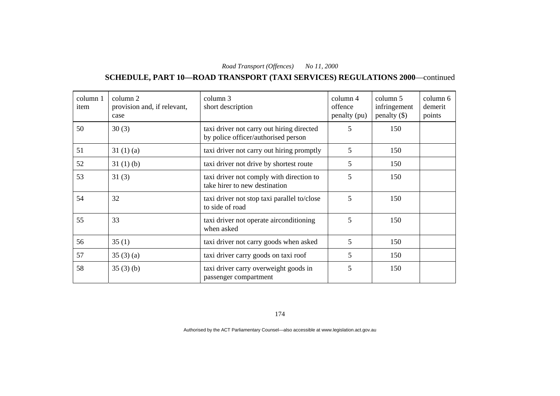#### **SCHEDULE, PART 10—ROAD TRANSPORT (TAXI SERVICES) REGULATIONS 2000**—continued

| column 1<br>item | column 2<br>provision and, if relevant,<br>case | column 3<br>short description                                                    | column 4<br>offence<br>penalty (pu) | column 5<br>infringement<br>penalty $(\$)$ | column 6<br>demerit<br>points |
|------------------|-------------------------------------------------|----------------------------------------------------------------------------------|-------------------------------------|--------------------------------------------|-------------------------------|
| 50               | 30(3)                                           | taxi driver not carry out hiring directed<br>by police officer/authorised person | 5                                   | 150                                        |                               |
| 51               | 31(1)(a)                                        | taxi driver not carry out hiring promptly                                        | 5                                   | 150                                        |                               |
| 52               | 31(1)(b)                                        | taxi driver not drive by shortest route                                          | 5                                   | 150                                        |                               |
| 53               | 31(3)                                           | taxi driver not comply with direction to<br>take hirer to new destination        | 5                                   | 150                                        |                               |
| 54               | 32                                              | taxi driver not stop taxi parallel to/close<br>to side of road                   | 5                                   | 150                                        |                               |
| 55               | 33                                              | taxi driver not operate airconditioning<br>when asked                            | 5                                   | 150                                        |                               |
| 56               | 35(1)                                           | taxi driver not carry goods when asked                                           | 5                                   | 150                                        |                               |
| 57               | 35(3)(a)                                        | taxi driver carry goods on taxi roof                                             | 5                                   | 150                                        |                               |
| 58               | 35(3)(b)                                        | taxi driver carry overweight goods in<br>passenger compartment                   | 5                                   | 150                                        |                               |

174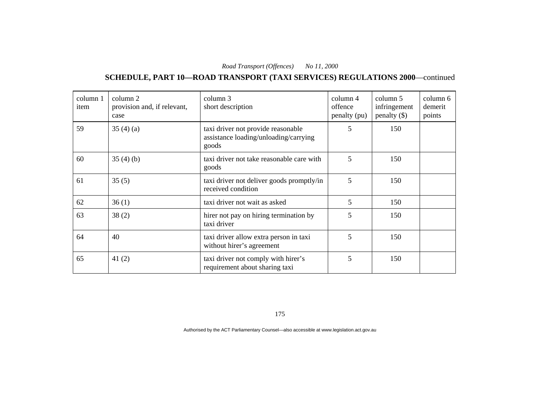#### **SCHEDULE, PART 10—ROAD TRANSPORT (TAXI SERVICES) REGULATIONS 2000**—continued

| column 1<br>item | column 2<br>provision and, if relevant,<br>case | column 3<br>short description                                                        | column 4<br>offence<br>penalty (pu) | column 5<br>infringement<br>penalty $(\$)$ | column 6<br>demerit<br>points |
|------------------|-------------------------------------------------|--------------------------------------------------------------------------------------|-------------------------------------|--------------------------------------------|-------------------------------|
| 59               | 35(4)(a)                                        | taxi driver not provide reasonable<br>assistance loading/unloading/carrying<br>goods | 5                                   | 150                                        |                               |
| 60               | 35(4)(b)                                        | taxi driver not take reasonable care with<br>goods                                   | 5                                   | 150                                        |                               |
| 61               | 35(5)                                           | taxi driver not deliver goods promptly/in<br>received condition                      | 5                                   | 150                                        |                               |
| 62               | 36(1)                                           | taxi driver not wait as asked                                                        | $5\overline{)}$                     | 150                                        |                               |
| 63               | 38(2)                                           | hirer not pay on hiring termination by<br>taxi driver                                | 5                                   | 150                                        |                               |
| 64               | 40                                              | taxi driver allow extra person in taxi<br>without hirer's agreement                  | 5                                   | 150                                        |                               |
| 65               | 41(2)                                           | taxi driver not comply with hirer's<br>requirement about sharing taxi                | 5                                   | 150                                        |                               |

175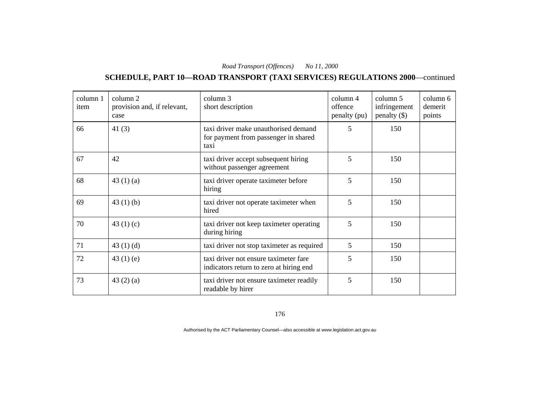#### **SCHEDULE, PART 10—ROAD TRANSPORT (TAXI SERVICES) REGULATIONS 2000**—continued

| column 1<br>item | column 2<br>provision and, if relevant,<br>case | column 3<br>short description                                                        | column 4<br>offence<br>penalty (pu) | column 5<br>infringement<br>$penalty$ (\$) | column 6<br>demerit<br>points |
|------------------|-------------------------------------------------|--------------------------------------------------------------------------------------|-------------------------------------|--------------------------------------------|-------------------------------|
| 66               | 41 $(3)$                                        | taxi driver make unauthorised demand<br>for payment from passenger in shared<br>taxi | 5                                   | 150                                        |                               |
| 67               | 42                                              | taxi driver accept subsequent hiring<br>without passenger agreement                  | 5                                   | 150                                        |                               |
| 68               | 43 $(1)(a)$                                     | taxi driver operate taximeter before<br>hiring                                       | 5                                   | 150                                        |                               |
| 69               | 43 $(1)$ $(b)$                                  | taxi driver not operate taximeter when<br>hired                                      | 5                                   | 150                                        |                               |
| 70               | 43 $(1)(c)$                                     | taxi driver not keep taximeter operating<br>during hiring                            | 5                                   | 150                                        |                               |
| 71               | 43 $(1)$ $(d)$                                  | taxi driver not stop taximeter as required                                           | 5                                   | 150                                        |                               |
| 72               | 43 $(1)$ $(e)$                                  | taxi driver not ensure taximeter fare<br>indicators return to zero at hiring end     | 5                                   | 150                                        |                               |
| 73               | 43 $(2)$ $(a)$                                  | taxi driver not ensure taximeter readily<br>readable by hirer                        | 5                                   | 150                                        |                               |

176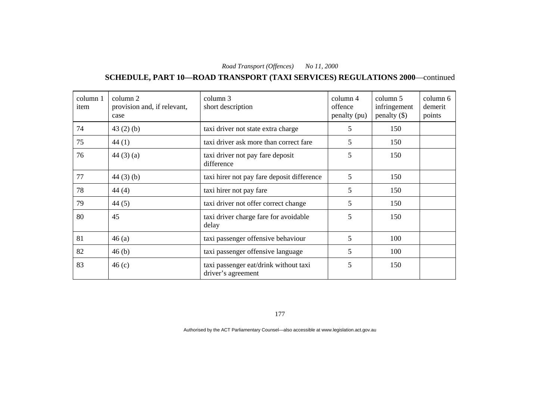# **SCHEDULE, PART 10—ROAD TRANSPORT (TAXI SERVICES) REGULATIONS 2000**—continued

| column 1<br>item | column 2<br>provision and, if relevant,<br>case | column 3<br>short description                               | column 4<br>offence<br>penalty (pu) | column 5<br>infringement<br>penalty $(\$)$ | column 6<br>demerit<br>points |
|------------------|-------------------------------------------------|-------------------------------------------------------------|-------------------------------------|--------------------------------------------|-------------------------------|
| 74               | 43(2)(b)                                        | taxi driver not state extra charge                          | 5                                   | 150                                        |                               |
| 75               | 44(1)                                           | taxi driver ask more than correct fare                      | 5                                   | 150                                        |                               |
| 76               | 44(3)(a)                                        | taxi driver not pay fare deposit<br>difference              | 5                                   | 150                                        |                               |
| 77               | $44(3)$ (b)                                     | taxi hirer not pay fare deposit difference                  | 5                                   | 150                                        |                               |
| 78               | 44(4)                                           | taxi hirer not pay fare                                     | 5                                   | 150                                        |                               |
| 79               | 44(5)                                           | taxi driver not offer correct change                        | 5                                   | 150                                        |                               |
| 80               | 45                                              | taxi driver charge fare for avoidable<br>delay              | 5                                   | 150                                        |                               |
| 81               | 46(a)                                           | taxi passenger offensive behaviour                          | 5                                   | 100                                        |                               |
| 82               | 46(b)                                           | taxi passenger offensive language                           | 5                                   | 100                                        |                               |
| 83               | 46(c)                                           | taxi passenger eat/drink without taxi<br>driver's agreement | 5                                   | 150                                        |                               |

177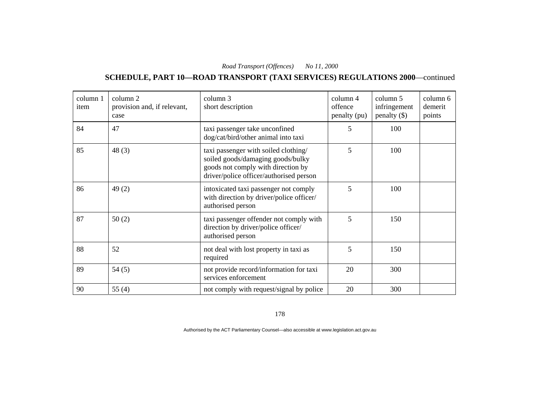# **SCHEDULE, PART 10—ROAD TRANSPORT (TAXI SERVICES) REGULATIONS 2000**—continued

| column 1<br>item | column 2<br>provision and, if relevant,<br>case | column 3<br>short description                                                                                                                              | column 4<br>offence<br>penalty (pu) | column 5<br>infringement<br>$penalty$ (\$) | column 6<br>demerit<br>points |
|------------------|-------------------------------------------------|------------------------------------------------------------------------------------------------------------------------------------------------------------|-------------------------------------|--------------------------------------------|-------------------------------|
| 84               | 47                                              | taxi passenger take unconfined<br>dog/cat/bird/other animal into taxi                                                                                      | 5                                   | 100                                        |                               |
| 85               | 48(3)                                           | taxi passenger with soiled clothing/<br>soiled goods/damaging goods/bulky<br>goods not comply with direction by<br>driver/police officer/authorised person | 5                                   | 100                                        |                               |
| 86               | 49(2)                                           | intoxicated taxi passenger not comply<br>with direction by driver/police officer/<br>authorised person                                                     | 5                                   | 100                                        |                               |
| 87               | 50(2)                                           | taxi passenger offender not comply with<br>direction by driver/police officer/<br>authorised person                                                        | 5                                   | 150                                        |                               |
| 88               | 52                                              | not deal with lost property in taxi as<br>required                                                                                                         | 5                                   | 150                                        |                               |
| 89               | 54(5)                                           | not provide record/information for taxi<br>services enforcement                                                                                            | 20                                  | 300                                        |                               |
| 90               | 55 $(4)$                                        | not comply with request/signal by police                                                                                                                   | 20                                  | 300                                        |                               |

178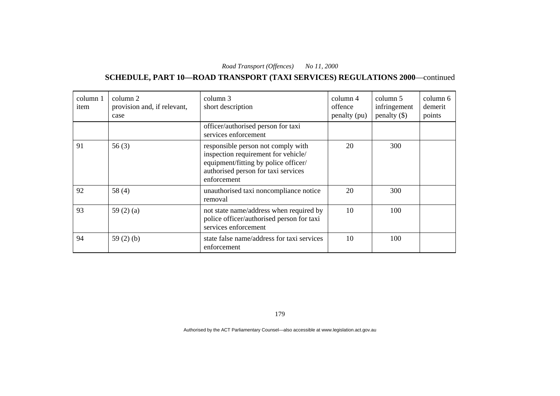# **SCHEDULE, PART 10—ROAD TRANSPORT (TAXI SERVICES) REGULATIONS 2000**—continued

| column 1<br>item | column 2<br>provision and, if relevant,<br>case | column 3<br>short description                                                                                                                                           | column 4<br>offence<br>penalty (pu) | column 5<br>infringement<br>penalty $(\$)$ | column 6<br>demerit<br>points |
|------------------|-------------------------------------------------|-------------------------------------------------------------------------------------------------------------------------------------------------------------------------|-------------------------------------|--------------------------------------------|-------------------------------|
|                  |                                                 | officer/authorised person for taxi<br>services enforcement                                                                                                              |                                     |                                            |                               |
| 91               | 56(3)                                           | responsible person not comply with<br>inspection requirement for vehicle/<br>equipment/fitting by police officer/<br>authorised person for taxi services<br>enforcement | 20                                  | 300                                        |                               |
| 92               | 58 $(4)$                                        | unauthorised taxi noncompliance notice<br>removal                                                                                                                       | 20                                  | 300                                        |                               |
| 93               | 59 $(2)$ $(a)$                                  | not state name/address when required by<br>police officer/authorised person for taxi<br>services enforcement                                                            | 10                                  | 100                                        |                               |
| 94               | 59 $(2)$ $(b)$                                  | state false name/address for taxi services<br>enforcement                                                                                                               | 10                                  | 100                                        |                               |

179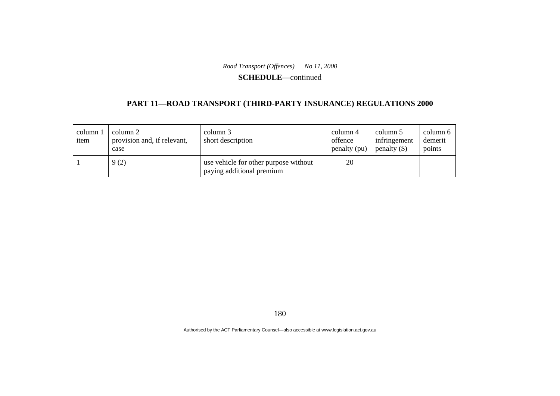#### **SCHEDULE**—continued

### **PART 11—ROAD TRANSPORT (THIRD-PARTY INSURANCE) REGULATIONS 2000**

| column 1<br>item | column 2<br>provision and, if relevant,<br>case | column 3<br>short description                                      | column 4<br>offence<br>penalty (pu) | column 5<br>infringement<br>penalty $(\$)$ | column 6<br>demerit<br>points |
|------------------|-------------------------------------------------|--------------------------------------------------------------------|-------------------------------------|--------------------------------------------|-------------------------------|
|                  | 9(2)                                            | use vehicle for other purpose without<br>paying additional premium | 20                                  |                                            |                               |

180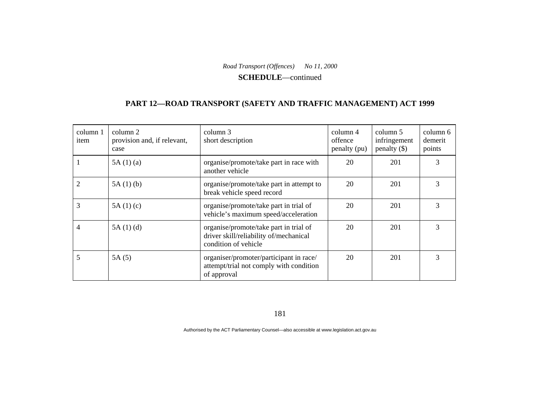**SCHEDULE**—continued

### **PART 12—ROAD TRANSPORT (SAFETY AND TRAFFIC MANAGEMENT) ACT 1999**

| column 1<br>item | column 2<br>provision and, if relevant,<br>case | column 3<br>short description                                                                            | column 4<br>offence<br>penalty (pu) | column 5<br>infringement<br>penalty $(\$)$ | column 6<br>demerit<br>points |
|------------------|-------------------------------------------------|----------------------------------------------------------------------------------------------------------|-------------------------------------|--------------------------------------------|-------------------------------|
|                  | 5A(1)(a)                                        | organise/promote/take part in race with<br>another vehicle                                               | 20                                  | 201                                        | 3                             |
|                  | 5A(1)(b)                                        | organise/promote/take part in attempt to<br>break vehicle speed record                                   | 20                                  | 201                                        | 3                             |
| 3                | 5A(1)(c)                                        | organise/promote/take part in trial of<br>vehicle's maximum speed/acceleration                           | 20                                  | 201                                        | 3                             |
| 4                | 5A(1)(d)                                        | organise/promote/take part in trial of<br>driver skill/reliability of/mechanical<br>condition of vehicle | 20                                  | 201                                        | 3                             |
| 5                | 5A(5)                                           | organiser/promoter/participant in race/<br>attempt/trial not comply with condition<br>of approval        | 20                                  | 201                                        | 3                             |

181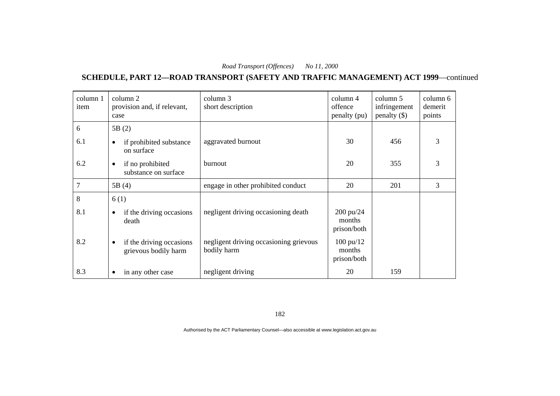## **SCHEDULE, PART 12—ROAD TRANSPORT (SAFETY AND TRAFFIC MANAGEMENT) ACT 1999**—continued

| column 1<br>item | column 2<br>provision and, if relevant,<br>case       | column 3<br>short description                         | column 4<br>offence<br>penalty (pu)          | column 5<br>infringement<br>penalty $(\$)$ | column 6<br>demerit<br>points |
|------------------|-------------------------------------------------------|-------------------------------------------------------|----------------------------------------------|--------------------------------------------|-------------------------------|
| 6                | 5B(2)                                                 |                                                       |                                              |                                            |                               |
| 6.1              | if prohibited substance<br>٠<br>on surface            | aggravated burnout                                    | 30                                           | 456                                        | 3                             |
| 6.2              | if no prohibited<br>$\bullet$<br>substance on surface | burnout                                               | 20                                           | 355                                        | 3                             |
| $\tau$           | 5B(4)                                                 | engage in other prohibited conduct                    | 20                                           | 201                                        | 3                             |
| 8                | 6(1)                                                  |                                                       |                                              |                                            |                               |
| 8.1              | if the driving occasions<br>٠<br>death                | negligent driving occasioning death                   | 200 pu/24<br>months<br>prison/both           |                                            |                               |
| 8.2              | if the driving occasions<br>٠<br>grievous bodily harm | negligent driving occasioning grievous<br>bodily harm | $100 \text{ pu}/12$<br>months<br>prison/both |                                            |                               |
| 8.3              | in any other case<br>٠                                | negligent driving                                     | 20                                           | 159                                        |                               |

182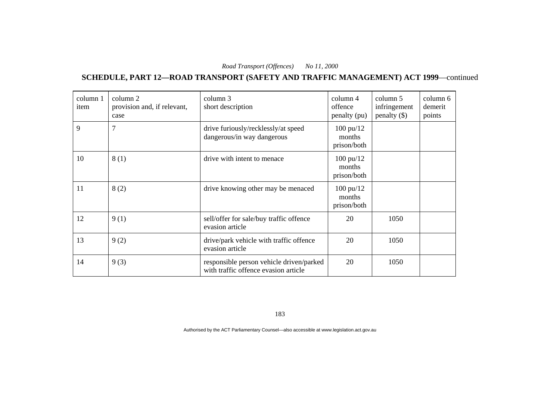## **SCHEDULE, PART 12—ROAD TRANSPORT (SAFETY AND TRAFFIC MANAGEMENT) ACT 1999**—continued

| column 1<br>item | column 2<br>provision and, if relevant,<br>case | column 3<br>short description                                                    | column 4<br>offence<br>penalty (pu)          | column 5<br>infringement<br>penalty $(\$)$ | column 6<br>demerit<br>points |
|------------------|-------------------------------------------------|----------------------------------------------------------------------------------|----------------------------------------------|--------------------------------------------|-------------------------------|
| 9                | $\tau$                                          | drive furiously/recklessly/at speed<br>dangerous/in way dangerous                | $100 \text{ pu}/12$<br>months<br>prison/both |                                            |                               |
| 10               | 8(1)                                            | drive with intent to menace                                                      | $100 \text{ pu}/12$<br>months<br>prison/both |                                            |                               |
| 11               | 8(2)                                            | drive knowing other may be menaced                                               | $100 \text{ pu}/12$<br>months<br>prison/both |                                            |                               |
| 12               | 9(1)                                            | sell/offer for sale/buy traffic offence<br>evasion article                       | 20                                           | 1050                                       |                               |
| 13               | 9(2)                                            | drive/park vehicle with traffic offence<br>evasion article                       | 20                                           | 1050                                       |                               |
| 14               | 9(3)                                            | responsible person vehicle driven/parked<br>with traffic offence evasion article | 20                                           | 1050                                       |                               |

183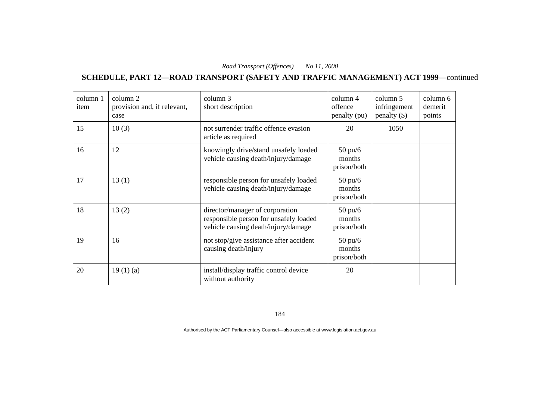**SCHEDULE, PART 12—ROAD TRANSPORT (SAFETY AND TRAFFIC MANAGEMENT) ACT 1999**—continued

| column 1<br>item | column 2<br>provision and, if relevant,<br>case | column 3<br>short description                                                                                    | column 4<br>offence<br>penalty (pu)        | column 5<br>infringement<br>penalty $(\$)$ | column 6<br>demerit<br>points |
|------------------|-------------------------------------------------|------------------------------------------------------------------------------------------------------------------|--------------------------------------------|--------------------------------------------|-------------------------------|
| 15               | 10(3)                                           | not surrender traffic offence evasion<br>article as required                                                     | 20                                         | 1050                                       |                               |
| 16               | 12                                              | knowingly drive/stand unsafely loaded<br>vehicle causing death/injury/damage                                     | $50 \text{ pu/}6$<br>months<br>prison/both |                                            |                               |
| 17               | 13(1)                                           | responsible person for unsafely loaded<br>vehicle causing death/injury/damage                                    | $50 \text{ pu/}6$<br>months<br>prison/both |                                            |                               |
| 18               | 13(2)                                           | director/manager of corporation<br>responsible person for unsafely loaded<br>vehicle causing death/injury/damage | $50 \text{ pu/}6$<br>months<br>prison/both |                                            |                               |
| 19               | 16                                              | not stop/give assistance after accident<br>causing death/injury                                                  | $50 \text{ pu/6}$<br>months<br>prison/both |                                            |                               |
| 20               | 19(1)(a)                                        | install/display traffic control device<br>without authority                                                      | 20                                         |                                            |                               |

184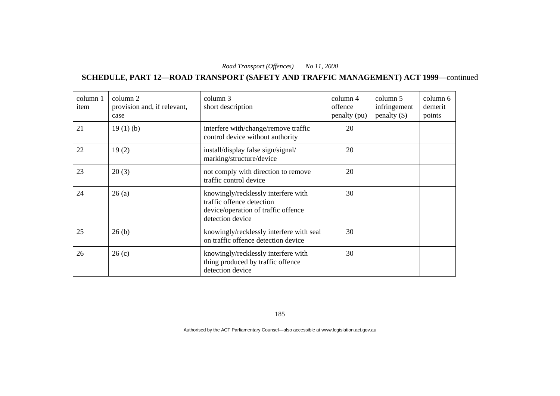**SCHEDULE, PART 12—ROAD TRANSPORT (SAFETY AND TRAFFIC MANAGEMENT) ACT 1999**—continued

| column 1<br>item | column 2<br>provision and, if relevant,<br>case | column 3<br>short description                                                                                               | $\text{column } 4$<br>offence<br>penalty (pu) | column 5<br>infringement<br>penalty $(\$)$ | column 6<br>demerit<br>points |
|------------------|-------------------------------------------------|-----------------------------------------------------------------------------------------------------------------------------|-----------------------------------------------|--------------------------------------------|-------------------------------|
| 21               | 19(1)(b)                                        | interfere with/change/remove traffic<br>control device without authority                                                    | 20                                            |                                            |                               |
| 22               | 19(2)                                           | install/display false sign/signal/<br>marking/structure/device                                                              | 20                                            |                                            |                               |
| 23               | 20(3)                                           | not comply with direction to remove<br>traffic control device                                                               | 20                                            |                                            |                               |
| 24               | 26(a)                                           | knowingly/recklessly interfere with<br>traffic offence detection<br>device/operation of traffic offence<br>detection device | 30                                            |                                            |                               |
| 25               | 26(b)                                           | knowingly/recklessly interfere with seal<br>on traffic offence detection device                                             | 30                                            |                                            |                               |
| 26               | 26(c)                                           | knowingly/recklessly interfere with<br>thing produced by traffic offence<br>detection device                                | 30                                            |                                            |                               |

185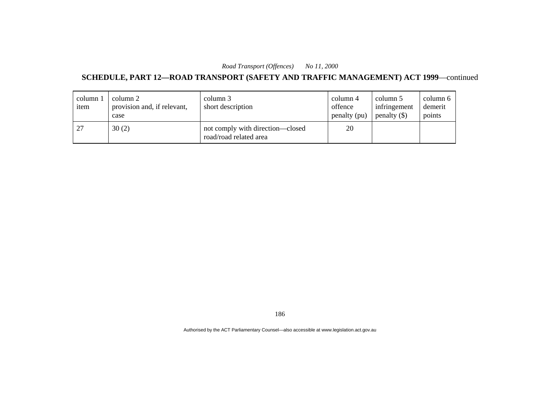## **SCHEDULE, PART 12—ROAD TRANSPORT (SAFETY AND TRAFFIC MANAGEMENT) ACT 1999**—continued

| column 1<br>item | column 2<br>provision and, if relevant,<br>case | column 3<br>short description                              | column 4<br>offence<br>penalty (pu) | column 5<br>infringement<br>$penalty$ (\$) | column 6<br>demerit<br>points |
|------------------|-------------------------------------------------|------------------------------------------------------------|-------------------------------------|--------------------------------------------|-------------------------------|
| 27               | 30(2)                                           | not comply with direction-closed<br>road/road related area | 20                                  |                                            |                               |

186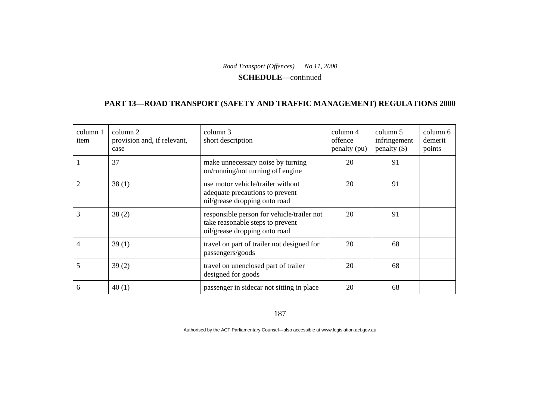#### **SCHEDULE**—continued

### **PART 13—ROAD TRANSPORT (SAFETY AND TRAFFIC MANAGEMENT) REGULATIONS 2000**

| column 1<br>item | column 2<br>provision and, if relevant,<br>case | column 3<br>short description                                                                                   | $\text{column } 4$<br>offence<br>penalty (pu) | column 5<br>infringement<br>penalty $(\$)$ | column 6<br>demerit<br>points |
|------------------|-------------------------------------------------|-----------------------------------------------------------------------------------------------------------------|-----------------------------------------------|--------------------------------------------|-------------------------------|
|                  | 37                                              | make unnecessary noise by turning<br>on/running/not turning off engine                                          | 20                                            | 91                                         |                               |
| 2                | 38(1)                                           | use motor vehicle/trailer without<br>adequate precautions to prevent<br>oil/grease dropping onto road           | 20                                            | 91                                         |                               |
| 3                | 38(2)                                           | responsible person for vehicle/trailer not<br>take reasonable steps to prevent<br>oil/grease dropping onto road | 20                                            | 91                                         |                               |
|                  | 39(1)                                           | travel on part of trailer not designed for<br>passengers/goods                                                  | 20                                            | 68                                         |                               |
| 5                | 39(2)                                           | travel on unenclosed part of trailer<br>designed for goods                                                      | 20                                            | 68                                         |                               |
| 6                | 40(1)                                           | passenger in sidecar not sitting in place                                                                       | 20                                            | 68                                         |                               |

187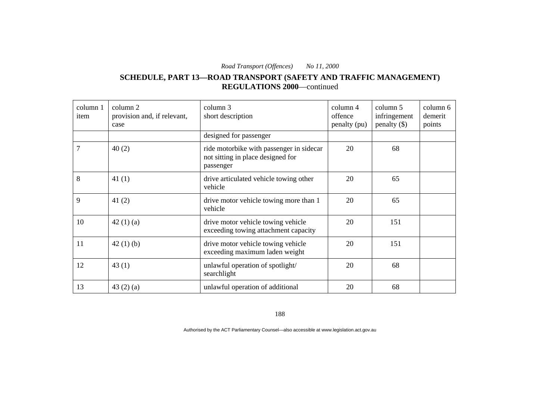**SCHEDULE, PART 13—ROAD TRANSPORT (SAFETY AND TRAFFIC MANAGEMENT) REGULATIONS 2000**—continued

| column 1<br>item | column 2<br>provision and, if relevant,<br>case | column 3<br>short description                                                              | column 4<br>offence<br>penalty (pu) | column 5<br>infringement<br>penalty $(\$)$ | column 6<br>demerit<br>points |
|------------------|-------------------------------------------------|--------------------------------------------------------------------------------------------|-------------------------------------|--------------------------------------------|-------------------------------|
|                  |                                                 | designed for passenger                                                                     |                                     |                                            |                               |
| 7                | 40(2)                                           | ride motorbike with passenger in sidecar<br>not sitting in place designed for<br>passenger | 20                                  | 68                                         |                               |
| 8                | 41(1)                                           | drive articulated vehicle towing other<br>vehicle                                          | 20                                  | 65                                         |                               |
| 9                | 41 $(2)$                                        | drive motor vehicle towing more than 1<br>vehicle                                          | 20                                  | 65                                         |                               |
| 10               | 42(1)(a)                                        | drive motor vehicle towing vehicle<br>exceeding towing attachment capacity                 | 20                                  | 151                                        |                               |
| 11               | 42(1)(b)                                        | drive motor vehicle towing vehicle<br>exceeding maximum laden weight                       | 20                                  | 151                                        |                               |
| 12               | 43(1)                                           | unlawful operation of spotlight/<br>searchlight                                            | 20                                  | 68                                         |                               |
| 13               | 43(2)(a)                                        | unlawful operation of additional                                                           | 20                                  | 68                                         |                               |

188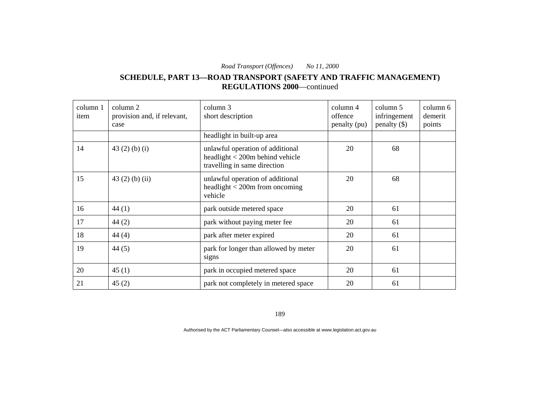**SCHEDULE, PART 13—ROAD TRANSPORT (SAFETY AND TRAFFIC MANAGEMENT) REGULATIONS 2000**—continued

| column 1<br>item | column 2<br>provision and, if relevant,<br>case | column 3<br>short description                                                                            | column 4<br>offence<br>penalty (pu) | column 5<br>infringement<br>penalty $(\$)$ | column 6<br>demerit<br>points |
|------------------|-------------------------------------------------|----------------------------------------------------------------------------------------------------------|-------------------------------------|--------------------------------------------|-------------------------------|
|                  |                                                 | headlight in built-up area                                                                               |                                     |                                            |                               |
| 14               | 43 $(2)$ $(b)$ $(i)$                            | unlawful operation of additional<br>headlight $<$ 200 $m$ behind vehicle<br>travelling in same direction | 20                                  | 68                                         |                               |
| 15               | $43(2)$ (b) (ii)                                | unlawful operation of additional<br>headlight $<$ 200m from oncoming<br>vehicle                          | 20                                  | 68                                         |                               |
| 16               | 44(1)                                           | park outside metered space                                                                               | 20                                  | 61                                         |                               |
| 17               | 44(2)                                           | park without paying meter fee                                                                            | 20                                  | 61                                         |                               |
| 18               | 44(4)                                           | park after meter expired                                                                                 | 20                                  | 61                                         |                               |
| 19               | 44(5)                                           | park for longer than allowed by meter<br>signs                                                           | 20                                  | 61                                         |                               |
| 20               | 45(1)                                           | park in occupied metered space                                                                           | 20                                  | 61                                         |                               |
| 21               | 45(2)                                           | park not completely in metered space                                                                     | 20                                  | 61                                         |                               |

189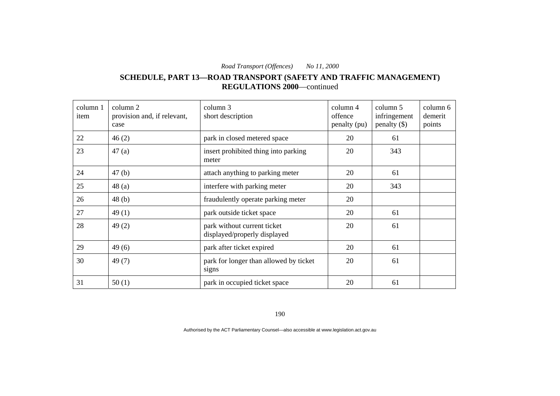**SCHEDULE, PART 13—ROAD TRANSPORT (SAFETY AND TRAFFIC MANAGEMENT) REGULATIONS 2000**—continued

| column 1<br>item | column 2<br>provision and, if relevant,<br>case | column 3<br>short description                               | column 4<br>offence<br>penalty (pu) | column 5<br>infringement<br>$penalty$ (\$) | column 6<br>demerit<br>points |
|------------------|-------------------------------------------------|-------------------------------------------------------------|-------------------------------------|--------------------------------------------|-------------------------------|
| 22               | 46(2)                                           | park in closed metered space                                | 20                                  | 61                                         |                               |
| 23               | 47(a)                                           | insert prohibited thing into parking<br>meter               | 20                                  | 343                                        |                               |
| 24               | 47(b)                                           | attach anything to parking meter                            | 20                                  | 61                                         |                               |
| 25               | 48(a)                                           | interfere with parking meter                                | 20                                  | 343                                        |                               |
| 26               | 48 <sub>(b)</sub>                               | fraudulently operate parking meter                          | 20                                  |                                            |                               |
| 27               | 49(1)                                           | park outside ticket space                                   | 20                                  | 61                                         |                               |
| 28               | 49(2)                                           | park without current ticket<br>displayed/properly displayed | 20                                  | 61                                         |                               |
| 29               | 49(6)                                           | park after ticket expired                                   | 20                                  | 61                                         |                               |
| 30               | 49(7)                                           | park for longer than allowed by ticket<br>signs             | 20                                  | 61                                         |                               |
| 31               | 50(1)                                           | park in occupied ticket space                               | 20                                  | 61                                         |                               |

190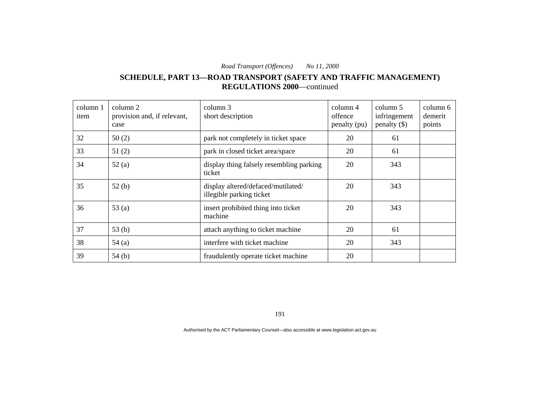**SCHEDULE, PART 13—ROAD TRANSPORT (SAFETY AND TRAFFIC MANAGEMENT) REGULATIONS 2000**—continued

| column 1<br>item | column 2<br>provision and, if relevant,<br>case | column 3<br>short description                                  | column 4<br>offence<br>penalty (pu) | column 5<br>infringement<br>penalty $(\$)$ | column 6<br>demerit<br>points |
|------------------|-------------------------------------------------|----------------------------------------------------------------|-------------------------------------|--------------------------------------------|-------------------------------|
| 32               | 50(2)                                           | park not completely in ticket space                            | 20                                  | 61                                         |                               |
| 33               | 51(2)                                           | park in closed ticket area/space                               | 20                                  | 61                                         |                               |
| 34               | 52(a)                                           | display thing falsely resembling parking<br>ticket             | 20                                  | 343                                        |                               |
| 35               | 52(b)                                           | display altered/defaced/mutilated/<br>illegible parking ticket | 20                                  | 343                                        |                               |
| 36               | 53 $(a)$                                        | insert prohibited thing into ticket<br>machine                 | 20                                  | 343                                        |                               |
| 37               | 53 <sub>(b)</sub>                               | attach anything to ticket machine                              | 20                                  | 61                                         |                               |
| 38               | 54(a)                                           | interfere with ticket machine                                  | 20                                  | 343                                        |                               |
| 39               | 54(b)                                           | fraudulently operate ticket machine                            | 20                                  |                                            |                               |

191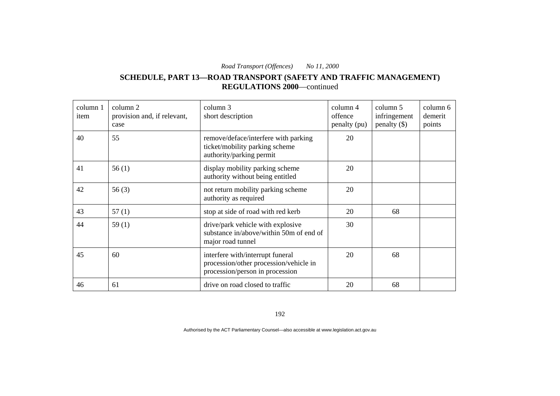### **SCHEDULE, PART 13—ROAD TRANSPORT (SAFETY AND TRAFFIC MANAGEMENT) REGULATIONS 2000**—continued

| column 1<br>item | column 2<br>provision and, if relevant,<br>case | column 3<br>short description                                                                                 | column 4<br>offence<br>penalty (pu) | column 5<br>infringement<br>penalty $(\$)$ | column 6<br>demerit<br>points |
|------------------|-------------------------------------------------|---------------------------------------------------------------------------------------------------------------|-------------------------------------|--------------------------------------------|-------------------------------|
| 40               | 55                                              | remove/deface/interfere with parking<br>ticket/mobility parking scheme<br>authority/parking permit            | 20                                  |                                            |                               |
| 41               | 56(1)                                           | display mobility parking scheme<br>authority without being entitled                                           | 20                                  |                                            |                               |
| 42               | 56(3)                                           | not return mobility parking scheme<br>authority as required                                                   | 20                                  |                                            |                               |
| 43               | 57(1)                                           | stop at side of road with red kerb                                                                            | 20                                  | 68                                         |                               |
| 44               | 59(1)                                           | drive/park vehicle with explosive<br>substance in/above/within 50m of end of<br>major road tunnel             | 30                                  |                                            |                               |
| 45               | 60                                              | interfere with/interrupt funeral<br>procession/other procession/vehicle in<br>procession/person in procession | 20                                  | 68                                         |                               |
| 46               | 61                                              | drive on road closed to traffic                                                                               | 20                                  | 68                                         |                               |

192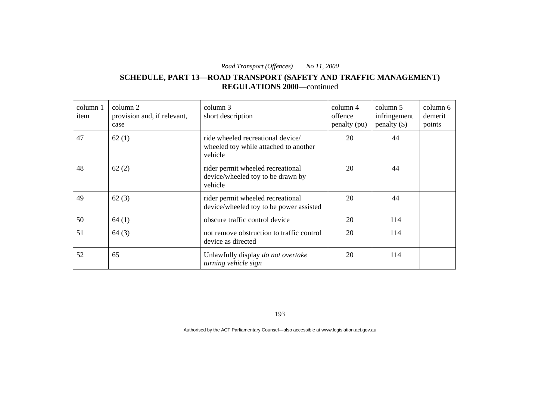### **SCHEDULE, PART 13—ROAD TRANSPORT (SAFETY AND TRAFFIC MANAGEMENT) REGULATIONS 2000**—continued

| column 1<br>item | column 2<br>provision and, if relevant,<br>case | column 3<br>short description                                                         | column 4<br>offence<br>penalty (pu) | column 5<br>infringement<br>penalty $(\$)$ | column 6<br>demerit<br>points |
|------------------|-------------------------------------------------|---------------------------------------------------------------------------------------|-------------------------------------|--------------------------------------------|-------------------------------|
| 47               | 62(1)                                           | ride wheeled recreational device/<br>wheeled toy while attached to another<br>vehicle | 20                                  | 44                                         |                               |
| 48               | 62(2)                                           | rider permit wheeled recreational<br>device/wheeled toy to be drawn by<br>vehicle     | 20                                  | 44                                         |                               |
| 49               | 62(3)                                           | rider permit wheeled recreational<br>device/wheeled toy to be power assisted          | 20                                  | 44                                         |                               |
| 50               | 64(1)                                           | obscure traffic control device                                                        | 20                                  | 114                                        |                               |
| 51               | 64(3)                                           | not remove obstruction to traffic control<br>device as directed                       | 20                                  | 114                                        |                               |
| 52               | 65                                              | Unlawfully display do not overtake<br>turning vehicle sign                            | 20                                  | 114                                        |                               |

193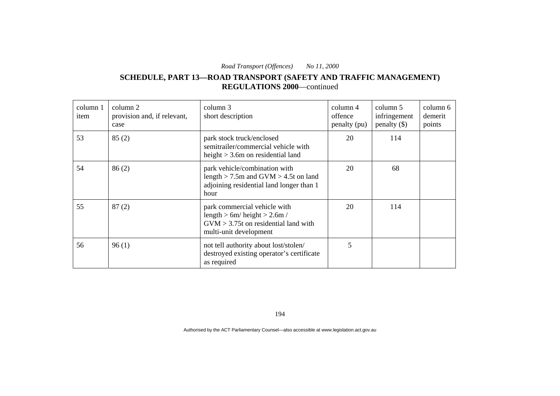### **SCHEDULE, PART 13—ROAD TRANSPORT (SAFETY AND TRAFFIC MANAGEMENT) REGULATIONS 2000**—continued

| column 1<br>item | column 2<br>provision and, if relevant,<br>case | column 3<br>short description                                                                                                       | $\text{column } 4$<br>offence<br>penalty (pu) | column 5<br>infringement<br>penalty $(\$)$ | column 6<br>demerit<br>points |
|------------------|-------------------------------------------------|-------------------------------------------------------------------------------------------------------------------------------------|-----------------------------------------------|--------------------------------------------|-------------------------------|
| 53               | 85(2)                                           | park stock truck/enclosed<br>semitrailer/commercial vehicle with<br>height $> 3.6$ m on residential land                            | 20                                            | 114                                        |                               |
| 54               | 86(2)                                           | park vehicle/combination with<br>length $>$ 7.5m and GVM $>$ 4.5t on land<br>adjoining residential land longer than 1<br>hour       | 20                                            | 68                                         |                               |
| 55               | 87(2)                                           | park commercial vehicle with<br>length $> 6m/$ height $> 2.6m/$<br>$GVM > 3.75t$ on residential land with<br>multi-unit development | 20                                            | 114                                        |                               |
| 56               | 96(1)                                           | not tell authority about lost/stolen/<br>destroyed existing operator's certificate<br>as required                                   | 5                                             |                                            |                               |

194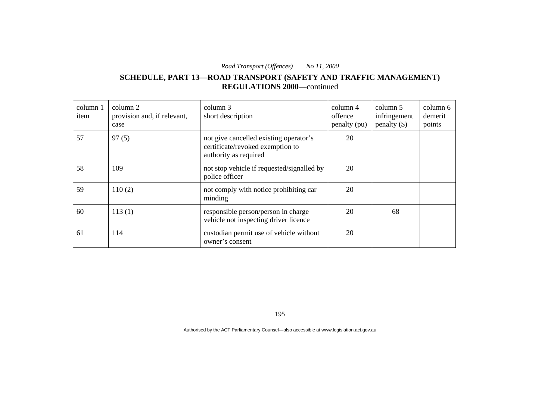### **SCHEDULE, PART 13—ROAD TRANSPORT (SAFETY AND TRAFFIC MANAGEMENT) REGULATIONS 2000**—continued

| column 1<br>item | column 2<br>provision and, if relevant,<br>case | column 3<br>short description                                                                       | column 4<br>offence<br>penalty (pu) | column 5<br>infringement<br>penalty $(\$)$ | column 6<br>demerit<br>points |
|------------------|-------------------------------------------------|-----------------------------------------------------------------------------------------------------|-------------------------------------|--------------------------------------------|-------------------------------|
| 57               | 97(5)                                           | not give cancelled existing operator's<br>certificate/revoked exemption to<br>authority as required | 20                                  |                                            |                               |
| 58               | 109                                             | not stop vehicle if requested/signalled by<br>police officer                                        | 20                                  |                                            |                               |
| 59               | 110(2)                                          | not comply with notice prohibiting car<br>minding                                                   | 20                                  |                                            |                               |
| 60               | 113(1)                                          | responsible person/person in charge<br>vehicle not inspecting driver licence                        | 20                                  | 68                                         |                               |
| 61               | 114                                             | custodian permit use of vehicle without<br>owner's consent                                          | 20                                  |                                            |                               |

195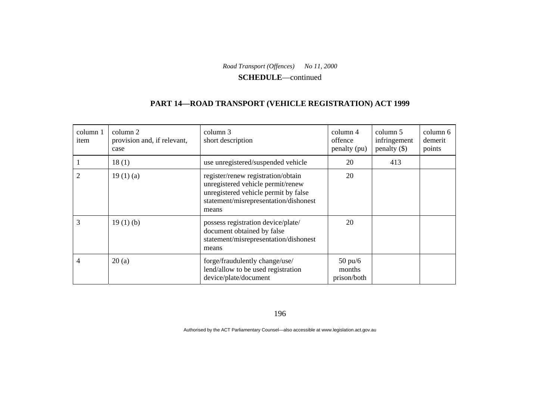**SCHEDULE**—continued

## **PART 14—ROAD TRANSPORT (VEHICLE REGISTRATION) ACT 1999**

| column 1<br>item | column 2<br>provision and, if relevant,<br>case | column 3<br>short description                                                                                                                                     | column 4<br>offence<br>penalty (pu)        | column 5<br>infringement<br>penalty $(\$)$ | column 6<br>demerit<br>points |
|------------------|-------------------------------------------------|-------------------------------------------------------------------------------------------------------------------------------------------------------------------|--------------------------------------------|--------------------------------------------|-------------------------------|
|                  | 18(1)                                           | use unregistered/suspended vehicle                                                                                                                                | 20                                         | 413                                        |                               |
| 2                | 19(1)(a)                                        | register/renew registration/obtain<br>unregistered vehicle permit/renew<br>unregistered vehicle permit by false<br>statement/misrepresentation/dishonest<br>means | 20                                         |                                            |                               |
| 3                | 19(1)(b)                                        | possess registration device/plate/<br>document obtained by false<br>statement/misrepresentation/dishonest<br>means                                                | 20                                         |                                            |                               |
| 4                | 20(a)                                           | forge/fraudulently change/use/<br>lend/allow to be used registration<br>device/plate/document                                                                     | $50 \text{ pu/6}$<br>months<br>prison/both |                                            |                               |

196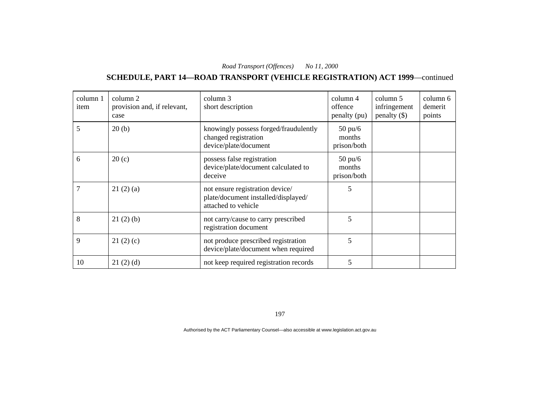## **SCHEDULE, PART 14—ROAD TRANSPORT (VEHICLE REGISTRATION) ACT 1999**—continued

| column 1<br>item | column 2<br>provision and, if relevant,<br>case | column 3<br>short description                                                                 | $\text{column } 4$<br>offence<br>penalty (pu) | column 5<br>infringement<br>penalty $(\$)$ | column 6<br>demerit<br>points |
|------------------|-------------------------------------------------|-----------------------------------------------------------------------------------------------|-----------------------------------------------|--------------------------------------------|-------------------------------|
| 5                | 20(b)                                           | knowingly possess forged/fraudulently<br>changed registration<br>device/plate/document        | $50 \text{ pu/6}$<br>months<br>prison/both    |                                            |                               |
| 6                | 20(c)                                           | possess false registration<br>device/plate/document calculated to<br>deceive                  | $50 \text{ pu/6}$<br>months<br>prison/both    |                                            |                               |
|                  | 21(2)(a)                                        | not ensure registration device/<br>plate/document installed/displayed/<br>attached to vehicle | 5                                             |                                            |                               |
| 8                | 21(2)(b)                                        | not carry/cause to carry prescribed<br>registration document                                  | 5                                             |                                            |                               |
| 9                | 21(2)(c)                                        | not produce prescribed registration<br>device/plate/document when required                    | 5                                             |                                            |                               |
| 10               | 21(2)(d)                                        | not keep required registration records                                                        | 5                                             |                                            |                               |

197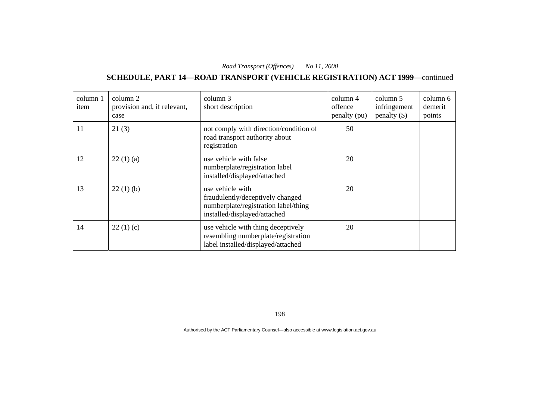## **SCHEDULE, PART 14—ROAD TRANSPORT (VEHICLE REGISTRATION) ACT 1999**—continued

| column 1<br>item | column 2<br>provision and, if relevant,<br>case | column 3<br>short description                                                                                                | column 4<br>offence<br>penalty (pu) | column 5<br>infringement<br>penalty $(\$)$ | column 6<br>demerit<br>points |
|------------------|-------------------------------------------------|------------------------------------------------------------------------------------------------------------------------------|-------------------------------------|--------------------------------------------|-------------------------------|
| 11               | 21(3)                                           | not comply with direction/condition of<br>road transport authority about<br>registration                                     | 50                                  |                                            |                               |
| 12               | 22(1)(a)                                        | use vehicle with false<br>numberplate/registration label<br>installed/displayed/attached                                     | 20                                  |                                            |                               |
| 13               | 22(1)(b)                                        | use vehicle with<br>fraudulently/deceptively changed<br>numberplate/registration label/thing<br>installed/displayed/attached | 20                                  |                                            |                               |
| 14               | 22(1)(c)                                        | use vehicle with thing deceptively<br>resembling numberplate/registration<br>label installed/displayed/attached              | 20                                  |                                            |                               |

198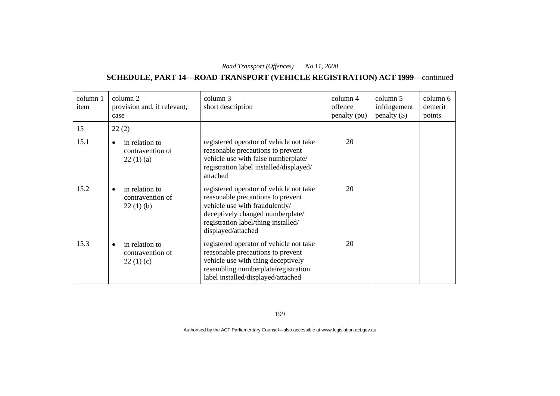## **SCHEDULE, PART 14—ROAD TRANSPORT (VEHICLE REGISTRATION) ACT 1999**—continued

| column 1<br>item | column 2<br>provision and, if relevant,<br>case             | column 3<br>short description                                                                                                                                                                                   | column 4<br>offence<br>penalty (pu) | column 5<br>infringement<br>penalty $(\$)$ | column 6<br>demerit<br>points |
|------------------|-------------------------------------------------------------|-----------------------------------------------------------------------------------------------------------------------------------------------------------------------------------------------------------------|-------------------------------------|--------------------------------------------|-------------------------------|
| 15               | 22(2)                                                       |                                                                                                                                                                                                                 |                                     |                                            |                               |
| 15.1             | in relation to<br>contravention of<br>22(1)(a)              | registered operator of vehicle not take<br>reasonable precautions to prevent<br>vehicle use with false numberplate/<br>registration label installed/displayed/<br>attached                                      | 20                                  |                                            |                               |
| 15.2             | in relation to<br>$\bullet$<br>contravention of<br>22(1)(b) | registered operator of vehicle not take<br>reasonable precautions to prevent<br>vehicle use with fraudulently/<br>deceptively changed numberplate/<br>registration label/thing installed/<br>displayed/attached | 20                                  |                                            |                               |
| 15.3             | in relation to<br>contravention of<br>22(1)(c)              | registered operator of vehicle not take<br>reasonable precautions to prevent<br>vehicle use with thing deceptively<br>resembling numberplate/registration<br>label installed/displayed/attached                 | 20                                  |                                            |                               |

199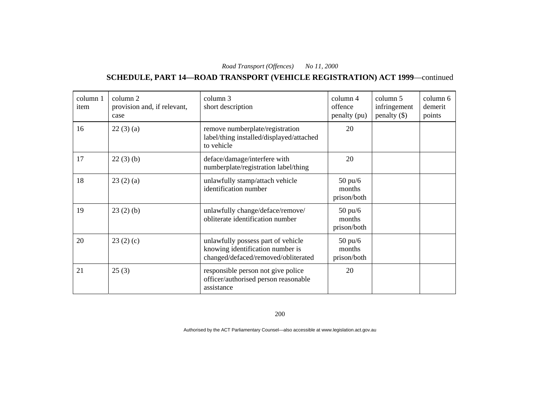## **SCHEDULE, PART 14—ROAD TRANSPORT (VEHICLE REGISTRATION) ACT 1999**—continued

| column 1<br>item | column 2<br>provision and, if relevant,<br>case | column 3<br>short description                                                                                 | column 4<br>offence<br>penalty (pu)        | column 5<br>infringement<br>penalty $(\$)$ | column 6<br>demerit<br>points |
|------------------|-------------------------------------------------|---------------------------------------------------------------------------------------------------------------|--------------------------------------------|--------------------------------------------|-------------------------------|
| 16               | 22(3)(a)                                        | remove numberplate/registration<br>label/thing installed/displayed/attached<br>to vehicle                     | 20                                         |                                            |                               |
| 17               | 22(3)(b)                                        | deface/damage/interfere with<br>numberplate/registration label/thing                                          | 20                                         |                                            |                               |
| 18               | 23(2)(a)                                        | unlawfully stamp/attach vehicle<br>identification number                                                      | $50$ pu/ $6$<br>months<br>prison/both      |                                            |                               |
| 19               | 23(2)(b)                                        | unlawfully change/deface/remove/<br>obliterate identification number                                          | $50 \text{ pu/}6$<br>months<br>prison/both |                                            |                               |
| 20               | 23(2)(c)                                        | unlawfully possess part of vehicle<br>knowing identification number is<br>changed/defaced/removed/obliterated | $50$ pu/ $6$<br>months<br>prison/both      |                                            |                               |
| 21               | 25(3)                                           | responsible person not give police<br>officer/authorised person reasonable<br>assistance                      | 20                                         |                                            |                               |

200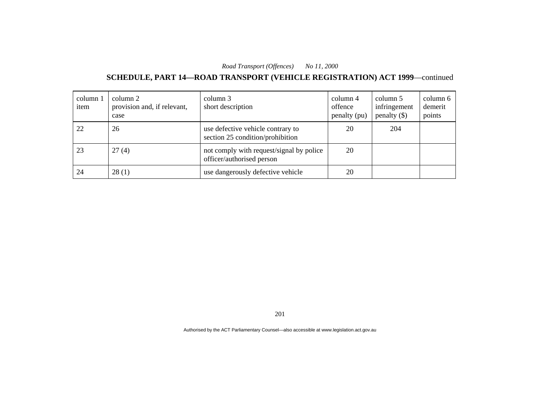## **SCHEDULE, PART 14—ROAD TRANSPORT (VEHICLE REGISTRATION) ACT 1999**—continued

| column 1<br>item | column 2<br>provision and, if relevant,<br>case | column 3<br>short description                                         | column 4<br>offence<br>penalty (pu) | column 5<br>infringement<br>$penalty$ (\$) | column 6<br>demerit<br>points |
|------------------|-------------------------------------------------|-----------------------------------------------------------------------|-------------------------------------|--------------------------------------------|-------------------------------|
| 22               | 26                                              | use defective vehicle contrary to<br>section 25 condition/prohibition | 20                                  | 204                                        |                               |
| 23               | 27(4)                                           | not comply with request/signal by police<br>officer/authorised person | 20                                  |                                            |                               |
| 24               | 28(1)                                           | use dangerously defective vehicle                                     | 20                                  |                                            |                               |

201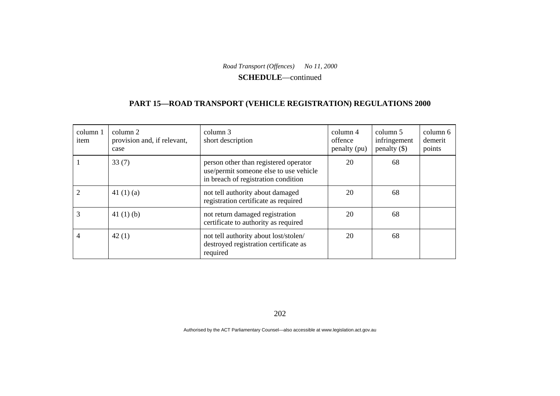**SCHEDULE**—continued

### **PART 15—ROAD TRANSPORT (VEHICLE REGISTRATION) REGULATIONS 2000**

| column 1<br>item | column 2<br>provision and, if relevant,<br>case | column 3<br>short description                                                                                          | column 4<br>offence<br>penalty (pu) | column 5<br>infringement<br>$penalty$ (\$) | column 6<br>demerit<br>points |
|------------------|-------------------------------------------------|------------------------------------------------------------------------------------------------------------------------|-------------------------------------|--------------------------------------------|-------------------------------|
|                  | 33(7)                                           | person other than registered operator<br>use/permit someone else to use vehicle<br>in breach of registration condition | 20                                  | 68                                         |                               |
|                  | 41 $(1)(a)$                                     | not tell authority about damaged<br>registration certificate as required                                               | 20                                  | 68                                         |                               |
|                  | 41 $(1)$ $(b)$                                  | not return damaged registration<br>certificate to authority as required                                                | 20                                  | 68                                         |                               |
| 4                | 42(1)                                           | not tell authority about lost/stolen/<br>destroyed registration certificate as<br>required                             | 20                                  | 68                                         |                               |

202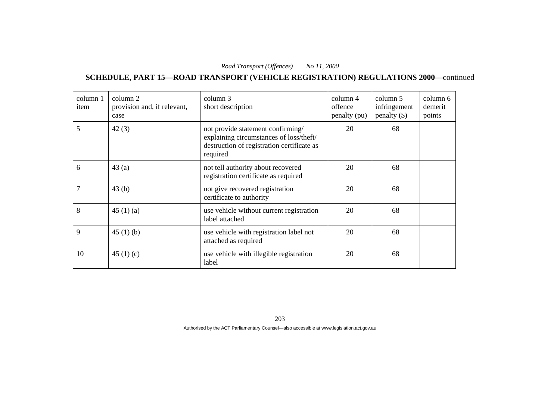**SCHEDULE, PART 15—ROAD TRANSPORT (VEHICLE REGISTRATION) REGULATIONS 2000**—continued

| column 1<br>item | column 2<br>provision and, if relevant,<br>case | column 3<br>short description                                                                                                          | column 4<br>offence<br>penalty (pu) | column 5<br>infringement<br>penalty $(\$)$ | column 6<br>demerit<br>points |
|------------------|-------------------------------------------------|----------------------------------------------------------------------------------------------------------------------------------------|-------------------------------------|--------------------------------------------|-------------------------------|
| 5                | 42(3)                                           | not provide statement confirming/<br>explaining circumstances of loss/theft/<br>destruction of registration certificate as<br>required | 20                                  | 68                                         |                               |
| 6                | 43(a)                                           | not tell authority about recovered<br>registration certificate as required                                                             | 20                                  | 68                                         |                               |
| 7                | 43(b)                                           | not give recovered registration<br>certificate to authority                                                                            | 20                                  | 68                                         |                               |
| 8                | 45 $(1)(a)$                                     | use vehicle without current registration<br>label attached                                                                             | 20                                  | 68                                         |                               |
| 9                | 45 $(1)$ $(b)$                                  | use vehicle with registration label not<br>attached as required                                                                        | 20                                  | 68                                         |                               |
| 10               | 45 $(1)(c)$                                     | use vehicle with illegible registration<br>label                                                                                       | 20                                  | 68                                         |                               |

203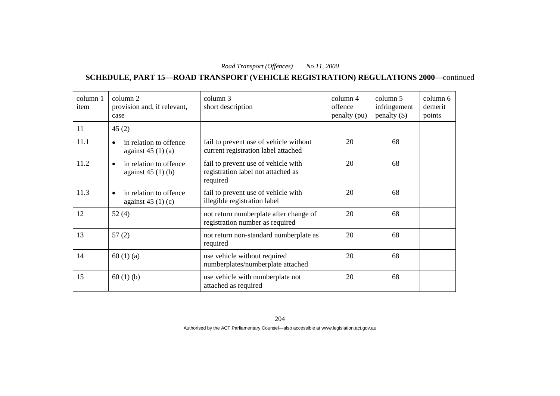**SCHEDULE, PART 15—ROAD TRANSPORT (VEHICLE REGISTRATION) REGULATIONS 2000**—continued

| column 1<br>item | column 2<br>provision and, if relevant,<br>case           | column 3<br>short description                                                         | column 4<br>offence<br>penalty (pu) | column 5<br>infringement<br>penalty $(\$)$ | column 6<br>demerit<br>points |
|------------------|-----------------------------------------------------------|---------------------------------------------------------------------------------------|-------------------------------------|--------------------------------------------|-------------------------------|
| 11               | 45(2)                                                     |                                                                                       |                                     |                                            |                               |
| 11.1             | in relation to offence<br>$\bullet$<br>against $45(1)(a)$ | fail to prevent use of vehicle without<br>current registration label attached         | 20                                  | 68                                         |                               |
| 11.2             | in relation to offence<br>$\bullet$<br>against $45(1)(b)$ | fail to prevent use of vehicle with<br>registration label not attached as<br>required | 20                                  | 68                                         |                               |
| 11.3             | in relation to offence<br>$\bullet$<br>against $45(1)(c)$ | fail to prevent use of vehicle with<br>illegible registration label                   | 20                                  | 68                                         |                               |
| 12               | 52(4)                                                     | not return numberplate after change of<br>registration number as required             | 20                                  | 68                                         |                               |
| 13               | 57(2)                                                     | not return non-standard numberplate as<br>required                                    | 20                                  | 68                                         |                               |
| 14               | 60(1)(a)                                                  | use vehicle without required<br>numberplates/numberplate attached                     | 20                                  | 68                                         |                               |
| 15               | 60(1)(b)                                                  | use vehicle with numberplate not<br>attached as required                              | 20                                  | 68                                         |                               |

204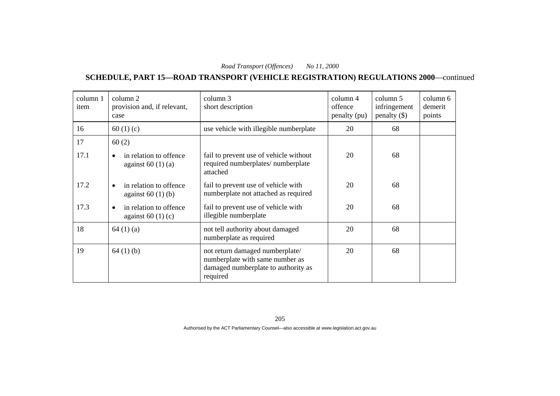**SCHEDULE, PART 15—ROAD TRANSPORT (VEHICLE REGISTRATION) REGULATIONS 2000**—continued

| column 1<br>item | column 2<br>provision and, if relevant,<br>case | column 3<br>short description                                                                                         | column 4<br>offence<br>penalty (pu) | column 5<br>infringement<br>penalty $(\$)$ | column 6<br>demerit<br>points |
|------------------|-------------------------------------------------|-----------------------------------------------------------------------------------------------------------------------|-------------------------------------|--------------------------------------------|-------------------------------|
| 16               | 60 $(1)(c)$                                     | use vehicle with illegible numberplate                                                                                | 20                                  | 68                                         |                               |
| 17               | 60(2)                                           |                                                                                                                       |                                     |                                            |                               |
| 17.1             | in relation to offence<br>against $60(1)(a)$    | fail to prevent use of vehicle without<br>required numberplates/ numberplate<br>attached                              | 20                                  | 68                                         |                               |
| 17.2             | in relation to offence<br>against $60(1)(b)$    | fail to prevent use of vehicle with<br>numberplate not attached as required                                           | 20                                  | 68                                         |                               |
| 17.3             | in relation to offence<br>against $60(1)(c)$    | fail to prevent use of vehicle with<br>illegible numberplate                                                          | 20                                  | 68                                         |                               |
| 18               | 64(1)(a)                                        | not tell authority about damaged<br>numberplate as required                                                           | 20                                  | 68                                         |                               |
| 19               | 64(1)(b)                                        | not return damaged numberplate/<br>numberplate with same number as<br>damaged numberplate to authority as<br>required | 20                                  | 68                                         |                               |

205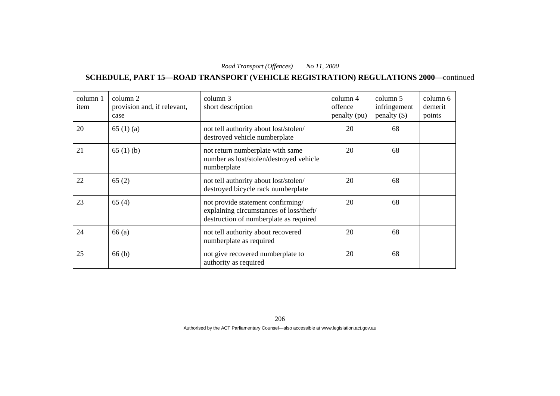**SCHEDULE, PART 15—ROAD TRANSPORT (VEHICLE REGISTRATION) REGULATIONS 2000**—continued

| column 1<br>item | column 2<br>provision and, if relevant,<br>case | column 3<br>short description                                                                                          | column 4<br>offence<br>penalty (pu) | column 5<br>infringement<br>penalty $(\$)$ | column 6<br>demerit<br>points |
|------------------|-------------------------------------------------|------------------------------------------------------------------------------------------------------------------------|-------------------------------------|--------------------------------------------|-------------------------------|
| 20               | 65(1)(a)                                        | not tell authority about lost/stolen/<br>destroyed vehicle numberplate                                                 | 20                                  | 68                                         |                               |
| 21               | 65(1)(b)                                        | not return numberplate with same<br>number as lost/stolen/destroyed vehicle<br>numberplate                             | 20                                  | 68                                         |                               |
| 22               | 65(2)                                           | not tell authority about lost/stolen/<br>destroyed bicycle rack numberplate                                            | 20                                  | 68                                         |                               |
| 23               | 65(4)                                           | not provide statement confirming/<br>explaining circumstances of loss/theft/<br>destruction of numberplate as required | 20                                  | 68                                         |                               |
| 24               | 66(a)                                           | not tell authority about recovered<br>numberplate as required                                                          | 20                                  | 68                                         |                               |
| 25               | 66(b)                                           | not give recovered numberplate to<br>authority as required                                                             | 20                                  | 68                                         |                               |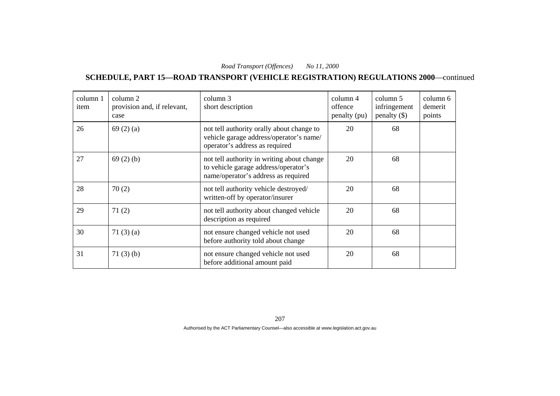**SCHEDULE, PART 15—ROAD TRANSPORT (VEHICLE REGISTRATION) REGULATIONS 2000**—continued

| column 1<br>item | column 2<br>provision and, if relevant,<br>case | column 3<br>short description                                                                                             | column 4<br>offence<br>penalty (pu) | column 5<br>infringement<br>penalty $(\$)$ | column 6<br>demerit<br>points |
|------------------|-------------------------------------------------|---------------------------------------------------------------------------------------------------------------------------|-------------------------------------|--------------------------------------------|-------------------------------|
| 26               | 69(2)(a)                                        | not tell authority orally about change to<br>vehicle garage address/operator's name/<br>operator's address as required    | 20                                  | 68                                         |                               |
| 27               | 69(2)(b)                                        | not tell authority in writing about change<br>to vehicle garage address/operator's<br>name/operator's address as required | 20                                  | 68                                         |                               |
| 28               | 70(2)                                           | not tell authority vehicle destroyed/<br>written-off by operator/insurer                                                  | 20                                  | 68                                         |                               |
| 29               | 71(2)                                           | not tell authority about changed vehicle<br>description as required                                                       | 20                                  | 68                                         |                               |
| 30               | 71(3)(a)                                        | not ensure changed vehicle not used<br>before authority told about change                                                 | 20                                  | 68                                         |                               |
| 31               | 71(3)(b)                                        | not ensure changed vehicle not used<br>before additional amount paid                                                      | 20                                  | 68                                         |                               |

207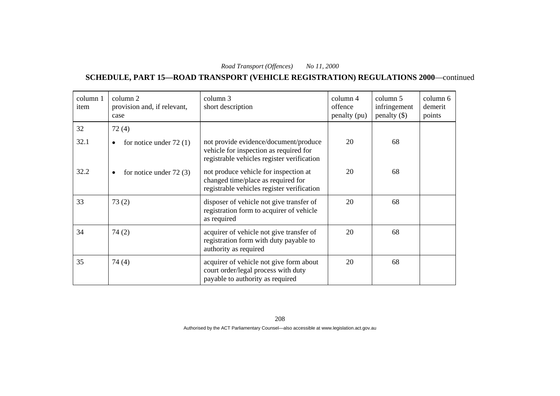**SCHEDULE, PART 15—ROAD TRANSPORT (VEHICLE REGISTRATION) REGULATIONS 2000**—continued

| column 1<br>item | column 2<br>provision and, if relevant,<br>case | column 3<br>short description                                                                                                 | column 4<br>offence<br>penalty (pu) | column 5<br>infringement<br>penalty $(\$)$ | column 6<br>demerit<br>points |
|------------------|-------------------------------------------------|-------------------------------------------------------------------------------------------------------------------------------|-------------------------------------|--------------------------------------------|-------------------------------|
| 32               | 72(4)                                           |                                                                                                                               |                                     |                                            |                               |
| 32.1             | for notice under $72(1)$<br>$\bullet$           | not provide evidence/document/produce<br>vehicle for inspection as required for<br>registrable vehicles register verification | 20                                  | 68                                         |                               |
| 32.2             | for notice under $72(3)$<br>$\bullet$           | not produce vehicle for inspection at<br>changed time/place as required for<br>registrable vehicles register verification     | 20                                  | 68                                         |                               |
| 33               | 73(2)                                           | disposer of vehicle not give transfer of<br>registration form to acquirer of vehicle<br>as required                           | 20                                  | 68                                         |                               |
| 34               | 74(2)                                           | acquirer of vehicle not give transfer of<br>registration form with duty payable to<br>authority as required                   | 20                                  | 68                                         |                               |
| 35               | 74(4)                                           | acquirer of vehicle not give form about<br>court order/legal process with duty<br>payable to authority as required            | 20                                  | 68                                         |                               |

208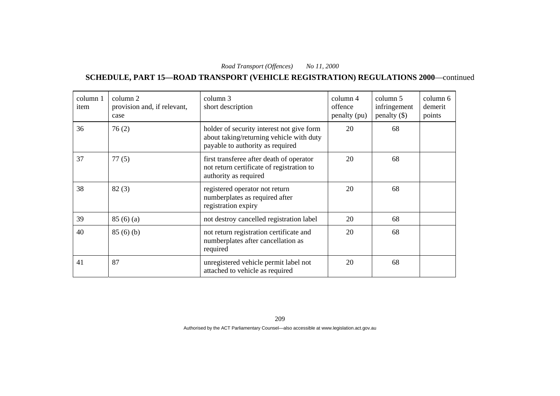**SCHEDULE, PART 15—ROAD TRANSPORT (VEHICLE REGISTRATION) REGULATIONS 2000**—continued

| column 1<br>item | column 2<br>provision and, if relevant,<br>case | column 3<br>short description                                                                                             | column 4<br>offence<br>penalty (pu) | column 5<br>infringement<br>$penalty$ (\$) | column 6<br>demerit<br>points |
|------------------|-------------------------------------------------|---------------------------------------------------------------------------------------------------------------------------|-------------------------------------|--------------------------------------------|-------------------------------|
| 36               | 76(2)                                           | holder of security interest not give form<br>about taking/returning vehicle with duty<br>payable to authority as required | 20                                  | 68                                         |                               |
| 37               | 77(5)                                           | first transferee after death of operator<br>not return certificate of registration to<br>authority as required            | 20                                  | 68                                         |                               |
| 38               | 82(3)                                           | registered operator not return<br>numberplates as required after<br>registration expiry                                   | 20                                  | 68                                         |                               |
| 39               | 85(6)(a)                                        | not destroy cancelled registration label                                                                                  | 20                                  | 68                                         |                               |
| 40               | 85(6)(b)                                        | not return registration certificate and<br>numberplates after cancellation as<br>required                                 | 20                                  | 68                                         |                               |
| 41               | 87                                              | unregistered vehicle permit label not<br>attached to vehicle as required                                                  | 20                                  | 68                                         |                               |

209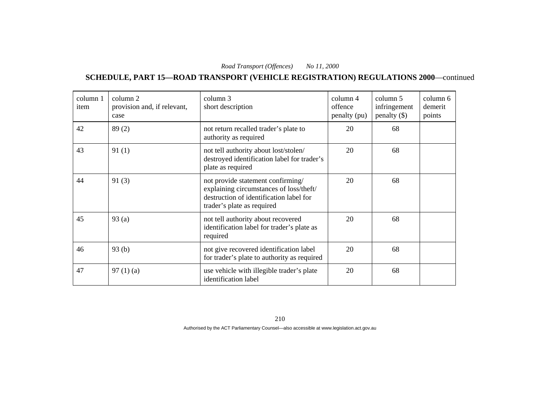**SCHEDULE, PART 15—ROAD TRANSPORT (VEHICLE REGISTRATION) REGULATIONS 2000**—continued

| column 1<br>item | column 2<br>provision and, if relevant,<br>case | column 3<br>short description                                                                                                                         | column 4<br>offence<br>penalty (pu) | column 5<br>infringement<br>penalty $(\$)$ | column 6<br>demerit<br>points |
|------------------|-------------------------------------------------|-------------------------------------------------------------------------------------------------------------------------------------------------------|-------------------------------------|--------------------------------------------|-------------------------------|
| 42               | 89(2)                                           | not return recalled trader's plate to<br>authority as required                                                                                        | 20                                  | 68                                         |                               |
| 43               | 91(1)                                           | not tell authority about lost/stolen/<br>destroyed identification label for trader's<br>plate as required                                             | 20                                  | 68                                         |                               |
| 44               | 91(3)                                           | not provide statement confirming/<br>explaining circumstances of loss/theft/<br>destruction of identification label for<br>trader's plate as required | 20                                  | 68                                         |                               |
| 45               | 93(a)                                           | not tell authority about recovered<br>identification label for trader's plate as<br>required                                                          | 20                                  | 68                                         |                               |
| 46               | 93(b)                                           | not give recovered identification label<br>for trader's plate to authority as required                                                                | 20                                  | 68                                         |                               |
| 47               | 97(1)(a)                                        | use vehicle with illegible trader's plate<br>identification label                                                                                     | 20                                  | 68                                         |                               |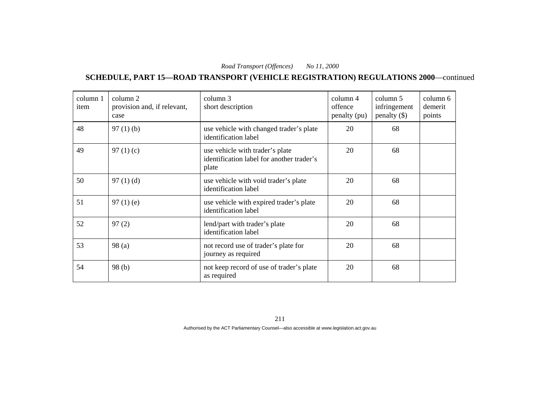**SCHEDULE, PART 15—ROAD TRANSPORT (VEHICLE REGISTRATION) REGULATIONS 2000**—continued

| column 1<br>item | column 2<br>provision and, if relevant,<br>case | column 3<br>short description                                                         | column 4<br>offence<br>penalty (pu) | column 5<br>infringement<br>penalty $(\$)$ | column 6<br>demerit<br>points |
|------------------|-------------------------------------------------|---------------------------------------------------------------------------------------|-------------------------------------|--------------------------------------------|-------------------------------|
| 48               | $97(1)$ (b)                                     | use vehicle with changed trader's plate<br>identification label                       | 20                                  | 68                                         |                               |
| 49               | 97 $(1)(c)$                                     | use vehicle with trader's plate<br>identification label for another trader's<br>plate | 20                                  | 68                                         |                               |
| 50               | 97(1)(d)                                        | use vehicle with void trader's plate<br>identification label                          | 20                                  | 68                                         |                               |
| 51               | $97(1)$ (e)                                     | use vehicle with expired trader's plate<br>identification label                       | 20                                  | 68                                         |                               |
| 52               | 97(2)                                           | lend/part with trader's plate<br>identification label                                 | 20                                  | 68                                         |                               |
| 53               | 98(a)                                           | not record use of trader's plate for<br>journey as required                           | 20                                  | 68                                         |                               |
| 54               | 98(b)                                           | not keep record of use of trader's plate<br>as required                               | 20                                  | 68                                         |                               |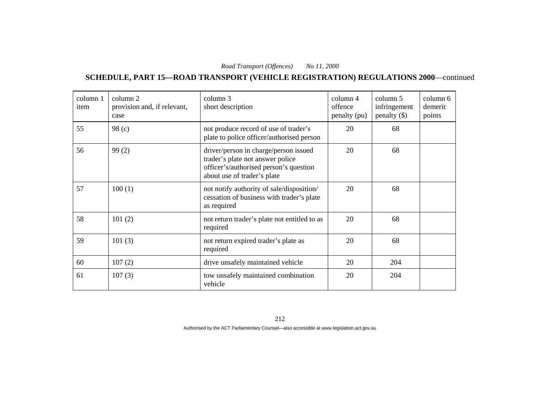**SCHEDULE, PART 15—ROAD TRANSPORT (VEHICLE REGISTRATION) REGULATIONS 2000**—continued

| column 1<br>item | column 2<br>provision and, if relevant,<br>case | column 3<br>short description                                                                                                                      | column 4<br>offence<br>penalty (pu) | column 5<br>infringement<br>penalty $(\$)$ | column 6<br>demerit<br>points |
|------------------|-------------------------------------------------|----------------------------------------------------------------------------------------------------------------------------------------------------|-------------------------------------|--------------------------------------------|-------------------------------|
| 55               | 98 <sub>(c)</sub>                               | not produce record of use of trader's<br>plate to police officer/authorised person                                                                 | 20                                  | 68                                         |                               |
| 56               | 99(2)                                           | driver/person in charge/person issued<br>trader's plate not answer police<br>officer's/authorised person's question<br>about use of trader's plate | 20                                  | 68                                         |                               |
| 57               | 100(1)                                          | not notify authority of sale/disposition/<br>cessation of business with trader's plate<br>as required                                              | 20                                  | 68                                         |                               |
| 58               | 101(2)                                          | not return trader's plate not entitled to as<br>required                                                                                           | 20                                  | 68                                         |                               |
| 59               | 101(3)                                          | not return expired trader's plate as<br>required                                                                                                   | 20                                  | 68                                         |                               |
| 60               | 107(2)                                          | drive unsafely maintained vehicle                                                                                                                  | 20                                  | 204                                        |                               |
| 61               | 107(3)                                          | tow unsafely maintained combination<br>vehicle                                                                                                     | 20                                  | 204                                        |                               |

212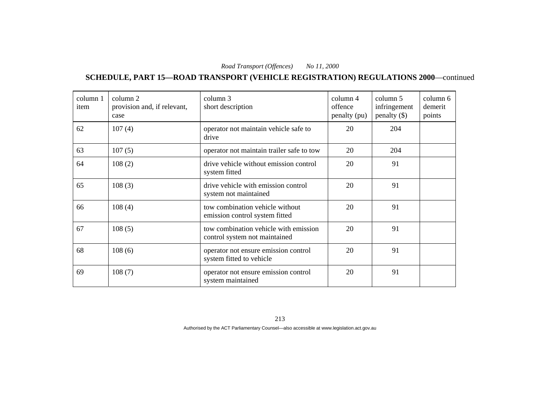**SCHEDULE, PART 15—ROAD TRANSPORT (VEHICLE REGISTRATION) REGULATIONS 2000**—continued

| column 1<br>item | column 2<br>provision and, if relevant,<br>case | column 3<br>short description                                          | column 4<br>offence<br>penalty (pu) | column 5<br>infringement<br>penalty $(\$)$ | column 6<br>demerit<br>points |
|------------------|-------------------------------------------------|------------------------------------------------------------------------|-------------------------------------|--------------------------------------------|-------------------------------|
| 62               | 107(4)                                          | operator not maintain vehicle safe to<br>drive                         | 20                                  | 204                                        |                               |
| 63               | 107(5)                                          | operator not maintain trailer safe to tow                              | 20                                  | 204                                        |                               |
| 64               | 108(2)                                          | drive vehicle without emission control<br>system fitted                | 20                                  | 91                                         |                               |
| 65               | 108(3)                                          | drive vehicle with emission control<br>system not maintained           | 20                                  | 91                                         |                               |
| 66               | 108(4)                                          | tow combination vehicle without<br>emission control system fitted      | 20                                  | 91                                         |                               |
| 67               | 108(5)                                          | tow combination vehicle with emission<br>control system not maintained | 20                                  | 91                                         |                               |
| 68               | 108(6)                                          | operator not ensure emission control<br>system fitted to vehicle       | 20                                  | 91                                         |                               |
| 69               | 108(7)                                          | operator not ensure emission control<br>system maintained              | 20                                  | 91                                         |                               |

213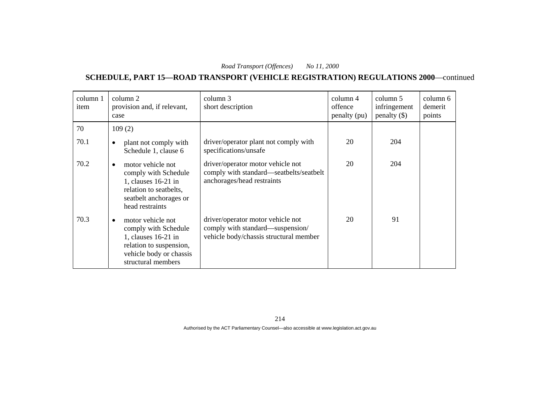**SCHEDULE, PART 15—ROAD TRANSPORT (VEHICLE REGISTRATION) REGULATIONS 2000**—continued

| column 1<br>item | column 2<br>provision and, if relevant,<br>case                                                                                                             | column 3<br>short description                                                                                   | column 4<br>offence<br>penalty (pu) | column 5<br>infringement<br>$penalty$ (\$) | column 6<br>demerit<br>points |
|------------------|-------------------------------------------------------------------------------------------------------------------------------------------------------------|-----------------------------------------------------------------------------------------------------------------|-------------------------------------|--------------------------------------------|-------------------------------|
| 70               | 109(2)                                                                                                                                                      |                                                                                                                 |                                     |                                            |                               |
| 70.1             | plant not comply with<br>Schedule 1, clause 6                                                                                                               | driver/operator plant not comply with<br>specifications/unsafe                                                  | 20                                  | 204                                        |                               |
| 70.2             | motor vehicle not<br>comply with Schedule<br>1, clauses 16-21 in<br>relation to seatbelts,<br>seatbelt anchorages or<br>head restraints                     | driver/operator motor vehicle not<br>comply with standard—seatbelts/seatbelt<br>anchorages/head restraints      | 20                                  | 204                                        |                               |
| 70.3             | motor vehicle not<br>$\bullet$<br>comply with Schedule<br>1, clauses $16-21$ in<br>relation to suspension,<br>vehicle body or chassis<br>structural members | driver/operator motor vehicle not<br>comply with standard—suspension/<br>vehicle body/chassis structural member | 20                                  | 91                                         |                               |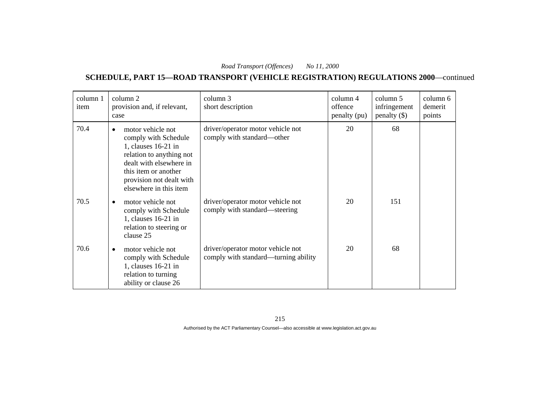**SCHEDULE, PART 15—ROAD TRANSPORT (VEHICLE REGISTRATION) REGULATIONS 2000**—continued

| column 1<br>item | column 2<br>provision and, if relevant,<br>case                                                                                                                                                                    | column 3<br>short description                                             | column 4<br>offence<br>penalty (pu) | column 5<br>infringement<br>penalty $(\$)$ | column 6<br>demerit<br>points |
|------------------|--------------------------------------------------------------------------------------------------------------------------------------------------------------------------------------------------------------------|---------------------------------------------------------------------------|-------------------------------------|--------------------------------------------|-------------------------------|
| 70.4             | motor vehicle not<br>$\bullet$<br>comply with Schedule<br>1, clauses 16-21 in<br>relation to anything not<br>dealt with elsewhere in<br>this item or another<br>provision not dealt with<br>elsewhere in this item | driver/operator motor vehicle not<br>comply with standard—other           | 20                                  | 68                                         |                               |
| 70.5             | motor vehicle not<br>comply with Schedule<br>1, clauses 16-21 in<br>relation to steering or<br>clause 25                                                                                                           | driver/operator motor vehicle not<br>comply with standard—steering        | 20                                  | 151                                        |                               |
| 70.6             | motor vehicle not<br>$\bullet$<br>comply with Schedule<br>1, clauses 16-21 in<br>relation to turning<br>ability or clause 26                                                                                       | driver/operator motor vehicle not<br>comply with standard—turning ability | 20                                  | 68                                         |                               |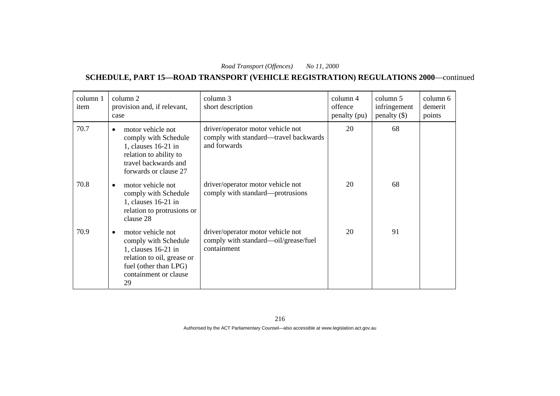**SCHEDULE, PART 15—ROAD TRANSPORT (VEHICLE REGISTRATION) REGULATIONS 2000**—continued

| column 1<br>item | column 2<br>provision and, if relevant,<br>case                                                                                                                     | column 3<br>short description                                                              | column 4<br>offence<br>penalty (pu) | column 5<br>infringement<br>$penalty$ (\$) | column 6<br>demerit<br>points |
|------------------|---------------------------------------------------------------------------------------------------------------------------------------------------------------------|--------------------------------------------------------------------------------------------|-------------------------------------|--------------------------------------------|-------------------------------|
| 70.7             | motor vehicle not<br>$\bullet$<br>comply with Schedule<br>1, clauses 16-21 in<br>relation to ability to<br>travel backwards and<br>forwards or clause 27            | driver/operator motor vehicle not<br>comply with standard—travel backwards<br>and forwards | 20                                  | 68                                         |                               |
| 70.8             | motor vehicle not<br>$\bullet$<br>comply with Schedule<br>1, clauses $16-21$ in<br>relation to protrusions or<br>clause 28                                          | driver/operator motor vehicle not<br>comply with standard—protrusions                      | 20                                  | 68                                         |                               |
| 70.9             | motor vehicle not<br>$\bullet$<br>comply with Schedule<br>1, clauses 16-21 in<br>relation to oil, grease or<br>fuel (other than LPG)<br>containment or clause<br>29 | driver/operator motor vehicle not<br>comply with standard—oil/grease/fuel<br>containment   | 20                                  | 91                                         |                               |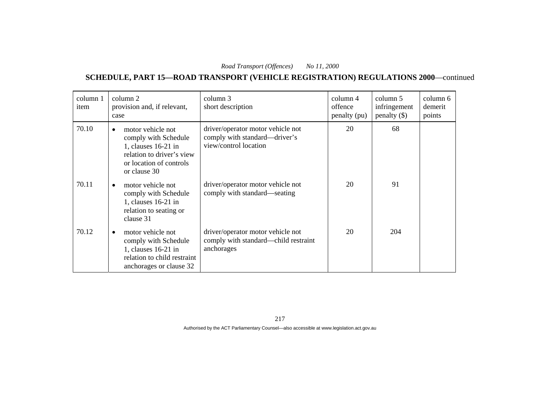**SCHEDULE, PART 15—ROAD TRANSPORT (VEHICLE REGISTRATION) REGULATIONS 2000**—continued

| column 1<br>item | column 2<br>provision and, if relevant,<br>case                                                                                                         | column 3<br>short description                                                               | column 4<br>offence<br>penalty (pu) | column 5<br>infringement<br>penalty $(\$)$ | column 6<br>demerit<br>points |
|------------------|---------------------------------------------------------------------------------------------------------------------------------------------------------|---------------------------------------------------------------------------------------------|-------------------------------------|--------------------------------------------|-------------------------------|
| 70.10            | motor vehicle not<br>$\bullet$<br>comply with Schedule<br>1, clauses $16-21$ in<br>relation to driver's view<br>or location of controls<br>or clause 30 | driver/operator motor vehicle not<br>comply with standard—driver's<br>view/control location | 20                                  | 68                                         |                               |
| 70.11            | motor vehicle not<br>comply with Schedule<br>1, clauses $16-21$ in<br>relation to seating or<br>clause 31                                               | driver/operator motor vehicle not<br>comply with standard—seating                           | 20                                  | 91                                         |                               |
| 70.12            | motor vehicle not<br>٠<br>comply with Schedule<br>1, clauses 16-21 in<br>relation to child restraint<br>anchorages or clause 32                         | driver/operator motor vehicle not<br>comply with standard—child restraint<br>anchorages     | 20                                  | 204                                        |                               |

217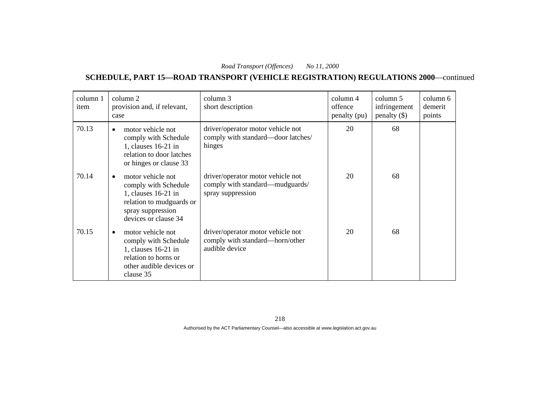**SCHEDULE, PART 15—ROAD TRANSPORT (VEHICLE REGISTRATION) REGULATIONS 2000**—continued

| column 1<br>item | column 2<br>provision and, if relevant,<br>case                                                                                                | column 3<br>short description                                                             | column 4<br>offence<br>penalty (pu) | column 5<br>infringement<br>$penalty$ (\$) | column 6<br>demerit<br>points |
|------------------|------------------------------------------------------------------------------------------------------------------------------------------------|-------------------------------------------------------------------------------------------|-------------------------------------|--------------------------------------------|-------------------------------|
| 70.13            | motor vehicle not<br>comply with Schedule<br>1, clauses 16-21 in<br>relation to door latches<br>or hinges or clause 33                         | driver/operator motor vehicle not<br>comply with standard—door latches/<br>hinges         | 20                                  | 68                                         |                               |
| 70.14            | motor vehicle not<br>comply with Schedule<br>1, clauses $16-21$ in<br>relation to mudguards or<br>spray suppression<br>devices or clause 34    | driver/operator motor vehicle not<br>comply with standard-mudguards/<br>spray suppression | 20                                  | 68                                         |                               |
| 70.15            | motor vehicle not<br>$\bullet$<br>comply with Schedule<br>1, clauses 16-21 in<br>relation to horns or<br>other audible devices or<br>clause 35 | driver/operator motor vehicle not<br>comply with standard—horn/other<br>audible device    | 20                                  | 68                                         |                               |

218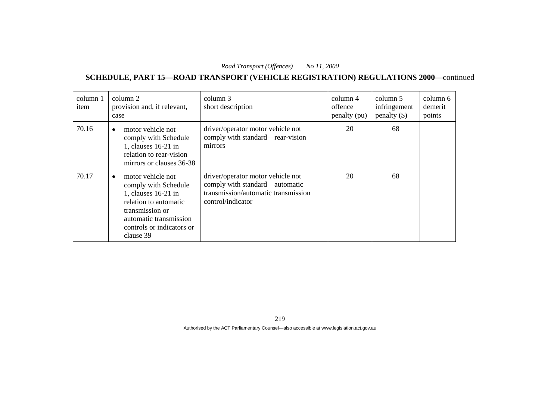| column 1<br>item | column 2<br>provision and, if relevant,<br>case                                                                                                                                                 | column 3<br>short description                                                                                                   | $\text{column } 4$<br>offence<br>penalty (pu) | column 5<br>infringement<br>penalty $(\$)$ | column 6<br>demerit<br>points |
|------------------|-------------------------------------------------------------------------------------------------------------------------------------------------------------------------------------------------|---------------------------------------------------------------------------------------------------------------------------------|-----------------------------------------------|--------------------------------------------|-------------------------------|
| 70.16            | motor vehicle not<br>$\bullet$<br>comply with Schedule<br>1, clauses $16-21$ in<br>relation to rear-vision<br>mirrors or clauses 36-38                                                          | driver/operator motor vehicle not<br>comply with standard—rear-vision<br>mirrors                                                | 20                                            | 68                                         |                               |
| 70.17            | motor vehicle not<br>$\bullet$<br>comply with Schedule<br>1, clauses $16-21$ in<br>relation to automatic<br>transmission or<br>automatic transmission<br>controls or indicators or<br>clause 39 | driver/operator motor vehicle not<br>comply with standard—automatic<br>transmission/automatic transmission<br>control/indicator | 20                                            | 68                                         |                               |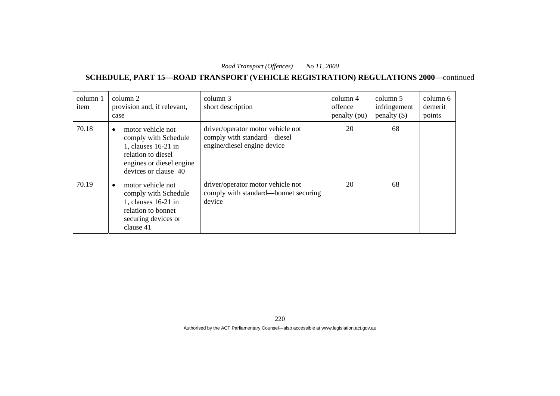| column 1<br>item | column 2<br>provision and, if relevant,<br>case                                                                                                         | column 3<br>short description                                                                   | column 4<br>offence<br>penalty (pu) | column 5<br>infringement<br>penalty $(\$)$ | column 6<br>demerit<br>points |
|------------------|---------------------------------------------------------------------------------------------------------------------------------------------------------|-------------------------------------------------------------------------------------------------|-------------------------------------|--------------------------------------------|-------------------------------|
| 70.18            | motor vehicle not<br>$\bullet$<br>comply with Schedule<br>1, clauses 16-21 in<br>relation to diesel<br>engines or diesel engine<br>devices or clause 40 | driver/operator motor vehicle not<br>comply with standard—diesel<br>engine/diesel engine device | 20                                  | 68                                         |                               |
| 70.19            | motor vehicle not<br>$\bullet$<br>comply with Schedule<br>1, clauses 16-21 in<br>relation to bonnet<br>securing devices or<br>clause 41                 | driver/operator motor vehicle not<br>comply with standard—bonnet securing<br>device             | 20                                  | 68                                         |                               |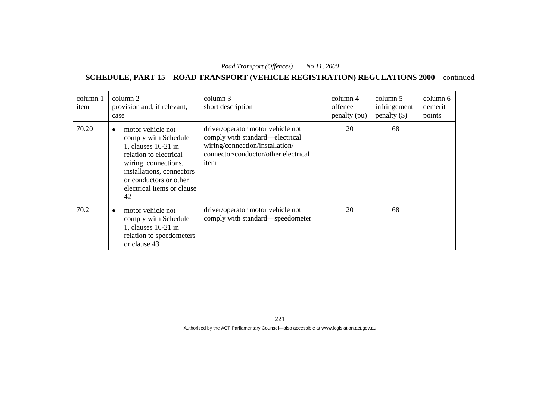| column 1<br>item | column 2<br>provision and, if relevant,<br>case                                                                                                                                                                            | column 3<br>short description                                                                                                                           | column 4<br>offence<br>penalty (pu) | column 5<br>infringement<br>penalty $(\$)$ | column 6<br>demerit<br>points |
|------------------|----------------------------------------------------------------------------------------------------------------------------------------------------------------------------------------------------------------------------|---------------------------------------------------------------------------------------------------------------------------------------------------------|-------------------------------------|--------------------------------------------|-------------------------------|
| 70.20            | motor vehicle not<br>$\bullet$<br>comply with Schedule<br>1, clauses 16-21 in<br>relation to electrical<br>wiring, connections,<br>installations, connectors<br>or conductors or other<br>electrical items or clause<br>42 | driver/operator motor vehicle not<br>comply with standard—electrical<br>wiring/connection/installation/<br>connector/conductor/other electrical<br>item | 20                                  | 68                                         |                               |
| 70.21            | motor vehicle not<br>$\bullet$<br>comply with Schedule<br>1, clauses 16-21 in<br>relation to speedometers<br>or clause 43                                                                                                  | driver/operator motor vehicle not<br>comply with standard—speedometer                                                                                   | 20                                  | 68                                         |                               |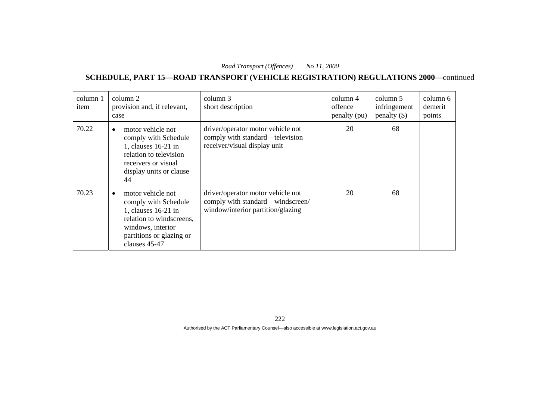**SCHEDULE, PART 15—ROAD TRANSPORT (VEHICLE REGISTRATION) REGULATIONS 2000**—continued

| column 1<br>item | column 2<br>provision and, if relevant,<br>case                                                                                                                             | column 3<br>short description                                                                              | column 4<br>offence<br>penalty (pu) | column 5<br>infringement<br>penalty $(\$)$ | column 6<br>demerit<br>points |
|------------------|-----------------------------------------------------------------------------------------------------------------------------------------------------------------------------|------------------------------------------------------------------------------------------------------------|-------------------------------------|--------------------------------------------|-------------------------------|
| 70.22            | motor vehicle not<br>$\bullet$<br>comply with Schedule<br>1, clauses 16-21 in<br>relation to television<br>receivers or visual<br>display units or clause<br>44             | driver/operator motor vehicle not<br>comply with standard—television<br>receiver/visual display unit       | 20                                  | 68                                         |                               |
| 70.23            | motor vehicle not<br>$\bullet$<br>comply with Schedule<br>1, clauses 16-21 in<br>relation to windscreens,<br>windows, interior<br>partitions or glazing or<br>clauses 45-47 | driver/operator motor vehicle not<br>comply with standard—windscreen/<br>window/interior partition/glazing | 20                                  | 68                                         |                               |

222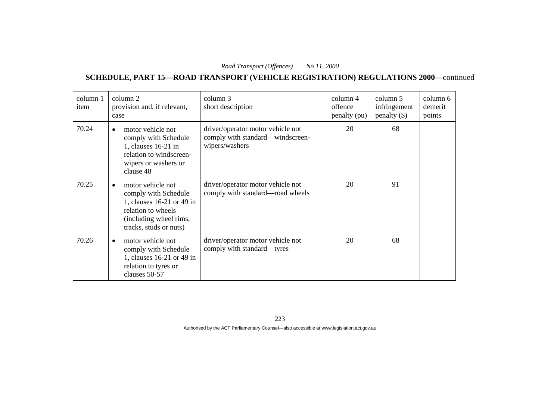**SCHEDULE, PART 15—ROAD TRANSPORT (VEHICLE REGISTRATION) REGULATIONS 2000**—continued

| column 1<br>item | column 2<br>provision and, if relevant,<br>case                                                                                                  | column 3<br>short description                                                           | column 4<br>offence<br>penalty (pu) | column 5<br>infringement<br>penalty $(\$)$ | column 6<br>demerit<br>points |
|------------------|--------------------------------------------------------------------------------------------------------------------------------------------------|-----------------------------------------------------------------------------------------|-------------------------------------|--------------------------------------------|-------------------------------|
| 70.24            | motor vehicle not<br>comply with Schedule<br>1, clauses 16-21 in<br>relation to windscreen-<br>wipers or washers or<br>clause 48                 | driver/operator motor vehicle not<br>comply with standard—windscreen-<br>wipers/washers | 20                                  | 68                                         |                               |
| 70.25            | motor vehicle not<br>comply with Schedule<br>1, clauses 16-21 or 49 in<br>relation to wheels<br>(including wheel rims,<br>tracks, studs or nuts) | driver/operator motor vehicle not<br>comply with standard—road wheels                   | 20                                  | 91                                         |                               |
| 70.26            | motor vehicle not<br>comply with Schedule<br>1, clauses 16-21 or 49 in<br>relation to tyres or<br>clauses 50-57                                  | driver/operator motor vehicle not<br>comply with standard—tyres                         | 20                                  | 68                                         |                               |

223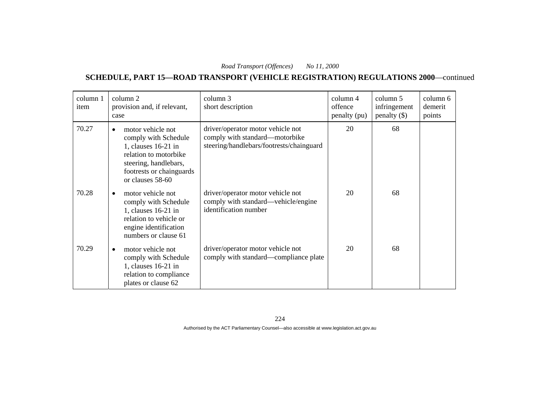**SCHEDULE, PART 15—ROAD TRANSPORT (VEHICLE REGISTRATION) REGULATIONS 2000**—continued

| column 1<br>item | column 2<br>provision and, if relevant,<br>case                                                                                                                                   | column 3<br>short description                                                                                   | column 4<br>offence<br>penalty (pu) | column 5<br>infringement<br>$penalty$ (\$) | column 6<br>demerit<br>points |
|------------------|-----------------------------------------------------------------------------------------------------------------------------------------------------------------------------------|-----------------------------------------------------------------------------------------------------------------|-------------------------------------|--------------------------------------------|-------------------------------|
| 70.27            | motor vehicle not<br>$\bullet$<br>comply with Schedule<br>1, clauses $16-21$ in<br>relation to motorbike<br>steering, handlebars,<br>footrests or chainguards<br>or clauses 58-60 | driver/operator motor vehicle not<br>comply with standard—motorbike<br>steering/handlebars/footrests/chainguard | 20                                  | 68                                         |                               |
| 70.28            | motor vehicle not<br>$\bullet$<br>comply with Schedule<br>1, clauses $16-21$ in<br>relation to vehicle or<br>engine identification<br>numbers or clause 61                        | driver/operator motor vehicle not<br>comply with standard—vehicle/engine<br>identification number               | 20                                  | 68                                         |                               |
| 70.29            | motor vehicle not<br>comply with Schedule<br>1, clauses 16-21 in<br>relation to compliance<br>plates or clause 62                                                                 | driver/operator motor vehicle not<br>comply with standard—compliance plate                                      | 20                                  | 68                                         |                               |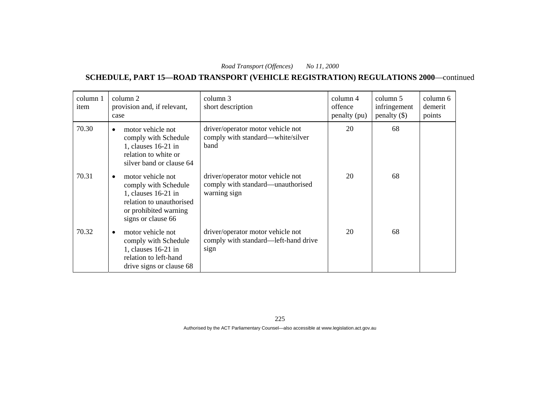**SCHEDULE, PART 15—ROAD TRANSPORT (VEHICLE REGISTRATION) REGULATIONS 2000**—continued

| column 1<br>item | column 2<br>provision and, if relevant,<br>case                                                                                                          | column 3<br>short description                                                          | column 4<br>offence<br>penalty (pu) | column 5<br>infringement<br>penalty $(\$)$ | column 6<br>demerit<br>points |
|------------------|----------------------------------------------------------------------------------------------------------------------------------------------------------|----------------------------------------------------------------------------------------|-------------------------------------|--------------------------------------------|-------------------------------|
| 70.30            | motor vehicle not<br>$\bullet$<br>comply with Schedule<br>1, clauses $16-21$ in<br>relation to white or<br>silver band or clause 64                      | driver/operator motor vehicle not<br>comply with standard—white/silver<br>band         | 20                                  | 68                                         |                               |
| 70.31            | motor vehicle not<br>$\bullet$<br>comply with Schedule<br>1, clauses 16-21 in<br>relation to unauthorised<br>or prohibited warning<br>signs or clause 66 | driver/operator motor vehicle not<br>comply with standard—unauthorised<br>warning sign | 20                                  | 68                                         |                               |
| 70.32            | motor vehicle not<br>$\bullet$<br>comply with Schedule<br>1, clauses 16-21 in<br>relation to left-hand<br>drive signs or clause 68                       | driver/operator motor vehicle not<br>comply with standard—left-hand drive<br>sign      | 20                                  | 68                                         |                               |

225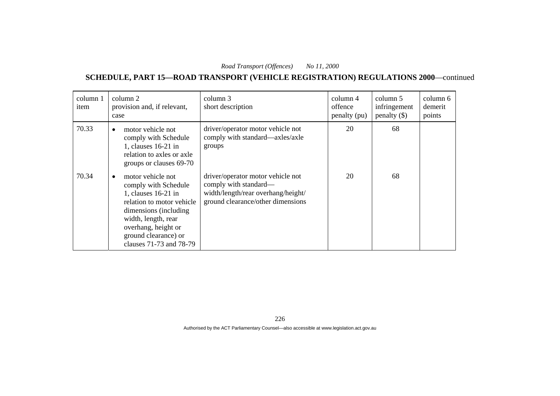| column 1<br>item | column 2<br>provision and, if relevant,<br>case                                                                                                                                                                                       | column 3<br>short description                                                                                                         | $\text{column } 4$<br>offence<br>penalty (pu) | column 5<br>infringement<br>penalty $(\$)$ | column 6<br>demerit<br>points |
|------------------|---------------------------------------------------------------------------------------------------------------------------------------------------------------------------------------------------------------------------------------|---------------------------------------------------------------------------------------------------------------------------------------|-----------------------------------------------|--------------------------------------------|-------------------------------|
| 70.33            | motor vehicle not<br>$\bullet$<br>comply with Schedule<br>1, clauses 16-21 in<br>relation to axles or axle<br>groups or clauses 69-70                                                                                                 | driver/operator motor vehicle not<br>comply with standard—axles/axle<br>groups                                                        | 20                                            | 68                                         |                               |
| 70.34            | motor vehicle not<br>$\bullet$<br>comply with Schedule<br>1, clauses 16-21 in<br>relation to motor vehicle<br>dimensions (including)<br>width, length, rear<br>overhang, height or<br>ground clearance) or<br>clauses 71-73 and 78-79 | driver/operator motor vehicle not<br>comply with standard—<br>width/length/rear overhang/height/<br>ground clearance/other dimensions | 20                                            | 68                                         |                               |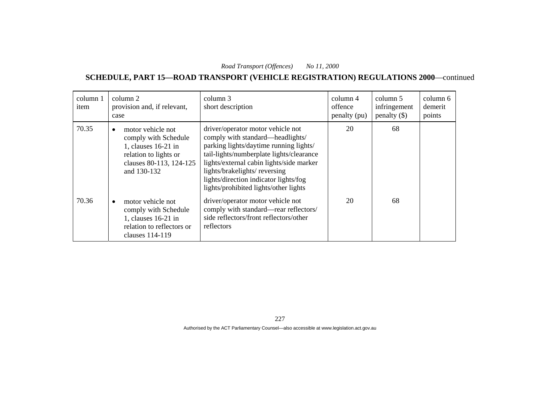| column 1<br>item | column 2<br>provision and, if relevant,<br>case                                                                                     | column 3<br>short description                                                                                                                                                                                                                                                                                             | column 4<br>offence<br>penalty (pu) | column 5<br>infringement<br>penalty $(\$)$ | column 6<br>demerit<br>points |
|------------------|-------------------------------------------------------------------------------------------------------------------------------------|---------------------------------------------------------------------------------------------------------------------------------------------------------------------------------------------------------------------------------------------------------------------------------------------------------------------------|-------------------------------------|--------------------------------------------|-------------------------------|
| 70.35            | motor vehicle not<br>comply with Schedule<br>1, clauses 16-21 in<br>relation to lights or<br>clauses 80-113, 124-125<br>and 130-132 | driver/operator motor vehicle not<br>comply with standard—headlights/<br>parking lights/daytime running lights/<br>tail-lights/numberplate lights/clearance<br>lights/external cabin lights/side marker<br>lights/brakelights/reversing<br>lights/direction indicator lights/fog<br>lights/prohibited lights/other lights | 20                                  | 68                                         |                               |
| 70.36            | motor vehicle not<br>comply with Schedule<br>1, clauses 16-21 in<br>relation to reflectors or<br>clauses 114-119                    | driver/operator motor vehicle not<br>comply with standard-rear reflectors/<br>side reflectors/front reflectors/other<br>reflectors                                                                                                                                                                                        | 20                                  | 68                                         |                               |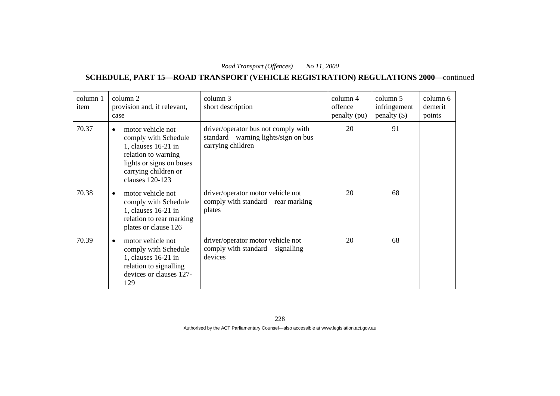**SCHEDULE, PART 15—ROAD TRANSPORT (VEHICLE REGISTRATION) REGULATIONS 2000**—continued

| column 1<br>item | column 2<br>provision and, if relevant,<br>case                                                                                                                             | column 3<br>short description                                                                   | column 4<br>offence<br>penalty (pu) | column 5<br>infringement<br>penalty $(\$)$ | column 6<br>demerit<br>points |
|------------------|-----------------------------------------------------------------------------------------------------------------------------------------------------------------------------|-------------------------------------------------------------------------------------------------|-------------------------------------|--------------------------------------------|-------------------------------|
| 70.37            | motor vehicle not<br>$\bullet$<br>comply with Schedule<br>1, clauses 16-21 in<br>relation to warning<br>lights or signs on buses<br>carrying children or<br>clauses 120-123 | driver/operator bus not comply with<br>standard—warning lights/sign on bus<br>carrying children | 20                                  | 91                                         |                               |
| 70.38            | motor vehicle not<br>comply with Schedule<br>1, clauses 16-21 in<br>relation to rear marking<br>plates or clause 126                                                        | driver/operator motor vehicle not<br>comply with standard—rear marking<br>plates                | 20                                  | 68                                         |                               |
| 70.39            | motor vehicle not<br>$\bullet$<br>comply with Schedule<br>1, clauses $16-21$ in<br>relation to signalling<br>devices or clauses 127-<br>129                                 | driver/operator motor vehicle not<br>comply with standard—signalling<br>devices                 | 20                                  | 68                                         |                               |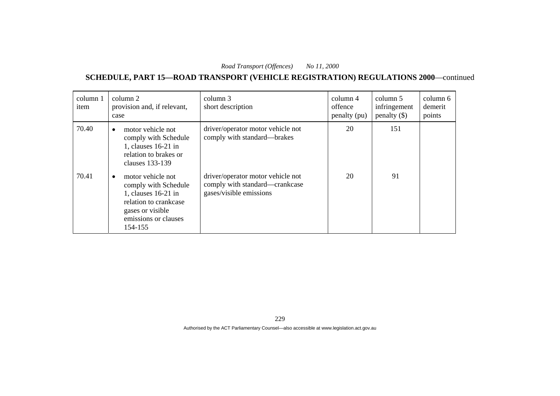**SCHEDULE, PART 15—ROAD TRANSPORT (VEHICLE REGISTRATION) REGULATIONS 2000**—continued

| column 1<br>item | column 2<br>provision and, if relevant,<br>case                                                                                                    | column 3<br>short description                                                                  | column 4<br>offence<br>penalty (pu) | column 5<br>infringement<br>penalty $(\$)$ | column 6<br>demerit<br>points |
|------------------|----------------------------------------------------------------------------------------------------------------------------------------------------|------------------------------------------------------------------------------------------------|-------------------------------------|--------------------------------------------|-------------------------------|
| 70.40            | motor vehicle not<br>$\bullet$<br>comply with Schedule<br>1, clauses $16-21$ in<br>relation to brakes or<br>clauses 133-139                        | driver/operator motor vehicle not<br>comply with standard—brakes                               | 20                                  | 151                                        |                               |
| 70.41            | motor vehicle not<br>comply with Schedule<br>1, clauses $16-21$ in<br>relation to crankcase<br>gases or visible<br>emissions or clauses<br>154-155 | driver/operator motor vehicle not<br>comply with standard—crankcase<br>gases/visible emissions | 20                                  | 91                                         |                               |

229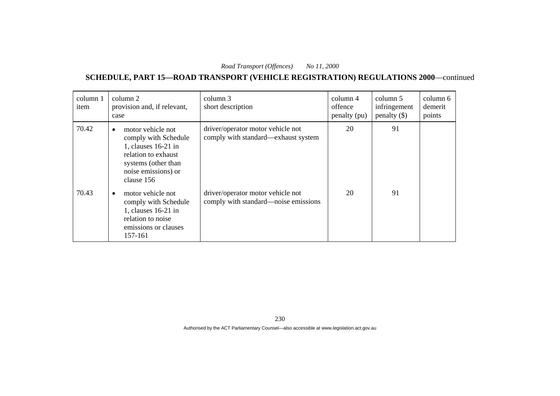| column 1<br>item | column 2<br>provision and, if relevant,<br>case                                                                                                                    | column 3<br>short description                                             | column 4<br>offence<br>penalty (pu) | column 5<br>infringement<br>penalty $(\$)$ | column 6<br>demerit<br>points |
|------------------|--------------------------------------------------------------------------------------------------------------------------------------------------------------------|---------------------------------------------------------------------------|-------------------------------------|--------------------------------------------|-------------------------------|
| 70.42            | motor vehicle not<br>$\bullet$<br>comply with Schedule<br>1, clauses $16-21$ in<br>relation to exhaust<br>systems (other than<br>noise emissions) or<br>clause 156 | driver/operator motor vehicle not<br>comply with standard—exhaust system  | 20                                  | 91                                         |                               |
| 70.43            | motor vehicle not<br>$\bullet$<br>comply with Schedule<br>1, clauses $16-21$ in<br>relation to noise<br>emissions or clauses<br>157-161                            | driver/operator motor vehicle not<br>comply with standard—noise emissions | 20                                  | 91                                         |                               |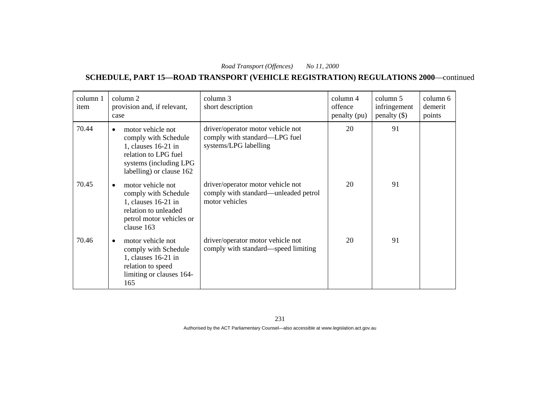**SCHEDULE, PART 15—ROAD TRANSPORT (VEHICLE REGISTRATION) REGULATIONS 2000**—continued

| column 1<br>item | column 2<br>provision and, if relevant,<br>case                                                                                                               | column 3<br>short description                                                               | column 4<br>offence<br>penalty (pu) | column 5<br>infringement<br>penalty $(\$)$ | column 6<br>demerit<br>points |
|------------------|---------------------------------------------------------------------------------------------------------------------------------------------------------------|---------------------------------------------------------------------------------------------|-------------------------------------|--------------------------------------------|-------------------------------|
| 70.44            | motor vehicle not<br>$\bullet$<br>comply with Schedule<br>1, clauses $16-21$ in<br>relation to LPG fuel<br>systems (including LPG<br>labelling) or clause 162 | driver/operator motor vehicle not<br>comply with standard—LPG fuel<br>systems/LPG labelling | 20                                  | 91                                         |                               |
| 70.45            | motor vehicle not<br>$\bullet$<br>comply with Schedule<br>1, clauses 16-21 in<br>relation to unleaded<br>petrol motor vehicles or<br>clause 163               | driver/operator motor vehicle not<br>comply with standard—unleaded petrol<br>motor vehicles | 20                                  | 91                                         |                               |
| 70.46            | motor vehicle not<br>$\bullet$<br>comply with Schedule<br>1, clauses 16-21 in<br>relation to speed<br>limiting or clauses 164-<br>165                         | driver/operator motor vehicle not<br>comply with standard—speed limiting                    | 20                                  | 91                                         |                               |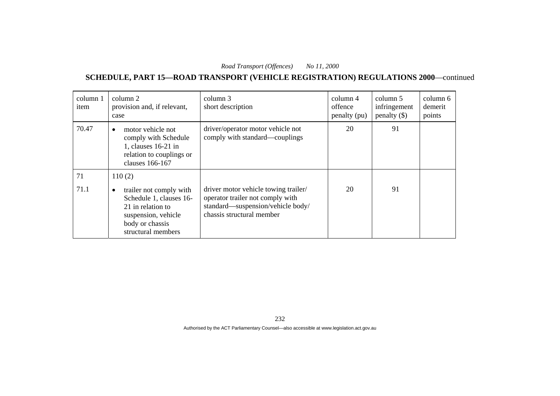**SCHEDULE, PART 15—ROAD TRANSPORT (VEHICLE REGISTRATION) REGULATIONS 2000**—continued

| column 1<br>item | column 2<br>provision and, if relevant,<br>case                                                                                              | column 3<br>short description                                                                                                              | column 4<br>offence<br>penalty (pu) | column 5<br>infringement<br>penalty $(\$)$ | column 6<br>demerit<br>points |
|------------------|----------------------------------------------------------------------------------------------------------------------------------------------|--------------------------------------------------------------------------------------------------------------------------------------------|-------------------------------------|--------------------------------------------|-------------------------------|
| 70.47            | motor vehicle not<br>$\bullet$<br>comply with Schedule<br>1, clauses 16-21 in<br>relation to couplings or<br>clauses 166-167                 | driver/operator motor vehicle not<br>comply with standard—couplings                                                                        | 20                                  | 91                                         |                               |
| 71               | 110(2)                                                                                                                                       |                                                                                                                                            |                                     |                                            |                               |
| 71.1             | trailer not comply with<br>٠<br>Schedule 1, clauses 16-<br>21 in relation to<br>suspension, vehicle<br>body or chassis<br>structural members | driver motor vehicle towing trailer/<br>operator trailer not comply with<br>standard—suspension/vehicle body/<br>chassis structural member | 20                                  | 91                                         |                               |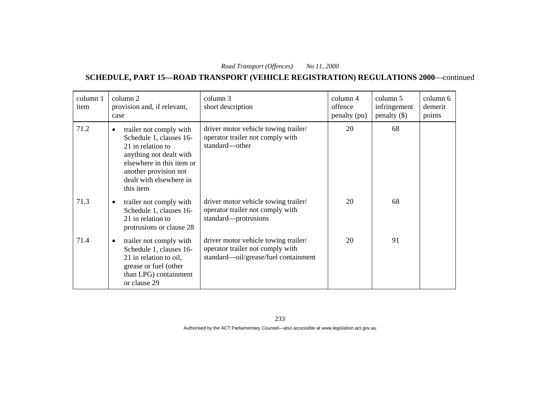**SCHEDULE, PART 15—ROAD TRANSPORT (VEHICLE REGISTRATION) REGULATIONS 2000**—continued

| column 1<br>item | column 2<br>provision and, if relevant,<br>case                                                                                                                                                               | column 3<br>short description                                                                                    | column 4<br>offence<br>penalty (pu) | column 5<br>infringement<br>penalty $(\$)$ | column 6<br>demerit<br>points |
|------------------|---------------------------------------------------------------------------------------------------------------------------------------------------------------------------------------------------------------|------------------------------------------------------------------------------------------------------------------|-------------------------------------|--------------------------------------------|-------------------------------|
| 71.2             | trailer not comply with<br>$\bullet$<br>Schedule 1, clauses 16-<br>21 in relation to<br>anything not dealt with<br>elsewhere in this item or<br>another provision not<br>dealt with elsewhere in<br>this item | driver motor vehicle towing trailer/<br>operator trailer not comply with<br>standard-other                       | 20                                  | 68                                         |                               |
| 71.3             | trailer not comply with<br>$\bullet$<br>Schedule 1, clauses 16-<br>21 in relation to<br>protrusions or clause 28                                                                                              | driver motor vehicle towing trailer/<br>operator trailer not comply with<br>standard-protrusions                 | 20                                  | 68                                         |                               |
| 71.4             | trailer not comply with<br>$\bullet$<br>Schedule 1, clauses 16-<br>21 in relation to oil,<br>grease or fuel (other<br>than LPG) containment<br>or clause 29                                                   | driver motor vehicle towing trailer/<br>operator trailer not comply with<br>standard—oil/grease/fuel containment | 20                                  | 91                                         |                               |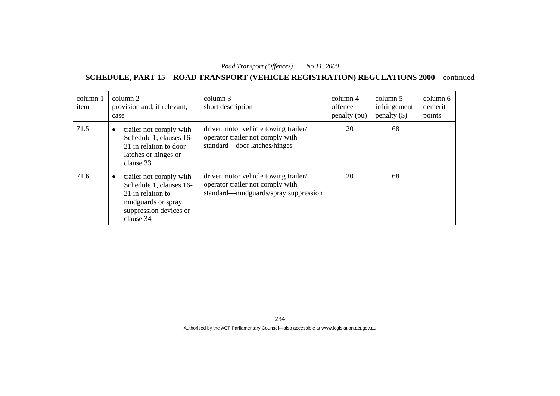| column 1<br>item | column 2<br>provision and, if relevant,<br>case                                                                                                   | column 3<br>short description                                                                                    | column 4<br>offence<br>penalty (pu) | column 5<br>infringement<br>$penalty$ (\$) | column 6<br>demerit<br>points |
|------------------|---------------------------------------------------------------------------------------------------------------------------------------------------|------------------------------------------------------------------------------------------------------------------|-------------------------------------|--------------------------------------------|-------------------------------|
| 71.5             | trailer not comply with<br>$\bullet$<br>Schedule 1, clauses 16-<br>21 in relation to door<br>latches or hinges or<br>clause 33                    | driver motor vehicle towing trailer/<br>operator trailer not comply with<br>standard—door latches/hinges         | 20                                  | 68                                         |                               |
| 71.6             | trailer not comply with<br>$\bullet$<br>Schedule 1, clauses 16-<br>21 in relation to<br>mudguards or spray<br>suppression devices or<br>clause 34 | driver motor vehicle towing trailer/<br>operator trailer not comply with<br>standard—mudguards/spray suppression | 20                                  | 68                                         |                               |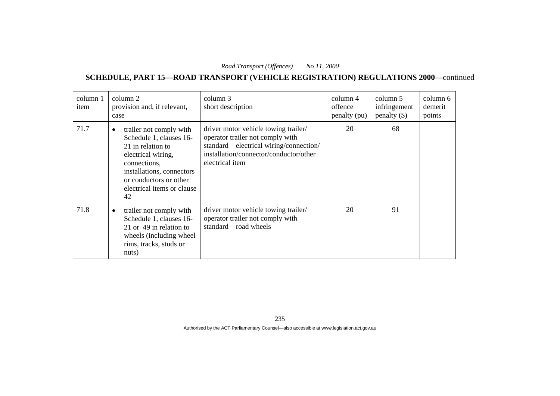| column 1<br>item | column 2<br>provision and, if relevant,<br>case                                                                                                                                                                       | column 3<br>short description                                                                                                                                                   | column 4<br>offence<br>penalty (pu) | column 5<br>infringement<br>penalty $(\$)$ | column 6<br>demerit<br>points |
|------------------|-----------------------------------------------------------------------------------------------------------------------------------------------------------------------------------------------------------------------|---------------------------------------------------------------------------------------------------------------------------------------------------------------------------------|-------------------------------------|--------------------------------------------|-------------------------------|
| 71.7             | trailer not comply with<br>$\bullet$<br>Schedule 1, clauses 16-<br>21 in relation to<br>electrical wiring,<br>connections,<br>installations, connectors<br>or conductors or other<br>electrical items or clause<br>42 | driver motor vehicle towing trailer/<br>operator trailer not comply with<br>standard—electrical wiring/connection/<br>installation/connector/conductor/other<br>electrical item | 20                                  | 68                                         |                               |
| 71.8             | trailer not comply with<br>$\bullet$<br>Schedule 1, clauses 16-<br>21 or 49 in relation to<br>wheels (including wheel)<br>rims, tracks, studs or<br>nuts)                                                             | driver motor vehicle towing trailer/<br>operator trailer not comply with<br>standard—road wheels                                                                                | 20                                  | 91                                         |                               |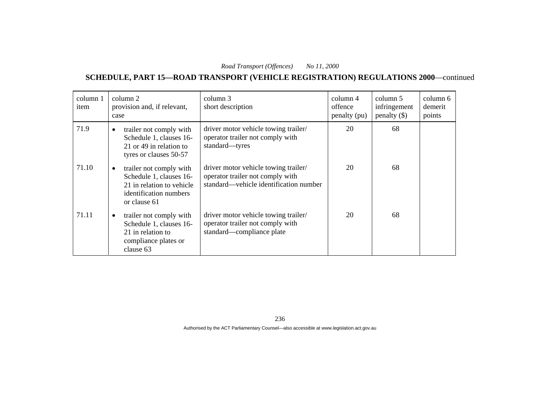| column 1<br>item | column 2<br>provision and, if relevant,<br>case                                                                                        | column 3<br>short description                                                                                      | column 4<br>offence<br>penalty (pu) | column 5<br>infringement<br>penalty $(\$)$ | column 6<br>demerit<br>points |
|------------------|----------------------------------------------------------------------------------------------------------------------------------------|--------------------------------------------------------------------------------------------------------------------|-------------------------------------|--------------------------------------------|-------------------------------|
| 71.9             | trailer not comply with<br>$\bullet$<br>Schedule 1, clauses 16-<br>21 or 49 in relation to<br>tyres or clauses 50-57                   | driver motor vehicle towing trailer/<br>operator trailer not comply with<br>standard—tyres                         | 20                                  | 68                                         |                               |
| 71.10            | trailer not comply with<br>$\bullet$<br>Schedule 1, clauses 16-<br>21 in relation to vehicle<br>identification numbers<br>or clause 61 | driver motor vehicle towing trailer/<br>operator trailer not comply with<br>standard—vehicle identification number | 20                                  | 68                                         |                               |
| 71.11            | trailer not comply with<br>$\bullet$<br>Schedule 1, clauses 16-<br>21 in relation to<br>compliance plates or<br>clause 63              | driver motor vehicle towing trailer/<br>operator trailer not comply with<br>standard—compliance plate              | 20                                  | 68                                         |                               |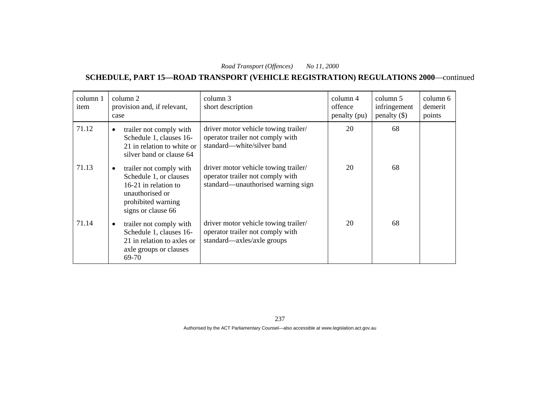**SCHEDULE, PART 15—ROAD TRANSPORT (VEHICLE REGISTRATION) REGULATIONS 2000**—continued

| column 1<br>item | column 2<br>provision and, if relevant,<br>case                                                                                                       | column 3<br>short description                                                                                  | column 4<br>offence<br>penalty (pu) | column 5<br>infringement<br>penalty $(\$)$ | column 6<br>demerit<br>points |
|------------------|-------------------------------------------------------------------------------------------------------------------------------------------------------|----------------------------------------------------------------------------------------------------------------|-------------------------------------|--------------------------------------------|-------------------------------|
| 71.12            | trailer not comply with<br>$\bullet$<br>Schedule 1, clauses 16-<br>21 in relation to white or<br>silver band or clause 64                             | driver motor vehicle towing trailer/<br>operator trailer not comply with<br>standard—white/silver band         | 20                                  | 68                                         |                               |
| 71.13            | trailer not comply with<br>$\bullet$<br>Schedule 1, or clauses<br>16-21 in relation to<br>unauthorised or<br>prohibited warning<br>signs or clause 66 | driver motor vehicle towing trailer/<br>operator trailer not comply with<br>standard—unauthorised warning sign | 20                                  | 68                                         |                               |
| 71.14            | trailer not comply with<br>$\bullet$<br>Schedule 1, clauses 16-<br>21 in relation to axles or<br>axle groups or clauses<br>69-70                      | driver motor vehicle towing trailer/<br>operator trailer not comply with<br>standard—axles/axle groups         | 20                                  | 68                                         |                               |

237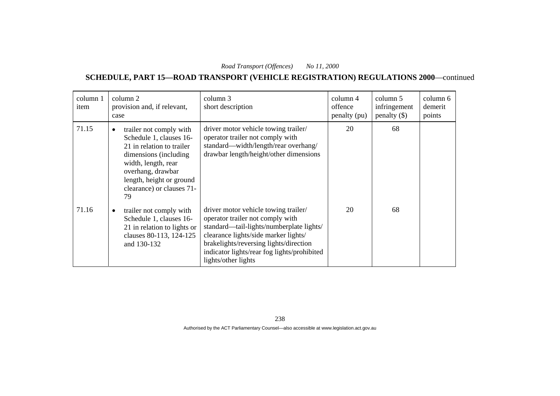**SCHEDULE, PART 15—ROAD TRANSPORT (VEHICLE REGISTRATION) REGULATIONS 2000**—continued

| column 1<br>item | column 2<br>provision and, if relevant,<br>case                                                                                                                                                                                   | column 3<br>short description                                                                                                                                                                                                                                                | column 4<br>offence<br>penalty (pu) | column 5<br>infringement<br>penalty $(\$)$ | column 6<br>demerit<br>points |
|------------------|-----------------------------------------------------------------------------------------------------------------------------------------------------------------------------------------------------------------------------------|------------------------------------------------------------------------------------------------------------------------------------------------------------------------------------------------------------------------------------------------------------------------------|-------------------------------------|--------------------------------------------|-------------------------------|
| 71.15            | trailer not comply with<br>$\bullet$<br>Schedule 1, clauses 16-<br>21 in relation to trailer<br>dimensions (including)<br>width, length, rear<br>overhang, drawbar<br>length, height or ground<br>clearance) or clauses 71-<br>79 | driver motor vehicle towing trailer/<br>operator trailer not comply with<br>standard—width/length/rear overhang/<br>drawbar length/height/other dimensions                                                                                                                   | 20                                  | 68                                         |                               |
| 71.16            | trailer not comply with<br>٠<br>Schedule 1, clauses 16-<br>21 in relation to lights or<br>clauses 80-113, 124-125<br>and 130-132                                                                                                  | driver motor vehicle towing trailer/<br>operator trailer not comply with<br>standard—tail-lights/numberplate lights/<br>clearance lights/side marker lights/<br>brakelights/reversing lights/direction<br>indicator lights/rear fog lights/prohibited<br>lights/other lights | 20                                  | 68                                         |                               |

238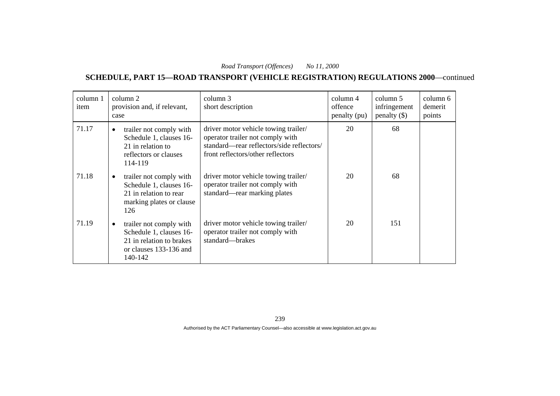**SCHEDULE, PART 15—ROAD TRANSPORT (VEHICLE REGISTRATION) REGULATIONS 2000**—continued

| column 1<br>item | column 2<br>provision and, if relevant,<br>case                                                                              | column 3<br>short description                                                                                                                              | column 4<br>offence<br>penalty (pu) | column 5<br>infringement<br>penalty $(\$)$ | column 6<br>demerit<br>points |
|------------------|------------------------------------------------------------------------------------------------------------------------------|------------------------------------------------------------------------------------------------------------------------------------------------------------|-------------------------------------|--------------------------------------------|-------------------------------|
| 71.17            | trailer not comply with<br>$\bullet$<br>Schedule 1, clauses 16-<br>21 in relation to<br>reflectors or clauses<br>114-119     | driver motor vehicle towing trailer/<br>operator trailer not comply with<br>standard—rear reflectors/side reflectors/<br>front reflectors/other reflectors | 20                                  | 68                                         |                               |
| 71.18            | trailer not comply with<br>$\bullet$<br>Schedule 1, clauses 16-<br>21 in relation to rear<br>marking plates or clause<br>126 | driver motor vehicle towing trailer/<br>operator trailer not comply with<br>standard—rear marking plates                                                   | 20                                  | 68                                         |                               |
| 71.19            | trailer not comply with<br>Schedule 1, clauses 16-<br>21 in relation to brakes<br>or clauses 133-136 and<br>140-142          | driver motor vehicle towing trailer/<br>operator trailer not comply with<br>standard-brakes                                                                | 20                                  | 151                                        |                               |

239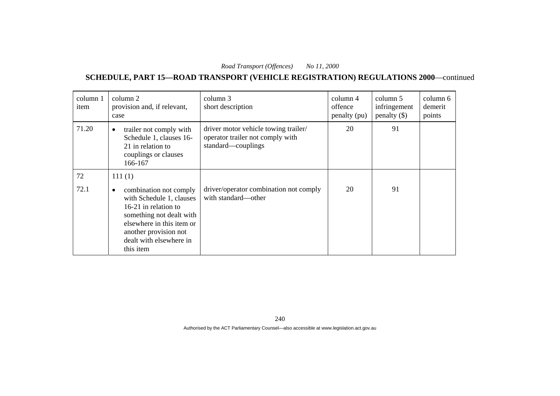| column 1<br>item | column 2<br>provision and, if relevant,<br>case                                                                                                                                                                   | column 3<br>short description                                                                  | column 4<br>offence<br>penalty (pu) | column 5<br>infringement<br>penalty $(\$)$ | column 6<br>demerit<br>points |
|------------------|-------------------------------------------------------------------------------------------------------------------------------------------------------------------------------------------------------------------|------------------------------------------------------------------------------------------------|-------------------------------------|--------------------------------------------|-------------------------------|
| 71.20            | trailer not comply with<br>$\bullet$<br>Schedule 1, clauses 16-<br>21 in relation to<br>couplings or clauses<br>166-167                                                                                           | driver motor vehicle towing trailer/<br>operator trailer not comply with<br>standard-couplings | 20                                  | 91                                         |                               |
| 72               | 111(1)                                                                                                                                                                                                            |                                                                                                |                                     |                                            |                               |
| 72.1             | combination not comply<br>$\bullet$<br>with Schedule 1, clauses<br>16-21 in relation to<br>something not dealt with<br>elsewhere in this item or<br>another provision not<br>dealt with elsewhere in<br>this item | driver/operator combination not comply<br>with standard—other                                  | 20                                  | 91                                         |                               |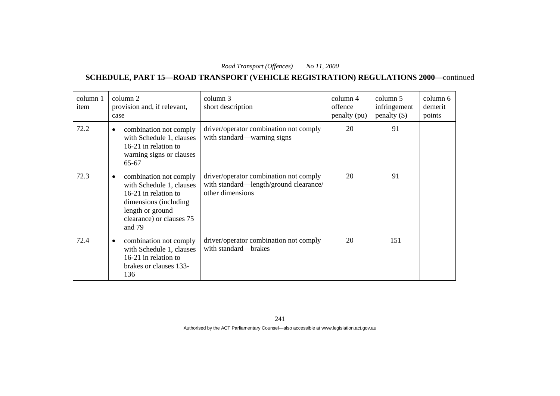**SCHEDULE, PART 15—ROAD TRANSPORT (VEHICLE REGISTRATION) REGULATIONS 2000**—continued

| column 1<br>item | column 2<br>provision and, if relevant,<br>case                                                                                                                             | column 3<br>short description                                                                        | column 4<br>offence<br>penalty (pu) | column 5<br>infringement<br>$penalty$ (\$) | column 6<br>demerit<br>points |
|------------------|-----------------------------------------------------------------------------------------------------------------------------------------------------------------------------|------------------------------------------------------------------------------------------------------|-------------------------------------|--------------------------------------------|-------------------------------|
| 72.2             | combination not comply<br>$\bullet$<br>with Schedule 1, clauses<br>16-21 in relation to<br>warning signs or clauses<br>65-67                                                | driver/operator combination not comply<br>with standard—warning signs                                | 20                                  | 91                                         |                               |
| 72.3             | combination not comply<br>$\bullet$<br>with Schedule 1, clauses<br>16-21 in relation to<br>dimensions (including)<br>length or ground<br>clearance) or clauses 75<br>and 79 | driver/operator combination not comply<br>with standard—length/ground clearance/<br>other dimensions | 20                                  | 91                                         |                               |
| 72.4             | combination not comply<br>٠<br>with Schedule 1, clauses<br>16-21 in relation to<br>brakes or clauses 133-<br>136                                                            | driver/operator combination not comply<br>with standard—brakes                                       | 20                                  | 151                                        |                               |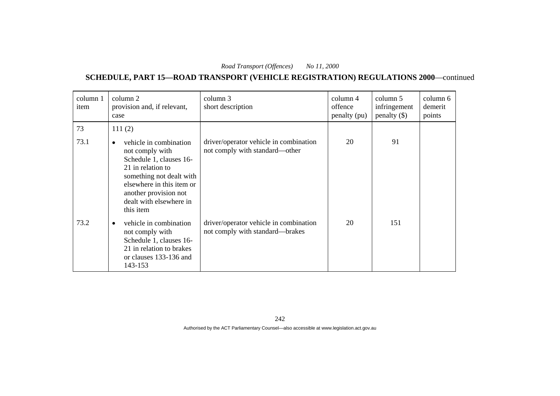**SCHEDULE, PART 15—ROAD TRANSPORT (VEHICLE REGISTRATION) REGULATIONS 2000**—continued

| column 1<br>item | column 2<br>provision and, if relevant,<br>case                                                                                                                                                                                  | column 3<br>short description                                             | column 4<br>offence<br>penalty (pu) | column 5<br>infringement<br>penalty $(\$)$ | column 6<br>demerit<br>points |
|------------------|----------------------------------------------------------------------------------------------------------------------------------------------------------------------------------------------------------------------------------|---------------------------------------------------------------------------|-------------------------------------|--------------------------------------------|-------------------------------|
| 73               | 111(2)                                                                                                                                                                                                                           |                                                                           |                                     |                                            |                               |
| 73.1             | vehicle in combination<br>$\bullet$<br>not comply with<br>Schedule 1, clauses 16-<br>21 in relation to<br>something not dealt with<br>elsewhere in this item or<br>another provision not<br>dealt with elsewhere in<br>this item | driver/operator vehicle in combination<br>not comply with standard—other  | 20                                  | 91                                         |                               |
| 73.2             | vehicle in combination<br>$\bullet$<br>not comply with<br>Schedule 1, clauses 16-<br>21 in relation to brakes<br>or clauses 133-136 and<br>143-153                                                                               | driver/operator vehicle in combination<br>not comply with standard—brakes | 20                                  | 151                                        |                               |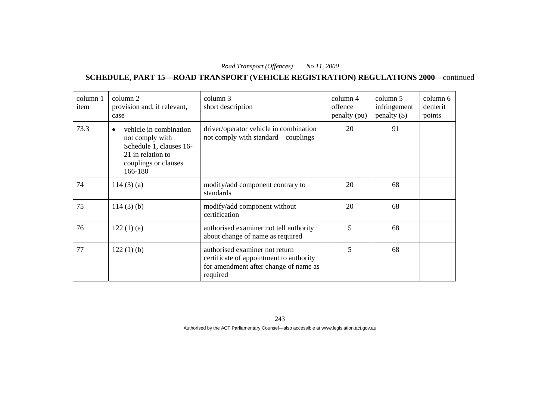**SCHEDULE, PART 15—ROAD TRANSPORT (VEHICLE REGISTRATION) REGULATIONS 2000**—continued

| column 1<br>item | column 2<br>provision and, if relevant,<br>case                                                                              | column 3<br>short description                                                                                                  | column 4<br>offence<br>penalty (pu) | column 5<br>infringement<br>penalty $(\$)$ | column 6<br>demerit<br>points |
|------------------|------------------------------------------------------------------------------------------------------------------------------|--------------------------------------------------------------------------------------------------------------------------------|-------------------------------------|--------------------------------------------|-------------------------------|
| 73.3             | vehicle in combination<br>not comply with<br>Schedule 1, clauses 16-<br>21 in relation to<br>couplings or clauses<br>166-180 | driver/operator vehicle in combination<br>not comply with standard—couplings                                                   | 20                                  | 91                                         |                               |
| 74               | 114(3)(a)                                                                                                                    | modify/add component contrary to<br>standards                                                                                  | 20                                  | 68                                         |                               |
| 75               | $114(3)$ (b)                                                                                                                 | modify/add component without<br>certification                                                                                  | 20                                  | 68                                         |                               |
| 76               | 122(1)(a)                                                                                                                    | authorised examiner not tell authority<br>about change of name as required                                                     | 5                                   | 68                                         |                               |
| 77               | $122(1)$ (b)                                                                                                                 | authorised examiner not return<br>certificate of appointment to authority<br>for amendment after change of name as<br>required | 5                                   | 68                                         |                               |

243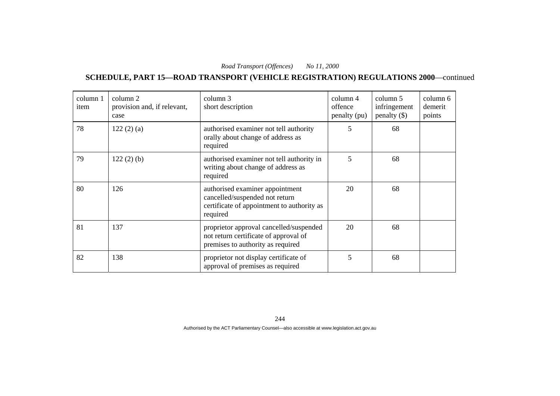**SCHEDULE, PART 15—ROAD TRANSPORT (VEHICLE REGISTRATION) REGULATIONS 2000**—continued

| column 1<br>item | column 2<br>provision and, if relevant,<br>case | column 3<br>short description                                                                                               | column 4<br>offence<br>penalty (pu) | column 5<br>infringement<br>penalty $(\$)$ | column 6<br>demerit<br>points |
|------------------|-------------------------------------------------|-----------------------------------------------------------------------------------------------------------------------------|-------------------------------------|--------------------------------------------|-------------------------------|
| 78               | 122(2)(a)                                       | authorised examiner not tell authority<br>orally about change of address as<br>required                                     | 5                                   | 68                                         |                               |
| 79               | $122(2)$ (b)                                    | authorised examiner not tell authority in<br>writing about change of address as<br>required                                 | 5                                   | 68                                         |                               |
| 80               | 126                                             | authorised examiner appointment<br>cancelled/suspended not return<br>certificate of appointment to authority as<br>required | 20                                  | 68                                         |                               |
| 81               | 137                                             | proprietor approval cancelled/suspended<br>not return certificate of approval of<br>premises to authority as required       | 20                                  | 68                                         |                               |
| 82               | 138                                             | proprietor not display certificate of<br>approval of premises as required                                                   | 5                                   | 68                                         |                               |

244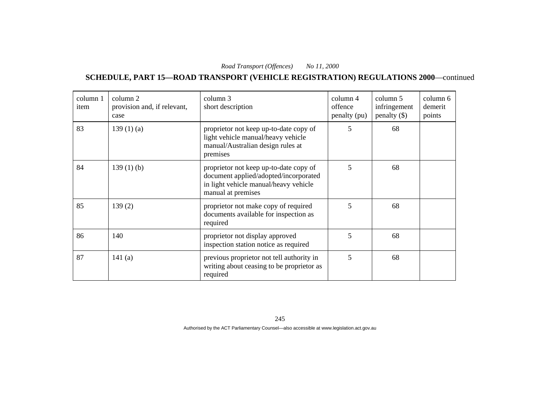**SCHEDULE, PART 15—ROAD TRANSPORT (VEHICLE REGISTRATION) REGULATIONS 2000**—continued

| column 1<br>item | column 2<br>provision and, if relevant,<br>case | column 3<br>short description                                                                                                                  | $\text{column } 4$<br>offence<br>penalty (pu) | column 5<br>infringement<br>penalty $(\$)$ | column 6<br>demerit<br>points |
|------------------|-------------------------------------------------|------------------------------------------------------------------------------------------------------------------------------------------------|-----------------------------------------------|--------------------------------------------|-------------------------------|
| 83               | 139(1)(a)                                       | proprietor not keep up-to-date copy of<br>light vehicle manual/heavy vehicle<br>manual/Australian design rules at<br>premises                  | 5                                             | 68                                         |                               |
| 84               | $139(1)$ (b)                                    | proprietor not keep up-to-date copy of<br>document applied/adopted/incorporated<br>in light vehicle manual/heavy vehicle<br>manual at premises | 5                                             | 68                                         |                               |
| 85               | 139(2)                                          | proprietor not make copy of required<br>documents available for inspection as<br>required                                                      | 5                                             | 68                                         |                               |
| 86               | 140                                             | proprietor not display approved<br>inspection station notice as required                                                                       | 5                                             | 68                                         |                               |
| 87               | 141(a)                                          | previous proprietor not tell authority in<br>writing about ceasing to be proprietor as<br>required                                             | 5                                             | 68                                         |                               |

245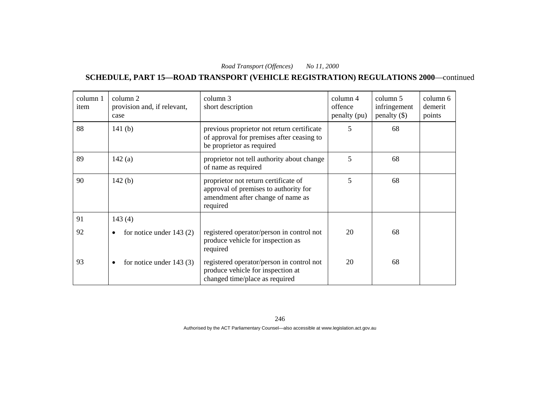**SCHEDULE, PART 15—ROAD TRANSPORT (VEHICLE REGISTRATION) REGULATIONS 2000**—continued

| column 1<br>item | column 2<br>provision and, if relevant,<br>case | column 3<br>short description                                                                                                  | column 4<br>offence<br>penalty (pu) | column 5<br>infringement<br>$penalty$ (\$) | column 6<br>demerit<br>points |
|------------------|-------------------------------------------------|--------------------------------------------------------------------------------------------------------------------------------|-------------------------------------|--------------------------------------------|-------------------------------|
| 88               | 141 $(b)$                                       | previous proprietor not return certificate<br>of approval for premises after ceasing to<br>be proprietor as required           | 5                                   | 68                                         |                               |
| 89               | 142(a)                                          | proprietor not tell authority about change<br>of name as required                                                              | 5                                   | 68                                         |                               |
| 90               | 142(b)                                          | proprietor not return certificate of<br>approval of premises to authority for<br>amendment after change of name as<br>required | 5                                   | 68                                         |                               |
| 91               | 143(4)                                          |                                                                                                                                |                                     |                                            |                               |
| 92               | for notice under $143(2)$                       | registered operator/person in control not<br>produce vehicle for inspection as<br>required                                     | 20                                  | 68                                         |                               |
| 93               | for notice under $143(3)$<br>٠                  | registered operator/person in control not<br>produce vehicle for inspection at<br>changed time/place as required               | 20                                  | 68                                         |                               |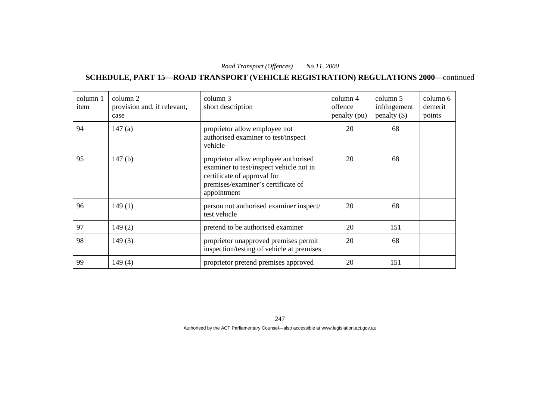**SCHEDULE, PART 15—ROAD TRANSPORT (VEHICLE REGISTRATION) REGULATIONS 2000**—continued

| column 1<br>item | column 2<br>provision and, if relevant,<br>case | column 3<br>short description                                                                                                                                       | $\text{column } 4$<br>offence<br>penalty (pu) | column 5<br>infringement<br>penalty $(\$)$ | column 6<br>demerit<br>points |
|------------------|-------------------------------------------------|---------------------------------------------------------------------------------------------------------------------------------------------------------------------|-----------------------------------------------|--------------------------------------------|-------------------------------|
| 94               | 147(a)                                          | proprietor allow employee not<br>authorised examiner to test/inspect<br>vehicle                                                                                     | 20                                            | 68                                         |                               |
| 95               | 147(b)                                          | proprietor allow employee authorised<br>examiner to test/inspect vehicle not in<br>certificate of approval for<br>premises/examiner's certificate of<br>appointment | 20                                            | 68                                         |                               |
| 96               | 149(1)                                          | person not authorised examiner inspect/<br>test vehicle                                                                                                             | 20                                            | 68                                         |                               |
| 97               | 149(2)                                          | pretend to be authorised examiner                                                                                                                                   | 20                                            | 151                                        |                               |
| 98               | 149(3)                                          | proprietor unapproved premises permit<br>inspection/testing of vehicle at premises                                                                                  | 20                                            | 68                                         |                               |
| 99               | 149(4)                                          | proprietor pretend premises approved                                                                                                                                | 20                                            | 151                                        |                               |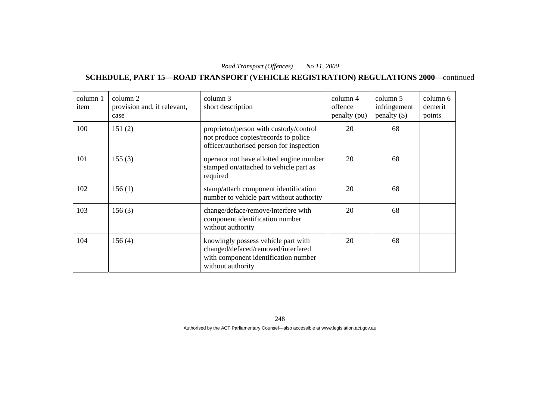**SCHEDULE, PART 15—ROAD TRANSPORT (VEHICLE REGISTRATION) REGULATIONS 2000**—continued

| column 1<br>item | column 2<br>provision and, if relevant,<br>case | column 3<br>short description                                                                                                          | column 4<br>offence<br>penalty (pu) | column 5<br>infringement<br>penalty $(\$)$ | column 6<br>demerit<br>points |
|------------------|-------------------------------------------------|----------------------------------------------------------------------------------------------------------------------------------------|-------------------------------------|--------------------------------------------|-------------------------------|
| 100              | 151(2)                                          | proprietor/person with custody/control<br>not produce copies/records to police<br>officer/authorised person for inspection             | 20                                  | 68                                         |                               |
| 101              | 155(3)                                          | operator not have allotted engine number<br>stamped on/attached to vehicle part as<br>required                                         | 20                                  | 68                                         |                               |
| 102              | 156(1)                                          | stamp/attach component identification<br>number to vehicle part without authority                                                      | 20                                  | 68                                         |                               |
| 103              | 156(3)                                          | change/deface/remove/interfere with<br>component identification number<br>without authority                                            | 20                                  | 68                                         |                               |
| 104              | 156(4)                                          | knowingly possess vehicle part with<br>changed/defaced/removed/interfered<br>with component identification number<br>without authority | 20                                  | 68                                         |                               |

248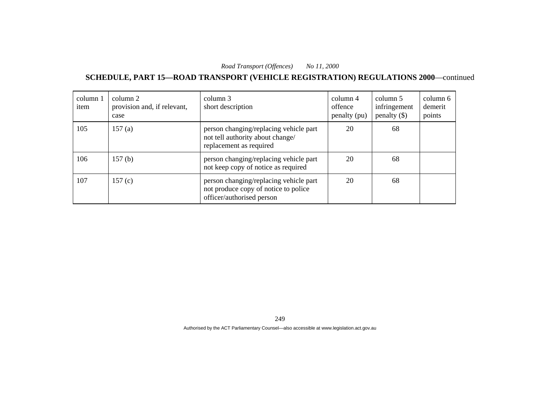**SCHEDULE, PART 15—ROAD TRANSPORT (VEHICLE REGISTRATION) REGULATIONS 2000**—continued

| column 1<br>item | column 2<br>provision and, if relevant,<br>case | column 3<br>short description                                                                               | column 4<br>offence<br>penalty (pu) | column 5<br>infringement<br>$penalty$ (\$) | column 6<br>demerit<br>points |
|------------------|-------------------------------------------------|-------------------------------------------------------------------------------------------------------------|-------------------------------------|--------------------------------------------|-------------------------------|
| 105              | 157(a)                                          | person changing/replacing vehicle part<br>not tell authority about change/<br>replacement as required       | 20                                  | 68                                         |                               |
| 106              | 157 <sub>(b)</sub>                              | person changing/replacing vehicle part<br>not keep copy of notice as required                               | 20                                  | 68                                         |                               |
| 107              | 157 $(c)$                                       | person changing/replacing vehicle part<br>not produce copy of notice to police<br>officer/authorised person | 20                                  | 68                                         |                               |